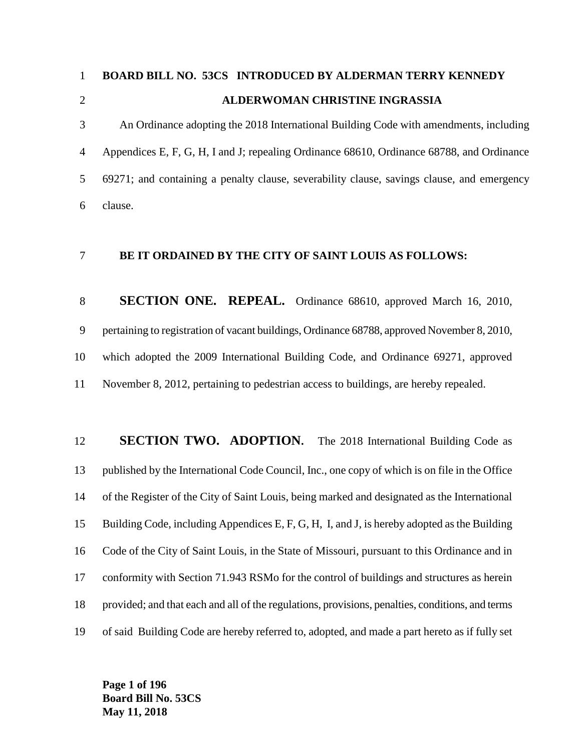# **BOARD BILL NO. 53CS INTRODUCED BY ALDERMAN TERRY KENNEDY ALDERWOMAN CHRISTINE INGRASSIA**

 An Ordinance adopting the 2018 International Building Code with amendments, including Appendices E, F, G, H, I and J; repealing Ordinance 68610, Ordinance 68788, and Ordinance 69271; and containing a penalty clause, severability clause, savings clause, and emergency clause.

### **BE IT ORDAINED BY THE CITY OF SAINT LOUIS AS FOLLOWS:**

**SECTION ONE. REPEAL.** Ordinance 68610, approved March 16, 2010, pertaining to registration of vacant buildings, Ordinance 68788, approved November 8, 2010, which adopted the 2009 International Building Code, and Ordinance 69271, approved November 8, 2012, pertaining to pedestrian access to buildings, are hereby repealed.

# **SECTION TWO. ADOPTION.** The 2018 International Building Code as published by the International Code Council, Inc., one copy of which is on file in the Office of the Register of the City of Saint Louis, being marked and designated as the International Building Code, including Appendices E, F, G, H, I, and J, is hereby adopted as the Building Code of the City of Saint Louis, in the State of Missouri, pursuant to this Ordinance and in conformity with Section 71.943 RSMo for the control of buildings and structures as herein provided; and that each and all of the regulations, provisions, penalties, conditions, and terms of said Building Code are hereby referred to, adopted, and made a part hereto as if fully set

**Page 1 of 196 Board Bill No. 53CS May 11, 2018**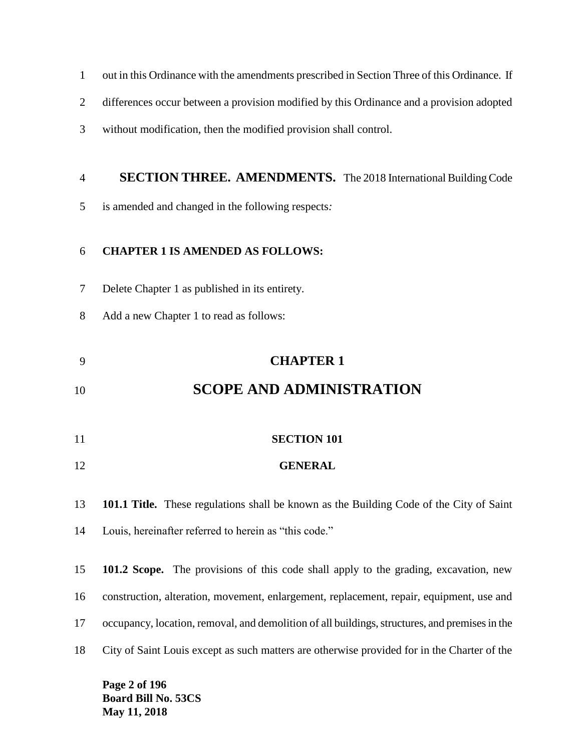- out in this Ordinance with the amendments prescribed in Section Three of this Ordinance.If
- differences occur between a provision modified by this Ordinance and a provision adopted
- without modification, then the modified provision shall control.

#### **SECTION THREE. AMENDMENTS.** The 2018 International Building Code

is amended and changed in the following respects*:*

#### **CHAPTER 1 IS AMENDED AS FOLLOWS:**

- Delete Chapter 1 as published in its entirety.
- Add a new Chapter 1 to read as follows:

## **CHAPTER 1**

# **SCOPE AND ADMINISTRATION**

- **SECTION 101**
- **GENERAL**

**101.1 Title.** These regulations shall be known as the Building Code of the City of Saint

Louis, hereinafter referred to herein as "this code."

 **101.2 Scope.** The provisions of this code shall apply to the grading, excavation, new construction, alteration, movement, enlargement, replacement, repair, equipment, use and occupancy, location, removal, and demolition of all buildings, structures, and premises in the City of Saint Louis except as such matters are otherwise provided for in the Charter of the

**Page 2 of 196 Board Bill No. 53CS May 11, 2018**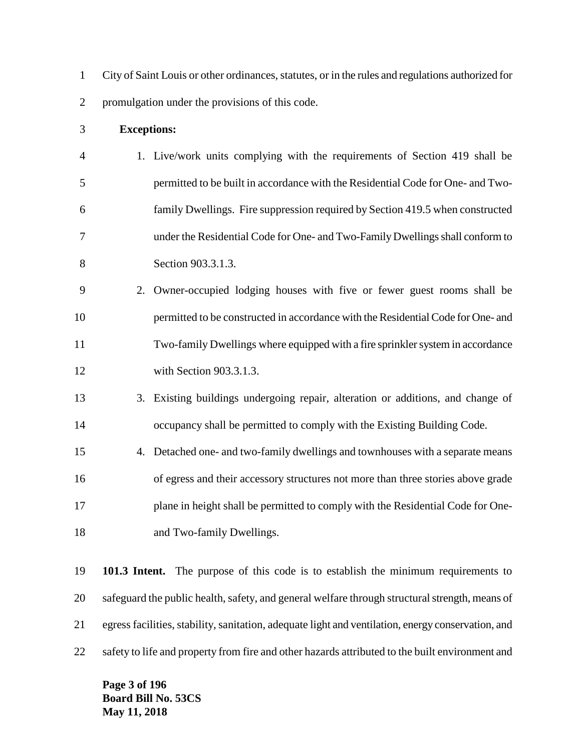City of Saint Louis or other ordinances, statutes, or in the rules and regulations authorized for promulgation under the provisions of this code.

#### **Exceptions:**

- 1. Live/work units complying with the requirements of Section 419 shall be permitted to be built in accordance with the Residential Code for One- and Two- family Dwellings. Fire suppression required by Section 419.5 when constructed under the Residential Code for One- and Two-Family Dwellings shall conform to Section 903.3.1.3.
- 2. Owner-occupied lodging houses with five or fewer guest rooms shall be permitted to be constructed in accordance with the Residential Code for One- and Two-family Dwellings where equipped with a fire sprinkler system in accordance with Section 903.3.1.3.
- 3. Existing buildings undergoing repair, alteration or additions, and change of occupancy shall be permitted to comply with the Existing Building Code.
- 4. Detached one- and two-family dwellings and townhouses with a separate means of egress and their accessory structures not more than three stories above grade plane in height shall be permitted to comply with the Residential Code for One-18 and Two-family Dwellings.

 **101.3 Intent.** The purpose of this code is to establish the minimum requirements to safeguard the public health, safety, and general welfare through structural strength, means of egress facilities, stability, sanitation, adequate light and ventilation, energy conservation, and 22 safety to life and property from fire and other hazards attributed to the built environment and

**Page 3 of 196 Board Bill No. 53CS May 11, 2018**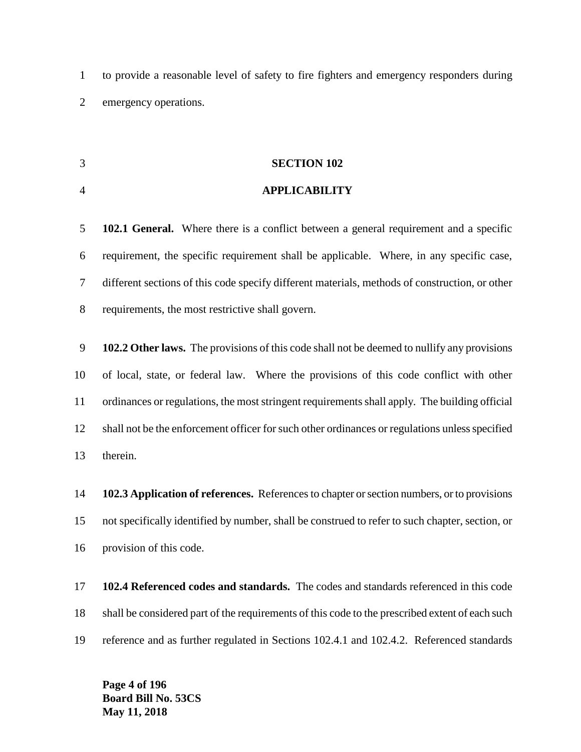to provide a reasonable level of safety to fire fighters and emergency responders during emergency operations.

#### **SECTION 102**

#### **APPLICABILITY**

 **102.1 General.** Where there is a conflict between a general requirement and a specific requirement, the specific requirement shall be applicable. Where, in any specific case, different sections of this code specify different materials, methods of construction, or other requirements, the most restrictive shall govern.

 **102.2 Other laws.** The provisions of this code shall not be deemed to nullify any provisions of local, state, or federal law. Where the provisions of this code conflict with other ordinances or regulations, the most stringent requirements shall apply. The building official shall not be the enforcement officer for such other ordinances or regulations unless specified therein.

 **102.3 Application of references.** References to chapter or section numbers, or to provisions not specifically identified by number, shall be construed to refer to such chapter, section, or provision of this code.

 **102.4 Referenced codes and standards.** The codes and standards referenced in this code shall be considered part of the requirements of this code to the prescribed extent of each such reference and as further regulated in Sections 102.4.1 and 102.4.2. Referenced standards

**Page 4 of 196 Board Bill No. 53CS May 11, 2018**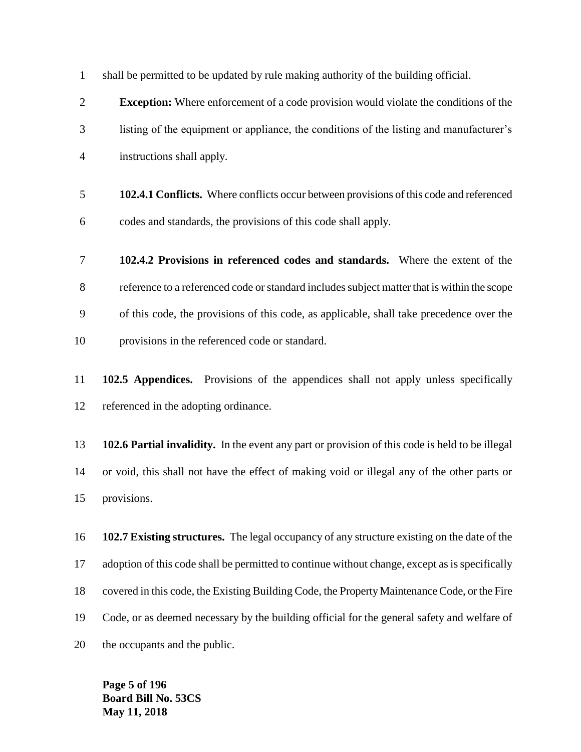shall be permitted to be updated by rule making authority of the building official.

 **Exception:** Where enforcement of a code provision would violate the conditions of the listing of the equipment or appliance, the conditions of the listing and manufacturer's instructions shall apply.

- **102.4.1 Conflicts.** Where conflicts occur between provisions of this code and referenced codes and standards, the provisions of this code shall apply.
- **102.4.2 Provisions in referenced codes and standards.** Where the extent of the reference to a referenced code or standard includes subject matter that is within the scope of this code, the provisions of this code, as applicable, shall take precedence over the provisions in the referenced code or standard.
- **102.5 Appendices.** Provisions of the appendices shall not apply unless specifically referenced in the adopting ordinance.

 **102.6 Partial invalidity.** In the event any part or provision of this code is held to be illegal or void, this shall not have the effect of making void or illegal any of the other parts or provisions.

 **102.7 Existing structures.** The legal occupancy of any structure existing on the date of the adoption of this code shall be permitted to continue without change, except as is specifically covered in this code, the Existing Building Code, the Property Maintenance Code, or the Fire Code, or as deemed necessary by the building official for the general safety and welfare of the occupants and the public.

**Page 5 of 196 Board Bill No. 53CS May 11, 2018**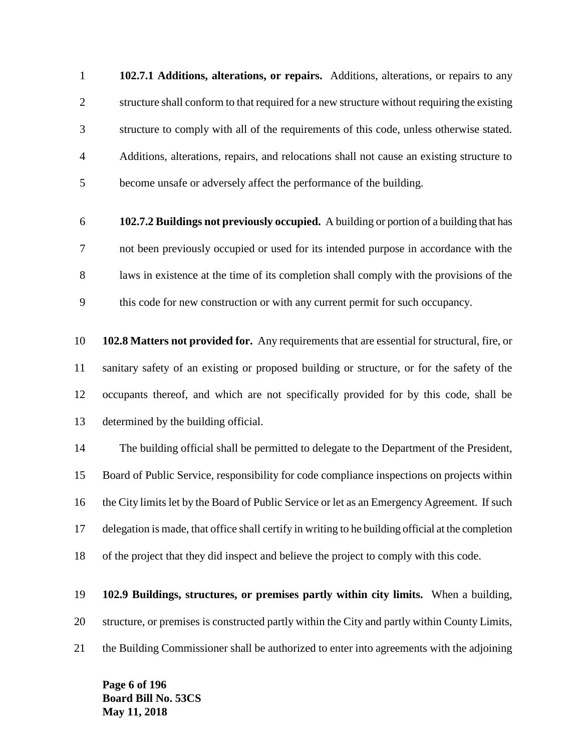**102.7.1 Additions, alterations, or repairs.** Additions, alterations, or repairs to any structure shall conform to that required for a new structure without requiring the existing structure to comply with all of the requirements of this code, unless otherwise stated. Additions, alterations, repairs, and relocations shall not cause an existing structure to become unsafe or adversely affect the performance of the building.

 **102.7.2 Buildings not previously occupied.** A building or portion of a building that has not been previously occupied or used for its intended purpose in accordance with the laws in existence at the time of its completion shall comply with the provisions of the this code for new construction or with any current permit for such occupancy.

 **102.8 Matters not provided for.** Any requirements that are essential for structural, fire, or sanitary safety of an existing or proposed building or structure, or for the safety of the occupants thereof, and which are not specifically provided for by this code, shall be determined by the building official.

 The building official shall be permitted to delegate to the Department of the President, Board of Public Service, responsibility for code compliance inspections on projects within the City limits let by the Board of Public Service or let as an Emergency Agreement. If such delegation is made, that office shall certify in writing to he building official at the completion of the project that they did inspect and believe the project to comply with this code.

 **102.9 Buildings, structures, or premises partly within city limits.** When a building, structure, or premises is constructed partly within the City and partly within County Limits, the Building Commissioner shall be authorized to enter into agreements with the adjoining

**Page 6 of 196 Board Bill No. 53CS May 11, 2018**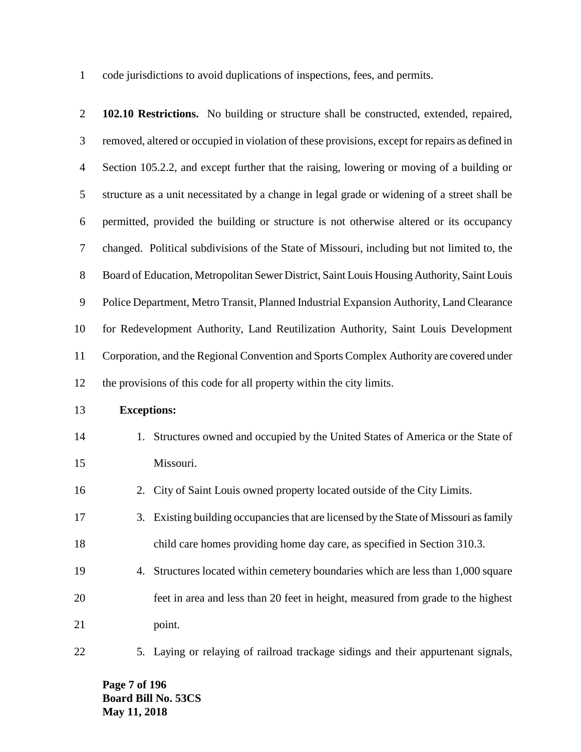code jurisdictions to avoid duplications of inspections, fees, and permits.

| $\overline{2}$ | 102.10 Restrictions. No building or structure shall be constructed, extended, repaired,         |
|----------------|-------------------------------------------------------------------------------------------------|
| 3              | removed, altered or occupied in violation of these provisions, except for repairs as defined in |
| $\overline{4}$ | Section 105.2.2, and except further that the raising, lowering or moving of a building or       |
| $\mathfrak{S}$ | structure as a unit necessitated by a change in legal grade or widening of a street shall be    |
| 6              | permitted, provided the building or structure is not otherwise altered or its occupancy         |
| $\tau$         | changed. Political subdivisions of the State of Missouri, including but not limited to, the     |
| $8\,$          | Board of Education, Metropolitan Sewer District, Saint Louis Housing Authority, Saint Louis     |
| $\mathbf{9}$   | Police Department, Metro Transit, Planned Industrial Expansion Authority, Land Clearance        |
| 10             | for Redevelopment Authority, Land Reutilization Authority, Saint Louis Development              |
| 11             | Corporation, and the Regional Convention and Sports Complex Authority are covered under         |
| 12             | the provisions of this code for all property within the city limits.                            |
| 13             | <b>Exceptions:</b>                                                                              |
| 14             | 1. Structures owned and occupied by the United States of America or the State of                |
| 15             | Missouri.                                                                                       |
| 16             | City of Saint Louis owned property located outside of the City Limits.<br>2.                    |
| 17             | Existing building occupancies that are licensed by the State of Missouri as family<br>3.        |
| 18             | child care homes providing home day care, as specified in Section 310.3.                        |
| 19             | 4. Structures located within cemetery boundaries which are less than 1,000 square               |
| 20             | feet in area and less than 20 feet in height, measured from grade to the highest                |
| 21             | point.                                                                                          |
| 22             | 5. Laying or relaying of railroad trackage sidings and their appurtenant signals,               |

**Page 7 of 196 Board Bill No. 53CS May 11, 2018**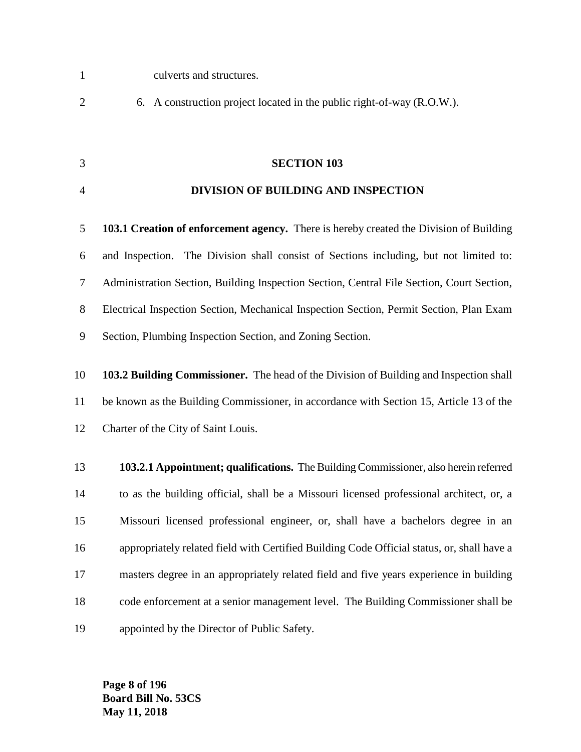- culverts and structures.
- 6. A construction project located in the public right-of-way (R.O.W.).
- 

#### **SECTION 103**

#### **DIVISION OF BUILDING AND INSPECTION**

 **103.1 Creation of enforcement agency.** There is hereby created the Division of Building and Inspection. The Division shall consist of Sections including, but not limited to: Administration Section, Building Inspection Section, Central File Section, Court Section, Electrical Inspection Section, Mechanical Inspection Section, Permit Section, Plan Exam Section, Plumbing Inspection Section, and Zoning Section.

 **103.2 Building Commissioner.** The head of the Division of Building and Inspection shall be known as the Building Commissioner, in accordance with Section 15, Article 13 of the Charter of the City of Saint Louis.

 **103.2.1 Appointment; qualifications.** The Building Commissioner, also herein referred to as the building official, shall be a Missouri licensed professional architect, or, a Missouri licensed professional engineer, or, shall have a bachelors degree in an appropriately related field with Certified Building Code Official status, or, shall have a masters degree in an appropriately related field and five years experience in building code enforcement at a senior management level. The Building Commissioner shall be appointed by the Director of Public Safety.

**Page 8 of 196 Board Bill No. 53CS May 11, 2018**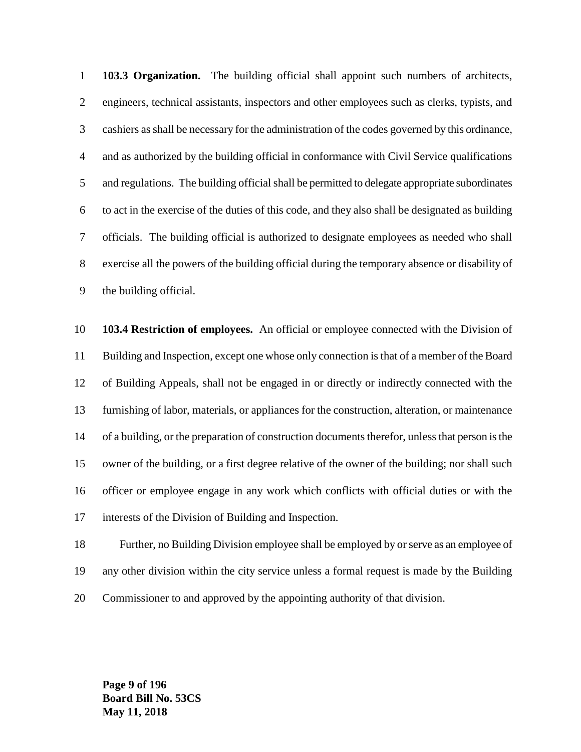**103.3 Organization.** The building official shall appoint such numbers of architects, engineers, technical assistants, inspectors and other employees such as clerks, typists, and cashiers as shall be necessary for the administration of the codes governed by this ordinance, and as authorized by the building official in conformance with Civil Service qualifications and regulations. The building official shall be permitted to delegate appropriate subordinates to act in the exercise of the duties of this code, and they also shall be designated as building officials. The building official is authorized to designate employees as needed who shall exercise all the powers of the building official during the temporary absence or disability of the building official.

 **103.4 Restriction of employees.** An official or employee connected with the Division of Building and Inspection, except one whose only connection is that of a member of the Board of Building Appeals, shall not be engaged in or directly or indirectly connected with the furnishing of labor, materials, or appliances for the construction, alteration, or maintenance of a building, or the preparation of construction documents therefor, unless that person is the owner of the building, or a first degree relative of the owner of the building; nor shall such officer or employee engage in any work which conflicts with official duties or with the interests of the Division of Building and Inspection.

 Further, no Building Division employee shall be employed by or serve as an employee of any other division within the city service unless a formal request is made by the Building Commissioner to and approved by the appointing authority of that division.

**Page 9 of 196 Board Bill No. 53CS May 11, 2018**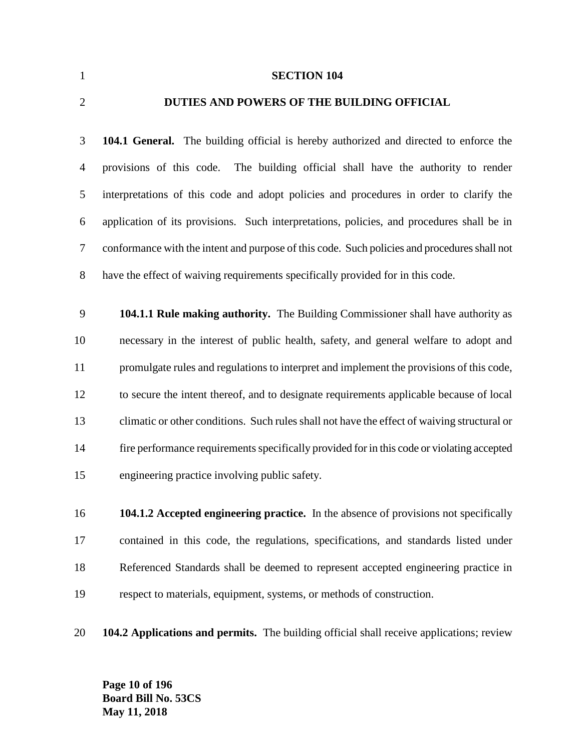**SECTION 104**

#### **DUTIES AND POWERS OF THE BUILDING OFFICIAL**

 **104.1 General.** The building official is hereby authorized and directed to enforce the provisions of this code. The building official shall have the authority to render interpretations of this code and adopt policies and procedures in order to clarify the application of its provisions. Such interpretations, policies, and procedures shall be in conformance with the intent and purpose of this code. Such policies and procedures shall not have the effect of waiving requirements specifically provided for in this code.

 **104.1.1 Rule making authority.** The Building Commissioner shall have authority as necessary in the interest of public health, safety, and general welfare to adopt and promulgate rules and regulations to interpret and implement the provisions of this code, to secure the intent thereof, and to designate requirements applicable because of local climatic or other conditions. Such rules shall not have the effect of waiving structural or fire performance requirements specifically provided for in this code or violating accepted engineering practice involving public safety.

 **104.1.2 Accepted engineering practice.** In the absence of provisions not specifically contained in this code, the regulations, specifications, and standards listed under Referenced Standards shall be deemed to represent accepted engineering practice in respect to materials, equipment, systems, or methods of construction.

**104.2 Applications and permits.** The building official shall receive applications; review

**Page 10 of 196 Board Bill No. 53CS May 11, 2018**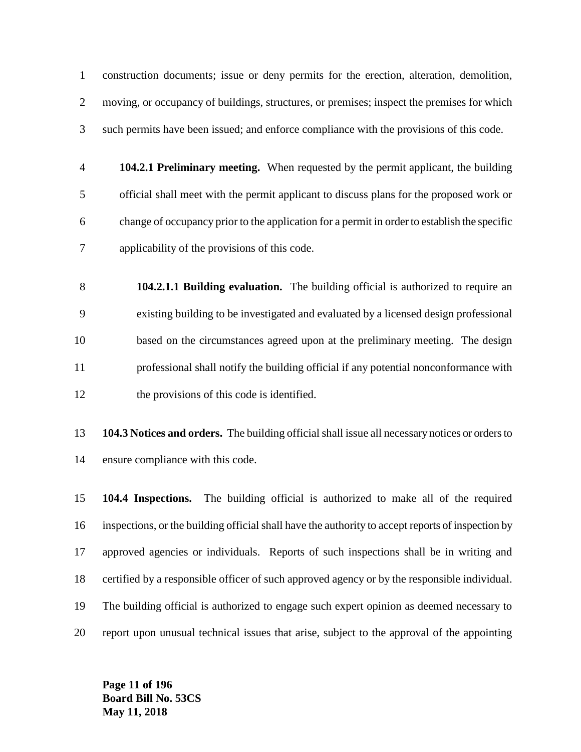construction documents; issue or deny permits for the erection, alteration, demolition, moving, or occupancy of buildings, structures, or premises; inspect the premises for which such permits have been issued; and enforce compliance with the provisions of this code.

- **104.2.1 Preliminary meeting.** When requested by the permit applicant, the building official shall meet with the permit applicant to discuss plans for the proposed work or change of occupancy prior to the application for a permit in order to establish the specific applicability of the provisions of this code.
- **104.2.1.1 Building evaluation.** The building official is authorized to require an existing building to be investigated and evaluated by a licensed design professional based on the circumstances agreed upon at the preliminary meeting. The design professional shall notify the building official if any potential nonconformance with 12 the provisions of this code is identified.
- **104.3 Notices and orders.** The building official shall issue all necessary notices or orders to ensure compliance with this code.

 **104.4 Inspections.** The building official is authorized to make all of the required inspections, or the building official shall have the authority to accept reports of inspection by approved agencies or individuals. Reports of such inspections shall be in writing and certified by a responsible officer of such approved agency or by the responsible individual. The building official is authorized to engage such expert opinion as deemed necessary to report upon unusual technical issues that arise, subject to the approval of the appointing

**Page 11 of 196 Board Bill No. 53CS May 11, 2018**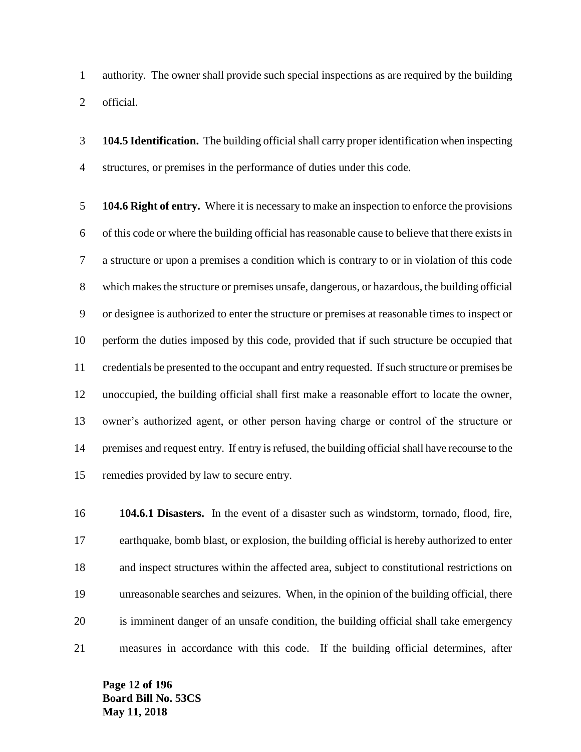authority. The owner shall provide such special inspections as are required by the building official.

 **104.5 Identification.** The building official shall carry proper identification when inspecting structures, or premises in the performance of duties under this code.

 **104.6 Right of entry.** Where it is necessary to make an inspection to enforce the provisions of this code or where the building official has reasonable cause to believe that there exists in a structure or upon a premises a condition which is contrary to or in violation of this code which makes the structure or premises unsafe, dangerous, or hazardous, the building official or designee is authorized to enter the structure or premises at reasonable times to inspect or perform the duties imposed by this code, provided that if such structure be occupied that credentials be presented to the occupant and entry requested. If such structure or premises be unoccupied, the building official shall first make a reasonable effort to locate the owner, owner's authorized agent, or other person having charge or control of the structure or premises and request entry. If entry is refused, the building official shall have recourse to the remedies provided by law to secure entry.

 **104.6.1 Disasters.** In the event of a disaster such as windstorm, tornado, flood, fire, earthquake, bomb blast, or explosion, the building official is hereby authorized to enter and inspect structures within the affected area, subject to constitutional restrictions on unreasonable searches and seizures. When, in the opinion of the building official, there is imminent danger of an unsafe condition, the building official shall take emergency measures in accordance with this code. If the building official determines, after

**Page 12 of 196 Board Bill No. 53CS May 11, 2018**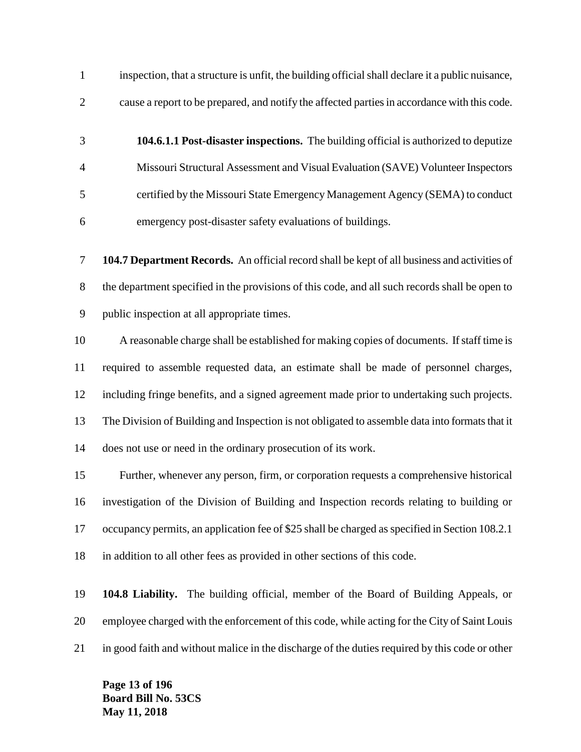inspection, that a structure is unfit, the building official shall declare it a public nuisance, cause a report to be prepared, and notify the affected parties in accordance with this code.

 **104.6.1.1 Post-disaster inspections.** The building official is authorized to deputize Missouri Structural Assessment and Visual Evaluation (SAVE) Volunteer Inspectors certified by the Missouri State Emergency Management Agency (SEMA) to conduct emergency post-disaster safety evaluations of buildings.

 **104.7 Department Records.** An official record shall be kept of all business and activities of the department specified in the provisions of this code, and all such records shall be open to public inspection at all appropriate times.

 A reasonable charge shall be established for making copies of documents. If staff time is required to assemble requested data, an estimate shall be made of personnel charges, including fringe benefits, and a signed agreement made prior to undertaking such projects. The Division of Building and Inspection is not obligated to assemble data into formats that it does not use or need in the ordinary prosecution of its work.

 Further, whenever any person, firm, or corporation requests a comprehensive historical investigation of the Division of Building and Inspection records relating to building or occupancy permits, an application fee of \$25 shall be charged as specified in Section 108.2.1 in addition to all other fees as provided in other sections of this code.

 **104.8 Liability.** The building official, member of the Board of Building Appeals, or employee charged with the enforcement of this code, while acting for the City of Saint Louis in good faith and without malice in the discharge of the duties required by this code or other

**Page 13 of 196 Board Bill No. 53CS May 11, 2018**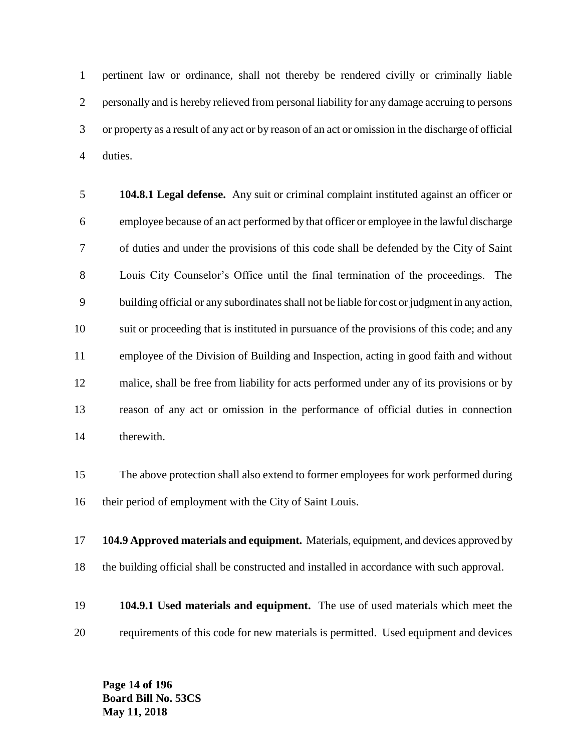pertinent law or ordinance, shall not thereby be rendered civilly or criminally liable personally and is hereby relieved from personal liability for any damage accruing to persons or property as a result of any act or by reason of an act or omission in the discharge of official duties.

 **104.8.1 Legal defense.** Any suit or criminal complaint instituted against an officer or employee because of an act performed by that officer or employee in the lawful discharge of duties and under the provisions of this code shall be defended by the City of Saint Louis City Counselor's Office until the final termination of the proceedings. The building official or any subordinates shall not be liable for cost or judgment in any action, suit or proceeding that is instituted in pursuance of the provisions of this code; and any employee of the Division of Building and Inspection, acting in good faith and without malice, shall be free from liability for acts performed under any of its provisions or by reason of any act or omission in the performance of official duties in connection therewith.

 The above protection shall also extend to former employees for work performed during their period of employment with the City of Saint Louis.

 **104.9 Approved materials and equipment.** Materials, equipment, and devices approved by the building official shall be constructed and installed in accordance with such approval.

 **104.9.1 Used materials and equipment.** The use of used materials which meet the requirements of this code for new materials is permitted. Used equipment and devices

**Page 14 of 196 Board Bill No. 53CS May 11, 2018**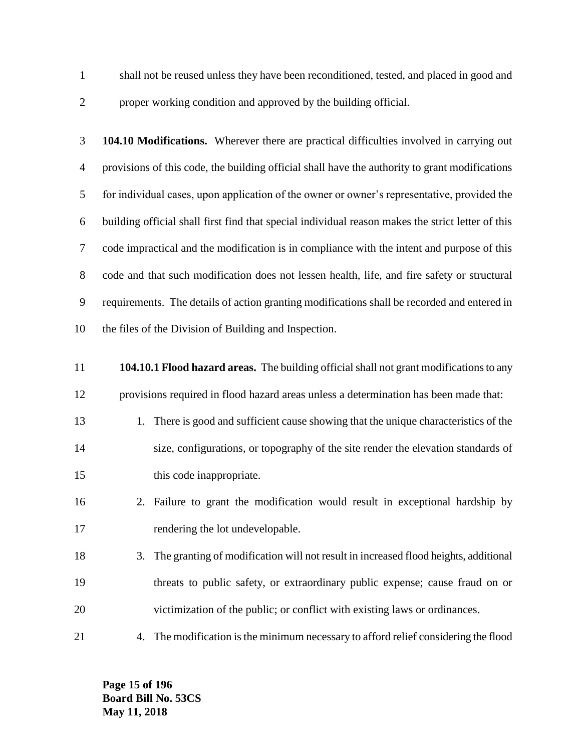- shall not be reused unless they have been reconditioned, tested, and placed in good and
- 

proper working condition and approved by the building official.

 **104.10 Modifications.** Wherever there are practical difficulties involved in carrying out provisions of this code, the building official shall have the authority to grant modifications for individual cases, upon application of the owner or owner's representative, provided the building official shall first find that special individual reason makes the strict letter of this code impractical and the modification is in compliance with the intent and purpose of this code and that such modification does not lessen health, life, and fire safety or structural requirements. The details of action granting modifications shall be recorded and entered in the files of the Division of Building and Inspection.

- **104.10.1 Flood hazard areas.** The building official shall not grant modifications to any provisions required in flood hazard areas unless a determination has been made that:
- 13 1. There is good and sufficient cause showing that the unique characteristics of the size, configurations, or topography of the site render the elevation standards of 15 this code inappropriate.
- 2. Failure to grant the modification would result in exceptional hardship by 17 rendering the lot undevelopable.
- 3. The granting of modification will not result in increased flood heights, additional threats to public safety, or extraordinary public expense; cause fraud on or victimization of the public; or conflict with existing laws or ordinances.
- 4. The modification is the minimum necessary to afford relief considering the flood

**Page 15 of 196 Board Bill No. 53CS May 11, 2018**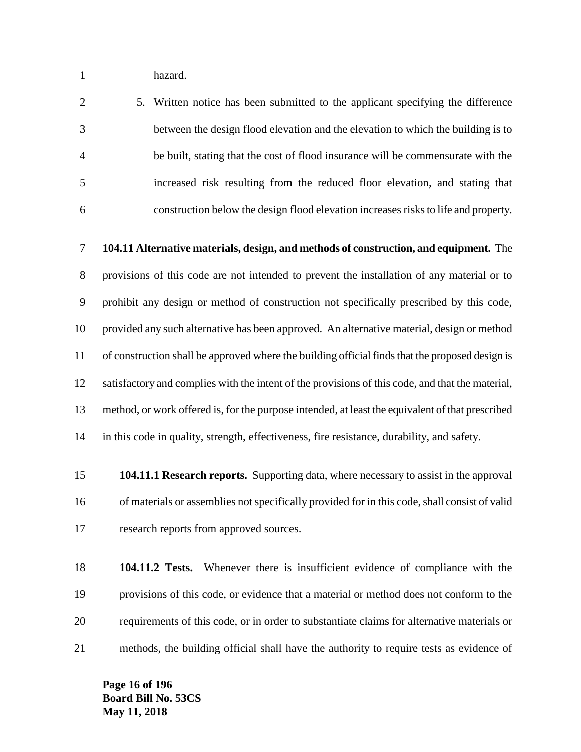hazard.

 5. Written notice has been submitted to the applicant specifying the difference between the design flood elevation and the elevation to which the building is to be built, stating that the cost of flood insurance will be commensurate with the increased risk resulting from the reduced floor elevation, and stating that construction below the design flood elevation increases risks to life and property.

 **104.11 Alternative materials, design, and methods of construction, and equipment.** The provisions of this code are not intended to prevent the installation of any material or to prohibit any design or method of construction not specifically prescribed by this code, provided any such alternative has been approved. An alternative material, design or method of construction shall be approved where the building official finds that the proposed design is satisfactory and complies with the intent of the provisions of this code, and that the material, method, or work offered is, for the purpose intended, at least the equivalent of that prescribed in this code in quality, strength, effectiveness, fire resistance, durability, and safety.

 **104.11.1 Research reports.** Supporting data, where necessary to assist in the approval of materials or assemblies not specifically provided for in this code, shall consist of valid research reports from approved sources.

 **104.11.2 Tests.** Whenever there is insufficient evidence of compliance with the provisions of this code, or evidence that a material or method does not conform to the requirements of this code, or in order to substantiate claims for alternative materials or methods, the building official shall have the authority to require tests as evidence of

**Page 16 of 196 Board Bill No. 53CS May 11, 2018**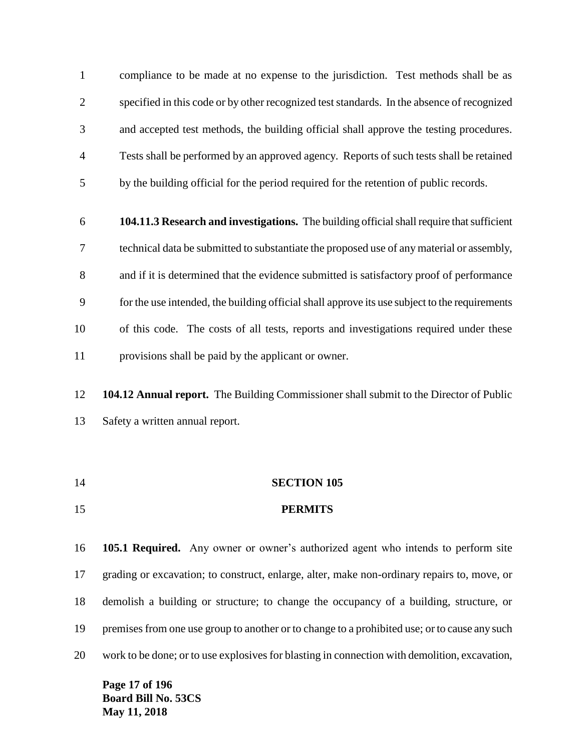compliance to be made at no expense to the jurisdiction. Test methods shall be as specified in this code or by other recognized test standards. In the absence of recognized and accepted test methods, the building official shall approve the testing procedures. Tests shall be performed by an approved agency. Reports of such tests shall be retained by the building official for the period required for the retention of public records.

- **104.11.3 Research and investigations.** The building official shall require that sufficient technical data be submitted to substantiate the proposed use of any material or assembly, and if it is determined that the evidence submitted is satisfactory proof of performance for the use intended, the building official shall approve its use subject to the requirements of this code. The costs of all tests, reports and investigations required under these provisions shall be paid by the applicant or owner.
- **104.12 Annual report.** The Building Commissioner shall submit to the Director of Public Safety a written annual report.
- **SECTION 105 PERMITS**

 **105.1 Required.** Any owner or owner's authorized agent who intends to perform site grading or excavation; to construct, enlarge, alter, make non-ordinary repairs to, move, or demolish a building or structure; to change the occupancy of a building, structure, or premises from one use group to another or to change to a prohibited use; or to cause any such work to be done; or to use explosives for blasting in connection with demolition, excavation,

**Page 17 of 196 Board Bill No. 53CS May 11, 2018**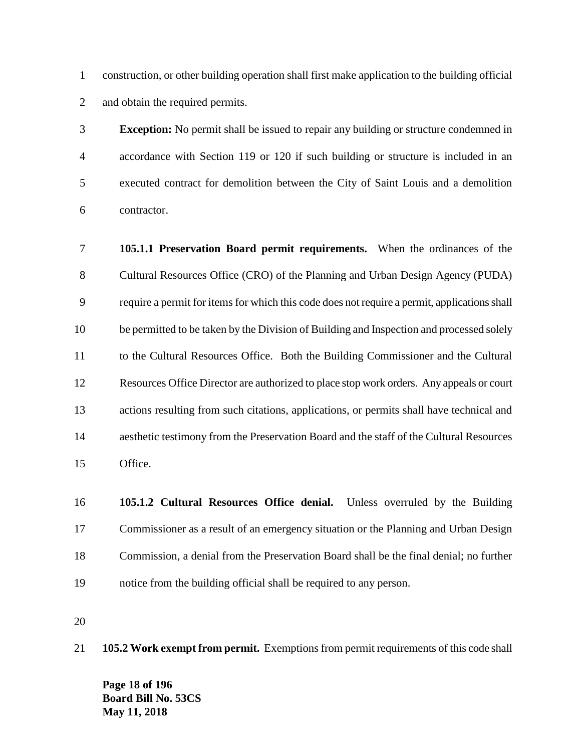construction, or other building operation shall first make application to the building official and obtain the required permits.

 **Exception:** No permit shall be issued to repair any building or structure condemned in accordance with Section 119 or 120 if such building or structure is included in an executed contract for demolition between the City of Saint Louis and a demolition contractor.

 **105.1.1 Preservation Board permit requirements.** When the ordinances of the Cultural Resources Office (CRO) of the Planning and Urban Design Agency (PUDA) require a permit for items for which this code does not require a permit, applications shall be permitted to be taken by the Division of Building and Inspection and processed solely to the Cultural Resources Office. Both the Building Commissioner and the Cultural Resources Office Director are authorized to place stop work orders. Any appeals or court actions resulting from such citations, applications, or permits shall have technical and aesthetic testimony from the Preservation Board and the staff of the Cultural Resources Office.

 **105.1.2 Cultural Resources Office denial.** Unless overruled by the Building Commissioner as a result of an emergency situation or the Planning and Urban Design Commission, a denial from the Preservation Board shall be the final denial; no further notice from the building official shall be required to any person.

**105.2 Work exempt from permit.** Exemptions from permit requirements of this code shall

**Page 18 of 196 Board Bill No. 53CS May 11, 2018**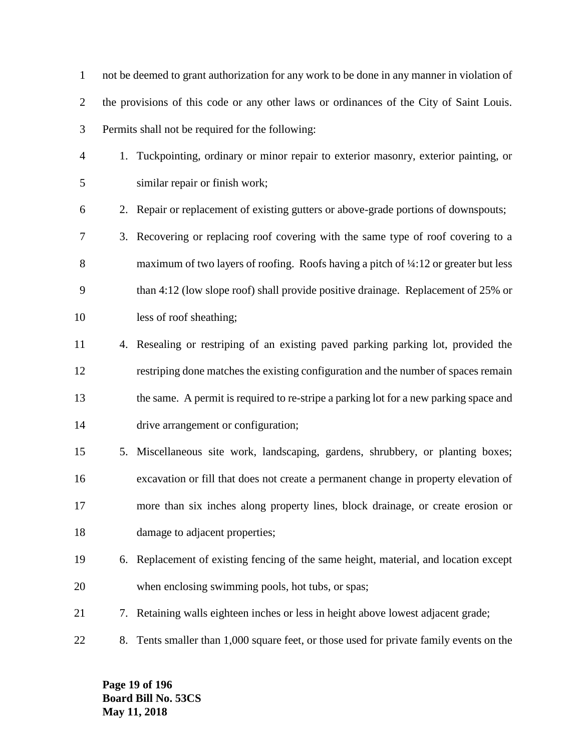not be deemed to grant authorization for any work to be done in any manner in violation of the provisions of this code or any other laws or ordinances of the City of Saint Louis. Permits shall not be required for the following:

- 1. Tuckpointing, ordinary or minor repair to exterior masonry, exterior painting, or similar repair or finish work;
- 2. Repair or replacement of existing gutters or above-grade portions of downspouts;
- 3. Recovering or replacing roof covering with the same type of roof covering to a 8 maximum of two layers of roofing. Roofs having a pitch of  $\frac{1}{4}$ :12 or greater but less than 4:12 (low slope roof) shall provide positive drainage. Replacement of 25% or less of roof sheathing;
- 4. Resealing or restriping of an existing paved parking parking lot, provided the restriping done matches the existing configuration and the number of spaces remain the same. A permit is required to re-stripe a parking lot for a new parking space and drive arrangement or configuration;
- 5. Miscellaneous site work, landscaping, gardens, shrubbery, or planting boxes; excavation or fill that does not create a permanent change in property elevation of more than six inches along property lines, block drainage, or create erosion or 18 damage to adjacent properties;
- 6. Replacement of existing fencing of the same height, material, and location except when enclosing swimming pools, hot tubs, or spas;
- 7. Retaining walls eighteen inches or less in height above lowest adjacent grade;
- 8. Tents smaller than 1,000 square feet, or those used for private family events on the

**Page 19 of 196 Board Bill No. 53CS May 11, 2018**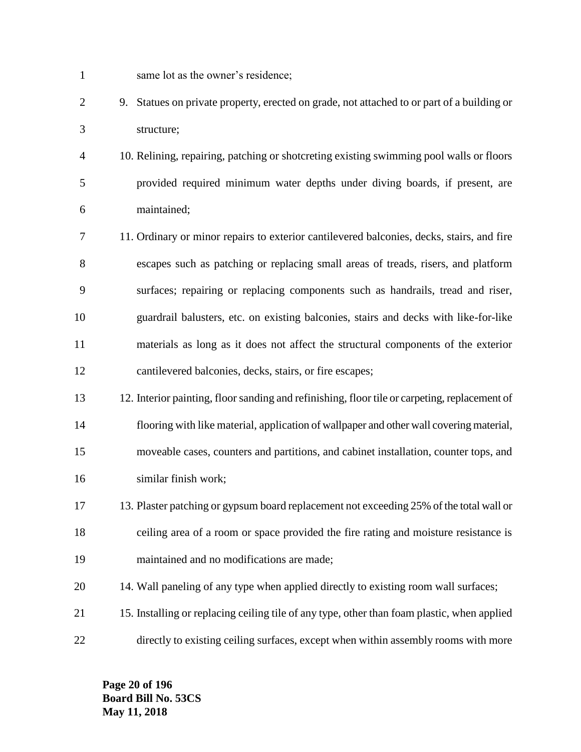- same lot as the owner's residence;
- 9. Statues on private property, erected on grade, not attached to or part of a building or structure;
- 10. Relining, repairing, patching or shotcreting existing swimming pool walls or floors provided required minimum water depths under diving boards, if present, are maintained;
- 11. Ordinary or minor repairs to exterior cantilevered balconies, decks, stairs, and fire escapes such as patching or replacing small areas of treads, risers, and platform surfaces; repairing or replacing components such as handrails, tread and riser, guardrail balusters, etc. on existing balconies, stairs and decks with like-for-like materials as long as it does not affect the structural components of the exterior cantilevered balconies, decks, stairs, or fire escapes;
- 12. Interior painting, floor sanding and refinishing, floor tile or carpeting, replacement of flooring with like material, application of wallpaper and other wall covering material, moveable cases, counters and partitions, and cabinet installation, counter tops, and similar finish work;
- 13. Plaster patching or gypsum board replacement not exceeding 25% of the total wall or ceiling area of a room or space provided the fire rating and moisture resistance is maintained and no modifications are made;
- 14. Wall paneling of any type when applied directly to existing room wall surfaces;
- 15. Installing or replacing ceiling tile of any type, other than foam plastic, when applied directly to existing ceiling surfaces, except when within assembly rooms with more

**Page 20 of 196 Board Bill No. 53CS May 11, 2018**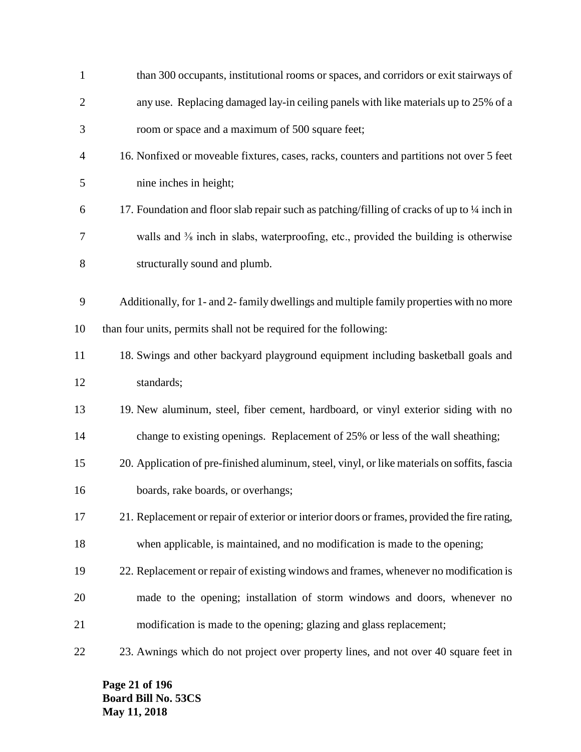| $\mathbf{1}$   | than 300 occupants, institutional rooms or spaces, and corridors or exit stairways of                        |
|----------------|--------------------------------------------------------------------------------------------------------------|
| $\overline{2}$ | any use. Replacing damaged lay-in ceiling panels with like materials up to 25% of a                          |
| 3              | room or space and a maximum of 500 square feet;                                                              |
| 4              | 16. Nonfixed or moveable fixtures, cases, racks, counters and partitions not over 5 feet                     |
| 5              | nine inches in height;                                                                                       |
| 6              | 17. Foundation and floor slab repair such as patching/filling of cracks of up to 1/4 inch in                 |
| 7              | walls and <sup>3</sup> / <sub>8</sub> inch in slabs, waterproofing, etc., provided the building is otherwise |
| 8              | structurally sound and plumb.                                                                                |
|                |                                                                                                              |
| 9              | Additionally, for 1- and 2- family dwellings and multiple family properties with no more                     |
| 10             | than four units, permits shall not be required for the following:                                            |
| 11             | 18. Swings and other backyard playground equipment including basketball goals and                            |
| 12             | standards;                                                                                                   |
| 13             | 19. New aluminum, steel, fiber cement, hardboard, or vinyl exterior siding with no                           |
| 14             | change to existing openings. Replacement of 25% or less of the wall sheathing;                               |
| 15             | 20. Application of pre-finished aluminum, steel, vinyl, or like materials on soffits, fascia                 |
| 16             | boards, rake boards, or overhangs;                                                                           |
| 17             | 21. Replacement or repair of exterior or interior doors or frames, provided the fire rating,                 |
| 18             | when applicable, is maintained, and no modification is made to the opening;                                  |
| 19             | 22. Replacement or repair of existing windows and frames, whenever no modification is                        |
| 20             | made to the opening; installation of storm windows and doors, whenever no                                    |
| 21             | modification is made to the opening; glazing and glass replacement;                                          |
| 22             | 23. Awnings which do not project over property lines, and not over 40 square feet in                         |

**Page 21 of 196 Board Bill No. 53CS May 11, 2018**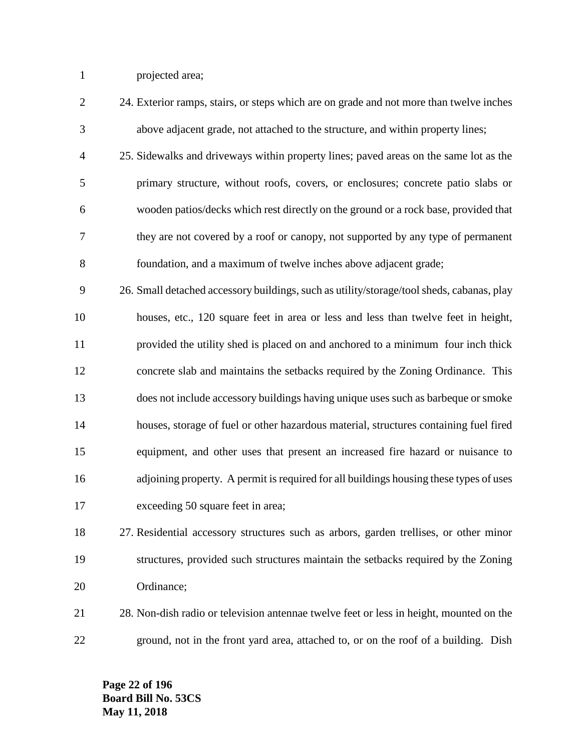projected area;

| $\mathbf{2}$   | 24. Exterior ramps, stairs, or steps which are on grade and not more than twelve inches   |
|----------------|-------------------------------------------------------------------------------------------|
| 3              | above adjacent grade, not attached to the structure, and within property lines;           |
| $\overline{4}$ | 25. Sidewalks and driveways within property lines; paved areas on the same lot as the     |
| 5              | primary structure, without roofs, covers, or enclosures; concrete patio slabs or          |
| 6              | wooden patios/decks which rest directly on the ground or a rock base, provided that       |
| $\tau$         | they are not covered by a roof or canopy, not supported by any type of permanent          |
| 8              | foundation, and a maximum of twelve inches above adjacent grade;                          |
| 9              | 26. Small detached accessory buildings, such as utility/storage/tool sheds, cabanas, play |
| 10             | houses, etc., 120 square feet in area or less and less than twelve feet in height,        |
| 11             | provided the utility shed is placed on and anchored to a minimum four inch thick          |
| 12             | concrete slab and maintains the setbacks required by the Zoning Ordinance. This           |
| 13             | does not include accessory buildings having unique uses such as barbeque or smoke         |
| 14             | houses, storage of fuel or other hazardous material, structures containing fuel fired     |
| 15             | equipment, and other uses that present an increased fire hazard or nuisance to            |
| 16             | adjoining property. A permit is required for all buildings housing these types of uses    |
| 17             | exceeding 50 square feet in area;                                                         |
| 18             | 27. Residential accessory structures such as arbors, garden trellises, or other minor     |
| 19             | structures, provided such structures maintain the setbacks required by the Zoning         |

- 28. Non-dish radio or television antennae twelve feet or less in height, mounted on the
- ground, not in the front yard area, attached to, or on the roof of a building. Dish

**Page 22 of 196 Board Bill No. 53CS May 11, 2018**

Ordinance;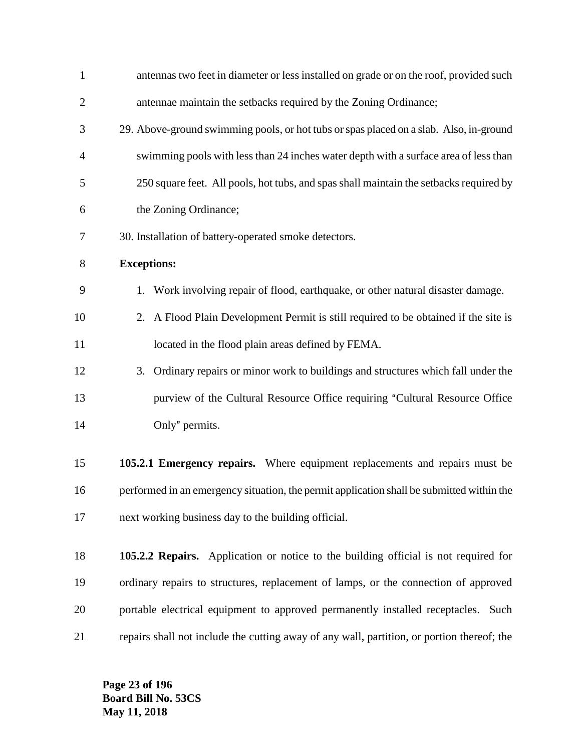| $\mathbf{1}$   | antennas two feet in diameter or less installed on grade or on the roof, provided such     |
|----------------|--------------------------------------------------------------------------------------------|
| $\overline{2}$ | antennae maintain the setbacks required by the Zoning Ordinance;                           |
| 3              | 29. Above-ground swimming pools, or hot tubs or spas placed on a slab. Also, in-ground     |
| 4              | swimming pools with less than 24 inches water depth with a surface area of less than       |
| 5              | 250 square feet. All pools, hot tubs, and spas shall maintain the setbacks required by     |
| 6              | the Zoning Ordinance;                                                                      |
| 7              | 30. Installation of battery-operated smoke detectors.                                      |
| 8              | <b>Exceptions:</b>                                                                         |
| 9              | 1. Work involving repair of flood, earthquake, or other natural disaster damage.           |
| 10             | 2. A Flood Plain Development Permit is still required to be obtained if the site is        |
| 11             | located in the flood plain areas defined by FEMA.                                          |
| 12             | 3. Ordinary repairs or minor work to buildings and structures which fall under the         |
| 13             | purview of the Cultural Resource Office requiring "Cultural Resource Office                |
| 14             | Only" permits.                                                                             |
| 15             | 105.2.1 Emergency repairs. Where equipment replacements and repairs must be                |
| 16             | performed in an emergency situation, the permit application shall be submitted within the  |
| 17             | next working business day to the building official.                                        |
| 18             | 105.2.2 Repairs. Application or notice to the building official is not required for        |
| 19             | ordinary repairs to structures, replacement of lamps, or the connection of approved        |
| 20             | portable electrical equipment to approved permanently installed receptacles. Such          |
| 21             | repairs shall not include the cutting away of any wall, partition, or portion thereof; the |

**Page 23 of 196 Board Bill No. 53CS May 11, 2018**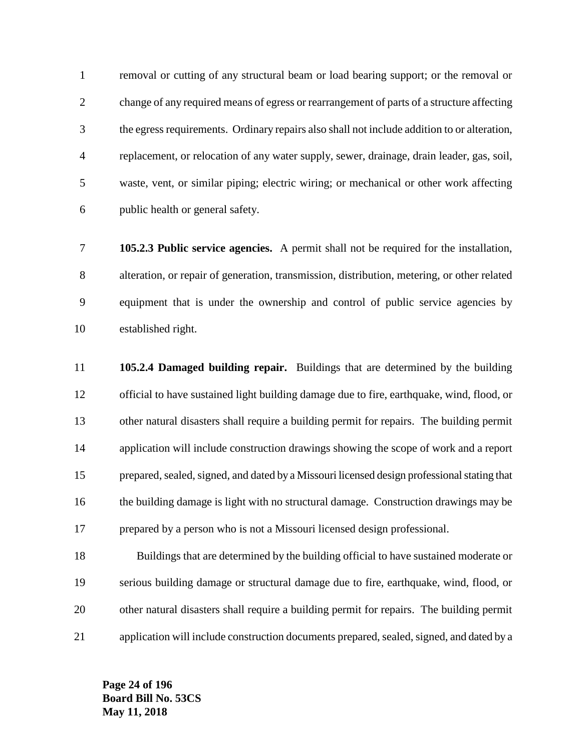removal or cutting of any structural beam or load bearing support; or the removal or change of any required means of egress or rearrangement of parts of a structure affecting the egress requirements. Ordinary repairs also shall not include addition to or alteration, replacement, or relocation of any water supply, sewer, drainage, drain leader, gas, soil, waste, vent, or similar piping; electric wiring; or mechanical or other work affecting public health or general safety.

 **105.2.3 Public service agencies.** A permit shall not be required for the installation, alteration, or repair of generation, transmission, distribution, metering, or other related equipment that is under the ownership and control of public service agencies by established right.

 **105.2.4 Damaged building repair.** Buildings that are determined by the building official to have sustained light building damage due to fire, earthquake, wind, flood, or other natural disasters shall require a building permit for repairs. The building permit application will include construction drawings showing the scope of work and a report 15 prepared, sealed, signed, and dated by a Missouri licensed design professional stating that the building damage is light with no structural damage. Construction drawings may be prepared by a person who is not a Missouri licensed design professional.

 Buildings that are determined by the building official to have sustained moderate or serious building damage or structural damage due to fire, earthquake, wind, flood, or other natural disasters shall require a building permit for repairs. The building permit application will include construction documents prepared, sealed, signed, and dated by a

**Page 24 of 196 Board Bill No. 53CS May 11, 2018**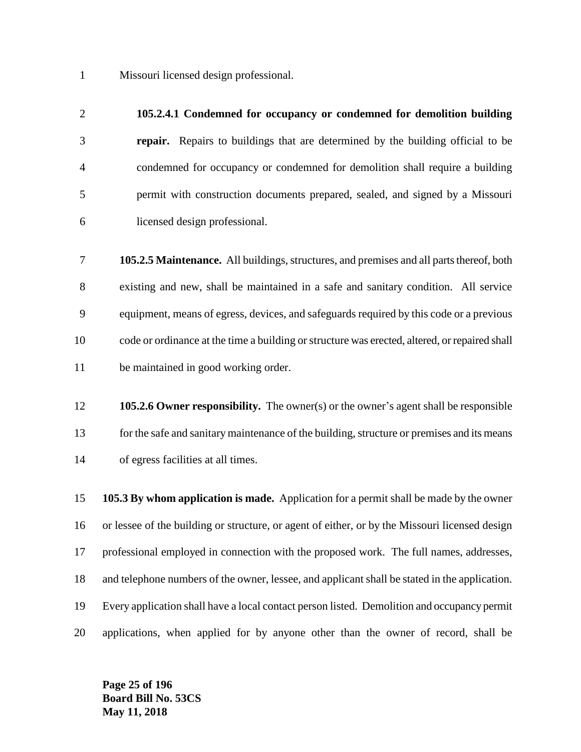Missouri licensed design professional.

#### **105.2.4.1 Condemned for occupancy or condemned for demolition building**

 **repair.** Repairs to buildings that are determined by the building official to be condemned for occupancy or condemned for demolition shall require a building permit with construction documents prepared, sealed, and signed by a Missouri licensed design professional.

 **105.2.5 Maintenance.** All buildings, structures, and premises and all parts thereof, both existing and new, shall be maintained in a safe and sanitary condition. All service equipment, means of egress, devices, and safeguards required by this code or a previous code or ordinance at the time a building or structure was erected, altered, or repaired shall be maintained in good working order.

 **105.2.6 Owner responsibility.** The owner(s) or the owner's agent shall be responsible 13 for the safe and sanitary maintenance of the building, structure or premises and its means of egress facilities at all times.

 **105.3 By whom application is made.** Application for a permit shall be made by the owner or lessee of the building or structure, or agent of either, or by the Missouri licensed design professional employed in connection with the proposed work. The full names, addresses, and telephone numbers of the owner, lessee, and applicant shall be stated in the application. Every application shall have a local contact person listed. Demolition and occupancy permit applications, when applied for by anyone other than the owner of record, shall be

**Page 25 of 196 Board Bill No. 53CS May 11, 2018**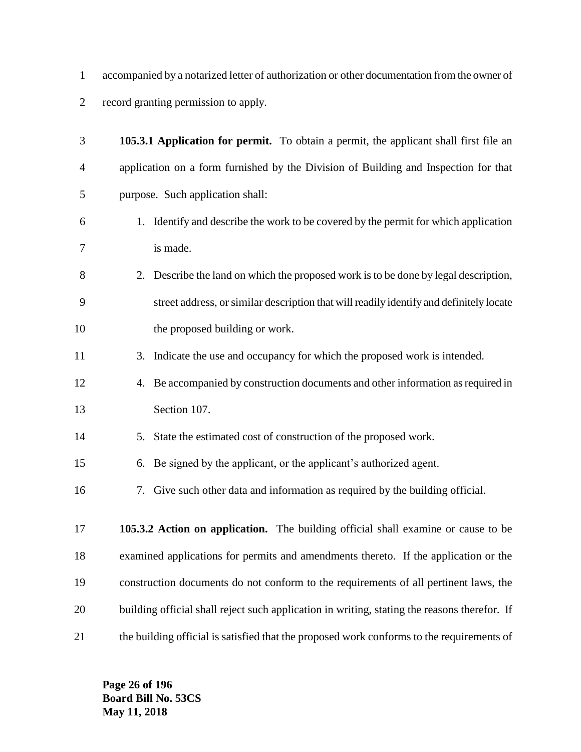accompanied by a notarized letter of authorization or other documentation from the owner of record granting permission to apply.

| 3              | 105.3.1 Application for permit. To obtain a permit, the applicant shall first file an        |
|----------------|----------------------------------------------------------------------------------------------|
| $\overline{4}$ | application on a form furnished by the Division of Building and Inspection for that          |
| 5              | purpose. Such application shall:                                                             |
| 6              | 1. Identify and describe the work to be covered by the permit for which application          |
| 7              | is made.                                                                                     |
| 8              | 2. Describe the land on which the proposed work is to be done by legal description,          |
| 9              | street address, or similar description that will readily identify and definitely locate      |
| 10             | the proposed building or work.                                                               |
| 11             | 3. Indicate the use and occupancy for which the proposed work is intended.                   |
| 12             | 4. Be accompanied by construction documents and other information as required in             |
| 13             | Section 107.                                                                                 |
| 14             | State the estimated cost of construction of the proposed work.<br>5.                         |
| 15             | 6. Be signed by the applicant, or the applicant's authorized agent.                          |
| 16             | 7. Give such other data and information as required by the building official.                |
| 17             | 105.3.2 Action on application. The building official shall examine or cause to be            |
| 18             | examined applications for permits and amendments thereto. If the application or the          |
| 19             | construction documents do not conform to the requirements of all pertinent laws, the         |
| 20             | building official shall reject such application in writing, stating the reasons therefor. If |
| 21             | the building official is satisfied that the proposed work conforms to the requirements of    |

**Page 26 of 196 Board Bill No. 53CS May 11, 2018**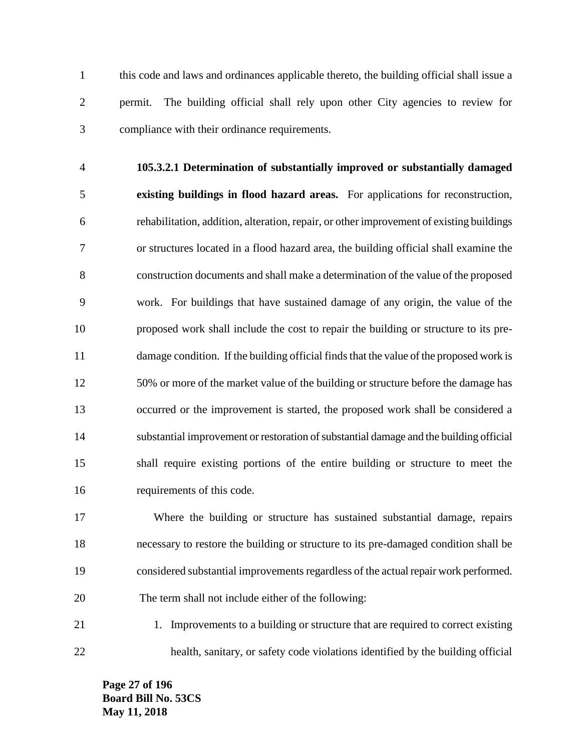this code and laws and ordinances applicable thereto, the building official shall issue a permit. The building official shall rely upon other City agencies to review for compliance with their ordinance requirements.

 **105.3.2.1 Determination of substantially improved or substantially damaged existing buildings in flood hazard areas.** For applications for reconstruction, rehabilitation, addition, alteration, repair, or other improvement of existing buildings or structures located in a flood hazard area, the building official shall examine the construction documents and shall make a determination of the value of the proposed work. For buildings that have sustained damage of any origin, the value of the proposed work shall include the cost to repair the building or structure to its pre- damage condition. If the building official finds that the value of the proposed work is 50% or more of the market value of the building or structure before the damage has occurred or the improvement is started, the proposed work shall be considered a substantial improvement or restoration of substantial damage and the building official shall require existing portions of the entire building or structure to meet the requirements of this code.

 Where the building or structure has sustained substantial damage, repairs necessary to restore the building or structure to its pre-damaged condition shall be considered substantial improvements regardless of the actual repair work performed. The term shall not include either of the following:

21 1. Improvements to a building or structure that are required to correct existing health, sanitary, or safety code violations identified by the building official

**Page 27 of 196 Board Bill No. 53CS May 11, 2018**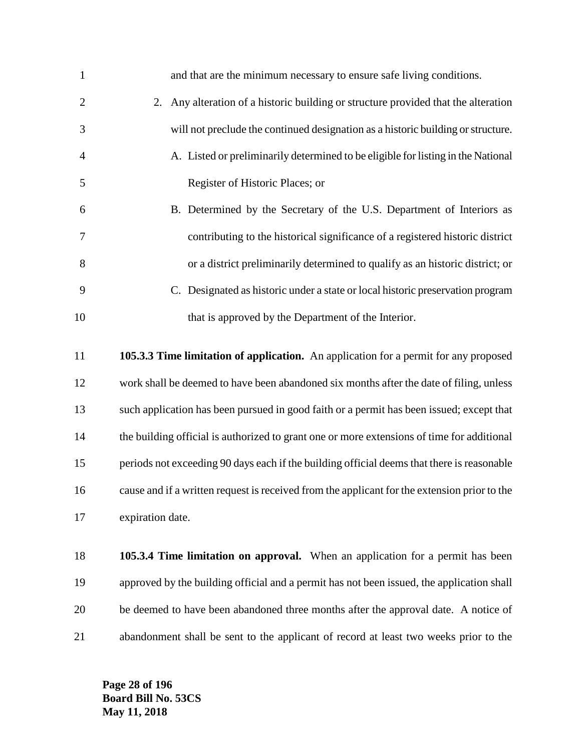| $\mathbf{1}$   | and that are the minimum necessary to ensure safe living conditions.                       |
|----------------|--------------------------------------------------------------------------------------------|
| $\overline{2}$ | 2. Any alteration of a historic building or structure provided that the alteration         |
| 3              | will not preclude the continued designation as a historic building or structure.           |
| $\overline{4}$ | A. Listed or preliminarily determined to be eligible for listing in the National           |
| 5              | Register of Historic Places; or                                                            |
| 6              | B. Determined by the Secretary of the U.S. Department of Interiors as                      |
| 7              | contributing to the historical significance of a registered historic district              |
| 8              | or a district preliminarily determined to qualify as an historic district; or              |
| 9              | C. Designated as historic under a state or local historic preservation program             |
| 10             | that is approved by the Department of the Interior.                                        |
|                |                                                                                            |
| 11             | 105.3.3 Time limitation of application. An application for a permit for any proposed       |
| 12             | work shall be deemed to have been abandoned six months after the date of filing, unless    |
| 13             | such application has been pursued in good faith or a permit has been issued; except that   |
| 14             | the building official is authorized to grant one or more extensions of time for additional |

 periods not exceeding 90 days each if the building official deems that there is reasonable cause and if a written request is received from the applicant for the extension prior to the expiration date.

 **105.3.4 Time limitation on approval.** When an application for a permit has been approved by the building official and a permit has not been issued, the application shall be deemed to have been abandoned three months after the approval date. A notice of abandonment shall be sent to the applicant of record at least two weeks prior to the

**Page 28 of 196 Board Bill No. 53CS May 11, 2018**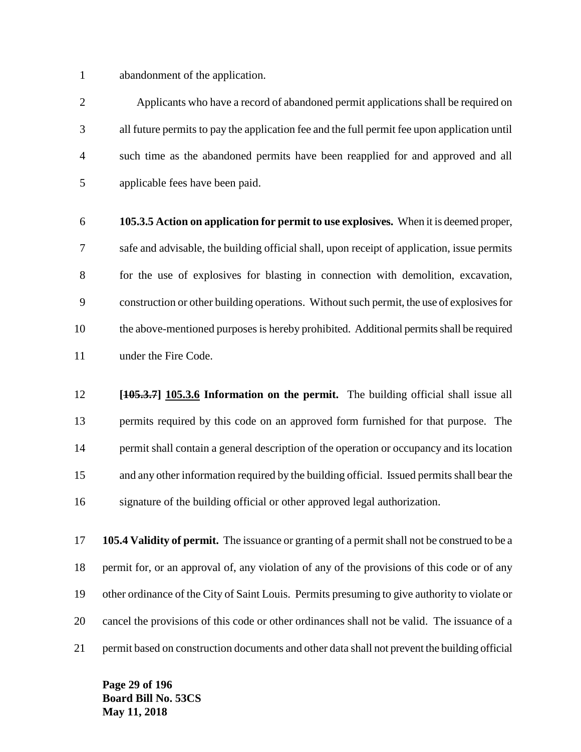abandonment of the application.

 Applicants who have a record of abandoned permit applications shall be required on all future permits to pay the application fee and the full permit fee upon application until such time as the abandoned permits have been reapplied for and approved and all applicable fees have been paid.

 **105.3.5 Action on application for permit to use explosives.** When it is deemed proper, safe and advisable, the building official shall, upon receipt of application, issue permits for the use of explosives for blasting in connection with demolition, excavation, construction or other building operations. Without such permit, the use of explosives for the above-mentioned purposes is hereby prohibited. Additional permits shall be required 11 under the Fire Code.

 **[105.3.7] 105.3.6 Information on the permit.** The building official shall issue all permits required by this code on an approved form furnished for that purpose. The permit shall contain a general description of the operation or occupancy and its location and any other information required by the building official. Issued permits shall bear the signature of the building official or other approved legal authorization.

 **105.4 Validity of permit.** The issuance or granting of a permit shall not be construed to be a permit for, or an approval of, any violation of any of the provisions of this code or of any other ordinance of the City of Saint Louis. Permits presuming to give authority to violate or cancel the provisions of this code or other ordinances shall not be valid. The issuance of a permit based on construction documents and other data shall not prevent the building official

**Page 29 of 196 Board Bill No. 53CS May 11, 2018**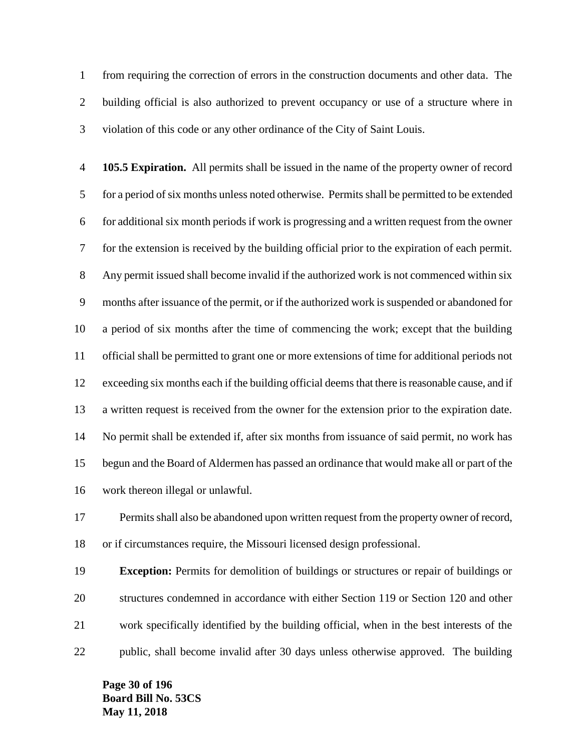from requiring the correction of errors in the construction documents and other data. The building official is also authorized to prevent occupancy or use of a structure where in violation of this code or any other ordinance of the City of Saint Louis.

 **105.5 Expiration.** All permits shall be issued in the name of the property owner of record for a period of six months unless noted otherwise. Permits shall be permitted to be extended for additional six month periods if work is progressing and a written request from the owner for the extension is received by the building official prior to the expiration of each permit. Any permit issued shall become invalid if the authorized work is not commenced within six months after issuance of the permit, or if the authorized work is suspended or abandoned for a period of six months after the time of commencing the work; except that the building official shall be permitted to grant one or more extensions of time for additional periods not exceeding six months each if the building official deems that there is reasonable cause, and if a written request is received from the owner for the extension prior to the expiration date. No permit shall be extended if, after six months from issuance of said permit, no work has begun and the Board of Aldermen has passed an ordinance that would make all or part of the work thereon illegal or unlawful.

 Permits shall also be abandoned upon written request from the property owner of record, or if circumstances require, the Missouri licensed design professional.

 **Exception:** Permits for demolition of buildings or structures or repair of buildings or structures condemned in accordance with either Section 119 or Section 120 and other work specifically identified by the building official, when in the best interests of the public, shall become invalid after 30 days unless otherwise approved. The building

**Page 30 of 196 Board Bill No. 53CS May 11, 2018**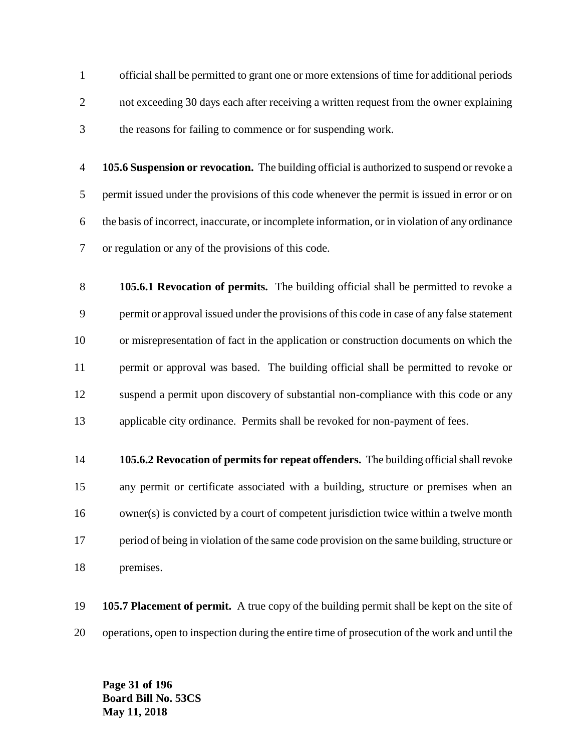official shall be permitted to grant one or more extensions of time for additional periods not exceeding 30 days each after receiving a written request from the owner explaining the reasons for failing to commence or for suspending work.

 **105.6 Suspension or revocation.** The building official is authorized to suspend or revoke a permit issued under the provisions of this code whenever the permit is issued in error or on the basis of incorrect, inaccurate, or incomplete information, or in violation of any ordinance or regulation or any of the provisions of this code.

 **105.6.1 Revocation of permits.** The building official shall be permitted to revoke a permit or approval issued under the provisions of this code in case of any false statement or misrepresentation of fact in the application or construction documents on which the permit or approval was based. The building official shall be permitted to revoke or suspend a permit upon discovery of substantial non-compliance with this code or any applicable city ordinance. Permits shall be revoked for non-payment of fees.

 **105.6.2 Revocation of permits for repeat offenders.** The building official shall revoke any permit or certificate associated with a building, structure or premises when an owner(s) is convicted by a court of competent jurisdiction twice within a twelve month period of being in violation of the same code provision on the same building, structure or premises.

 **105.7 Placement of permit.** A true copy of the building permit shall be kept on the site of operations, open to inspection during the entire time of prosecution of the work and until the

**Page 31 of 196 Board Bill No. 53CS May 11, 2018**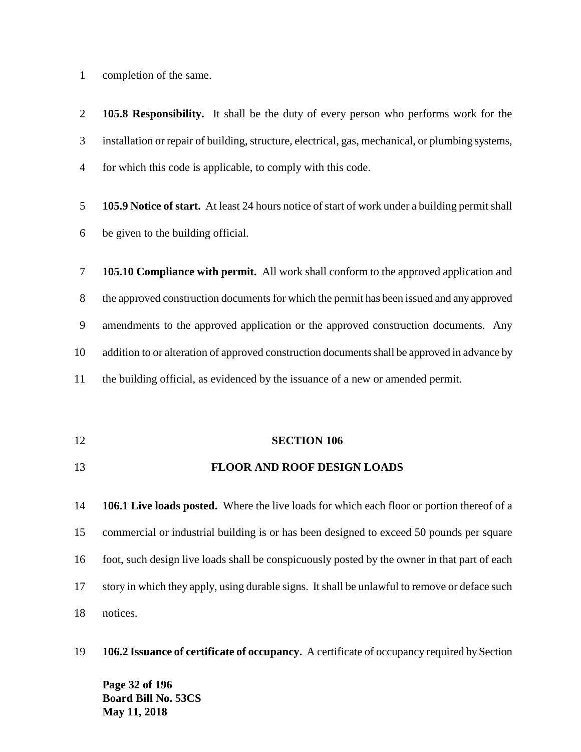completion of the same.

 **105.8 Responsibility.** It shall be the duty of every person who performs work for the installation or repair of building, structure, electrical, gas, mechanical, or plumbing systems, for which this code is applicable, to comply with this code.

 **105.9 Notice of start.** At least 24 hours notice of start of work under a building permit shall be given to the building official.

 **105.10 Compliance with permit.** All work shall conform to the approved application and the approved construction documents for which the permit has been issued and any approved amendments to the approved application or the approved construction documents. Any addition to or alteration of approved construction documents shall be approved in advance by the building official, as evidenced by the issuance of a new or amended permit.

**SECTION 106**

#### **FLOOR AND ROOF DESIGN LOADS**

 **106.1 Live loads posted.** Where the live loads for which each floor or portion thereof of a commercial or industrial building is or has been designed to exceed 50 pounds per square foot, such design live loads shall be conspicuously posted by the owner in that part of each story in which they apply, using durable signs. It shall be unlawful to remove or deface such notices.

**106.2 Issuance of certificate of occupancy.** A certificate of occupancy required by Section

**Page 32 of 196 Board Bill No. 53CS May 11, 2018**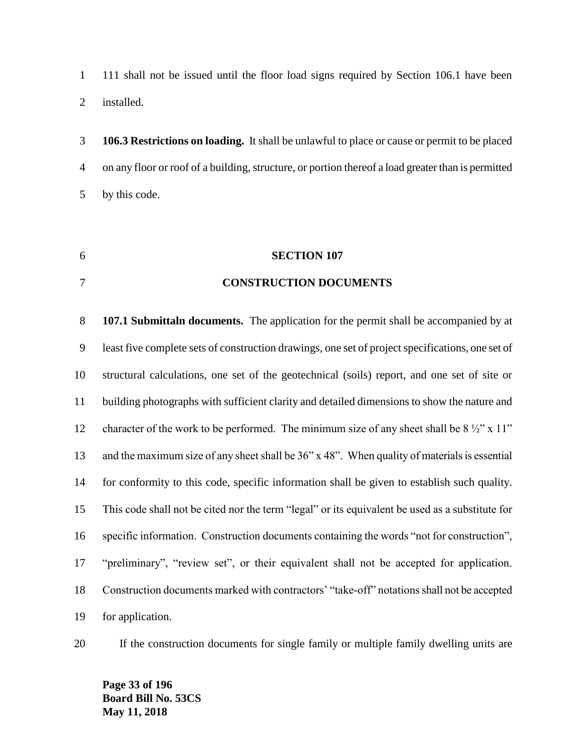111 shall not be issued until the floor load signs required by Section 106.1 have been installed.

 **106.3 Restrictions on loading.** It shall be unlawful to place or cause or permit to be placed on any floor or roof of a building, structure, or portion thereof a load greater than is permitted by this code.

#### **SECTION 107**

#### **CONSTRUCTION DOCUMENTS**

 **107.1 Submittaln documents.** The application for the permit shall be accompanied by at least five complete sets of construction drawings, one set of project specifications, one set of structural calculations, one set of the geotechnical (soils) report, and one set of site or building photographs with sufficient clarity and detailed dimensions to show the nature and 12 character of the work to be performed. The minimum size of any sheet shall be  $8\frac{1}{2}$ " x 11" and the maximum size of any sheet shall be 36" x 48". When quality of materials is essential for conformity to this code, specific information shall be given to establish such quality. This code shall not be cited nor the term "legal" or its equivalent be used as a substitute for specific information. Construction documents containing the words "not for construction", "preliminary", "review set", or their equivalent shall not be accepted for application. Construction documents marked with contractors' "take-off" notations shall not be accepted for application.

If the construction documents for single family or multiple family dwelling units are

**Page 33 of 196 Board Bill No. 53CS May 11, 2018**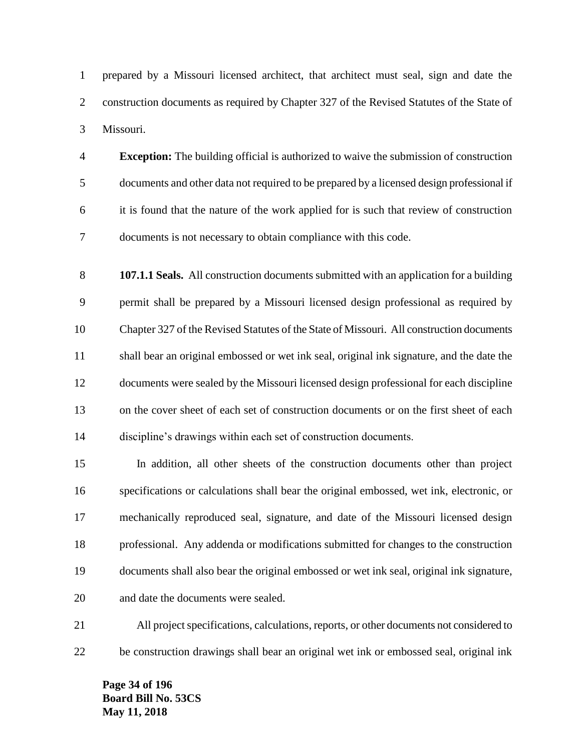prepared by a Missouri licensed architect, that architect must seal, sign and date the construction documents as required by Chapter 327 of the Revised Statutes of the State of Missouri.

 **Exception:** The building official is authorized to waive the submission of construction documents and other data not required to be prepared by a licensed design professional if it is found that the nature of the work applied for is such that review of construction documents is not necessary to obtain compliance with this code.

 **107.1.1 Seals.** All construction documents submitted with an application for a building permit shall be prepared by a Missouri licensed design professional as required by Chapter 327 of the Revised Statutes of the State of Missouri. All construction documents shall bear an original embossed or wet ink seal, original ink signature, and the date the documents were sealed by the Missouri licensed design professional for each discipline on the cover sheet of each set of construction documents or on the first sheet of each discipline's drawings within each set of construction documents.

 In addition, all other sheets of the construction documents other than project specifications or calculations shall bear the original embossed, wet ink, electronic, or mechanically reproduced seal, signature, and date of the Missouri licensed design professional. Any addenda or modifications submitted for changes to the construction documents shall also bear the original embossed or wet ink seal, original ink signature, and date the documents were sealed.

 All project specifications, calculations, reports, or other documents not considered to be construction drawings shall bear an original wet ink or embossed seal, original ink

**Page 34 of 196 Board Bill No. 53CS May 11, 2018**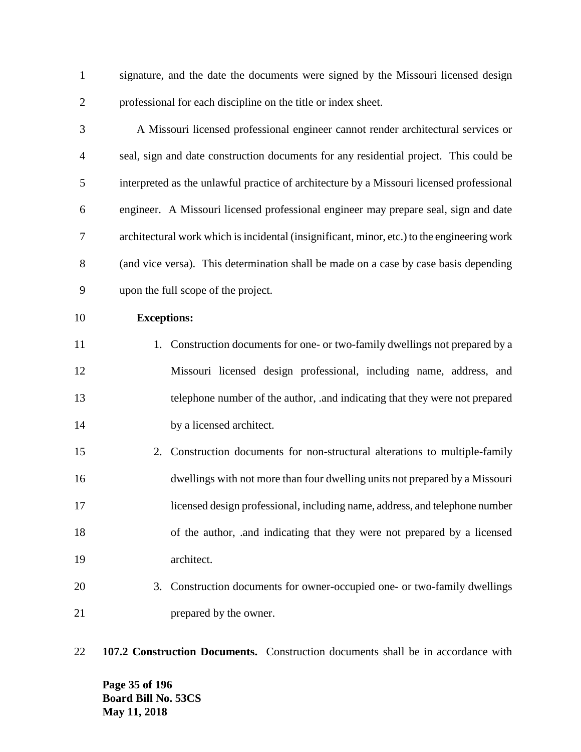signature, and the date the documents were signed by the Missouri licensed design professional for each discipline on the title or index sheet.

 A Missouri licensed professional engineer cannot render architectural services or seal, sign and date construction documents for any residential project. This could be interpreted as the unlawful practice of architecture by a Missouri licensed professional engineer. A Missouri licensed professional engineer may prepare seal, sign and date architectural work which is incidental (insignificant, minor, etc.) to the engineering work (and vice versa). This determination shall be made on a case by case basis depending upon the full scope of the project.

**Exceptions:**

11 1. Construction documents for one- or two-family dwellings not prepared by a Missouri licensed design professional, including name, address, and telephone number of the author, .and indicating that they were not prepared 14 by a licensed architect.

- 2. Construction documents for non-structural alterations to multiple-family dwellings with not more than four dwelling units not prepared by a Missouri licensed design professional, including name, address, and telephone number of the author, .and indicating that they were not prepared by a licensed architect.
- 3. Construction documents for owner-occupied one- or two-family dwellings 21 prepared by the owner.
- **107.2 Construction Documents.** Construction documents shall be in accordance with

**Page 35 of 196 Board Bill No. 53CS May 11, 2018**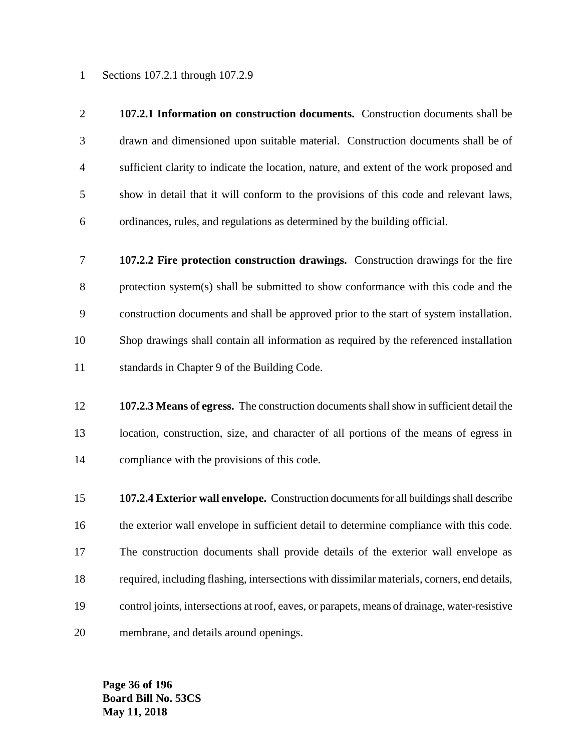Sections 107.2.1 through 107.2.9

- **107.2.1 Information on construction documents.** Construction documents shall be drawn and dimensioned upon suitable material. Construction documents shall be of sufficient clarity to indicate the location, nature, and extent of the work proposed and show in detail that it will conform to the provisions of this code and relevant laws, ordinances, rules, and regulations as determined by the building official.
- **107.2.2 Fire protection construction drawings.** Construction drawings for the fire protection system(s) shall be submitted to show conformance with this code and the construction documents and shall be approved prior to the start of system installation. Shop drawings shall contain all information as required by the referenced installation standards in Chapter 9 of the Building Code.
- **107.2.3 Means of egress.** The construction documents shall show in sufficient detail the location, construction, size, and character of all portions of the means of egress in compliance with the provisions of this code.
- **107.2.4 Exterior wall envelope.** Construction documents for all buildings shall describe the exterior wall envelope in sufficient detail to determine compliance with this code. The construction documents shall provide details of the exterior wall envelope as required, including flashing, intersections with dissimilar materials, corners, end details, control joints, intersections at roof, eaves, or parapets, means of drainage, water-resistive membrane, and details around openings.

**Page 36 of 196 Board Bill No. 53CS May 11, 2018**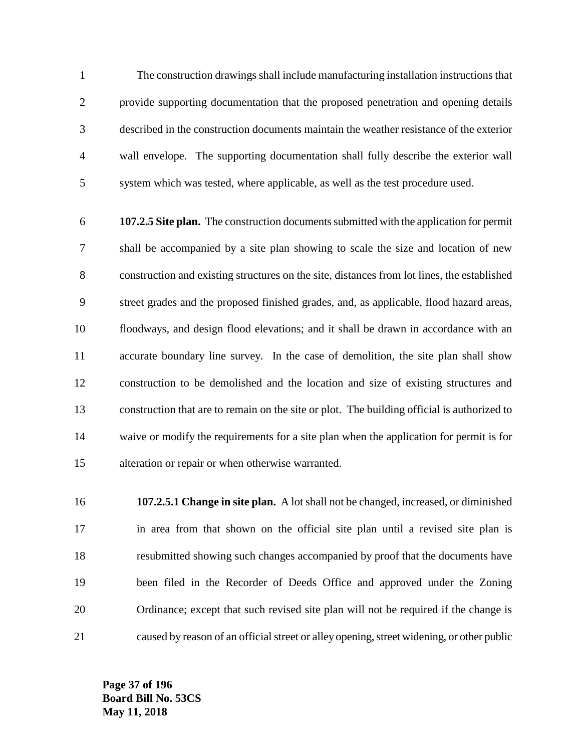The construction drawings shall include manufacturing installation instructions that provide supporting documentation that the proposed penetration and opening details described in the construction documents maintain the weather resistance of the exterior wall envelope. The supporting documentation shall fully describe the exterior wall system which was tested, where applicable, as well as the test procedure used.

 **107.2.5 Site plan.** The construction documents submitted with the application for permit shall be accompanied by a site plan showing to scale the size and location of new construction and existing structures on the site, distances from lot lines, the established street grades and the proposed finished grades, and, as applicable, flood hazard areas, floodways, and design flood elevations; and it shall be drawn in accordance with an accurate boundary line survey. In the case of demolition, the site plan shall show construction to be demolished and the location and size of existing structures and construction that are to remain on the site or plot. The building official is authorized to waive or modify the requirements for a site plan when the application for permit is for alteration or repair or when otherwise warranted.

 **107.2.5.1 Change in site plan.** A lot shall not be changed, increased, or diminished in area from that shown on the official site plan until a revised site plan is resubmitted showing such changes accompanied by proof that the documents have been filed in the Recorder of Deeds Office and approved under the Zoning Ordinance; except that such revised site plan will not be required if the change is caused by reason of an official street or alley opening, street widening, or other public

**Page 37 of 196 Board Bill No. 53CS May 11, 2018**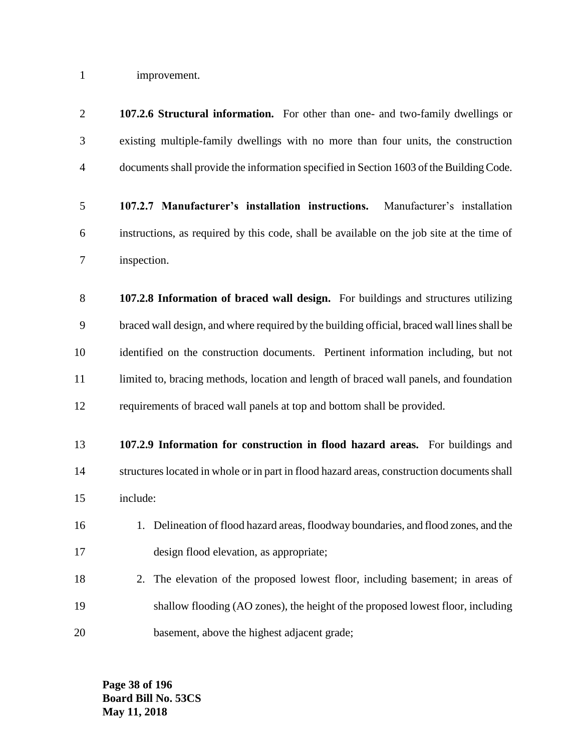improvement.

| $\overline{2}$ | 107.2.6 Structural information. For other than one- and two-family dwellings or             |
|----------------|---------------------------------------------------------------------------------------------|
| 3              | existing multiple-family dwellings with no more than four units, the construction           |
| $\overline{4}$ | documents shall provide the information specified in Section 1603 of the Building Code.     |
| 5              | 107.2.7 Manufacturer's installation instructions.<br>Manufacturer's installation            |
| 6              | instructions, as required by this code, shall be available on the job site at the time of   |
| 7              | inspection.                                                                                 |
| 8              | 107.2.8 Information of braced wall design. For buildings and structures utilizing           |
| 9              | braced wall design, and where required by the building official, braced wall lines shall be |
| 10             | identified on the construction documents. Pertinent information including, but not          |
| 11             | limited to, bracing methods, location and length of braced wall panels, and foundation      |
| 12             | requirements of braced wall panels at top and bottom shall be provided.                     |
| 13             | 107.2.9 Information for construction in flood hazard areas. For buildings and               |
| 14             | structures located in whole or in part in flood hazard areas, construction documents shall  |
| 15             | include:                                                                                    |
| 16             | 1. Delineation of flood hazard areas, floodway boundaries, and flood zones, and the         |
| 17             | design flood elevation, as appropriate;                                                     |
| 18             | The elevation of the proposed lowest floor, including basement; in areas of<br>2.           |
| 19             | shallow flooding (AO zones), the height of the proposed lowest floor, including             |
| 20             | basement, above the highest adjacent grade;                                                 |

**Page 38 of 196 Board Bill No. 53CS May 11, 2018**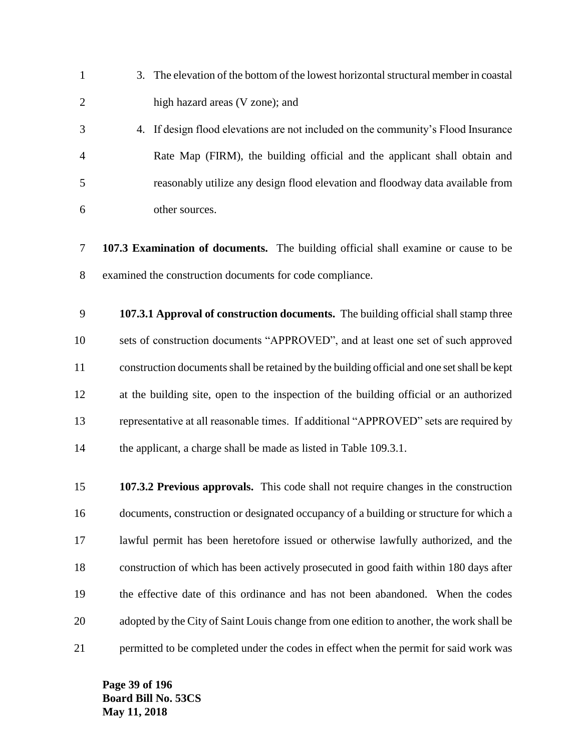- 3. The elevation of the bottom of the lowest horizontal structural member in coastal high hazard areas (V zone); and
- 4. If design flood elevations are not included on the community's Flood Insurance Rate Map (FIRM), the building official and the applicant shall obtain and reasonably utilize any design flood elevation and floodway data available from other sources.
- **107.3 Examination of documents.** The building official shall examine or cause to be examined the construction documents for code compliance.
- **107.3.1 Approval of construction documents.** The building official shall stamp three sets of construction documents "APPROVED", and at least one set of such approved construction documents shall be retained by the building official and one set shall be kept at the building site, open to the inspection of the building official or an authorized representative at all reasonable times. If additional "APPROVED" sets are required by 14 the applicant, a charge shall be made as listed in Table 109.3.1.
- **107.3.2 Previous approvals.** This code shall not require changes in the construction documents, construction or designated occupancy of a building or structure for which a lawful permit has been heretofore issued or otherwise lawfully authorized, and the construction of which has been actively prosecuted in good faith within 180 days after the effective date of this ordinance and has not been abandoned. When the codes adopted by the City of Saint Louis change from one edition to another, the work shall be 21 permitted to be completed under the codes in effect when the permit for said work was

**Page 39 of 196 Board Bill No. 53CS May 11, 2018**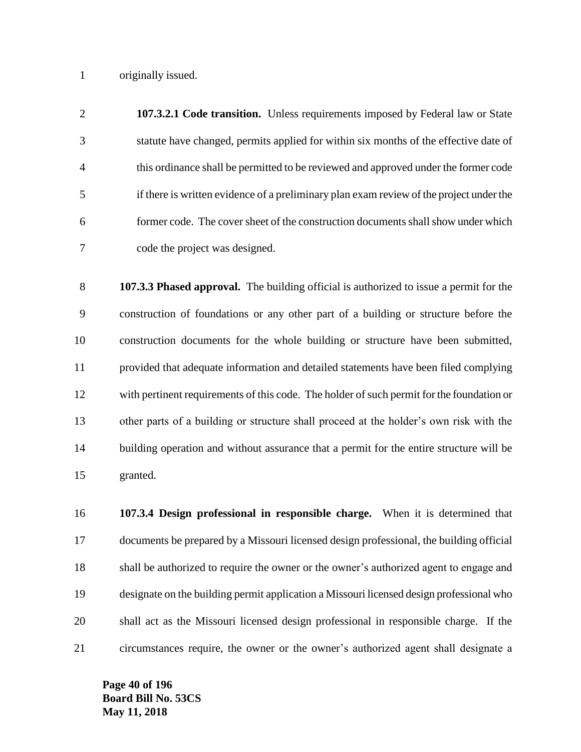originally issued.

 **107.3.2.1 Code transition.** Unless requirements imposed by Federal law or State statute have changed, permits applied for within six months of the effective date of this ordinance shall be permitted to be reviewed and approved under the former code if there is written evidence of a preliminary plan exam review of the project under the former code. The cover sheet of the construction documents shall show under which code the project was designed.

 **107.3.3 Phased approval.** The building official is authorized to issue a permit for the construction of foundations or any other part of a building or structure before the construction documents for the whole building or structure have been submitted, provided that adequate information and detailed statements have been filed complying with pertinent requirements of this code. The holder of such permit for the foundation or other parts of a building or structure shall proceed at the holder's own risk with the building operation and without assurance that a permit for the entire structure will be granted.

 **107.3.4 Design professional in responsible charge.** When it is determined that documents be prepared by a Missouri licensed design professional, the building official shall be authorized to require the owner or the owner's authorized agent to engage and designate on the building permit application a Missouri licensed design professional who shall act as the Missouri licensed design professional in responsible charge. If the circumstances require, the owner or the owner's authorized agent shall designate a

**Page 40 of 196 Board Bill No. 53CS May 11, 2018**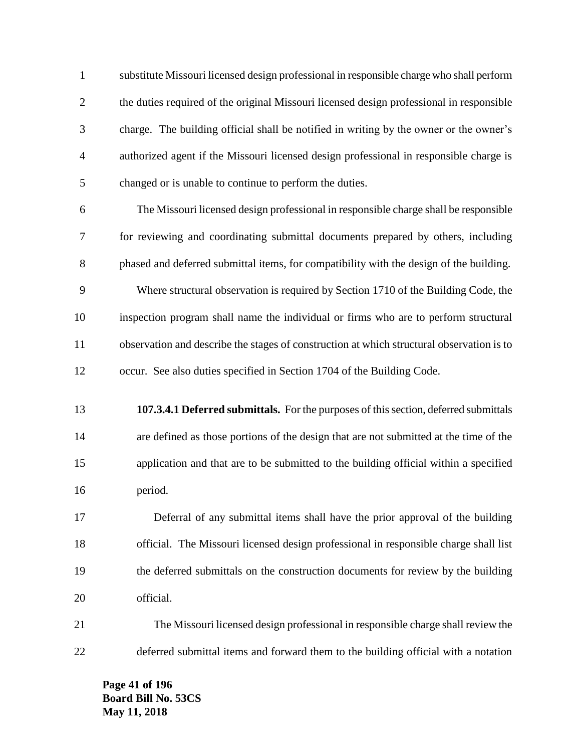substitute Missouri licensed design professional in responsible charge who shall perform the duties required of the original Missouri licensed design professional in responsible charge. The building official shall be notified in writing by the owner or the owner's authorized agent if the Missouri licensed design professional in responsible charge is changed or is unable to continue to perform the duties.

 The Missouri licensed design professional in responsible charge shall be responsible for reviewing and coordinating submittal documents prepared by others, including phased and deferred submittal items, for compatibility with the design of the building. Where structural observation is required by Section 1710 of the Building Code, the inspection program shall name the individual or firms who are to perform structural observation and describe the stages of construction at which structural observation is to occur. See also duties specified in Section 1704 of the Building Code.

 **107.3.4.1 Deferred submittals.** For the purposes of this section, deferred submittals are defined as those portions of the design that are not submitted at the time of the application and that are to be submitted to the building official within a specified period.

 Deferral of any submittal items shall have the prior approval of the building official. The Missouri licensed design professional in responsible charge shall list the deferred submittals on the construction documents for review by the building official.

 The Missouri licensed design professional in responsible charge shall review the deferred submittal items and forward them to the building official with a notation

**Page 41 of 196 Board Bill No. 53CS May 11, 2018**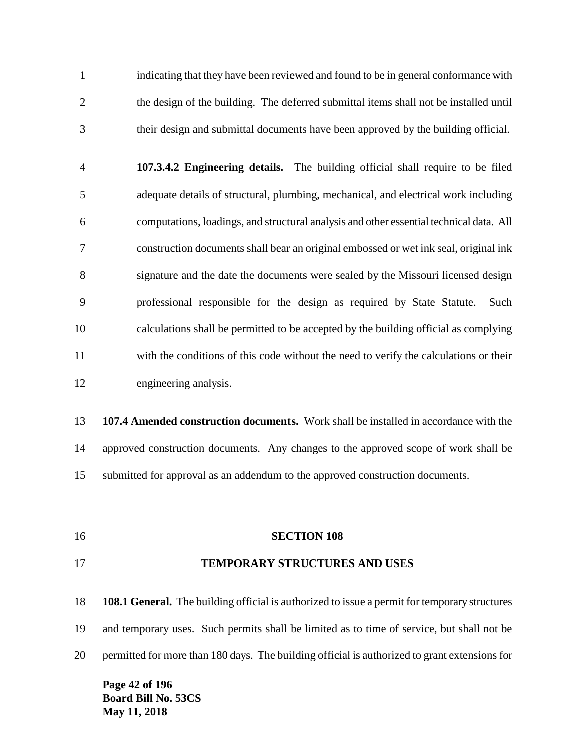indicating that they have been reviewed and found to be in general conformance with the design of the building. The deferred submittal items shall not be installed until their design and submittal documents have been approved by the building official.

 **107.3.4.2 Engineering details.** The building official shall require to be filed adequate details of structural, plumbing, mechanical, and electrical work including computations, loadings, and structural analysis and other essential technical data. All construction documents shall bear an original embossed or wet ink seal, original ink signature and the date the documents were sealed by the Missouri licensed design professional responsible for the design as required by State Statute. Such calculations shall be permitted to be accepted by the building official as complying with the conditions of this code without the need to verify the calculations or their engineering analysis.

 **107.4 Amended construction documents.** Work shall be installed in accordance with the approved construction documents. Any changes to the approved scope of work shall be submitted for approval as an addendum to the approved construction documents.

**SECTION 108**

## **TEMPORARY STRUCTURES AND USES**

 **108.1 General.** The building official is authorized to issue a permit for temporary structures and temporary uses. Such permits shall be limited as to time of service, but shall not be permitted for more than 180 days. The building official is authorized to grant extensions for

**Page 42 of 196 Board Bill No. 53CS May 11, 2018**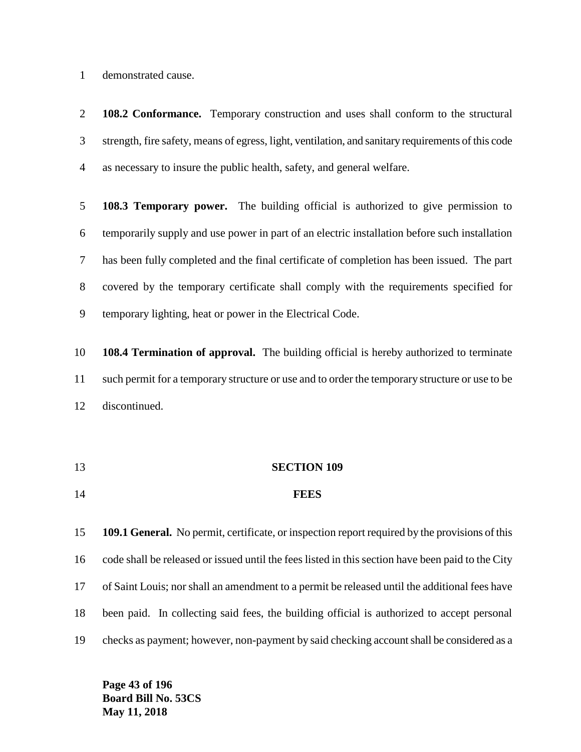demonstrated cause.

 **108.2 Conformance.** Temporary construction and uses shall conform to the structural strength, fire safety, means of egress, light, ventilation, and sanitary requirements of this code as necessary to insure the public health, safety, and general welfare.

 **108.3 Temporary power.** The building official is authorized to give permission to temporarily supply and use power in part of an electric installation before such installation has been fully completed and the final certificate of completion has been issued. The part covered by the temporary certificate shall comply with the requirements specified for temporary lighting, heat or power in the Electrical Code.

 **108.4 Termination of approval.** The building official is hereby authorized to terminate such permit for a temporary structure or use and to order the temporary structure or use to be discontinued.

 **SECTION 109 FEES**

 **109.1 General.** No permit, certificate, or inspection report required by the provisions of this code shall be released or issued until the fees listed in this section have been paid to the City of Saint Louis; nor shall an amendment to a permit be released until the additional fees have been paid. In collecting said fees, the building official is authorized to accept personal checks as payment; however, non-payment by said checking account shall be considered as a

**Page 43 of 196 Board Bill No. 53CS May 11, 2018**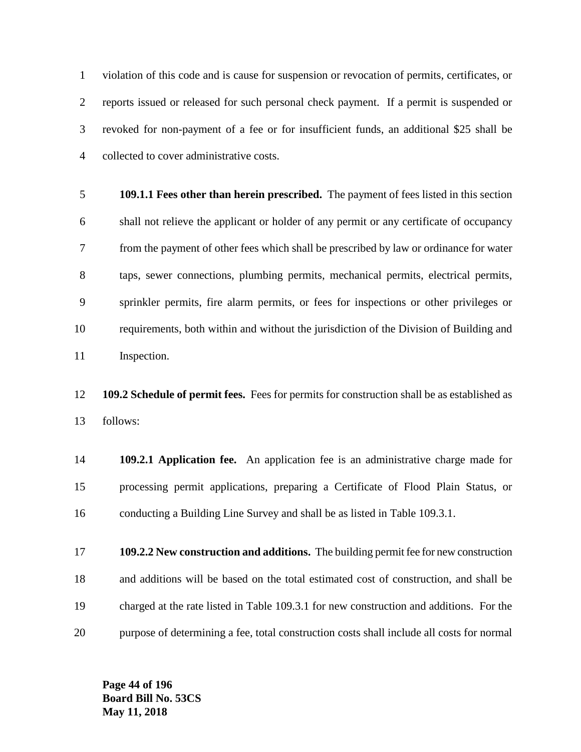violation of this code and is cause for suspension or revocation of permits, certificates, or reports issued or released for such personal check payment. If a permit is suspended or revoked for non-payment of a fee or for insufficient funds, an additional \$25 shall be collected to cover administrative costs.

 **109.1.1 Fees other than herein prescribed.** The payment of fees listed in this section shall not relieve the applicant or holder of any permit or any certificate of occupancy from the payment of other fees which shall be prescribed by law or ordinance for water taps, sewer connections, plumbing permits, mechanical permits, electrical permits, sprinkler permits, fire alarm permits, or fees for inspections or other privileges or requirements, both within and without the jurisdiction of the Division of Building and Inspection.

 **109.2 Schedule of permit fees.** Fees for permits for construction shall be as established as follows:

 **109.2.1 Application fee.** An application fee is an administrative charge made for processing permit applications, preparing a Certificate of Flood Plain Status, or conducting a Building Line Survey and shall be as listed in Table 109.3.1.

 **109.2.2 New construction and additions.** The building permit fee for new construction and additions will be based on the total estimated cost of construction, and shall be charged at the rate listed in Table 109.3.1 for new construction and additions. For the purpose of determining a fee, total construction costs shall include all costs for normal

**Page 44 of 196 Board Bill No. 53CS May 11, 2018**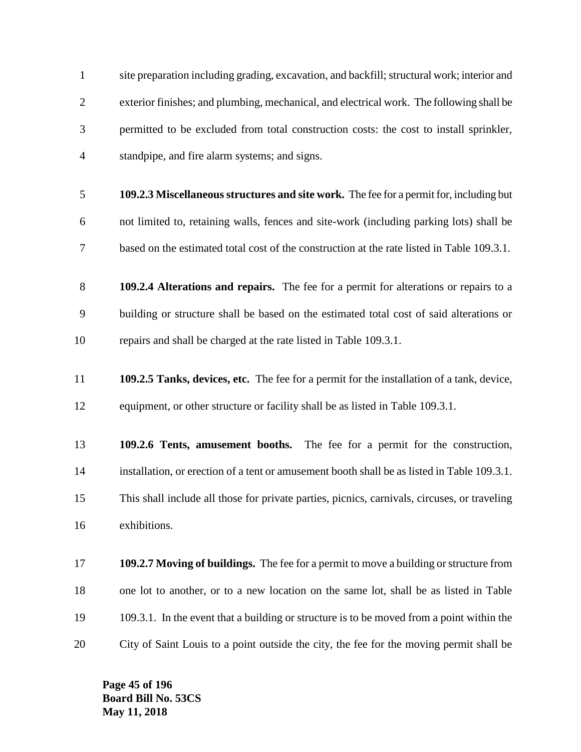site preparation including grading, excavation, and backfill; structural work; interior and exterior finishes; and plumbing, mechanical, and electrical work. The following shall be permitted to be excluded from total construction costs: the cost to install sprinkler, standpipe, and fire alarm systems; and signs. **109.2.3 Miscellaneous structures and site work.** The fee for a permit for, including but not limited to, retaining walls, fences and site-work (including parking lots) shall be based on the estimated total cost of the construction at the rate listed in Table 109.3.1. **109.2.4 Alterations and repairs.** The fee for a permit for alterations or repairs to a building or structure shall be based on the estimated total cost of said alterations or repairs and shall be charged at the rate listed in Table 109.3.1. **109.2.5 Tanks, devices, etc.** The fee for a permit for the installation of a tank, device, 12 equipment, or other structure or facility shall be as listed in Table 109.3.1. **109.2.6 Tents, amusement booths.** The fee for a permit for the construction, installation, or erection of a tent or amusement booth shall be as listed in Table 109.3.1. This shall include all those for private parties, picnics, carnivals, circuses, or traveling exhibitions. **109.2.7 Moving of buildings.** The fee for a permit to move a building or structure from one lot to another, or to a new location on the same lot, shall be as listed in Table 109.3.1. In the event that a building or structure is to be moved from a point within the City of Saint Louis to a point outside the city, the fee for the moving permit shall be

**Page 45 of 196 Board Bill No. 53CS May 11, 2018**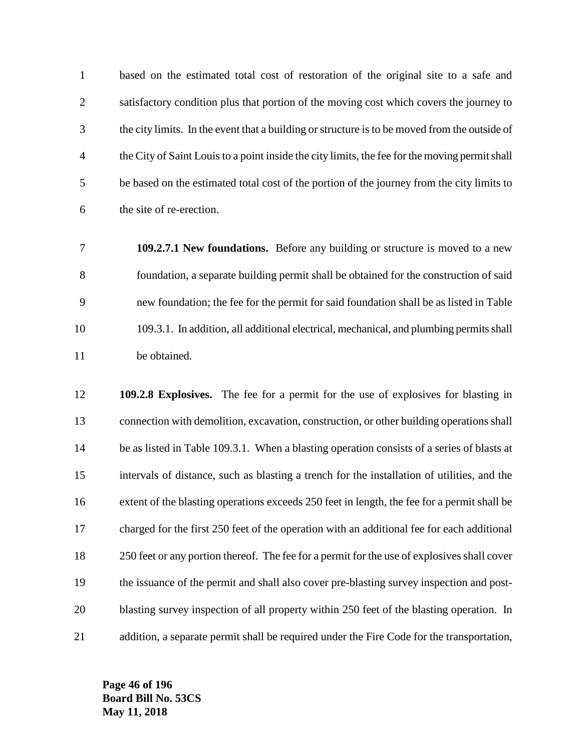based on the estimated total cost of restoration of the original site to a safe and satisfactory condition plus that portion of the moving cost which covers the journey to the city limits. In the event that a building or structure is to be moved from the outside of the City of Saint Louis to a point inside the city limits, the fee for the moving permit shall be based on the estimated total cost of the portion of the journey from the city limits to the site of re-erection.

- **109.2.7.1 New foundations.** Before any building or structure is moved to a new foundation, a separate building permit shall be obtained for the construction of said new foundation; the fee for the permit for said foundation shall be as listed in Table 109.3.1. In addition, all additional electrical, mechanical, and plumbing permits shall be obtained.
- **109.2.8 Explosives.** The fee for a permit for the use of explosives for blasting in connection with demolition, excavation, construction, or other building operations shall 14 be as listed in Table 109.3.1. When a blasting operation consists of a series of blasts at intervals of distance, such as blasting a trench for the installation of utilities, and the 16 extent of the blasting operations exceeds 250 feet in length, the fee for a permit shall be charged for the first 250 feet of the operation with an additional fee for each additional 18 250 feet or any portion thereof. The fee for a permit for the use of explosives shall cover the issuance of the permit and shall also cover pre-blasting survey inspection and post- blasting survey inspection of all property within 250 feet of the blasting operation. In addition, a separate permit shall be required under the Fire Code for the transportation,

**Page 46 of 196 Board Bill No. 53CS May 11, 2018**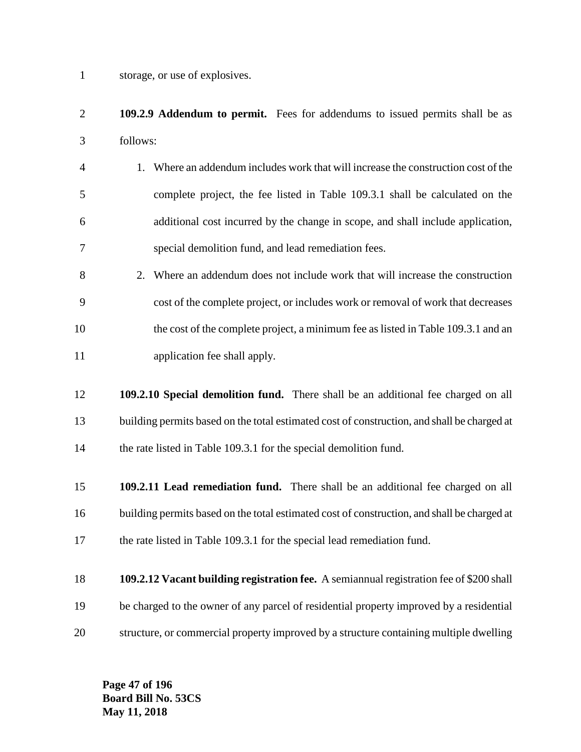storage, or use of explosives.

- **109.2.9 Addendum to permit.** Fees for addendums to issued permits shall be as follows:
- 1. Where an addendum includes work that will increase the construction cost of the complete project, the fee listed in Table 109.3.1 shall be calculated on the additional cost incurred by the change in scope, and shall include application, special demolition fund, and lead remediation fees.
- 2. Where an addendum does not include work that will increase the construction cost of the complete project, or includes work or removal of work that decreases 10 the cost of the complete project, a minimum fee as listed in Table 109.3.1 and an application fee shall apply.
- **109.2.10 Special demolition fund.** There shall be an additional fee charged on all building permits based on the total estimated cost of construction, and shall be charged at 14 the rate listed in Table 109.3.1 for the special demolition fund.
- **109.2.11 Lead remediation fund.** There shall be an additional fee charged on all building permits based on the total estimated cost of construction, and shall be charged at 17 the rate listed in Table 109.3.1 for the special lead remediation fund.
- **109.2.12 Vacant building registration fee.** A semiannual registration fee of \$200 shall be charged to the owner of any parcel of residential property improved by a residential structure, or commercial property improved by a structure containing multiple dwelling

**Page 47 of 196 Board Bill No. 53CS May 11, 2018**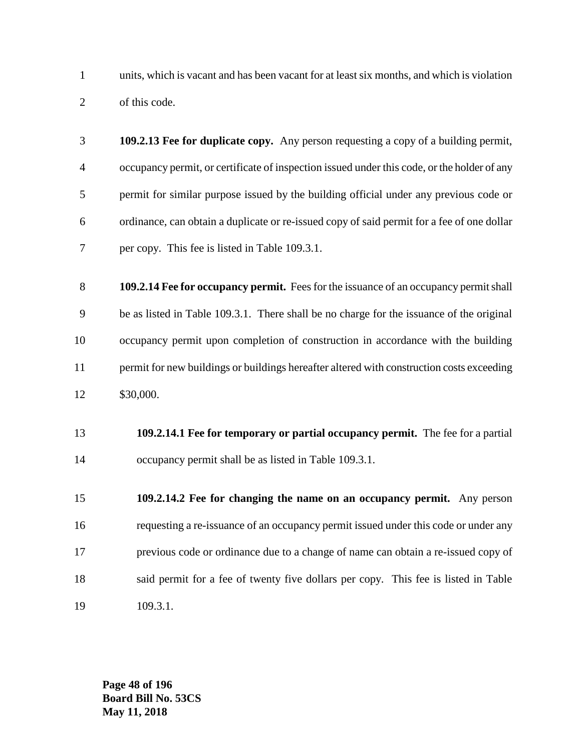units, which is vacant and has been vacant for at least six months, and which is violation of this code.

- **109.2.13 Fee for duplicate copy.** Any person requesting a copy of a building permit, occupancy permit, or certificate of inspection issued under this code, or the holder of any permit for similar purpose issued by the building official under any previous code or ordinance, can obtain a duplicate or re-issued copy of said permit for a fee of one dollar per copy. This fee is listed in Table 109.3.1.
- **109.2.14 Fee for occupancy permit.** Fees for the issuance of an occupancy permit shall be as listed in Table 109.3.1. There shall be no charge for the issuance of the original occupancy permit upon completion of construction in accordance with the building permit for new buildings or buildings hereafter altered with construction costs exceeding \$30,000.
- **109.2.14.1 Fee for temporary or partial occupancy permit.** The fee for a partial occupancy permit shall be as listed in Table 109.3.1.
- **109.2.14.2 Fee for changing the name on an occupancy permit.** Any person requesting a re-issuance of an occupancy permit issued under this code or under any previous code or ordinance due to a change of name can obtain a re-issued copy of said permit for a fee of twenty five dollars per copy. This fee is listed in Table 109.3.1.

**Page 48 of 196 Board Bill No. 53CS May 11, 2018**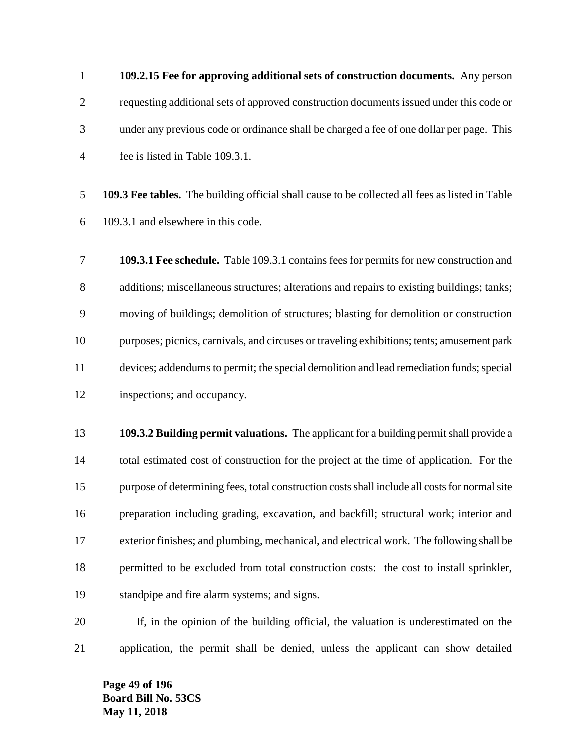**109.2.15 Fee for approving additional sets of construction documents.** Any person requesting additional sets of approved construction documents issued under this code or under any previous code or ordinance shall be charged a fee of one dollar per page. This fee is listed in Table 109.3.1.

 **109.3 Fee tables.** The building official shall cause to be collected all fees as listed in Table 109.3.1 and elsewhere in this code.

 **109.3.1 Fee schedule.** Table 109.3.1 contains fees for permits for new construction and additions; miscellaneous structures; alterations and repairs to existing buildings; tanks; moving of buildings; demolition of structures; blasting for demolition or construction purposes; picnics, carnivals, and circuses or traveling exhibitions; tents; amusement park devices; addendums to permit; the special demolition and lead remediation funds; special inspections; and occupancy.

 **109.3.2 Building permit valuations.** The applicant for a building permit shall provide a total estimated cost of construction for the project at the time of application. For the purpose of determining fees, total construction costs shall include all costs for normal site preparation including grading, excavation, and backfill; structural work; interior and exterior finishes; and plumbing, mechanical, and electrical work. The following shall be permitted to be excluded from total construction costs: the cost to install sprinkler, standpipe and fire alarm systems; and signs.

 If, in the opinion of the building official, the valuation is underestimated on the application, the permit shall be denied, unless the applicant can show detailed

**Page 49 of 196 Board Bill No. 53CS May 11, 2018**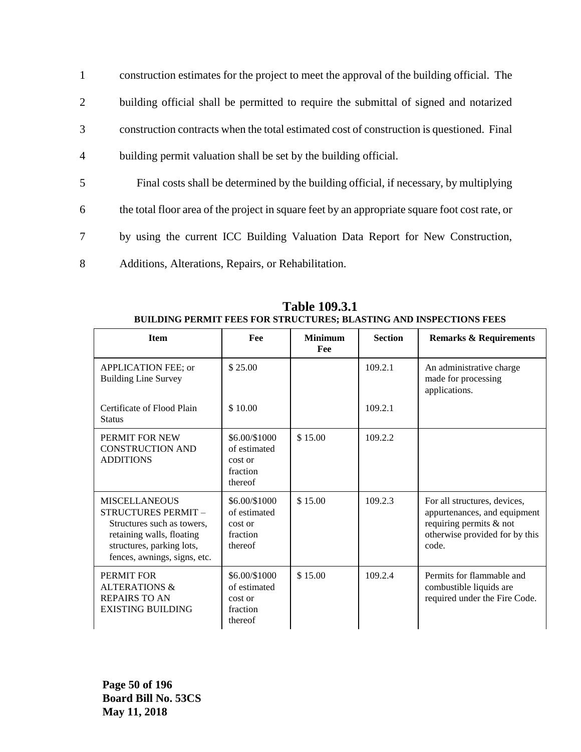| $\mathbf{1}$   | construction estimates for the project to meet the approval of the building official. The      |
|----------------|------------------------------------------------------------------------------------------------|
| 2              | building official shall be permitted to require the submittal of signed and notarized          |
| 3              | construction contracts when the total estimated cost of construction is questioned. Final      |
| $\overline{4}$ | building permit valuation shall be set by the building official.                               |
| 5              | Final costs shall be determined by the building official, if necessary, by multiplying         |
| 6              | the total floor area of the project in square feet by an appropriate square foot cost rate, or |
| 7              | by using the current ICC Building Valuation Data Report for New Construction,                  |
| 8              | Additions, Alterations, Repairs, or Rehabilitation.                                            |

| <b>Item</b>                                                                                                                                                         | Fee                                                             | <b>Minimum</b><br>Fee | <b>Section</b> | <b>Remarks &amp; Requirements</b>                                                                                                  |
|---------------------------------------------------------------------------------------------------------------------------------------------------------------------|-----------------------------------------------------------------|-----------------------|----------------|------------------------------------------------------------------------------------------------------------------------------------|
| APPLICATION FEE; or<br><b>Building Line Survey</b>                                                                                                                  | \$25.00                                                         |                       | 109.2.1        | An administrative charge<br>made for processing<br>applications.                                                                   |
| Certificate of Flood Plain<br><b>Status</b>                                                                                                                         | \$10.00                                                         |                       | 109.2.1        |                                                                                                                                    |
| PERMIT FOR NEW<br><b>CONSTRUCTION AND</b><br><b>ADDITIONS</b>                                                                                                       | \$6.00/\$1000<br>of estimated<br>cost or<br>fraction<br>thereof | \$15.00               | 109.2.2        |                                                                                                                                    |
| <b>MISCELLANEOUS</b><br>STRUCTURES PERMIT -<br>Structures such as towers,<br>retaining walls, floating<br>structures, parking lots,<br>fences, awnings, signs, etc. | \$6.00/\$1000<br>of estimated<br>cost or<br>fraction<br>thereof | \$15.00               | 109.2.3        | For all structures, devices,<br>appurtenances, and equipment<br>requiring permits & not<br>otherwise provided for by this<br>code. |
| PERMIT FOR<br><b>ALTERATIONS &amp;</b><br><b>REPAIRS TO AN</b><br><b>EXISTING BUILDING</b>                                                                          | \$6.00/\$1000<br>of estimated<br>cost or<br>fraction<br>thereof | \$15.00               | 109.2.4        | Permits for flammable and<br>combustible liquids are<br>required under the Fire Code.                                              |

**Table 109.3.1 BUILDING PERMIT FEES FOR STRUCTURES; BLASTING AND INSPECTIONS FEES**

**Page 50 of 196 Board Bill No. 53CS May 11, 2018**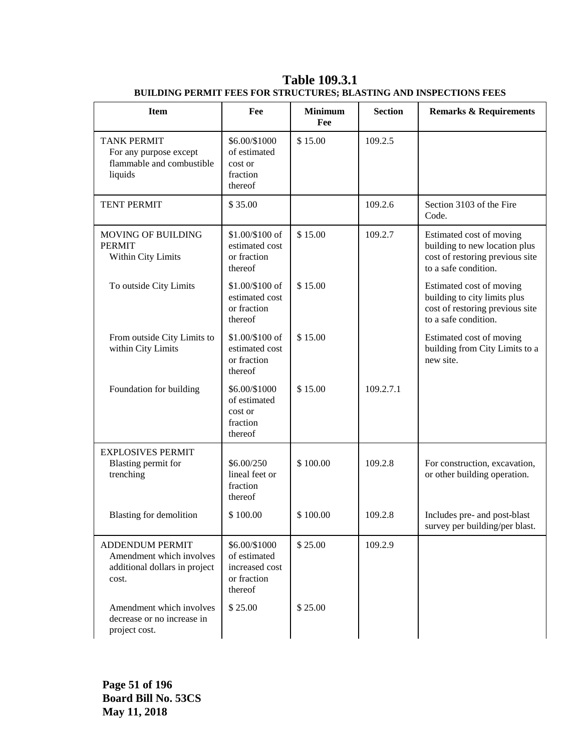| <b>Item</b>                                                                                  | Fee                                                                       | <b>Minimum</b><br>Fee | <b>Section</b> | <b>Remarks &amp; Requirements</b>                                                                                    |
|----------------------------------------------------------------------------------------------|---------------------------------------------------------------------------|-----------------------|----------------|----------------------------------------------------------------------------------------------------------------------|
| <b>TANK PERMIT</b><br>For any purpose except<br>flammable and combustible<br>liquids         | \$6.00/\$1000<br>of estimated<br>cost or<br>fraction<br>thereof           | \$15.00               | 109.2.5        |                                                                                                                      |
| <b>TENT PERMIT</b>                                                                           | \$35.00                                                                   |                       | 109.2.6        | Section 3103 of the Fire<br>Code.                                                                                    |
| <b>MOVING OF BUILDING</b><br><b>PERMIT</b><br>Within City Limits                             | \$1.00/\$100 of<br>estimated cost<br>or fraction<br>thereof               | \$15.00               | 109.2.7        | Estimated cost of moving<br>building to new location plus<br>cost of restoring previous site<br>to a safe condition. |
| To outside City Limits                                                                       | \$1.00/\$100 of<br>estimated cost<br>or fraction<br>thereof               | \$15.00               |                | Estimated cost of moving<br>building to city limits plus<br>cost of restoring previous site<br>to a safe condition.  |
| From outside City Limits to<br>within City Limits                                            | \$1.00/\$100 of<br>estimated cost<br>or fraction<br>thereof               | \$15.00               |                | Estimated cost of moving<br>building from City Limits to a<br>new site.                                              |
| Foundation for building                                                                      | \$6.00/\$1000<br>of estimated<br>cost or<br>fraction<br>thereof           | \$15.00               | 109.2.7.1      |                                                                                                                      |
| <b>EXPLOSIVES PERMIT</b><br>Blasting permit for<br>trenching                                 | \$6.00/250<br>lineal feet or<br>fraction<br>thereof                       | \$100.00              | 109.2.8        | For construction, excavation,<br>or other building operation.                                                        |
| <b>Blasting for demolition</b>                                                               | \$100.00                                                                  | \$100.00              | 109.2.8        | Includes pre- and post-blast<br>survey per building/per blast.                                                       |
| <b>ADDENDUM PERMIT</b><br>Amendment which involves<br>additional dollars in project<br>cost. | \$6.00/\$1000<br>of estimated<br>increased cost<br>or fraction<br>thereof | \$25.00               | 109.2.9        |                                                                                                                      |
| Amendment which involves<br>decrease or no increase in<br>project cost.                      | \$25.00                                                                   | \$25.00               |                |                                                                                                                      |

**Table 109.3.1 BUILDING PERMIT FEES FOR STRUCTURES; BLASTING AND INSPECTIONS FEES**

**Page 51 of 196 Board Bill No. 53CS May 11, 2018**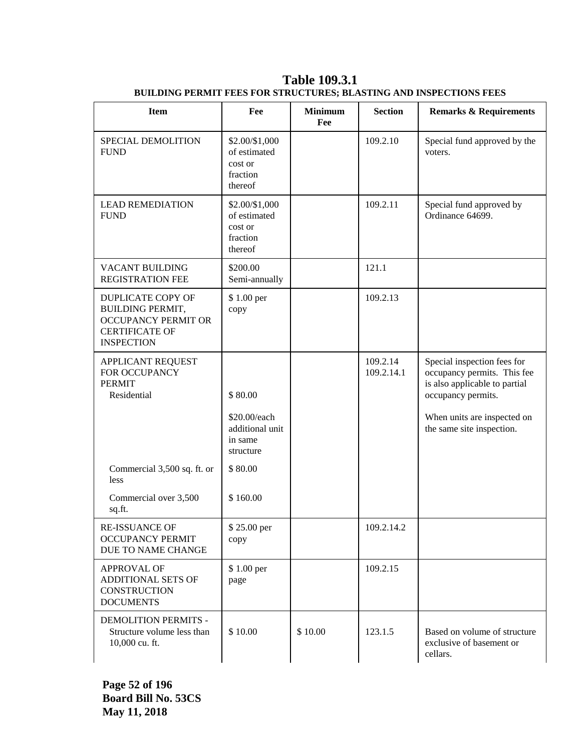| <b>Item</b>                                                                                                                     | Fee                                                                | <b>Minimum</b><br>Fee | <b>Section</b>         | <b>Remarks &amp; Requirements</b>                                                                                                                                             |
|---------------------------------------------------------------------------------------------------------------------------------|--------------------------------------------------------------------|-----------------------|------------------------|-------------------------------------------------------------------------------------------------------------------------------------------------------------------------------|
| SPECIAL DEMOLITION<br><b>FUND</b>                                                                                               | \$2.00/\$1,000<br>of estimated<br>cost or<br>fraction<br>thereof   |                       | 109.2.10               | Special fund approved by the<br>voters.                                                                                                                                       |
| <b>LEAD REMEDIATION</b><br><b>FUND</b>                                                                                          | \$2.00/\$1,000<br>of estimated<br>cost or<br>fraction<br>thereof   |                       | 109.2.11               | Special fund approved by<br>Ordinance 64699.                                                                                                                                  |
| VACANT BUILDING<br><b>REGISTRATION FEE</b>                                                                                      | \$200.00<br>Semi-annually                                          |                       | 121.1                  |                                                                                                                                                                               |
| <b>DUPLICATE COPY OF</b><br><b>BUILDING PERMIT,</b><br><b>OCCUPANCY PERMIT OR</b><br><b>CERTIFICATE OF</b><br><b>INSPECTION</b> | \$1.00 per<br>copy                                                 |                       | 109.2.13               |                                                                                                                                                                               |
| <b>APPLICANT REQUEST</b><br>FOR OCCUPANCY<br><b>PERMIT</b><br>Residential                                                       | \$80.00<br>\$20.00/each<br>additional unit<br>in same<br>structure |                       | 109.2.14<br>109.2.14.1 | Special inspection fees for<br>occupancy permits. This fee<br>is also applicable to partial<br>occupancy permits.<br>When units are inspected on<br>the same site inspection. |
| Commercial 3,500 sq. ft. or<br>less                                                                                             | \$80.00                                                            |                       |                        |                                                                                                                                                                               |
| Commercial over 3,500<br>sq.ft.                                                                                                 | \$160.00                                                           |                       |                        |                                                                                                                                                                               |
| RE-ISSUANCE OF<br><b>OCCUPANCY PERMIT</b><br>DUE TO NAME CHANGE                                                                 | \$25.00 per<br>copy                                                |                       | 109.2.14.2             |                                                                                                                                                                               |
| <b>APPROVAL OF</b><br>ADDITIONAL SETS OF<br><b>CONSTRUCTION</b><br><b>DOCUMENTS</b>                                             | \$1.00 per<br>page                                                 |                       | 109.2.15               |                                                                                                                                                                               |
| DEMOLITION PERMITS -<br>Structure volume less than<br>10,000 cu. ft.                                                            | \$10.00                                                            | \$10.00               | 123.1.5                | Based on volume of structure<br>exclusive of basement or<br>cellars.                                                                                                          |

**Table 109.3.1 BUILDING PERMIT FEES FOR STRUCTURES; BLASTING AND INSPECTIONS FEES**

**Page 52 of 196 Board Bill No. 53CS May 11, 2018**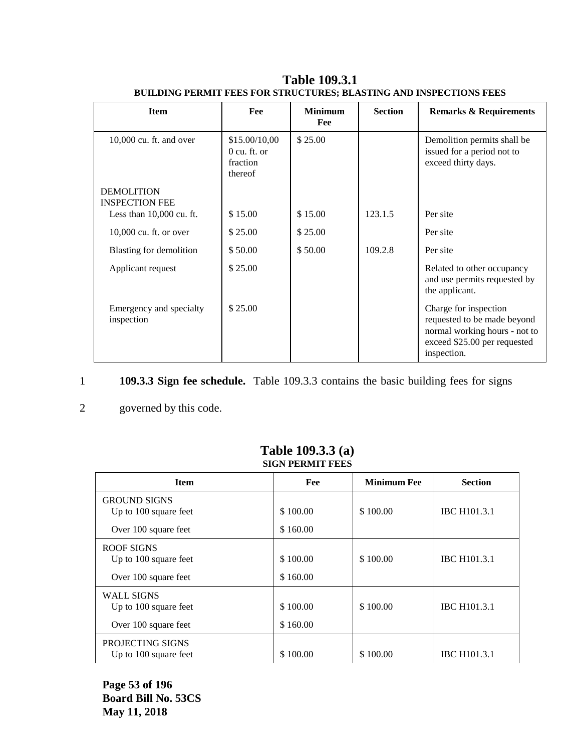| <b>Item</b>                                | Fee                                                    | <b>Minimum</b><br>Fee | <b>Section</b> | <b>Remarks &amp; Requirements</b>                                                                                                    |
|--------------------------------------------|--------------------------------------------------------|-----------------------|----------------|--------------------------------------------------------------------------------------------------------------------------------------|
| $10,000$ cu. ft. and over                  | \$15.00/10,00<br>$0$ cu. ft. or<br>fraction<br>thereof | \$25.00               |                | Demolition permits shall be<br>issued for a period not to<br>exceed thirty days.                                                     |
| <b>DEMOLITION</b><br><b>INSPECTION FEE</b> |                                                        |                       |                |                                                                                                                                      |
| Less than $10,000$ cu. ft.                 | \$15.00                                                | \$15.00               | 123.1.5        | Per site                                                                                                                             |
| $10,000$ cu. ft. or over                   | \$25.00                                                | \$25.00               |                | Per site                                                                                                                             |
| Blasting for demolition                    | \$50.00                                                | \$50.00               | 109.2.8        | Per site                                                                                                                             |
| Applicant request                          | \$25.00                                                |                       |                | Related to other occupancy<br>and use permits requested by<br>the applicant.                                                         |
| Emergency and specialty<br>inspection      | \$25.00                                                |                       |                | Charge for inspection<br>requested to be made beyond<br>normal working hours - not to<br>exceed \$25.00 per requested<br>inspection. |

**Table 109.3.1 BUILDING PERMIT FEES FOR STRUCTURES; BLASTING AND INSPECTIONS FEES**

## 1 **109.3.3 Sign fee schedule.** Table 109.3.3 contains the basic building fees for signs

### 2 governed by this code.

| эктерский герм                                                       |                      |                    |                     |  |  |  |
|----------------------------------------------------------------------|----------------------|--------------------|---------------------|--|--|--|
| <b>Item</b>                                                          | Fee                  | <b>Minimum Fee</b> | <b>Section</b>      |  |  |  |
| <b>GROUND SIGNS</b><br>Up to 100 square feet<br>Over 100 square feet | \$100.00<br>\$160.00 | \$100.00           | <b>IBC H101.3.1</b> |  |  |  |
| ROOF SIGNS<br>Up to 100 square feet<br>Over 100 square feet          | \$100.00<br>\$160.00 | \$100.00           | <b>IBC H101.3.1</b> |  |  |  |
| <b>WALL SIGNS</b><br>Up to 100 square feet<br>Over 100 square feet   | \$100.00<br>\$160.00 | \$100.00           | <b>IBC H101.3.1</b> |  |  |  |
| PROJECTING SIGNS<br>Up to 100 square feet                            | \$100.00             | \$100.00           | <b>IBC H101.3.1</b> |  |  |  |

#### **Table 109.3.3 (a) SIGN PERMIT FEES**

**Page 53 of 196 Board Bill No. 53CS May 11, 2018**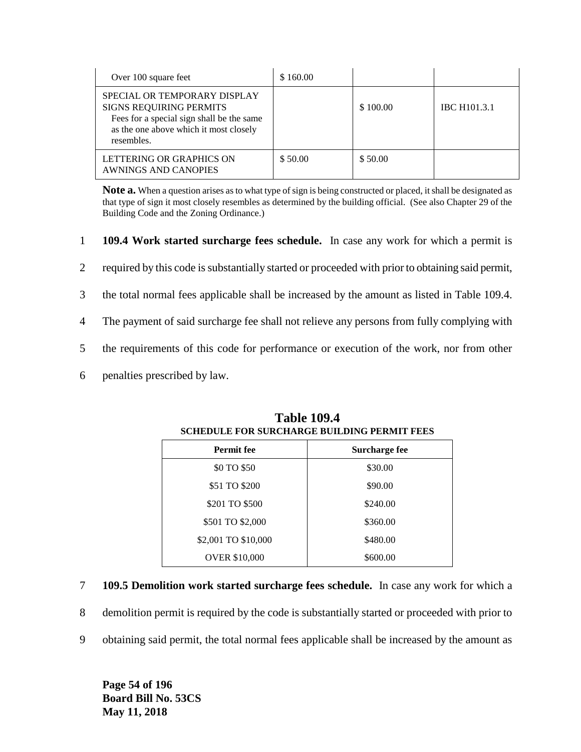| Over 100 square feet                                                                                                                                         | \$160.00 |          |                     |
|--------------------------------------------------------------------------------------------------------------------------------------------------------------|----------|----------|---------------------|
| SPECIAL OR TEMPORARY DISPLAY<br>SIGNS REQUIRING PERMITS<br>Fees for a special sign shall be the same<br>as the one above which it most closely<br>resembles. |          | \$100.00 | <b>IBC H101.3.1</b> |
| LETTERING OR GRAPHICS ON<br>AWNINGS AND CANOPIES                                                                                                             | \$50.00  | \$50.00  |                     |

**Note a.** When a question arises as to what type of sign is being constructed or placed, it shall be designated as that type of sign it most closely resembles as determined by the building official. (See also Chapter 29 of the Building Code and the Zoning Ordinance.)

- 1 **109.4 Work started surcharge fees schedule.** In case any work for which a permit is
- 2 required by this code is substantially started or proceeded with prior to obtaining said permit,
- 3 the total normal fees applicable shall be increased by the amount as listed in Table 109.4.
- 4 The payment of said surcharge fee shall not relieve any persons from fully complying with
- 5 the requirements of this code for performance or execution of the work, nor from other
- 6 penalties prescribed by law.

| <b>Permit fee</b>    | Surcharge fee |
|----------------------|---------------|
| \$0 TO \$50          | \$30.00       |
| \$51 TO \$200        | \$90.00       |
| \$201 TO \$500       | \$240.00      |
| \$501 TO \$2,000     | \$360.00      |
| \$2,001 TO \$10,000  | \$480.00      |
| <b>OVER \$10,000</b> | \$600.00      |

#### **Table 109.4 SCHEDULE FOR SURCHARGE BUILDING PERMIT FEES**

- 7 **109.5 Demolition work started surcharge fees schedule.** In case any work for which a
- 8 demolition permit is required by the code is substantially started or proceeded with prior to
- 9 obtaining said permit, the total normal fees applicable shall be increased by the amount as

**Page 54 of 196 Board Bill No. 53CS May 11, 2018**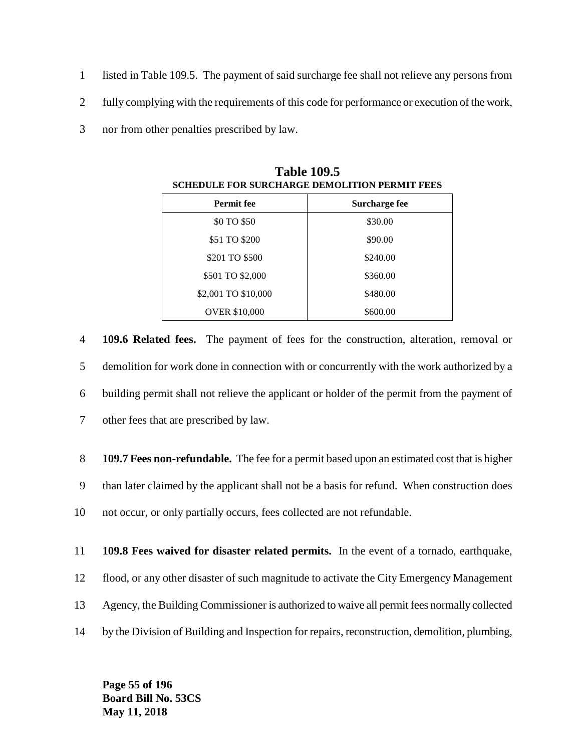- 1 listed in Table 109.5. The payment of said surcharge fee shall not relieve any persons from
- 2 fully complying with the requirements of this code for performance or execution of the work,
- 3 nor from other penalties prescribed by law.

| <b>Permit fee</b>    | Surcharge fee |  |  |
|----------------------|---------------|--|--|
| \$0 TO \$50          | \$30.00       |  |  |
| \$51 TO \$200        | \$90.00       |  |  |
| \$201 TO \$500       | \$240.00      |  |  |
| \$501 TO \$2,000     | \$360.00      |  |  |
| \$2,001 TO \$10,000  | \$480.00      |  |  |
| <b>OVER \$10,000</b> | \$600.00      |  |  |

**Table 109.5 SCHEDULE FOR SURCHARGE DEMOLITION PERMIT FEES**

 **109.6 Related fees.** The payment of fees for the construction, alteration, removal or demolition for work done in connection with or concurrently with the work authorized by a building permit shall not relieve the applicant or holder of the permit from the payment of other fees that are prescribed by law.

8 **109.7 Fees non-refundable.** The fee for a permit based upon an estimated cost that is higher 9 than later claimed by the applicant shall not be a basis for refund. When construction does 10 not occur, or only partially occurs, fees collected are not refundable.

11 **109.8 Fees waived for disaster related permits.** In the event of a tornado, earthquake, 12 flood, or any other disaster of such magnitude to activate the City Emergency Management

- 13 Agency, the Building Commissioner is authorized to waive all permit fees normally collected
- 14 by the Division of Building and Inspection for repairs, reconstruction, demolition, plumbing,

**Page 55 of 196 Board Bill No. 53CS May 11, 2018**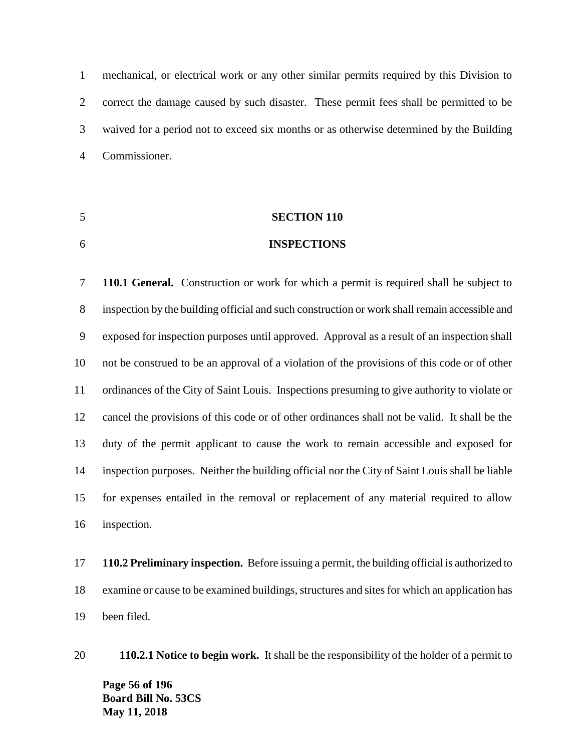mechanical, or electrical work or any other similar permits required by this Division to correct the damage caused by such disaster. These permit fees shall be permitted to be waived for a period not to exceed six months or as otherwise determined by the Building Commissioner.

# **SECTION 110**

#### **INSPECTIONS**

 **110.1 General.** Construction or work for which a permit is required shall be subject to inspection by the building official and such construction or work shall remain accessible and exposed for inspection purposes until approved. Approval as a result of an inspection shall not be construed to be an approval of a violation of the provisions of this code or of other ordinances of the City of Saint Louis. Inspections presuming to give authority to violate or cancel the provisions of this code or of other ordinances shall not be valid. It shall be the duty of the permit applicant to cause the work to remain accessible and exposed for inspection purposes. Neither the building official nor the City of Saint Louis shall be liable for expenses entailed in the removal or replacement of any material required to allow inspection.

 **110.2 Preliminary inspection.** Before issuing a permit, the building official is authorized to examine or cause to be examined buildings, structures and sites for which an application has been filed.

**Page 56 of 196 Board Bill No. 53CS May 11, 2018 110.2.1 Notice to begin work.** It shall be the responsibility of the holder of a permit to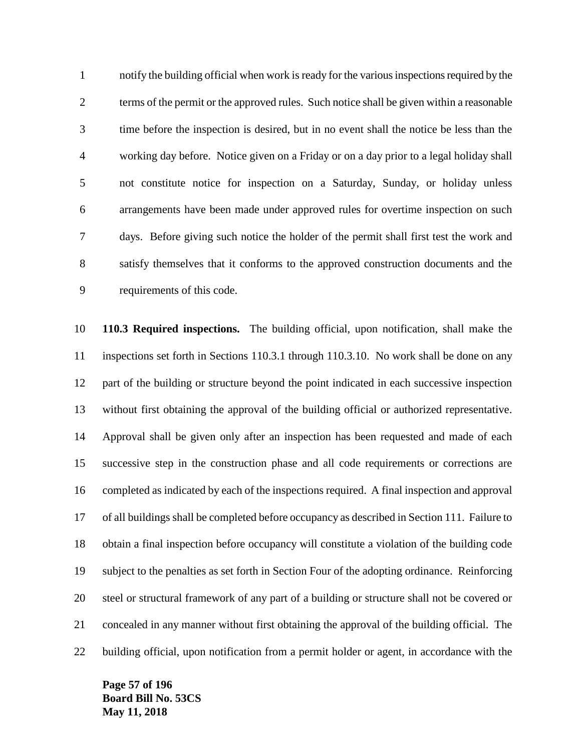notify the building official when work is ready for the various inspections required by the terms of the permit or the approved rules. Such notice shall be given within a reasonable time before the inspection is desired, but in no event shall the notice be less than the working day before. Notice given on a Friday or on a day prior to a legal holiday shall not constitute notice for inspection on a Saturday, Sunday, or holiday unless arrangements have been made under approved rules for overtime inspection on such days. Before giving such notice the holder of the permit shall first test the work and satisfy themselves that it conforms to the approved construction documents and the requirements of this code.

 **110.3 Required inspections.** The building official, upon notification, shall make the inspections set forth in Sections 110.3.1 through 110.3.10. No work shall be done on any part of the building or structure beyond the point indicated in each successive inspection without first obtaining the approval of the building official or authorized representative. Approval shall be given only after an inspection has been requested and made of each successive step in the construction phase and all code requirements or corrections are completed as indicated by each of the inspections required. A final inspection and approval of all buildings shall be completed before occupancy as described in Section 111. Failure to obtain a final inspection before occupancy will constitute a violation of the building code subject to the penalties as set forth in Section Four of the adopting ordinance. Reinforcing steel or structural framework of any part of a building or structure shall not be covered or concealed in any manner without first obtaining the approval of the building official. The building official, upon notification from a permit holder or agent, in accordance with the

**Page 57 of 196 Board Bill No. 53CS May 11, 2018**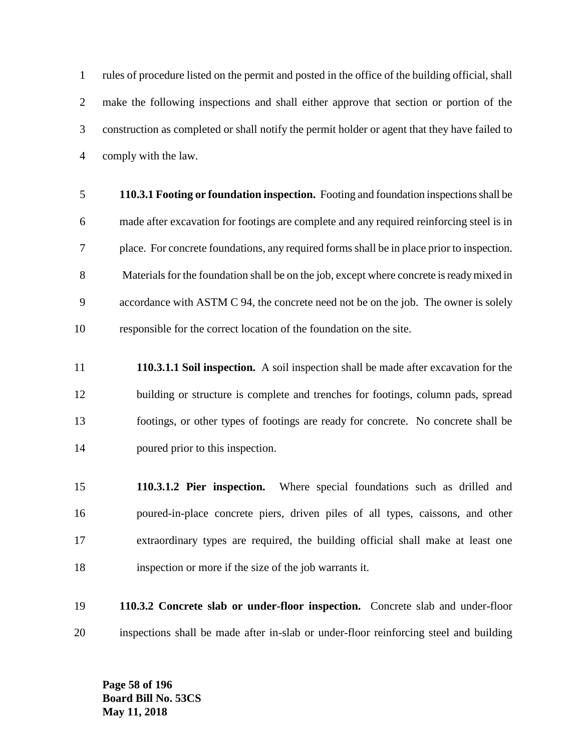rules of procedure listed on the permit and posted in the office of the building official, shall make the following inspections and shall either approve that section or portion of the construction as completed or shall notify the permit holder or agent that they have failed to comply with the law.

- **110.3.1 Footing or foundation inspection.** Footing and foundation inspections shall be made after excavation for footings are complete and any required reinforcing steel is in place. For concrete foundations, any required forms shall be in place prior to inspection. Materials for the foundation shall be on the job, except where concrete is ready mixed in accordance with ASTM C 94, the concrete need not be on the job. The owner is solely responsible for the correct location of the foundation on the site.
- **110.3.1.1 Soil inspection.** A soil inspection shall be made after excavation for the building or structure is complete and trenches for footings, column pads, spread footings, or other types of footings are ready for concrete. No concrete shall be poured prior to this inspection.
- **110.3.1.2 Pier inspection.** Where special foundations such as drilled and poured-in-place concrete piers, driven piles of all types, caissons, and other extraordinary types are required, the building official shall make at least one inspection or more if the size of the job warrants it.
- **110.3.2 Concrete slab or under-floor inspection.** Concrete slab and under-floor inspections shall be made after in-slab or under-floor reinforcing steel and building

**Page 58 of 196 Board Bill No. 53CS May 11, 2018**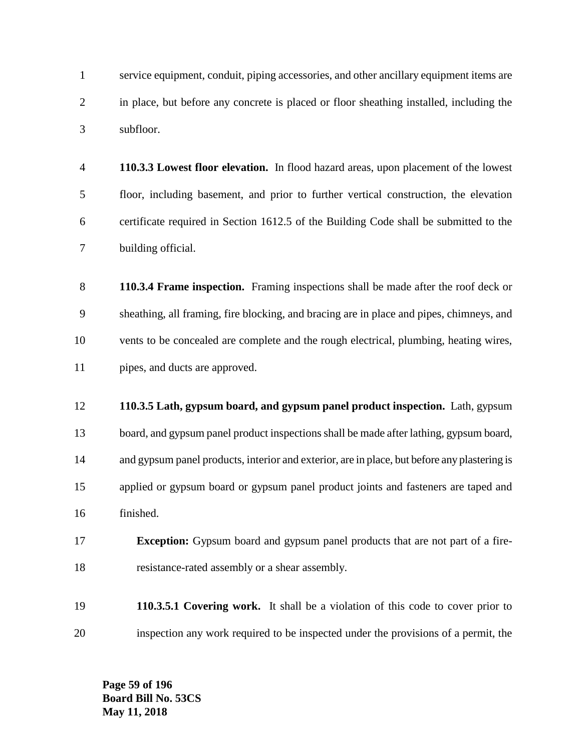service equipment, conduit, piping accessories, and other ancillary equipment items are in place, but before any concrete is placed or floor sheathing installed, including the subfloor.

- **110.3.3 Lowest floor elevation.** In flood hazard areas, upon placement of the lowest floor, including basement, and prior to further vertical construction, the elevation certificate required in Section 1612.5 of the Building Code shall be submitted to the building official.
- **110.3.4 Frame inspection.** Framing inspections shall be made after the roof deck or sheathing, all framing, fire blocking, and bracing are in place and pipes, chimneys, and vents to be concealed are complete and the rough electrical, plumbing, heating wires, pipes, and ducts are approved.
- **110.3.5 Lath, gypsum board, and gypsum panel product inspection.** Lath, gypsum board, and gypsum panel product inspections shall be made after lathing, gypsum board, and gypsum panel products, interior and exterior, are in place, but before any plastering is applied or gypsum board or gypsum panel product joints and fasteners are taped and finished.
- **Exception:** Gypsum board and gypsum panel products that are not part of a fire-resistance-rated assembly or a shear assembly.
- **110.3.5.1 Covering work.** It shall be a violation of this code to cover prior to inspection any work required to be inspected under the provisions of a permit, the

**Page 59 of 196 Board Bill No. 53CS May 11, 2018**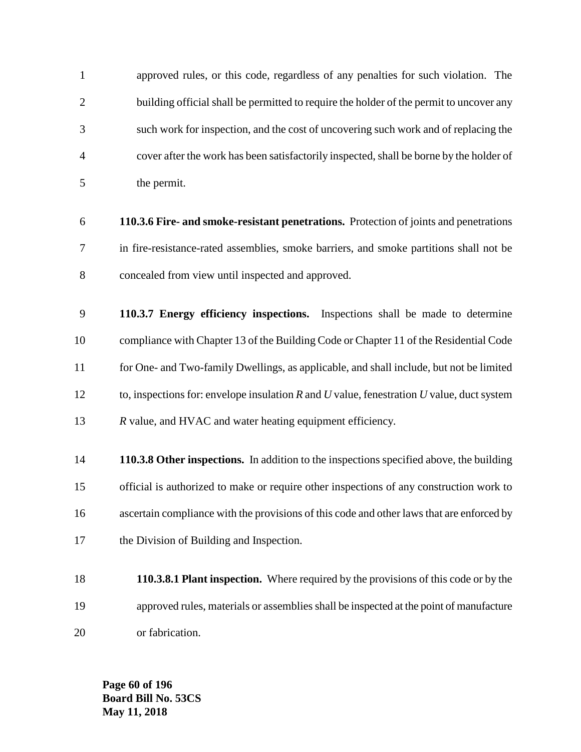approved rules, or this code, regardless of any penalties for such violation. The 2 building official shall be permitted to require the holder of the permit to uncover any such work for inspection, and the cost of uncovering such work and of replacing the cover after the work has been satisfactorily inspected, shall be borne by the holder of the permit.

 **110.3.6 Fire- and smoke-resistant penetrations.** Protection of joints and penetrations in fire-resistance-rated assemblies, smoke barriers, and smoke partitions shall not be concealed from view until inspected and approved.

 **110.3.7 Energy efficiency inspections.** Inspections shall be made to determine compliance with Chapter 13 of the Building Code or Chapter 11 of the Residential Code for One- and Two-family Dwellings, as applicable, and shall include, but not be limited to, inspections for: envelope insulation *R* and *U* value, fenestration *U* value, duct system *R* value, and HVAC and water heating equipment efficiency.

 **110.3.8 Other inspections.** In addition to the inspections specified above, the building official is authorized to make or require other inspections of any construction work to ascertain compliance with the provisions of this code and other laws that are enforced by the Division of Building and Inspection.

 **110.3.8.1 Plant inspection.** Where required by the provisions of this code or by the approved rules, materials or assemblies shall be inspected at the point of manufacture or fabrication.

**Page 60 of 196 Board Bill No. 53CS May 11, 2018**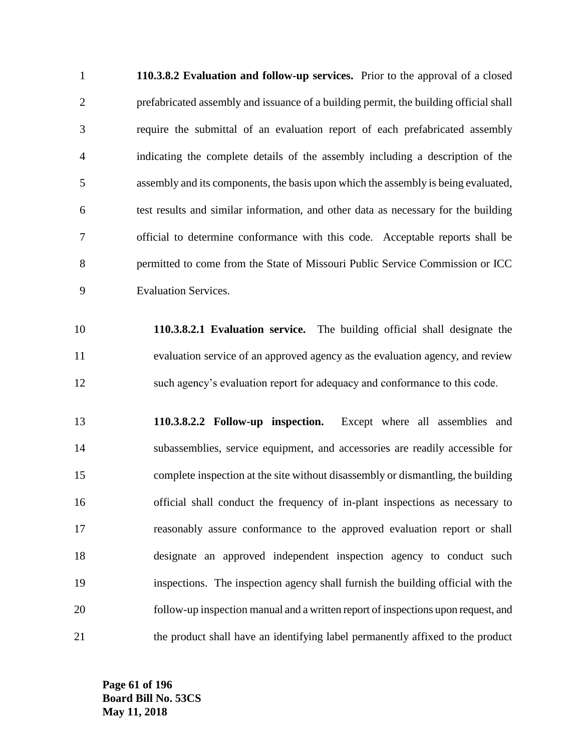**110.3.8.2 Evaluation and follow-up services.** Prior to the approval of a closed prefabricated assembly and issuance of a building permit, the building official shall require the submittal of an evaluation report of each prefabricated assembly indicating the complete details of the assembly including a description of the assembly and its components, the basis upon which the assembly is being evaluated, test results and similar information, and other data as necessary for the building official to determine conformance with this code. Acceptable reports shall be permitted to come from the State of Missouri Public Service Commission or ICC Evaluation Services.

 **110.3.8.2.1 Evaluation service.** The building official shall designate the evaluation service of an approved agency as the evaluation agency, and review such agency's evaluation report for adequacy and conformance to this code.

 **110.3.8.2.2 Follow-up inspection.** Except where all assemblies and subassemblies, service equipment, and accessories are readily accessible for complete inspection at the site without disassembly or dismantling, the building official shall conduct the frequency of in-plant inspections as necessary to reasonably assure conformance to the approved evaluation report or shall designate an approved independent inspection agency to conduct such inspections. The inspection agency shall furnish the building official with the follow-up inspection manual and a written report of inspections upon request, and the product shall have an identifying label permanently affixed to the product

**Page 61 of 196 Board Bill No. 53CS May 11, 2018**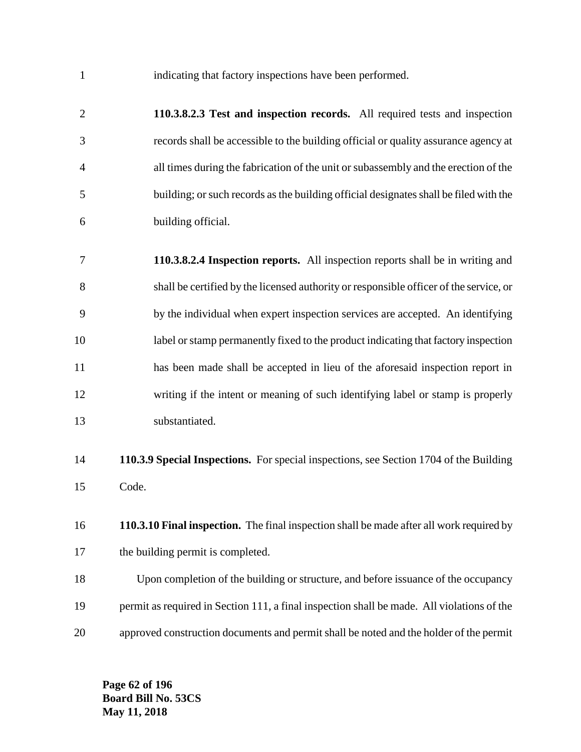indicating that factory inspections have been performed.

 **110.3.8.2.3 Test and inspection records.** All required tests and inspection records shall be accessible to the building official or quality assurance agency at all times during the fabrication of the unit or subassembly and the erection of the building; or such records as the building official designates shall be filed with the building official.

 **110.3.8.2.4 Inspection reports.** All inspection reports shall be in writing and shall be certified by the licensed authority or responsible officer of the service, or by the individual when expert inspection services are accepted. An identifying label or stamp permanently fixed to the product indicating that factory inspection has been made shall be accepted in lieu of the aforesaid inspection report in writing if the intent or meaning of such identifying label or stamp is properly substantiated.

- **110.3.9 Special Inspections.** For special inspections, see Section 1704 of the Building Code.
- **110.3.10 Final inspection.** The final inspection shall be made after all work required by 17 the building permit is completed.

 Upon completion of the building or structure, and before issuance of the occupancy permit as required in Section 111, a final inspection shall be made. All violations of the approved construction documents and permit shall be noted and the holder of the permit

**Page 62 of 196 Board Bill No. 53CS May 11, 2018**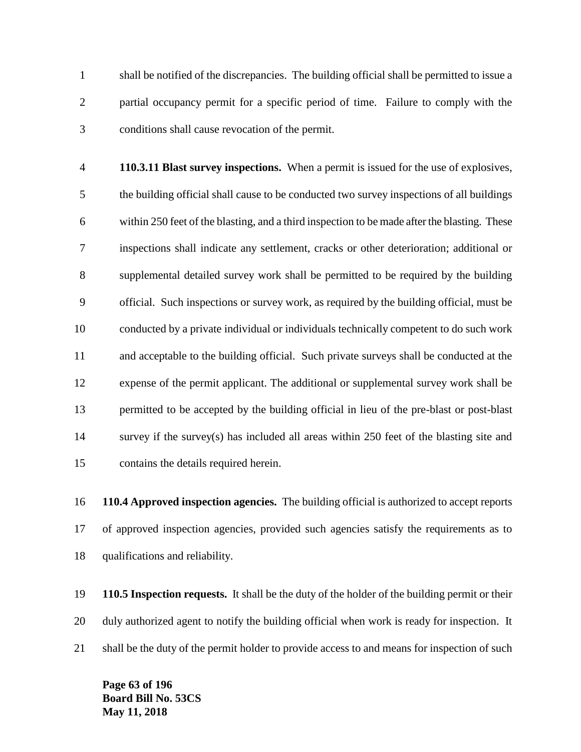shall be notified of the discrepancies. The building official shall be permitted to issue a partial occupancy permit for a specific period of time. Failure to comply with the conditions shall cause revocation of the permit.

 **110.3.11 Blast survey inspections.** When a permit is issued for the use of explosives, the building official shall cause to be conducted two survey inspections of all buildings within 250 feet of the blasting, and a third inspection to be made after the blasting. These inspections shall indicate any settlement, cracks or other deterioration; additional or supplemental detailed survey work shall be permitted to be required by the building official. Such inspections or survey work, as required by the building official, must be conducted by a private individual or individuals technically competent to do such work and acceptable to the building official. Such private surveys shall be conducted at the expense of the permit applicant. The additional or supplemental survey work shall be permitted to be accepted by the building official in lieu of the pre-blast or post-blast survey if the survey(s) has included all areas within 250 feet of the blasting site and contains the details required herein.

 **110.4 Approved inspection agencies.** The building official is authorized to accept reports of approved inspection agencies, provided such agencies satisfy the requirements as to qualifications and reliability.

 **110.5 Inspection requests.** It shall be the duty of the holder of the building permit or their duly authorized agent to notify the building official when work is ready for inspection. It 21 shall be the duty of the permit holder to provide access to and means for inspection of such

**Page 63 of 196 Board Bill No. 53CS May 11, 2018**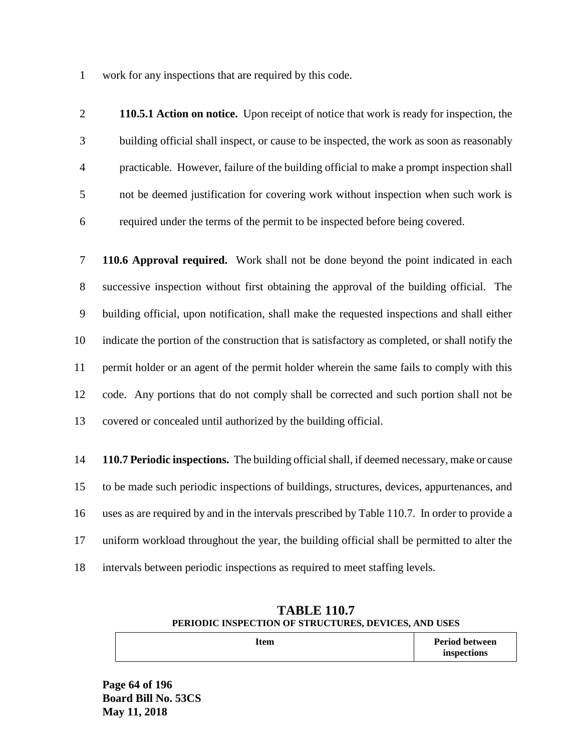work for any inspections that are required by this code.

 **110.5.1 Action on notice.** Upon receipt of notice that work is ready for inspection, the building official shall inspect, or cause to be inspected, the work as soon as reasonably practicable. However, failure of the building official to make a prompt inspection shall not be deemed justification for covering work without inspection when such work is required under the terms of the permit to be inspected before being covered.

 **110.6 Approval required.** Work shall not be done beyond the point indicated in each successive inspection without first obtaining the approval of the building official. The building official, upon notification, shall make the requested inspections and shall either indicate the portion of the construction that is satisfactory as completed, or shall notify the permit holder or an agent of the permit holder wherein the same fails to comply with this code. Any portions that do not comply shall be corrected and such portion shall not be covered or concealed until authorized by the building official.

 **110.7 Periodic inspections.** The building official shall, if deemed necessary, make or cause to be made such periodic inspections of buildings, structures, devices, appurtenances, and uses as are required by and in the intervals prescribed by Table 110.7. In order to provide a uniform workload throughout the year, the building official shall be permitted to alter the intervals between periodic inspections as required to meet staffing levels.

| TABLE 110.7                                          |                       |  |  |
|------------------------------------------------------|-----------------------|--|--|
| PERIODIC INSPECTION OF STRUCTURES, DEVICES, AND USES |                       |  |  |
| Item                                                 | <b>Period between</b> |  |  |

**inspections**

**TABLE 110.7** 

**Page 64 of 196 Board Bill No. 53CS May 11, 2018**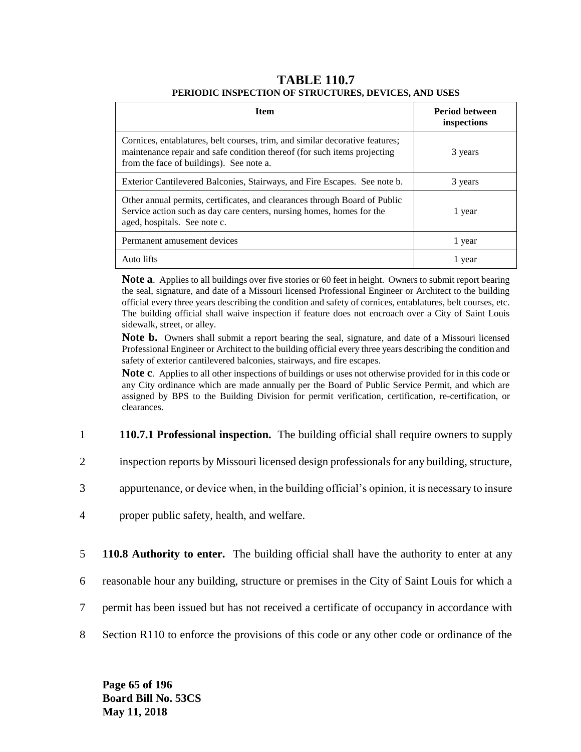#### **TABLE 110.7 PERIODIC INSPECTION OF STRUCTURES, DEVICES, AND USES**

| <b>Item</b>                                                                                                                                                                                          | <b>Period between</b><br>inspections |
|------------------------------------------------------------------------------------------------------------------------------------------------------------------------------------------------------|--------------------------------------|
| Cornices, entablatures, belt courses, trim, and similar decorative features;<br>maintenance repair and safe condition thereof (for such items projecting<br>from the face of buildings). See note a. | 3 years                              |
| Exterior Cantilevered Balconies, Stairways, and Fire Escapes. See note b.                                                                                                                            | 3 years                              |
| Other annual permits, certificates, and clearances through Board of Public<br>Service action such as day care centers, nursing homes, homes for the<br>aged, hospitals. See note c.                  | 1 year                               |
| Permanent amusement devices                                                                                                                                                                          | 1 year                               |
| Auto lifts                                                                                                                                                                                           | l year                               |

**Note a**. Applies to all buildings over five stories or 60 feet in height. Owners to submit report bearing the seal, signature, and date of a Missouri licensed Professional Engineer or Architect to the building official every three years describing the condition and safety of cornices, entablatures, belt courses, etc. The building official shall waive inspection if feature does not encroach over a City of Saint Louis sidewalk, street, or alley.

**Note b.** Owners shall submit a report bearing the seal, signature, and date of a Missouri licensed Professional Engineer or Architect to the building official every three years describing the condition and safety of exterior cantilevered balconies, stairways, and fire escapes.

**Note c**. Applies to all other inspections of buildings or uses not otherwise provided for in this code or any City ordinance which are made annually per the Board of Public Service Permit, and which are assigned by BPS to the Building Division for permit verification, certification, re-certification, or clearances.

- 1 **110.7.1 Professional inspection.** The building official shall require owners to supply
- 2 inspection reports by Missouri licensed design professionals for any building, structure,
- 3 appurtenance, or device when, in the building official's opinion, it is necessary to insure
- 4 proper public safety, health, and welfare.
- 5 **110.8 Authority to enter.** The building official shall have the authority to enter at any
- 6 reasonable hour any building, structure or premises in the City of Saint Louis for which a
- 7 permit has been issued but has not received a certificate of occupancy in accordance with
- 8 Section R110 to enforce the provisions of this code or any other code or ordinance of the

**Page 65 of 196 Board Bill No. 53CS May 11, 2018**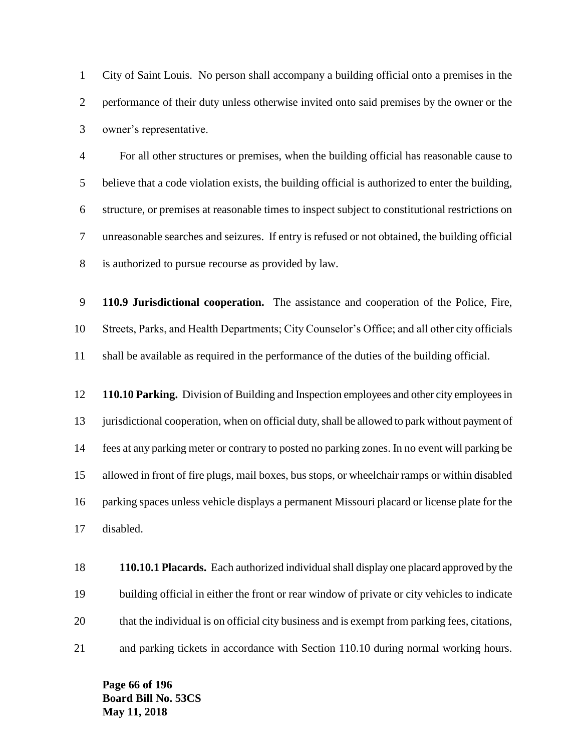City of Saint Louis. No person shall accompany a building official onto a premises in the performance of their duty unless otherwise invited onto said premises by the owner or the owner's representative.

 For all other structures or premises, when the building official has reasonable cause to believe that a code violation exists, the building official is authorized to enter the building, structure, or premises at reasonable times to inspect subject to constitutional restrictions on unreasonable searches and seizures. If entry is refused or not obtained, the building official is authorized to pursue recourse as provided by law.

 **110.9 Jurisdictional cooperation.** The assistance and cooperation of the Police, Fire, Streets, Parks, and Health Departments; City Counselor's Office; and all other city officials shall be available as required in the performance of the duties of the building official.

 **110.10 Parking.** Division of Building and Inspection employees and other city employees in 13 jurisdictional cooperation, when on official duty, shall be allowed to park without payment of fees at any parking meter or contrary to posted no parking zones. In no event will parking be allowed in front of fire plugs, mail boxes, bus stops, or wheelchair ramps or within disabled parking spaces unless vehicle displays a permanent Missouri placard or license plate for the disabled.

 **110.10.1 Placards.** Each authorized individual shall display one placard approved by the building official in either the front or rear window of private or city vehicles to indicate that the individual is on official city business and is exempt from parking fees, citations, and parking tickets in accordance with Section 110.10 during normal working hours.

**Page 66 of 196 Board Bill No. 53CS May 11, 2018**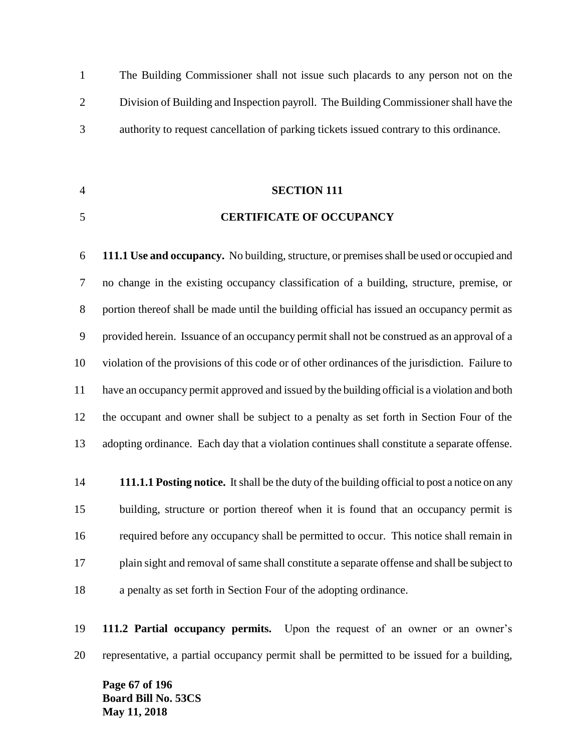The Building Commissioner shall not issue such placards to any person not on the Division of Building and Inspection payroll. The Building Commissioner shall have the authority to request cancellation of parking tickets issued contrary to this ordinance.

# **SECTION 111**

#### **CERTIFICATE OF OCCUPANCY**

 **111.1 Use and occupancy.** No building, structure, or premises shall be used or occupied and no change in the existing occupancy classification of a building, structure, premise, or portion thereof shall be made until the building official has issued an occupancy permit as provided herein. Issuance of an occupancy permit shall not be construed as an approval of a violation of the provisions of this code or of other ordinances of the jurisdiction. Failure to have an occupancy permit approved and issued by the building official is a violation and both the occupant and owner shall be subject to a penalty as set forth in Section Four of the adopting ordinance. Each day that a violation continues shall constitute a separate offense.

 **111.1.1 Posting notice.** It shall be the duty of the building official to post a notice on any building, structure or portion thereof when it is found that an occupancy permit is required before any occupancy shall be permitted to occur. This notice shall remain in plain sight and removal of same shall constitute a separate offense and shall be subject to a penalty as set forth in Section Four of the adopting ordinance.

 **111.2 Partial occupancy permits.** Upon the request of an owner or an owner's representative, a partial occupancy permit shall be permitted to be issued for a building,

**Page 67 of 196 Board Bill No. 53CS May 11, 2018**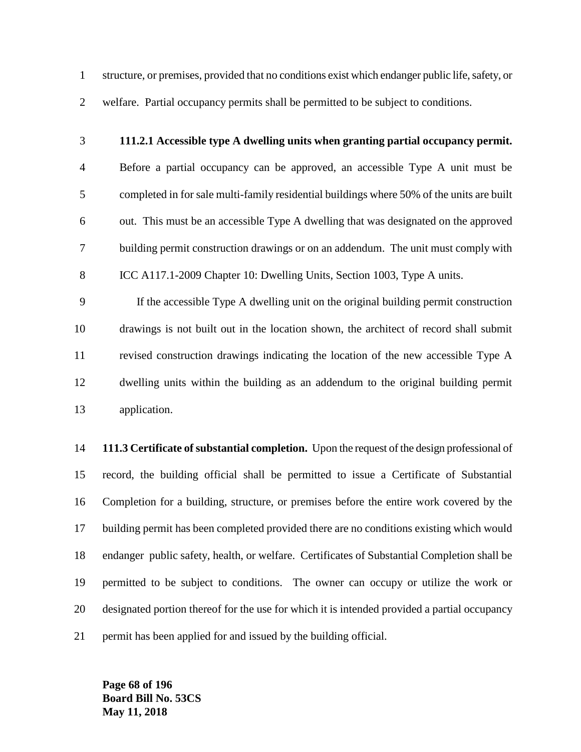structure, or premises, provided that no conditions exist which endanger public life, safety, or welfare. Partial occupancy permits shall be permitted to be subject to conditions.

## **111.2.1 Accessible type A dwelling units when granting partial occupancy permit.**

 Before a partial occupancy can be approved, an accessible Type A unit must be completed in for sale multi-family residential buildings where 50% of the units are built out. This must be an accessible Type A dwelling that was designated on the approved building permit construction drawings or on an addendum. The unit must comply with ICC A117.1-2009 Chapter 10: Dwelling Units, Section 1003, Type A units.

 If the accessible Type A dwelling unit on the original building permit construction drawings is not built out in the location shown, the architect of record shall submit revised construction drawings indicating the location of the new accessible Type A dwelling units within the building as an addendum to the original building permit application.

 **111.3 Certificate of substantial completion.** Upon the request of the design professional of record, the building official shall be permitted to issue a Certificate of Substantial Completion for a building, structure, or premises before the entire work covered by the building permit has been completed provided there are no conditions existing which would endanger public safety, health, or welfare. Certificates of Substantial Completion shall be permitted to be subject to conditions. The owner can occupy or utilize the work or designated portion thereof for the use for which it is intended provided a partial occupancy permit has been applied for and issued by the building official.

**Page 68 of 196 Board Bill No. 53CS May 11, 2018**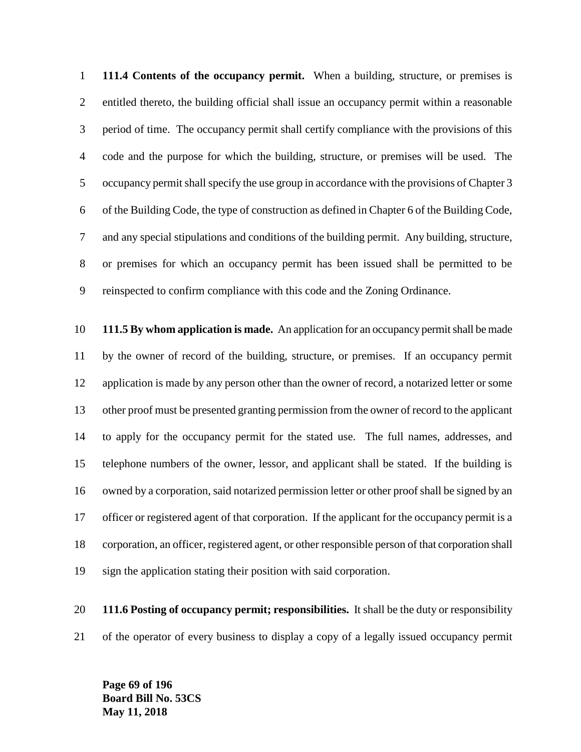**111.4 Contents of the occupancy permit.** When a building, structure, or premises is entitled thereto, the building official shall issue an occupancy permit within a reasonable period of time. The occupancy permit shall certify compliance with the provisions of this code and the purpose for which the building, structure, or premises will be used. The occupancy permit shall specify the use group in accordance with the provisions of Chapter 3 of the Building Code, the type of construction as defined in Chapter 6 of the Building Code, and any special stipulations and conditions of the building permit. Any building, structure, or premises for which an occupancy permit has been issued shall be permitted to be reinspected to confirm compliance with this code and the Zoning Ordinance.

 **111.5 By whom application is made.** An application for an occupancy permit shall be made by the owner of record of the building, structure, or premises. If an occupancy permit application is made by any person other than the owner of record, a notarized letter or some other proof must be presented granting permission from the owner of record to the applicant to apply for the occupancy permit for the stated use. The full names, addresses, and telephone numbers of the owner, lessor, and applicant shall be stated. If the building is owned by a corporation, said notarized permission letter or other proof shall be signed by an officer or registered agent of that corporation. If the applicant for the occupancy permit is a corporation, an officer, registered agent, or other responsible person of that corporation shall sign the application stating their position with said corporation.

 **111.6 Posting of occupancy permit; responsibilities.** It shall be the duty or responsibility of the operator of every business to display a copy of a legally issued occupancy permit

**Page 69 of 196 Board Bill No. 53CS May 11, 2018**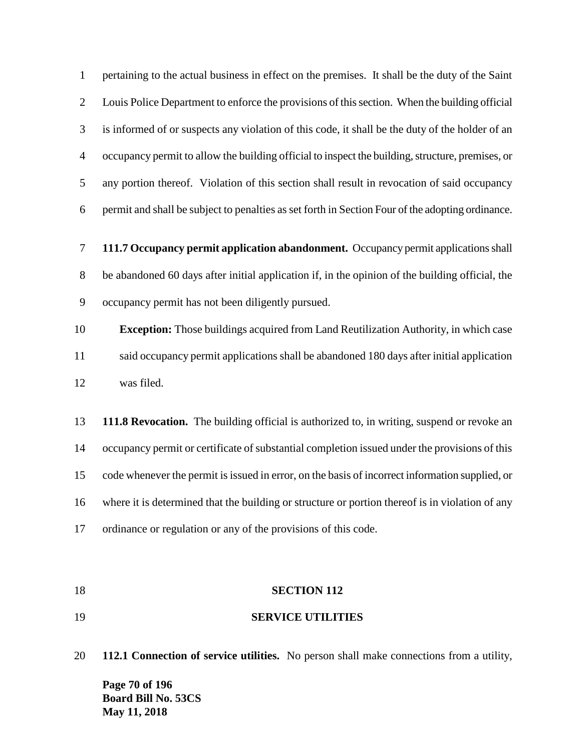pertaining to the actual business in effect on the premises. It shall be the duty of the Saint Louis Police Department to enforce the provisions of this section. When the building official is informed of or suspects any violation of this code, it shall be the duty of the holder of an occupancy permit to allow the building official to inspect the building, structure, premises, or any portion thereof. Violation of this section shall result in revocation of said occupancy permit and shall be subject to penalties as set forth in Section Four of the adopting ordinance.

 **111.7 Occupancy permit application abandonment.** Occupancy permit applications shall be abandoned 60 days after initial application if, in the opinion of the building official, the occupancy permit has not been diligently pursued.

 **Exception:** Those buildings acquired from Land Reutilization Authority, in which case said occupancy permit applications shall be abandoned 180 days after initial application was filed.

 **111.8 Revocation.** The building official is authorized to, in writing, suspend or revoke an occupancy permit or certificate of substantial completion issued under the provisions of this code whenever the permit is issued in error, on the basis of incorrect information supplied, or where it is determined that the building or structure or portion thereof is in violation of any ordinance or regulation or any of the provisions of this code.

#### **SECTION 112**

**SERVICE UTILITIES**

**Page 70 of 196 Board Bill No. 53CS May 11, 2018 112.1 Connection of service utilities.** No person shall make connections from a utility,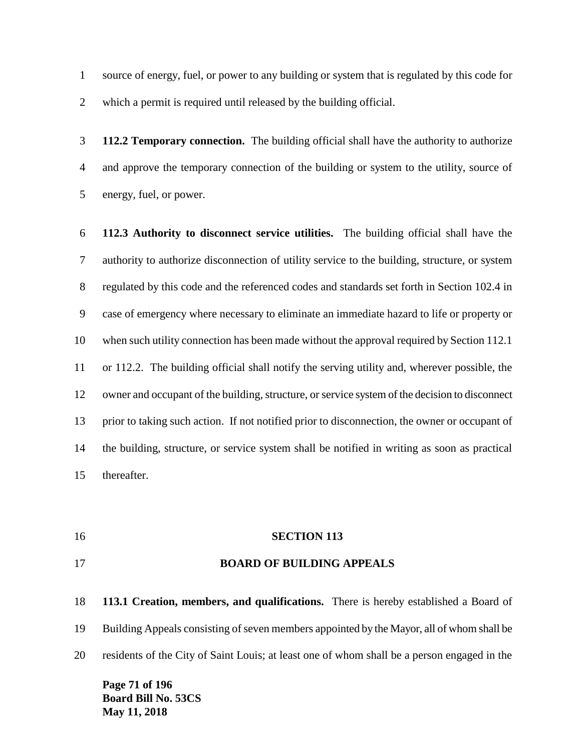source of energy, fuel, or power to any building or system that is regulated by this code for which a permit is required until released by the building official.

 **112.2 Temporary connection.** The building official shall have the authority to authorize and approve the temporary connection of the building or system to the utility, source of energy, fuel, or power.

 **112.3 Authority to disconnect service utilities.** The building official shall have the authority to authorize disconnection of utility service to the building, structure, or system regulated by this code and the referenced codes and standards set forth in Section 102.4 in case of emergency where necessary to eliminate an immediate hazard to life or property or when such utility connection has been made without the approval required by Section 112.1 or 112.2. The building official shall notify the serving utility and, wherever possible, the owner and occupant of the building, structure, or service system of the decision to disconnect prior to taking such action. If not notified prior to disconnection, the owner or occupant of the building, structure, or service system shall be notified in writing as soon as practical thereafter.

**SECTION 113**

#### **BOARD OF BUILDING APPEALS**

 **113.1 Creation, members, and qualifications.** There is hereby established a Board of Building Appeals consisting of seven members appointed by the Mayor, all of whom shall be residents of the City of Saint Louis; at least one of whom shall be a person engaged in the

**Page 71 of 196 Board Bill No. 53CS May 11, 2018**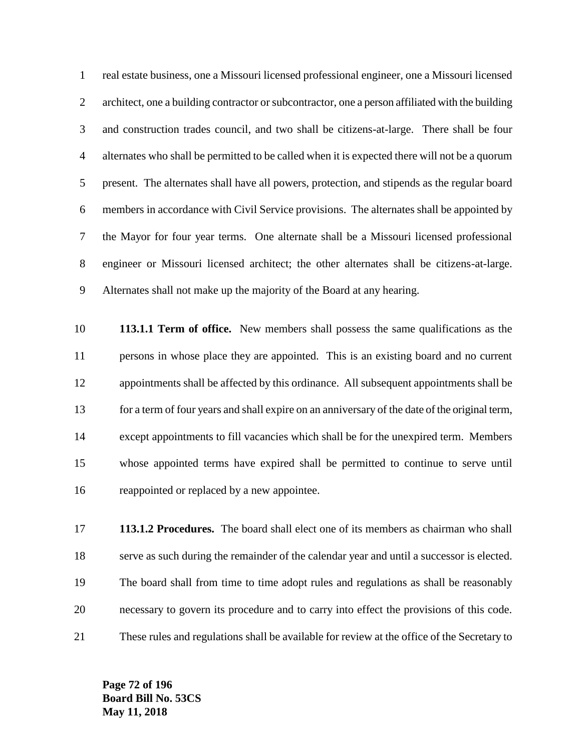real estate business, one a Missouri licensed professional engineer, one a Missouri licensed architect, one a building contractor or subcontractor, one a person affiliated with the building and construction trades council, and two shall be citizens-at-large. There shall be four alternates who shall be permitted to be called when it is expected there will not be a quorum present. The alternates shall have all powers, protection, and stipends as the regular board members in accordance with Civil Service provisions. The alternates shall be appointed by the Mayor for four year terms. One alternate shall be a Missouri licensed professional engineer or Missouri licensed architect; the other alternates shall be citizens-at-large. Alternates shall not make up the majority of the Board at any hearing.

 **113.1.1 Term of office.** New members shall possess the same qualifications as the persons in whose place they are appointed. This is an existing board and no current appointments shall be affected by this ordinance. All subsequent appointments shall be for a term of four years and shall expire on an anniversary of the date of the original term, except appointments to fill vacancies which shall be for the unexpired term. Members whose appointed terms have expired shall be permitted to continue to serve until reappointed or replaced by a new appointee.

 **113.1.2 Procedures.** The board shall elect one of its members as chairman who shall serve as such during the remainder of the calendar year and until a successor is elected. The board shall from time to time adopt rules and regulations as shall be reasonably necessary to govern its procedure and to carry into effect the provisions of this code. These rules and regulations shall be available for review at the office of the Secretary to

**Page 72 of 196 Board Bill No. 53CS May 11, 2018**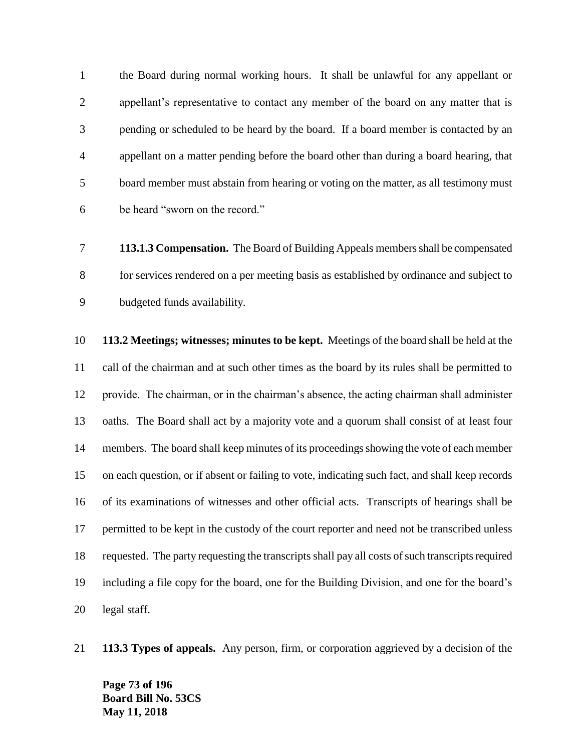the Board during normal working hours. It shall be unlawful for any appellant or appellant's representative to contact any member of the board on any matter that is pending or scheduled to be heard by the board. If a board member is contacted by an appellant on a matter pending before the board other than during a board hearing, that board member must abstain from hearing or voting on the matter, as all testimony must be heard "sworn on the record."

 **113.1.3 Compensation.** The Board of Building Appeals members shall be compensated for services rendered on a per meeting basis as established by ordinance and subject to budgeted funds availability.

 **113.2 Meetings; witnesses; minutes to be kept.** Meetings of the board shall be held at the call of the chairman and at such other times as the board by its rules shall be permitted to provide. The chairman, or in the chairman's absence, the acting chairman shall administer oaths. The Board shall act by a majority vote and a quorum shall consist of at least four members. The board shall keep minutes of its proceedings showing the vote of each member on each question, or if absent or failing to vote, indicating such fact, and shall keep records of its examinations of witnesses and other official acts. Transcripts of hearings shall be permitted to be kept in the custody of the court reporter and need not be transcribed unless requested. The party requesting the transcripts shall pay all costs of such transcripts required including a file copy for the board, one for the Building Division, and one for the board's legal staff.

**113.3 Types of appeals.** Any person, firm, or corporation aggrieved by a decision of the

**Page 73 of 196 Board Bill No. 53CS May 11, 2018**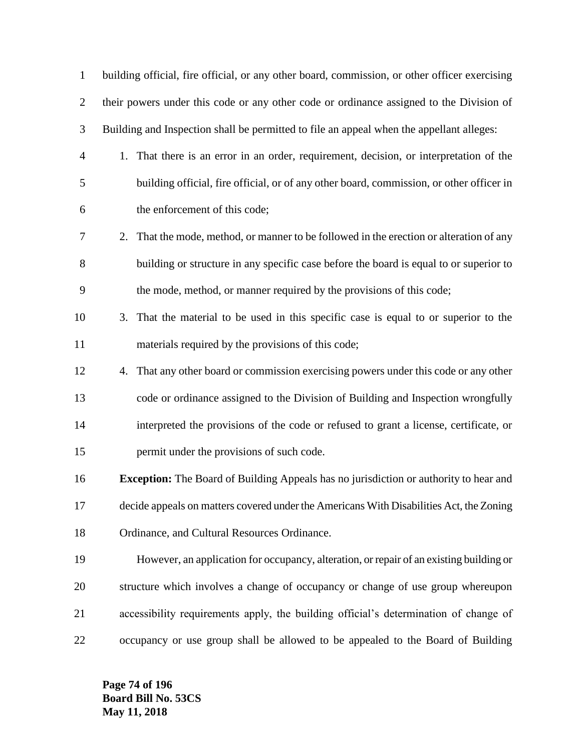| $\mathbf{1}$   | building official, fire official, or any other board, commission, or other officer exercising |
|----------------|-----------------------------------------------------------------------------------------------|
| $\overline{2}$ | their powers under this code or any other code or ordinance assigned to the Division of       |
| 3              | Building and Inspection shall be permitted to file an appeal when the appellant alleges:      |
| $\overline{4}$ | 1. That there is an error in an order, requirement, decision, or interpretation of the        |
| 5              | building official, fire official, or of any other board, commission, or other officer in      |
| 6              | the enforcement of this code;                                                                 |
| 7              | 2. That the mode, method, or manner to be followed in the erection or alteration of any       |
| 8              | building or structure in any specific case before the board is equal to or superior to        |
| 9              | the mode, method, or manner required by the provisions of this code;                          |
| 10             | That the material to be used in this specific case is equal to or superior to the<br>3.       |
| 11             | materials required by the provisions of this code;                                            |
| 12             | That any other board or commission exercising powers under this code or any other<br>4.       |
| 13             | code or ordinance assigned to the Division of Building and Inspection wrongfully              |
| 14             | interpreted the provisions of the code or refused to grant a license, certificate, or         |
| 15             | permit under the provisions of such code.                                                     |
| 16             | <b>Exception:</b> The Board of Building Appeals has no jurisdiction or authority to hear and  |
| 17             | decide appeals on matters covered under the Americans With Disabilities Act, the Zoning       |
| 18             | Ordinance, and Cultural Resources Ordinance.                                                  |
| 19             | However, an application for occupancy, alteration, or repair of an existing building or       |
| 20             | structure which involves a change of occupancy or change of use group whereupon               |
| 21             | accessibility requirements apply, the building official's determination of change of          |
| 22             | occupancy or use group shall be allowed to be appealed to the Board of Building               |

**Page 74 of 196 Board Bill No. 53CS May 11, 2018**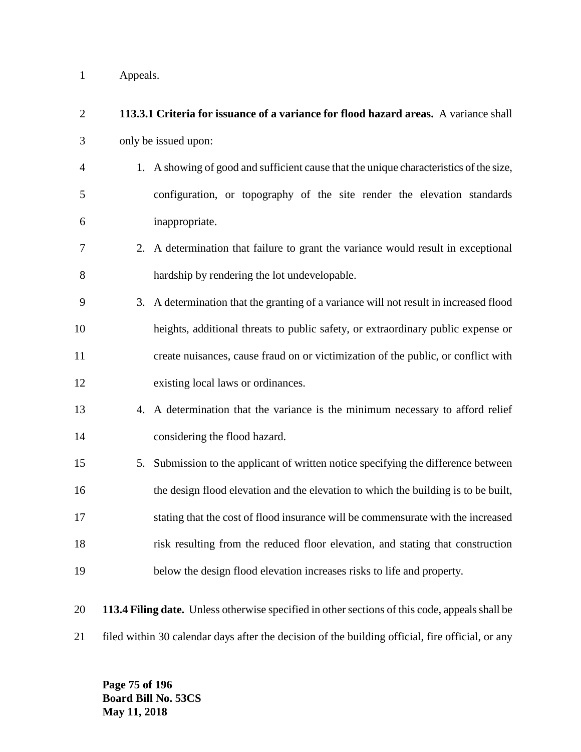Appeals.

| $\overline{2}$ | 113.3.1 Criteria for issuance of a variance for flood hazard areas. A variance shall             |
|----------------|--------------------------------------------------------------------------------------------------|
| 3              | only be issued upon:                                                                             |
| $\overline{4}$ | 1. A showing of good and sufficient cause that the unique characteristics of the size,           |
| 5              | configuration, or topography of the site render the elevation standards                          |
| 6              | inappropriate.                                                                                   |
| 7              | 2. A determination that failure to grant the variance would result in exceptional                |
| 8              | hardship by rendering the lot undevelopable.                                                     |
| 9              | 3. A determination that the granting of a variance will not result in increased flood            |
| 10             | heights, additional threats to public safety, or extraordinary public expense or                 |
| 11             | create nuisances, cause fraud on or victimization of the public, or conflict with                |
| 12             | existing local laws or ordinances.                                                               |
| 13             | 4. A determination that the variance is the minimum necessary to afford relief                   |
| 14             | considering the flood hazard.                                                                    |
| 15             | 5. Submission to the applicant of written notice specifying the difference between               |
| 16             | the design flood elevation and the elevation to which the building is to be built,               |
| 17             | stating that the cost of flood insurance will be commensurate with the increased                 |
| 18             | risk resulting from the reduced floor elevation, and stating that construction                   |
| 19             | below the design flood elevation increases risks to life and property.                           |
| 20             | 113.4 Filing date. Unless otherwise specified in other sections of this code, appeals shall be   |
| 21             | filed within 30 calendar days after the decision of the building official, fire official, or any |

**Page 75 of 196 Board Bill No. 53CS May 11, 2018**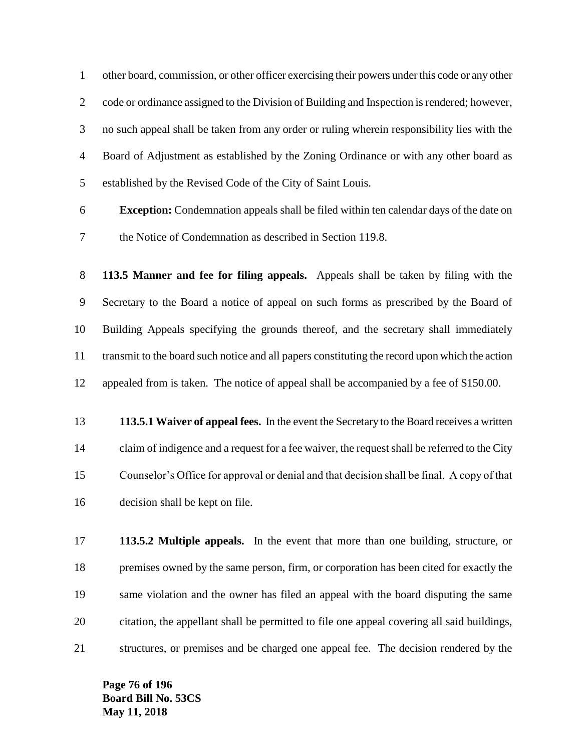other board, commission, or other officer exercising their powers under this code or any other code or ordinance assigned to the Division of Building and Inspection is rendered; however, no such appeal shall be taken from any order or ruling wherein responsibility lies with the Board of Adjustment as established by the Zoning Ordinance or with any other board as established by the Revised Code of the City of Saint Louis.

 **Exception:** Condemnation appeals shall be filed within ten calendar days of the date on the Notice of Condemnation as described in Section 119.8.

 **113.5 Manner and fee for filing appeals.** Appeals shall be taken by filing with the Secretary to the Board a notice of appeal on such forms as prescribed by the Board of Building Appeals specifying the grounds thereof, and the secretary shall immediately transmit to the board such notice and all papers constituting the record upon which the action appealed from is taken. The notice of appeal shall be accompanied by a fee of \$150.00.

 **113.5.1 Waiver of appeal fees.** In the event the Secretary to the Board receives a written claim of indigence and a request for a fee waiver, the request shall be referred to the City Counselor's Office for approval or denial and that decision shall be final. A copy of that decision shall be kept on file.

 **113.5.2 Multiple appeals.** In the event that more than one building, structure, or premises owned by the same person, firm, or corporation has been cited for exactly the same violation and the owner has filed an appeal with the board disputing the same citation, the appellant shall be permitted to file one appeal covering all said buildings, structures, or premises and be charged one appeal fee. The decision rendered by the

**Page 76 of 196 Board Bill No. 53CS May 11, 2018**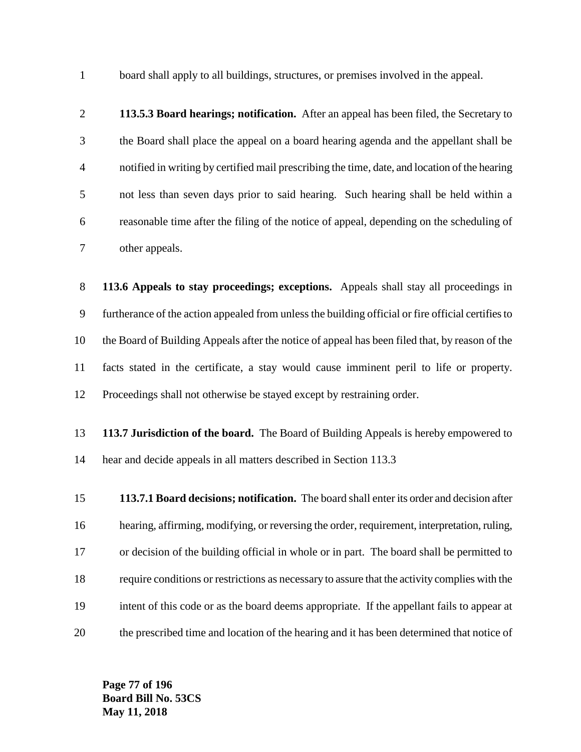board shall apply to all buildings, structures, or premises involved in the appeal.

 **113.5.3 Board hearings; notification.** After an appeal has been filed, the Secretary to the Board shall place the appeal on a board hearing agenda and the appellant shall be notified in writing by certified mail prescribing the time, date, and location of the hearing not less than seven days prior to said hearing. Such hearing shall be held within a reasonable time after the filing of the notice of appeal, depending on the scheduling of other appeals.

 **113.6 Appeals to stay proceedings; exceptions.** Appeals shall stay all proceedings in furtherance of the action appealed from unless the building official or fire official certifies to the Board of Building Appeals after the notice of appeal has been filed that, by reason of the facts stated in the certificate, a stay would cause imminent peril to life or property. Proceedings shall not otherwise be stayed except by restraining order.

- **113.7 Jurisdiction of the board.** The Board of Building Appeals is hereby empowered to hear and decide appeals in all matters described in Section 113.3
- **113.7.1 Board decisions; notification.** The board shall enter its order and decision after hearing, affirming, modifying, or reversing the order, requirement, interpretation, ruling, or decision of the building official in whole or in part. The board shall be permitted to require conditions or restrictions as necessary to assure that the activity complies with the intent of this code or as the board deems appropriate. If the appellant fails to appear at the prescribed time and location of the hearing and it has been determined that notice of

**Page 77 of 196 Board Bill No. 53CS May 11, 2018**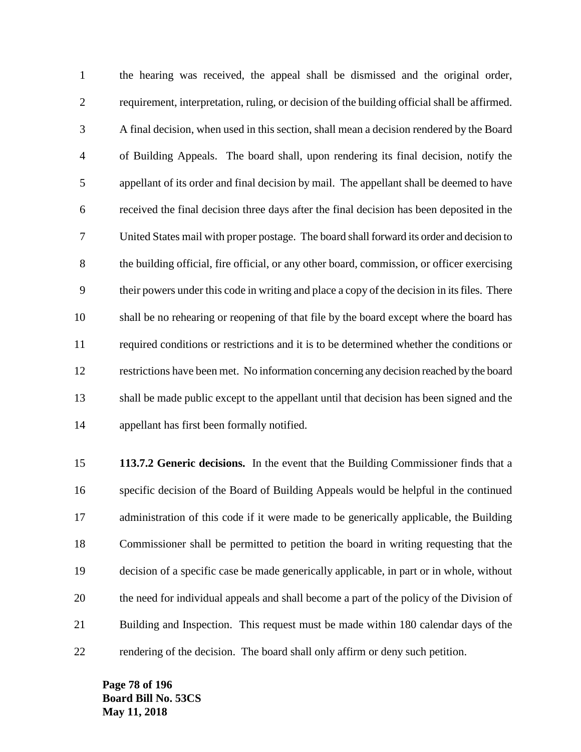the hearing was received, the appeal shall be dismissed and the original order, requirement, interpretation, ruling, or decision of the building official shall be affirmed. A final decision, when used in this section, shall mean a decision rendered by the Board of Building Appeals. The board shall, upon rendering its final decision, notify the appellant of its order and final decision by mail. The appellant shall be deemed to have received the final decision three days after the final decision has been deposited in the United States mail with proper postage. The board shall forward its order and decision to the building official, fire official, or any other board, commission, or officer exercising their powers under this code in writing and place a copy of the decision in its files. There shall be no rehearing or reopening of that file by the board except where the board has required conditions or restrictions and it is to be determined whether the conditions or restrictions have been met. No information concerning any decision reached by the board shall be made public except to the appellant until that decision has been signed and the appellant has first been formally notified.

 **113.7.2 Generic decisions.** In the event that the Building Commissioner finds that a specific decision of the Board of Building Appeals would be helpful in the continued administration of this code if it were made to be generically applicable, the Building Commissioner shall be permitted to petition the board in writing requesting that the decision of a specific case be made generically applicable, in part or in whole, without the need for individual appeals and shall become a part of the policy of the Division of Building and Inspection. This request must be made within 180 calendar days of the rendering of the decision. The board shall only affirm or deny such petition.

**Page 78 of 196 Board Bill No. 53CS May 11, 2018**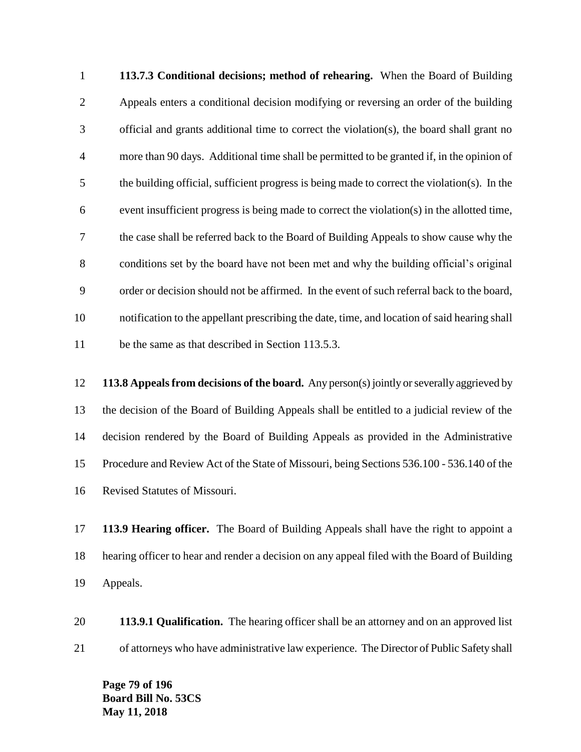**113.7.3 Conditional decisions; method of rehearing.** When the Board of Building Appeals enters a conditional decision modifying or reversing an order of the building official and grants additional time to correct the violation(s), the board shall grant no more than 90 days. Additional time shall be permitted to be granted if, in the opinion of the building official, sufficient progress is being made to correct the violation(s). In the event insufficient progress is being made to correct the violation(s) in the allotted time, the case shall be referred back to the Board of Building Appeals to show cause why the conditions set by the board have not been met and why the building official's original order or decision should not be affirmed. In the event of such referral back to the board, notification to the appellant prescribing the date, time, and location of said hearing shall be the same as that described in Section 113.5.3.

 **113.8 Appeals from decisions of the board.** Any person(s) jointly or severally aggrieved by the decision of the Board of Building Appeals shall be entitled to a judicial review of the decision rendered by the Board of Building Appeals as provided in the Administrative Procedure and Review Act of the State of Missouri, being Sections 536.100 - 536.140 of the Revised Statutes of Missouri.

 **113.9 Hearing officer.** The Board of Building Appeals shall have the right to appoint a hearing officer to hear and render a decision on any appeal filed with the Board of Building Appeals.

 **113.9.1 Qualification.** The hearing officer shall be an attorney and on an approved list of attorneys who have administrative law experience. The Director of Public Safety shall

**Page 79 of 196 Board Bill No. 53CS May 11, 2018**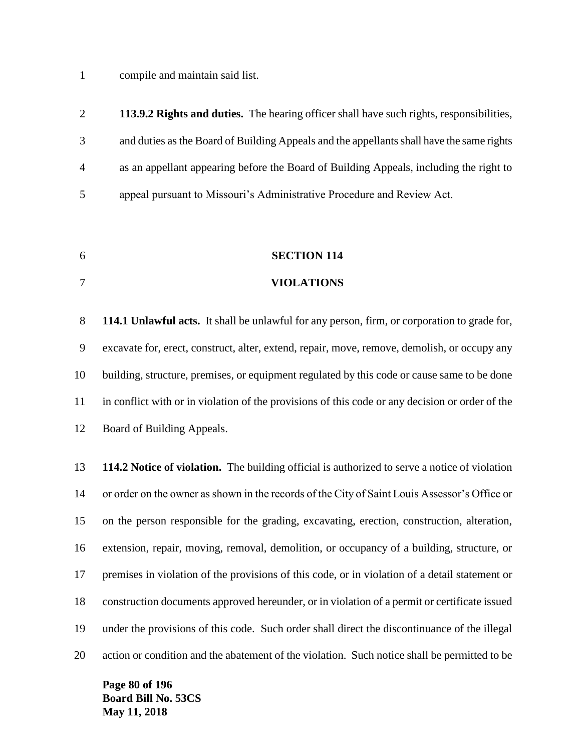compile and maintain said list.

| 2              | 113.9.2 Rights and duties. The hearing officer shall have such rights, responsibilities,  |
|----------------|-------------------------------------------------------------------------------------------|
| 3              | and duties as the Board of Building Appeals and the appellants shall have the same rights |
| $\overline{4}$ | as an appellant appearing before the Board of Building Appeals, including the right to    |
| 5 <sup>5</sup> | appeal pursuant to Missouri's Administrative Procedure and Review Act.                    |

- **SECTION 114**
- **VIOLATIONS**

 **114.1 Unlawful acts.** It shall be unlawful for any person, firm, or corporation to grade for, excavate for, erect, construct, alter, extend, repair, move, remove, demolish, or occupy any building, structure, premises, or equipment regulated by this code or cause same to be done in conflict with or in violation of the provisions of this code or any decision or order of the Board of Building Appeals.

 **114.2 Notice of violation.** The building official is authorized to serve a notice of violation or order on the owner as shown in the records of the City of Saint Louis Assessor's Office or on the person responsible for the grading, excavating, erection, construction, alteration, extension, repair, moving, removal, demolition, or occupancy of a building, structure, or premises in violation of the provisions of this code, or in violation of a detail statement or construction documents approved hereunder, or in violation of a permit or certificate issued under the provisions of this code. Such order shall direct the discontinuance of the illegal action or condition and the abatement of the violation. Such notice shall be permitted to be

**Page 80 of 196 Board Bill No. 53CS May 11, 2018**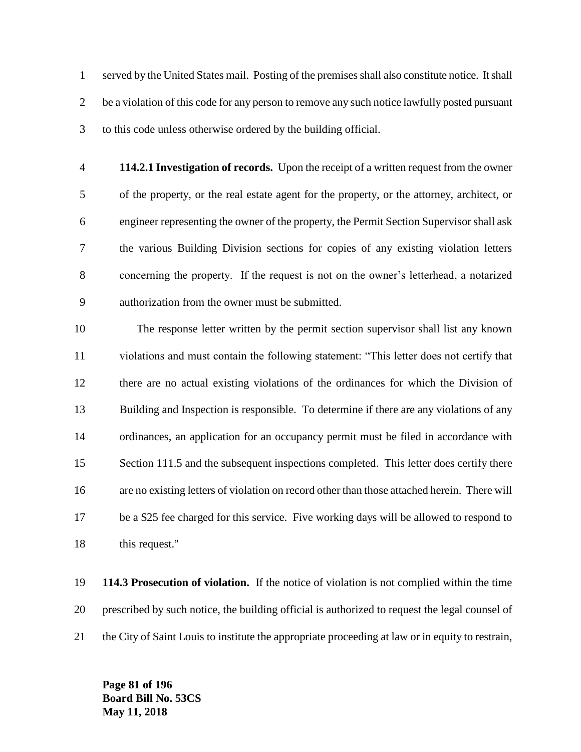served by the United States mail. Posting of the premises shall also constitute notice. It shall 2 be a violation of this code for any person to remove any such notice lawfully posted pursuant to this code unless otherwise ordered by the building official.

 **114.2.1 Investigation of records.** Upon the receipt of a written request from the owner of the property, or the real estate agent for the property, or the attorney, architect, or engineer representing the owner of the property, the Permit Section Supervisor shall ask the various Building Division sections for copies of any existing violation letters concerning the property. If the request is not on the owner's letterhead, a notarized authorization from the owner must be submitted.

 The response letter written by the permit section supervisor shall list any known violations and must contain the following statement: "This letter does not certify that there are no actual existing violations of the ordinances for which the Division of Building and Inspection is responsible. To determine if there are any violations of any ordinances, an application for an occupancy permit must be filed in accordance with 15 Section 111.5 and the subsequent inspections completed. This letter does certify there are no existing letters of violation on record other than those attached herein. There will be a \$25 fee charged for this service. Five working days will be allowed to respond to 18 this request."

 **114.3 Prosecution of violation.** If the notice of violation is not complied within the time prescribed by such notice, the building official is authorized to request the legal counsel of the City of Saint Louis to institute the appropriate proceeding at law or in equity to restrain,

**Page 81 of 196 Board Bill No. 53CS May 11, 2018**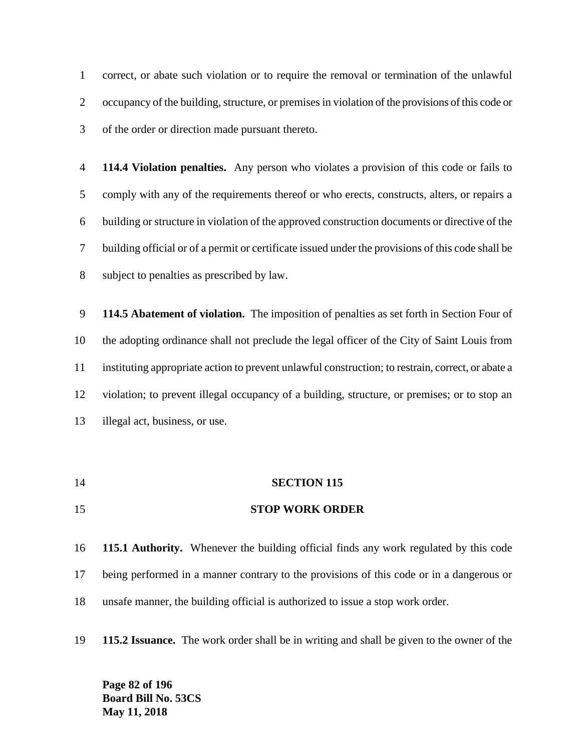correct, or abate such violation or to require the removal or termination of the unlawful occupancy of the building, structure, or premises in violation of the provisions of this code or of the order or direction made pursuant thereto.

 **114.4 Violation penalties.** Any person who violates a provision of this code or fails to comply with any of the requirements thereof or who erects, constructs, alters, or repairs a building or structure in violation of the approved construction documents or directive of the building official or of a permit or certificate issued under the provisions of this code shall be subject to penalties as prescribed by law.

 **114.5 Abatement of violation.** The imposition of penalties as set forth in Section Four of the adopting ordinance shall not preclude the legal officer of the City of Saint Louis from instituting appropriate action to prevent unlawful construction; to restrain, correct, or abate a violation; to prevent illegal occupancy of a building, structure, or premises; or to stop an illegal act, business, or use.

 **SECTION 115 STOP WORK ORDER**

 **115.1 Authority.** Whenever the building official finds any work regulated by this code being performed in a manner contrary to the provisions of this code or in a dangerous or unsafe manner, the building official is authorized to issue a stop work order.

**115.2 Issuance.** The work order shall be in writing and shall be given to the owner of the

**Page 82 of 196 Board Bill No. 53CS May 11, 2018**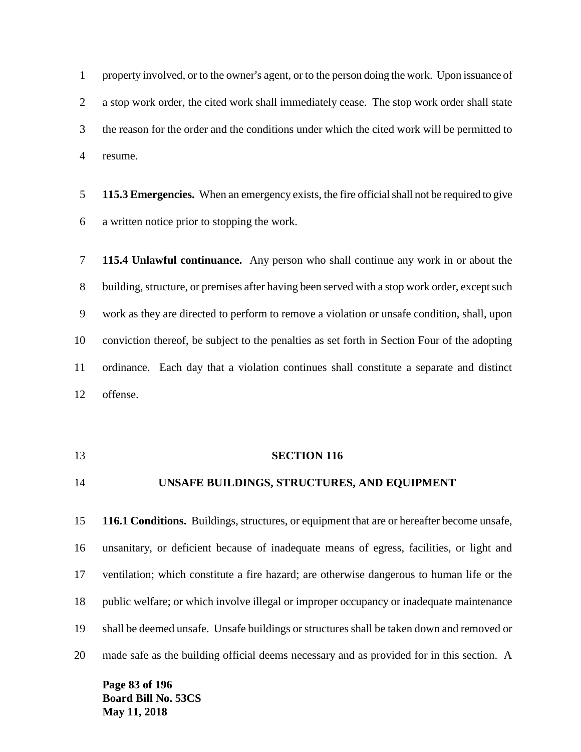1 property involved, or to the owner's agent, or to the person doing the work. Upon issuance of a stop work order, the cited work shall immediately cease. The stop work order shall state the reason for the order and the conditions under which the cited work will be permitted to resume.

 **115.3 Emergencies.** When an emergency exists, the fire official shall not be required to give a written notice prior to stopping the work.

 **115.4 Unlawful continuance.** Any person who shall continue any work in or about the building, structure, or premises after having been served with a stop work order, except such work as they are directed to perform to remove a violation or unsafe condition, shall, upon conviction thereof, be subject to the penalties as set forth in Section Four of the adopting ordinance. Each day that a violation continues shall constitute a separate and distinct offense.

### **SECTION 116**

# **UNSAFE BUILDINGS, STRUCTURES, AND EQUIPMENT**

 **116.1 Conditions.** Buildings, structures, or equipment that are or hereafter become unsafe, unsanitary, or deficient because of inadequate means of egress, facilities, or light and ventilation; which constitute a fire hazard; are otherwise dangerous to human life or the public welfare; or which involve illegal or improper occupancy or inadequate maintenance shall be deemed unsafe. Unsafe buildings or structures shall be taken down and removed or made safe as the building official deems necessary and as provided for in this section. A

**Page 83 of 196 Board Bill No. 53CS May 11, 2018**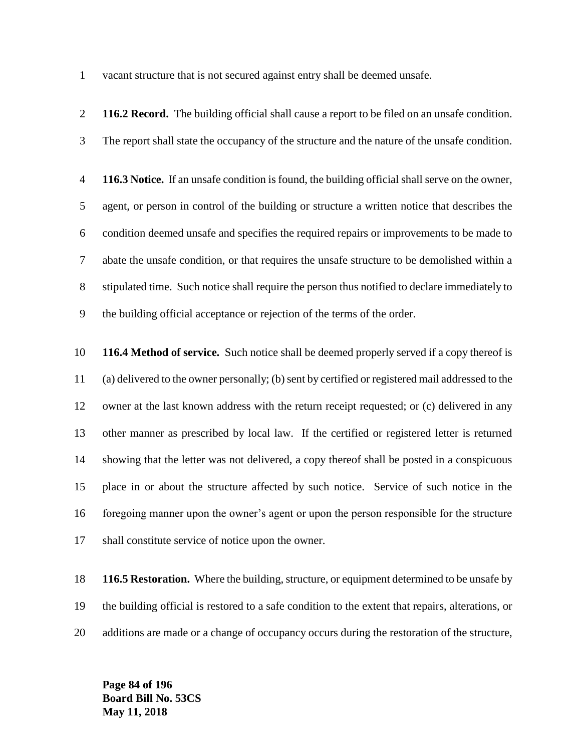vacant structure that is not secured against entry shall be deemed unsafe.

 **116.2 Record.** The building official shall cause a report to be filed on an unsafe condition. The report shall state the occupancy of the structure and the nature of the unsafe condition. **116.3 Notice.** If an unsafe condition is found, the building official shall serve on the owner, agent, or person in control of the building or structure a written notice that describes the condition deemed unsafe and specifies the required repairs or improvements to be made to abate the unsafe condition, or that requires the unsafe structure to be demolished within a stipulated time. Such notice shall require the person thus notified to declare immediately to the building official acceptance or rejection of the terms of the order. **116.4 Method of service.** Such notice shall be deemed properly served if a copy thereof is (a) delivered to the owner personally; (b) sent by certified or registered mail addressed to the owner at the last known address with the return receipt requested; or (c) delivered in any other manner as prescribed by local law. If the certified or registered letter is returned showing that the letter was not delivered, a copy thereof shall be posted in a conspicuous place in or about the structure affected by such notice. Service of such notice in the foregoing manner upon the owner's agent or upon the person responsible for the structure shall constitute service of notice upon the owner.

 **116.5 Restoration.** Where the building, structure, or equipment determined to be unsafe by the building official is restored to a safe condition to the extent that repairs, alterations, or additions are made or a change of occupancy occurs during the restoration of the structure,

**Page 84 of 196 Board Bill No. 53CS May 11, 2018**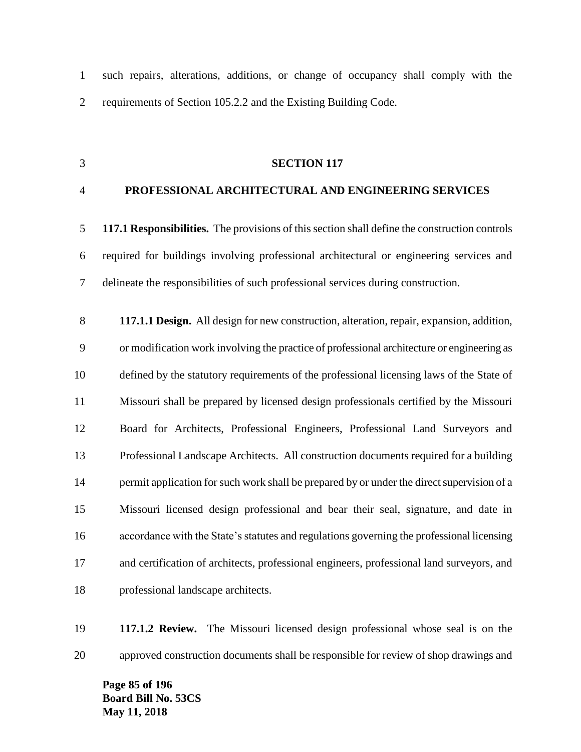such repairs, alterations, additions, or change of occupancy shall comply with the requirements of Section 105.2.2 and the Existing Building Code.

## **SECTION 117**

## **PROFESSIONAL ARCHITECTURAL AND ENGINEERING SERVICES**

 **117.1 Responsibilities.** The provisions of this section shall define the construction controls required for buildings involving professional architectural or engineering services and delineate the responsibilities of such professional services during construction.

 **117.1.1 Design.** All design for new construction, alteration, repair, expansion, addition, or modification work involving the practice of professional architecture or engineering as defined by the statutory requirements of the professional licensing laws of the State of Missouri shall be prepared by licensed design professionals certified by the Missouri Board for Architects, Professional Engineers, Professional Land Surveyors and Professional Landscape Architects. All construction documents required for a building 14 permit application for such work shall be prepared by or under the direct supervision of a Missouri licensed design professional and bear their seal, signature, and date in accordance with the State's statutes and regulations governing the professional licensing and certification of architects, professional engineers, professional land surveyors, and professional landscape architects.

 **117.1.2 Review.** The Missouri licensed design professional whose seal is on the approved construction documents shall be responsible for review of shop drawings and

**Page 85 of 196 Board Bill No. 53CS May 11, 2018**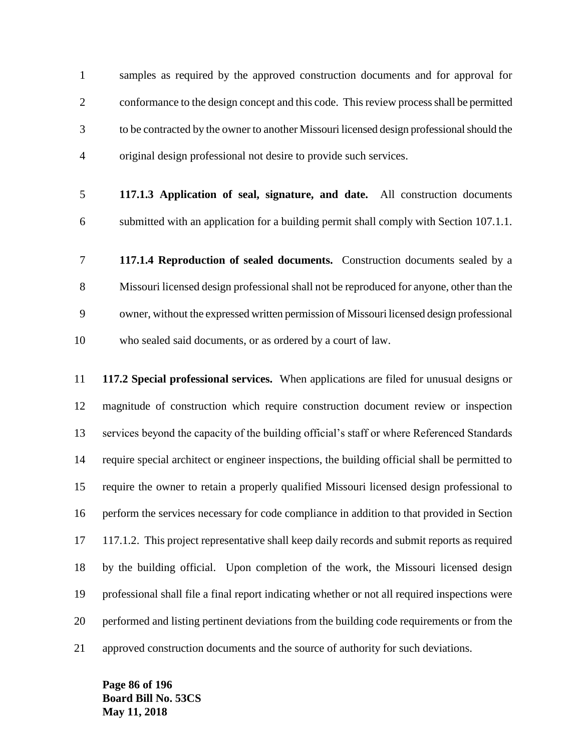samples as required by the approved construction documents and for approval for conformance to the design concept and this code. This review process shall be permitted to be contracted by the owner to another Missouri licensed design professional should the original design professional not desire to provide such services.

- **117.1.3 Application of seal, signature, and date.** All construction documents submitted with an application for a building permit shall comply with Section 107.1.1.
- **117.1.4 Reproduction of sealed documents.** Construction documents sealed by a Missouri licensed design professional shall not be reproduced for anyone, other than the owner, without the expressed written permission of Missouri licensed design professional who sealed said documents, or as ordered by a court of law.

 **117.2 Special professional services.** When applications are filed for unusual designs or magnitude of construction which require construction document review or inspection services beyond the capacity of the building official's staff or where Referenced Standards require special architect or engineer inspections, the building official shall be permitted to require the owner to retain a properly qualified Missouri licensed design professional to perform the services necessary for code compliance in addition to that provided in Section 117.1.2. This project representative shall keep daily records and submit reports as required by the building official. Upon completion of the work, the Missouri licensed design professional shall file a final report indicating whether or not all required inspections were performed and listing pertinent deviations from the building code requirements or from the approved construction documents and the source of authority for such deviations.

**Page 86 of 196 Board Bill No. 53CS May 11, 2018**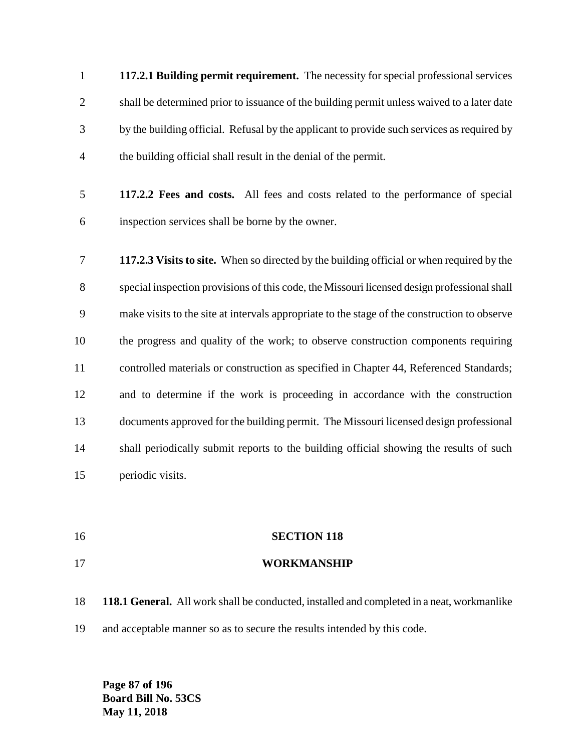**117.2.1 Building permit requirement.** The necessity for special professional services shall be determined prior to issuance of the building permit unless waived to a later date by the building official. Refusal by the applicant to provide such services as required by the building official shall result in the denial of the permit.

- **117.2.2 Fees and costs.** All fees and costs related to the performance of special inspection services shall be borne by the owner.
- **117.2.3 Visits to site.** When so directed by the building official or when required by the special inspection provisions of this code, the Missouri licensed design professional shall make visits to the site at intervals appropriate to the stage of the construction to observe the progress and quality of the work; to observe construction components requiring controlled materials or construction as specified in Chapter 44, Referenced Standards; and to determine if the work is proceeding in accordance with the construction documents approved for the building permit. The Missouri licensed design professional 14 shall periodically submit reports to the building official showing the results of such periodic visits.
- **SECTION 118**
- **WORKMANSHIP**
- **118.1 General.** All work shall be conducted, installed and completed in a neat, workmanlike and acceptable manner so as to secure the results intended by this code.

**Page 87 of 196 Board Bill No. 53CS May 11, 2018**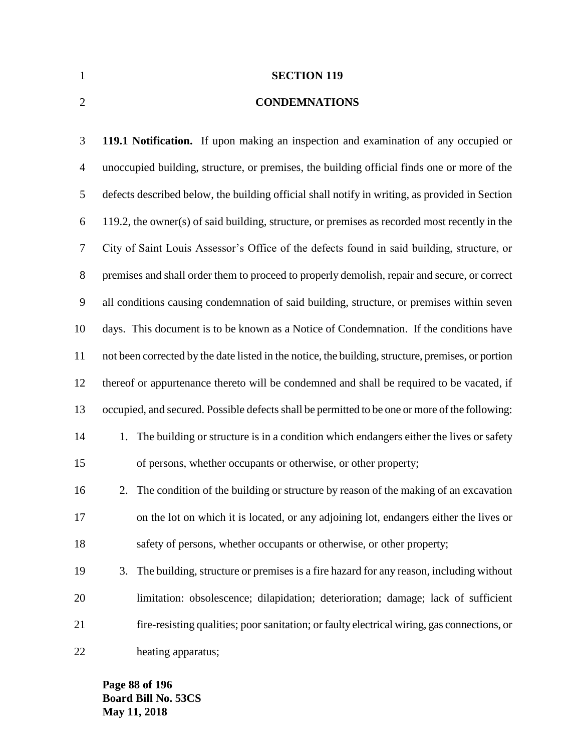**SECTION 119**

## **CONDEMNATIONS**

 **119.1 Notification.** If upon making an inspection and examination of any occupied or unoccupied building, structure, or premises, the building official finds one or more of the defects described below, the building official shall notify in writing, as provided in Section 119.2, the owner(s) of said building, structure, or premises as recorded most recently in the City of Saint Louis Assessor's Office of the defects found in said building, structure, or premises and shall order them to proceed to properly demolish, repair and secure, or correct all conditions causing condemnation of said building, structure, or premises within seven days. This document is to be known as a Notice of Condemnation. If the conditions have not been corrected by the date listed in the notice, the building, structure, premises, or portion thereof or appurtenance thereto will be condemned and shall be required to be vacated, if occupied, and secured. Possible defects shall be permitted to be one or more of the following: 14 1. The building or structure is in a condition which endangers either the lives or safety of persons, whether occupants or otherwise, or other property; 2. The condition of the building or structure by reason of the making of an excavation on the lot on which it is located, or any adjoining lot, endangers either the lives or safety of persons, whether occupants or otherwise, or other property; 3. The building, structure or premises is a fire hazard for any reason, including without limitation: obsolescence; dilapidation; deterioration; damage; lack of sufficient fire-resisting qualities; poor sanitation; or faulty electrical wiring, gas connections, or heating apparatus;

**Page 88 of 196 Board Bill No. 53CS May 11, 2018**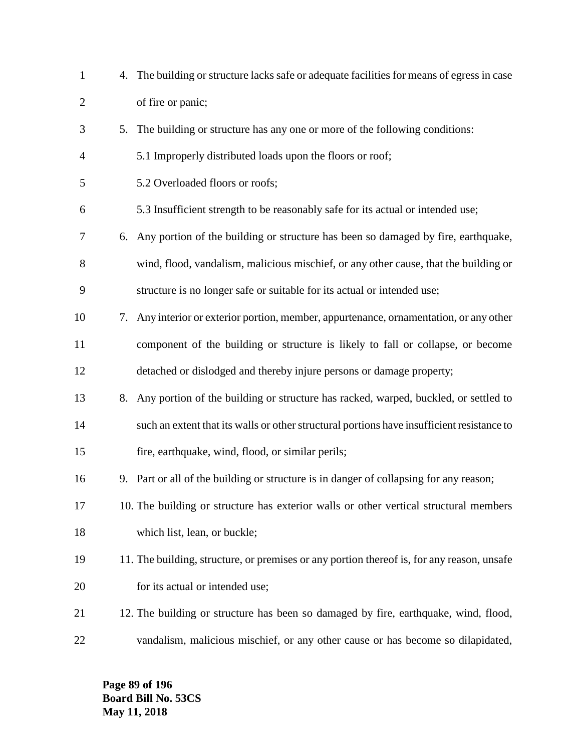| $\mathbf{1}$   |    | 4. The building or structure lacks safe or adequate facilities for means of egress in case |
|----------------|----|--------------------------------------------------------------------------------------------|
| $\overline{2}$ |    | of fire or panic;                                                                          |
| 3              |    | 5. The building or structure has any one or more of the following conditions:              |
| 4              |    | 5.1 Improperly distributed loads upon the floors or roof;                                  |
| 5              |    | 5.2 Overloaded floors or roofs;                                                            |
| 6              |    | 5.3 Insufficient strength to be reasonably safe for its actual or intended use;            |
| 7              | 6. | Any portion of the building or structure has been so damaged by fire, earthquake,          |
| 8              |    | wind, flood, vandalism, malicious mischief, or any other cause, that the building or       |
| 9              |    | structure is no longer safe or suitable for its actual or intended use;                    |
| 10             |    | 7. Any interior or exterior portion, member, appurtenance, ornamentation, or any other     |
| 11             |    | component of the building or structure is likely to fall or collapse, or become            |
| 12             |    | detached or dislodged and thereby injure persons or damage property;                       |
| 13             | 8. | Any portion of the building or structure has racked, warped, buckled, or settled to        |
| 14             |    | such an extent that its walls or other structural portions have insufficient resistance to |
| 15             |    | fire, earthquake, wind, flood, or similar perils;                                          |
| 16             |    | 9. Part or all of the building or structure is in danger of collapsing for any reason;     |
| 17             |    | 10. The building or structure has exterior walls or other vertical structural members      |
| 18             |    | which list, lean, or buckle;                                                               |
| 19             |    | 11. The building, structure, or premises or any portion thereof is, for any reason, unsafe |
| 20             |    | for its actual or intended use;                                                            |
| 21             |    | 12. The building or structure has been so damaged by fire, earthquake, wind, flood,        |
| 22             |    | vandalism, malicious mischief, or any other cause or has become so dilapidated,            |

**Page 89 of 196 Board Bill No. 53CS May 11, 2018**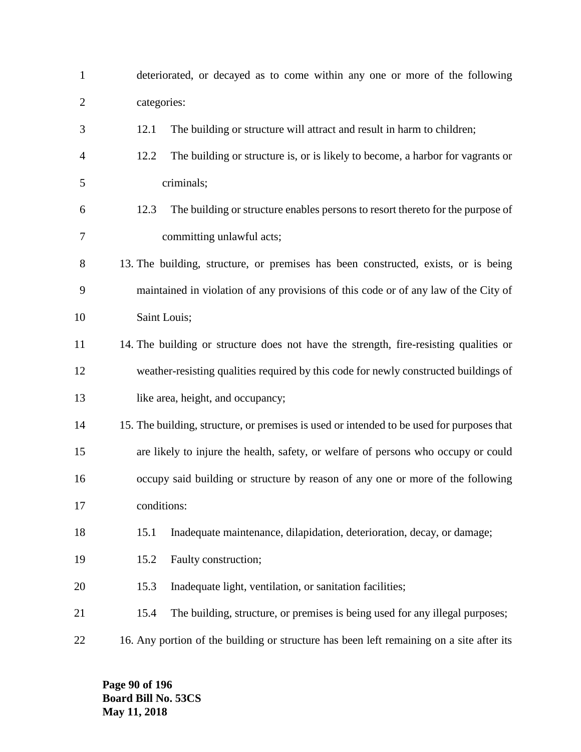| $\mathbf{1}$   | deteriorated, or decayed as to come within any one or more of the following               |
|----------------|-------------------------------------------------------------------------------------------|
| $\overline{c}$ | categories:                                                                               |
| 3              | The building or structure will attract and result in harm to children;<br>12.1            |
| 4              | 12.2<br>The building or structure is, or is likely to become, a harbor for vagrants or    |
| 5              | criminals;                                                                                |
| 6              | The building or structure enables persons to resort thereto for the purpose of<br>12.3    |
| 7              | committing unlawful acts;                                                                 |
| 8              | 13. The building, structure, or premises has been constructed, exists, or is being        |
| 9              | maintained in violation of any provisions of this code or of any law of the City of       |
| 10             | Saint Louis;                                                                              |
| 11             | 14. The building or structure does not have the strength, fire-resisting qualities or     |
| 12             | weather-resisting qualities required by this code for newly constructed buildings of      |
| 13             | like area, height, and occupancy;                                                         |
| 14             | 15. The building, structure, or premises is used or intended to be used for purposes that |
| 15             | are likely to injure the health, safety, or welfare of persons who occupy or could        |
| 16             | occupy said building or structure by reason of any one or more of the following           |
| 17             | conditions:                                                                               |
| 18             | Inadequate maintenance, dilapidation, deterioration, decay, or damage;<br>15.1            |
| 19             | Faulty construction;<br>15.2                                                              |
| 20             | 15.3<br>Inadequate light, ventilation, or sanitation facilities;                          |
| 21             | The building, structure, or premises is being used for any illegal purposes;<br>15.4      |
| 22             | 16. Any portion of the building or structure has been left remaining on a site after its  |

**Page 90 of 196 Board Bill No. 53CS May 11, 2018**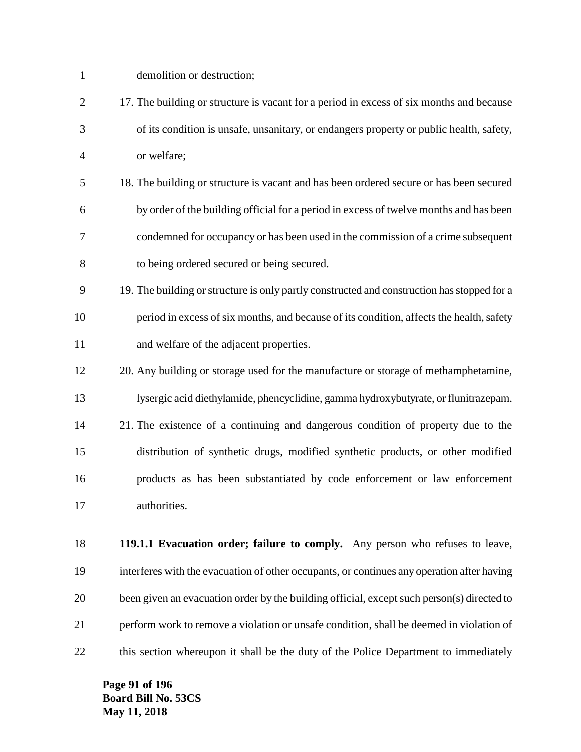| $\mathbf{1}$   | demolition or destruction;                                                                  |
|----------------|---------------------------------------------------------------------------------------------|
| $\overline{2}$ | 17. The building or structure is vacant for a period in excess of six months and because    |
| 3              | of its condition is unsafe, unsanitary, or endangers property or public health, safety,     |
| $\overline{4}$ | or welfare;                                                                                 |
| 5              | 18. The building or structure is vacant and has been ordered secure or has been secured     |
| 6              | by order of the building official for a period in excess of twelve months and has been      |
| 7              | condemned for occupancy or has been used in the commission of a crime subsequent            |
| 8              | to being ordered secured or being secured.                                                  |
| 9              | 19. The building or structure is only partly constructed and construction has stopped for a |
| 10             | period in excess of six months, and because of its condition, affects the health, safety    |
| 11             | and welfare of the adjacent properties.                                                     |
| 12             | 20. Any building or storage used for the manufacture or storage of methamphetamine,         |
| 13             | lysergic acid diethylamide, phencyclidine, gamma hydroxybutyrate, or flunitrazepam.         |
| 14             | 21. The existence of a continuing and dangerous condition of property due to the            |
| 15             | distribution of synthetic drugs, modified synthetic products, or other modified             |
| 16             | products as has been substantiated by code enforcement or law enforcement                   |
| 17             | authorities.                                                                                |
| 18             | 119.1.1 Evacuation order; failure to comply. Any person who refuses to leave,               |
|                |                                                                                             |
| 19             | interferes with the evacuation of other occupants, or continues any operation after having  |
| 20             | been given an evacuation order by the building official, except such person(s) directed to  |
| 21             | perform work to remove a violation or unsafe condition, shall be deemed in violation of     |

this section whereupon it shall be the duty of the Police Department to immediately

**Page 91 of 196 Board Bill No. 53CS May 11, 2018**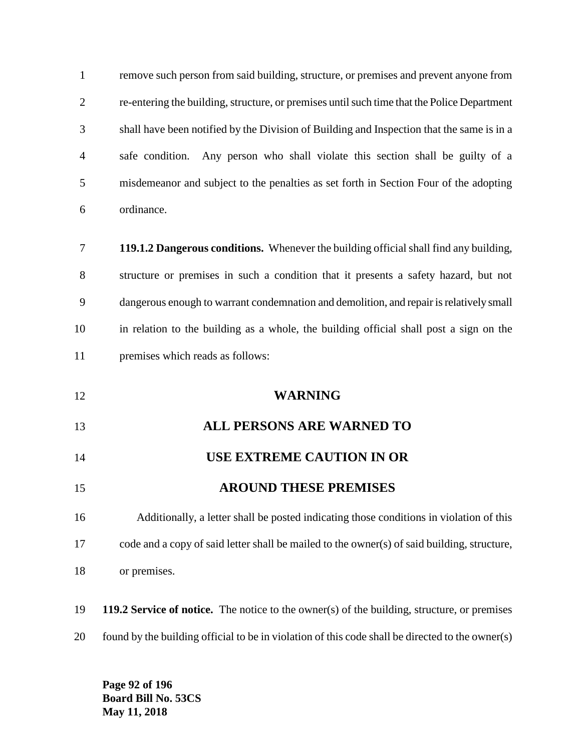| $\mathbf{1}$   | remove such person from said building, structure, or premises and prevent anyone from              |
|----------------|----------------------------------------------------------------------------------------------------|
| $\overline{c}$ | re-entering the building, structure, or premises until such time that the Police Department        |
| 3              | shall have been notified by the Division of Building and Inspection that the same is in a          |
| 4              | safe condition. Any person who shall violate this section shall be guilty of a                     |
| 5              | misdemeanor and subject to the penalties as set forth in Section Four of the adopting              |
| 6              | ordinance.                                                                                         |
| 7              | 119.1.2 Dangerous conditions. Whenever the building official shall find any building,              |
| 8              | structure or premises in such a condition that it presents a safety hazard, but not                |
| 9              | dangerous enough to warrant condemnation and demolition, and repair is relatively small            |
| 10             | in relation to the building as a whole, the building official shall post a sign on the             |
| 11             | premises which reads as follows:                                                                   |
| 12             | <b>WARNING</b>                                                                                     |
| 13             | <b>ALL PERSONS ARE WARNED TO</b>                                                                   |
| 14             | <b>USE EXTREME CAUTION IN OR</b>                                                                   |
| 15             | <b>AROUND THESE PREMISES</b>                                                                       |
| 16             | Additionally, a letter shall be posted indicating those conditions in violation of this            |
| 17             | code and a copy of said letter shall be mailed to the owner(s) of said building, structure,        |
| 18             | or premises.                                                                                       |
| 19             | <b>119.2 Service of notice.</b> The notice to the owner(s) of the building, structure, or premises |
| 20             | found by the building official to be in violation of this code shall be directed to the owner(s)   |

**Page 92 of 196 Board Bill No. 53CS May 11, 2018**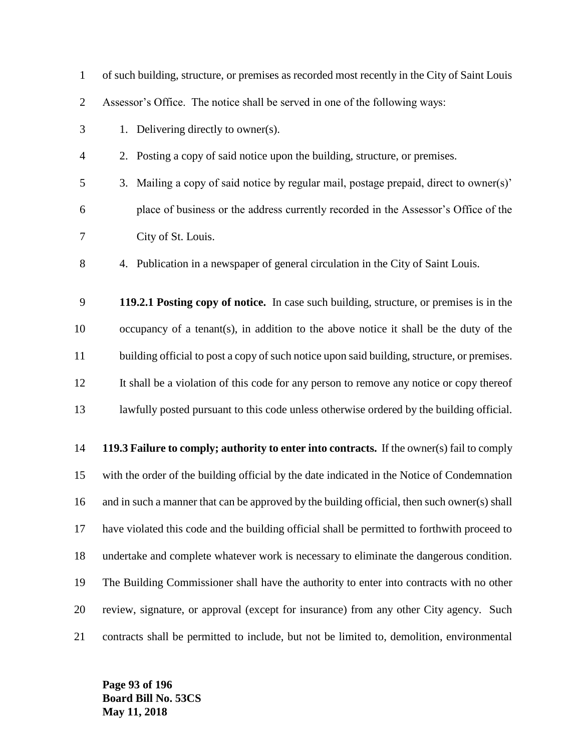| $\mathbf{1}$   | of such building, structure, or premises as recorded most recently in the City of Saint Louis |
|----------------|-----------------------------------------------------------------------------------------------|
| $\overline{2}$ | Assessor's Office. The notice shall be served in one of the following ways:                   |
| 3              | 1. Delivering directly to owner(s).                                                           |
| $\overline{4}$ | 2. Posting a copy of said notice upon the building, structure, or premises.                   |
| 5              | Mailing a copy of said notice by regular mail, postage prepaid, direct to owner(s)'<br>3.     |
| 6              | place of business or the address currently recorded in the Assessor's Office of the           |
| 7              | City of St. Louis.                                                                            |
| 8              | 4. Publication in a newspaper of general circulation in the City of Saint Louis.              |
| 9              | 119.2.1 Posting copy of notice. In case such building, structure, or premises is in the       |
| 10             | occupancy of a tenant(s), in addition to the above notice it shall be the duty of the         |
| 11             | building official to post a copy of such notice upon said building, structure, or premises.   |
| 12             | It shall be a violation of this code for any person to remove any notice or copy thereof      |
| 13             | lawfully posted pursuant to this code unless otherwise ordered by the building official.      |
| 14             | 119.3 Failure to comply; authority to enter into contracts. If the owner(s) fail to comply    |
| 15             | with the order of the building official by the date indicated in the Notice of Condemnation   |
| 16             | and in such a manner that can be approved by the building official, then such owner(s) shall  |
| 17             | have violated this code and the building official shall be permitted to forthwith proceed to  |
| 18             | undertake and complete whatever work is necessary to eliminate the dangerous condition.       |
| 19             | The Building Commissioner shall have the authority to enter into contracts with no other      |
| 20             | review, signature, or approval (except for insurance) from any other City agency. Such        |
| 21             | contracts shall be permitted to include, but not be limited to, demolition, environmental     |

**Page 93 of 196 Board Bill No. 53CS May 11, 2018**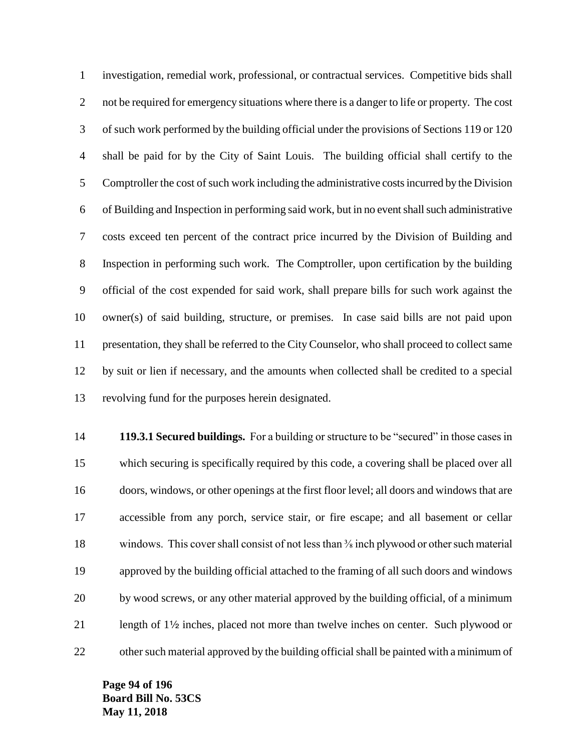investigation, remedial work, professional, or contractual services. Competitive bids shall 2 not be required for emergency situations where there is a danger to life or property. The cost of such work performed by the building official under the provisions of Sections 119 or 120 shall be paid for by the City of Saint Louis. The building official shall certify to the Comptroller the cost of such work including the administrative costs incurred by the Division of Building and Inspection in performing said work, but in no event shall such administrative costs exceed ten percent of the contract price incurred by the Division of Building and Inspection in performing such work. The Comptroller, upon certification by the building official of the cost expended for said work, shall prepare bills for such work against the owner(s) of said building, structure, or premises. In case said bills are not paid upon presentation, they shall be referred to the City Counselor, who shall proceed to collect same by suit or lien if necessary, and the amounts when collected shall be credited to a special revolving fund for the purposes herein designated.

 **119.3.1 Secured buildings.** For a building or structure to be "secured" in those cases in which securing is specifically required by this code, a covering shall be placed over all doors, windows, or other openings at the first floor level; all doors and windows that are accessible from any porch, service stair, or fire escape; and all basement or cellar 18 windows. This cover shall consist of not less than <sup>3</sup>/<sub>8</sub> inch plywood or other such material approved by the building official attached to the framing of all such doors and windows by wood screws, or any other material approved by the building official, of a minimum length of 12 inches, placed not more than twelve inches on center. Such plywood or other such material approved by the building official shall be painted with a minimum of

**Page 94 of 196 Board Bill No. 53CS May 11, 2018**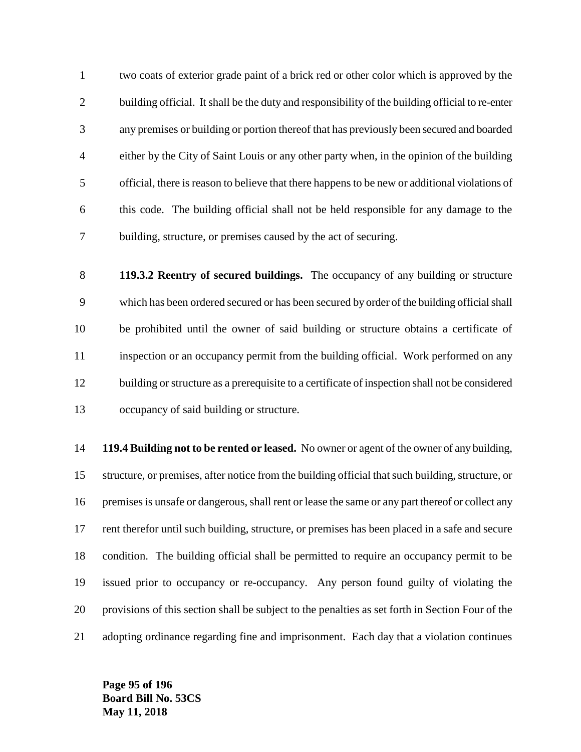two coats of exterior grade paint of a brick red or other color which is approved by the 2 building official. It shall be the duty and responsibility of the building official to re-enter any premises or building or portion thereof that has previously been secured and boarded either by the City of Saint Louis or any other party when, in the opinion of the building official, there is reason to believe that there happens to be new or additional violations of this code. The building official shall not be held responsible for any damage to the building, structure, or premises caused by the act of securing.

 **119.3.2 Reentry of secured buildings.** The occupancy of any building or structure which has been ordered secured or has been secured by order of the building official shall be prohibited until the owner of said building or structure obtains a certificate of inspection or an occupancy permit from the building official. Work performed on any building or structure as a prerequisite to a certificate of inspection shall not be considered occupancy of said building or structure.

 **119.4 Building not to be rented or leased.** No owner or agent of the owner of any building, structure, or premises, after notice from the building official that such building, structure, or 16 premises is unsafe or dangerous, shall rent or lease the same or any part thereof or collect any rent therefor until such building, structure, or premises has been placed in a safe and secure condition. The building official shall be permitted to require an occupancy permit to be issued prior to occupancy or re-occupancy. Any person found guilty of violating the provisions of this section shall be subject to the penalties as set forth in Section Four of the adopting ordinance regarding fine and imprisonment. Each day that a violation continues

**Page 95 of 196 Board Bill No. 53CS May 11, 2018**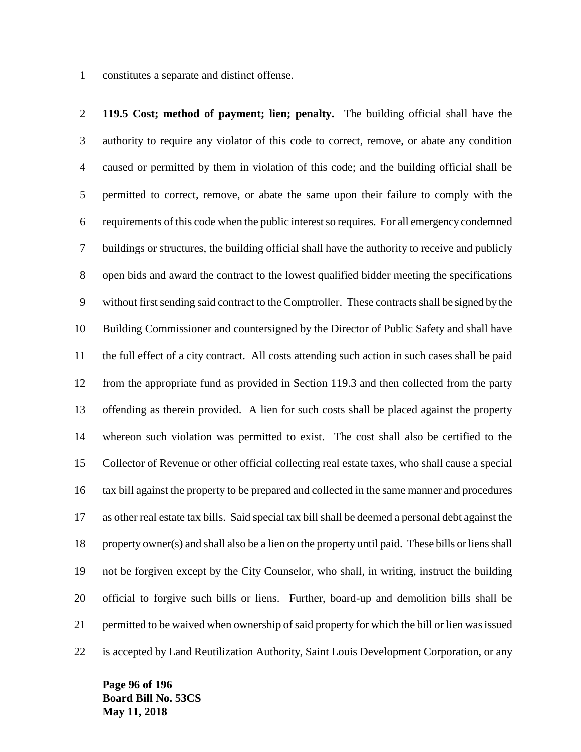constitutes a separate and distinct offense.

 **119.5 Cost; method of payment; lien; penalty.** The building official shall have the authority to require any violator of this code to correct, remove, or abate any condition caused or permitted by them in violation of this code; and the building official shall be permitted to correct, remove, or abate the same upon their failure to comply with the requirements of this code when the public interest so requires. For all emergency condemned buildings or structures, the building official shall have the authority to receive and publicly open bids and award the contract to the lowest qualified bidder meeting the specifications without first sending said contract to the Comptroller. These contracts shall be signed by the Building Commissioner and countersigned by the Director of Public Safety and shall have the full effect of a city contract. All costs attending such action in such cases shall be paid from the appropriate fund as provided in Section 119.3 and then collected from the party offending as therein provided. A lien for such costs shall be placed against the property whereon such violation was permitted to exist. The cost shall also be certified to the Collector of Revenue or other official collecting real estate taxes, who shall cause a special tax bill against the property to be prepared and collected in the same manner and procedures as other real estate tax bills. Said special tax bill shall be deemed a personal debt against the property owner(s) and shall also be a lien on the property until paid. These bills or liens shall not be forgiven except by the City Counselor, who shall, in writing, instruct the building official to forgive such bills or liens. Further, board-up and demolition bills shall be permitted to be waived when ownership of said property for which the bill or lien was issued is accepted by Land Reutilization Authority, Saint Louis Development Corporation, or any

**Page 96 of 196 Board Bill No. 53CS May 11, 2018**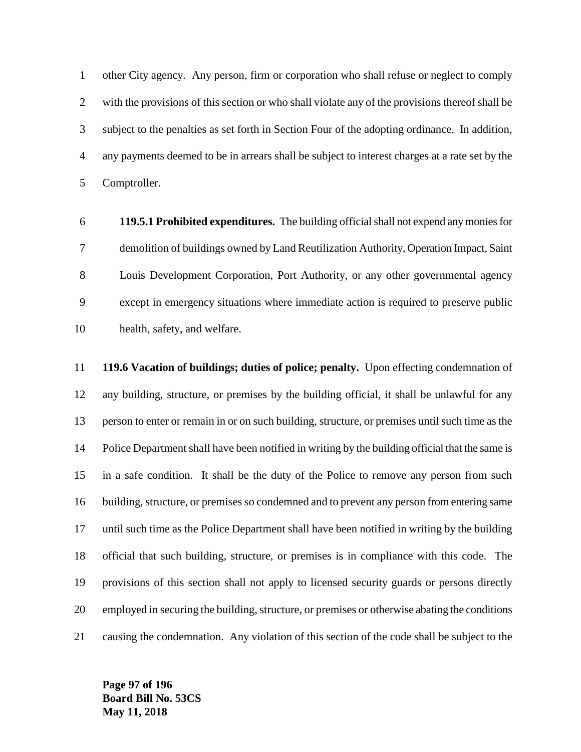other City agency. Any person, firm or corporation who shall refuse or neglect to comply with the provisions of this section or who shall violate any of the provisions thereof shall be subject to the penalties as set forth in Section Four of the adopting ordinance. In addition, any payments deemed to be in arrears shall be subject to interest charges at a rate set by the Comptroller.

 **119.5.1 Prohibited expenditures.** The building official shall not expend any monies for demolition of buildings owned by Land Reutilization Authority, Operation Impact, Saint Louis Development Corporation, Port Authority, or any other governmental agency except in emergency situations where immediate action is required to preserve public health, safety, and welfare.

 **119.6 Vacation of buildings; duties of police; penalty.** Upon effecting condemnation of any building, structure, or premises by the building official, it shall be unlawful for any person to enter or remain in or on such building, structure, or premises until such time as the Police Department shall have been notified in writing by the building official that the same is in a safe condition. It shall be the duty of the Police to remove any person from such building, structure, or premises so condemned and to prevent any person from entering same until such time as the Police Department shall have been notified in writing by the building official that such building, structure, or premises is in compliance with this code. The provisions of this section shall not apply to licensed security guards or persons directly employed in securing the building, structure, or premises or otherwise abating the conditions causing the condemnation. Any violation of this section of the code shall be subject to the

**Page 97 of 196 Board Bill No. 53CS May 11, 2018**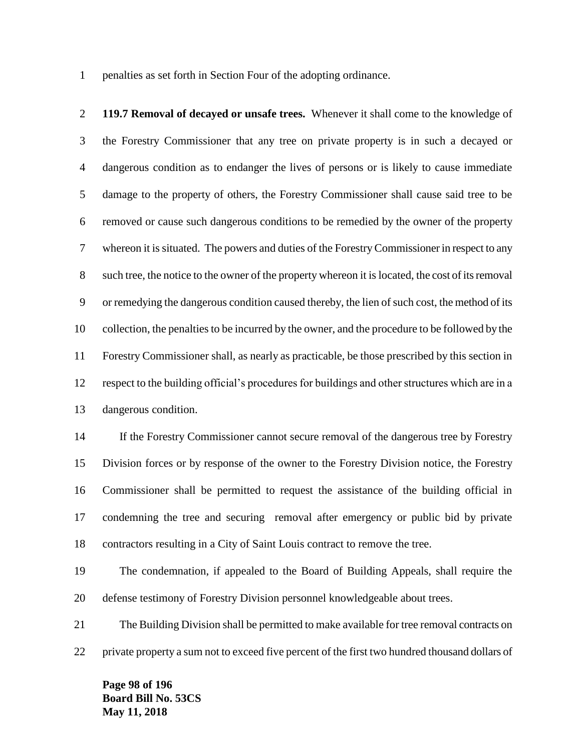penalties as set forth in Section Four of the adopting ordinance.

 **119.7 Removal of decayed or unsafe trees.** Whenever it shall come to the knowledge of the Forestry Commissioner that any tree on private property is in such a decayed or dangerous condition as to endanger the lives of persons or is likely to cause immediate damage to the property of others, the Forestry Commissioner shall cause said tree to be removed or cause such dangerous conditions to be remedied by the owner of the property whereon it is situated. The powers and duties of the Forestry Commissioner in respect to any such tree, the notice to the owner of the property whereon it is located, the cost of its removal or remedying the dangerous condition caused thereby, the lien of such cost, the method of its collection, the penalties to be incurred by the owner, and the procedure to be followed by the Forestry Commissioner shall, as nearly as practicable, be those prescribed by this section in respect to the building official's procedures for buildings and other structures which are in a dangerous condition.

 If the Forestry Commissioner cannot secure removal of the dangerous tree by Forestry Division forces or by response of the owner to the Forestry Division notice, the Forestry Commissioner shall be permitted to request the assistance of the building official in condemning the tree and securing removal after emergency or public bid by private contractors resulting in a City of Saint Louis contract to remove the tree.

 The condemnation, if appealed to the Board of Building Appeals, shall require the defense testimony of Forestry Division personnel knowledgeable about trees.

 The Building Division shall be permitted to make available for tree removal contracts on private property a sum not to exceed five percent of the first two hundred thousand dollars of

**Page 98 of 196 Board Bill No. 53CS May 11, 2018**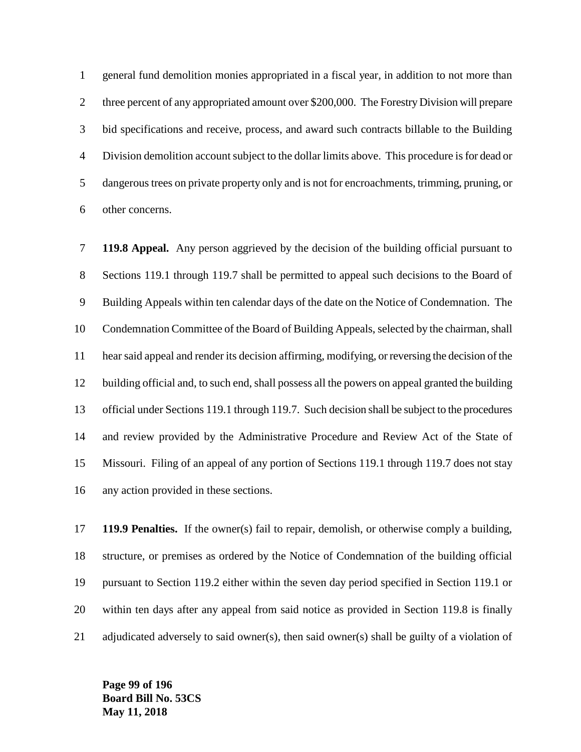general fund demolition monies appropriated in a fiscal year, in addition to not more than three percent of any appropriated amount over \$200,000. The Forestry Division will prepare bid specifications and receive, process, and award such contracts billable to the Building Division demolition account subject to the dollar limits above. This procedure is for dead or dangerous trees on private property only and is not for encroachments, trimming, pruning, or other concerns.

 **119.8 Appeal.** Any person aggrieved by the decision of the building official pursuant to Sections 119.1 through 119.7 shall be permitted to appeal such decisions to the Board of Building Appeals within ten calendar days of the date on the Notice of Condemnation. The Condemnation Committee of the Board of Building Appeals, selected by the chairman, shall hear said appeal and render its decision affirming, modifying, or reversing the decision of the building official and, to such end, shall possess all the powers on appeal granted the building official under Sections 119.1 through 119.7. Such decision shall be subject to the procedures and review provided by the Administrative Procedure and Review Act of the State of Missouri. Filing of an appeal of any portion of Sections 119.1 through 119.7 does not stay any action provided in these sections.

 **119.9 Penalties.** If the owner(s) fail to repair, demolish, or otherwise comply a building, structure, or premises as ordered by the Notice of Condemnation of the building official pursuant to Section 119.2 either within the seven day period specified in Section 119.1 or within ten days after any appeal from said notice as provided in Section 119.8 is finally adjudicated adversely to said owner(s), then said owner(s) shall be guilty of a violation of

**Page 99 of 196 Board Bill No. 53CS May 11, 2018**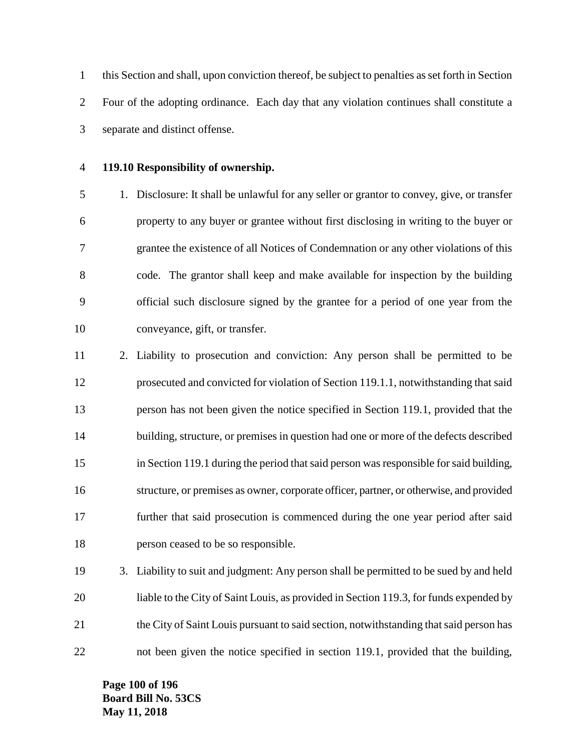this Section and shall, upon conviction thereof, be subject to penalties as set forth in Section Four of the adopting ordinance. Each day that any violation continues shall constitute a separate and distinct offense.

## **119.10 Responsibility of ownership.**

 1. Disclosure: It shall be unlawful for any seller or grantor to convey, give, or transfer property to any buyer or grantee without first disclosing in writing to the buyer or grantee the existence of all Notices of Condemnation or any other violations of this code. The grantor shall keep and make available for inspection by the building official such disclosure signed by the grantee for a period of one year from the conveyance, gift, or transfer.

 2. Liability to prosecution and conviction: Any person shall be permitted to be prosecuted and convicted for violation of Section 119.1.1, notwithstanding that said person has not been given the notice specified in Section 119.1, provided that the building, structure, or premises in question had one or more of the defects described in Section 119.1 during the period that said person was responsible for said building, structure, or premises as owner, corporate officer, partner, or otherwise, and provided further that said prosecution is commenced during the one year period after said person ceased to be so responsible.

 3. Liability to suit and judgment: Any person shall be permitted to be sued by and held liable to the City of Saint Louis, as provided in Section 119.3, for funds expended by the City of Saint Louis pursuant to said section, notwithstanding that said person has not been given the notice specified in section 119.1, provided that the building,

**Page 100 of 196 Board Bill No. 53CS May 11, 2018**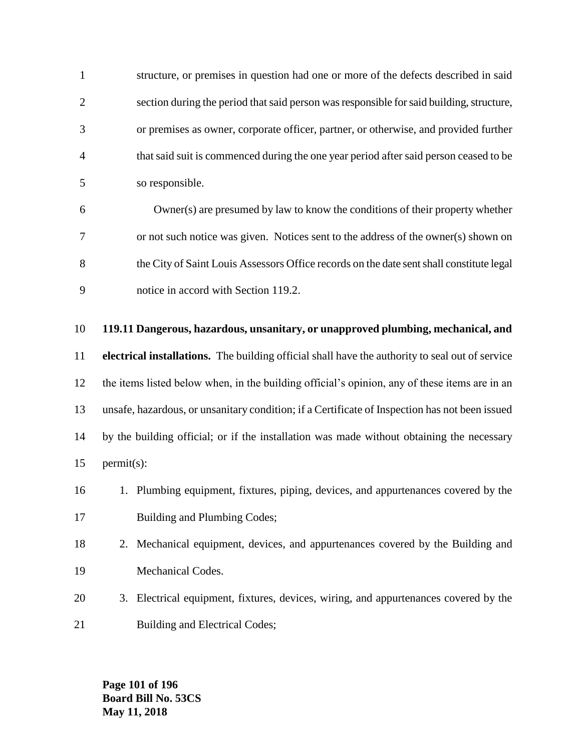structure, or premises in question had one or more of the defects described in said section during the period that said person was responsible for said building, structure, or premises as owner, corporate officer, partner, or otherwise, and provided further that said suit is commenced during the one year period after said person ceased to be so responsible.

 Owner(s) are presumed by law to know the conditions of their property whether or not such notice was given. Notices sent to the address of the owner(s) shown on the City of Saint Louis Assessors Office records on the date sent shall constitute legal notice in accord with Section 119.2.

# **119.11 Dangerous, hazardous, unsanitary, or unapproved plumbing, mechanical, and**

 **electrical installations.** The building official shall have the authority to seal out of service the items listed below when, in the building official's opinion, any of these items are in an unsafe, hazardous, or unsanitary condition; if a Certificate of Inspection has not been issued by the building official; or if the installation was made without obtaining the necessary permit(s):



- 2. Mechanical equipment, devices, and appurtenances covered by the Building and Mechanical Codes.
- 3. Electrical equipment, fixtures, devices, wiring, and appurtenances covered by the 21 Building and Electrical Codes;

**Page 101 of 196 Board Bill No. 53CS May 11, 2018**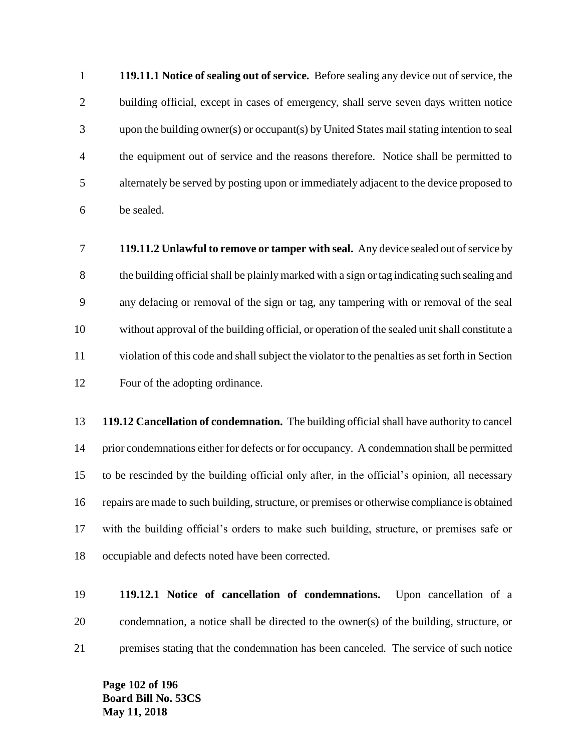**119.11.1 Notice of sealing out of service.** Before sealing any device out of service, the building official, except in cases of emergency, shall serve seven days written notice upon the building owner(s) or occupant(s) by United States mail stating intention to seal the equipment out of service and the reasons therefore. Notice shall be permitted to alternately be served by posting upon or immediately adjacent to the device proposed to be sealed.

 **119.11.2 Unlawful to remove or tamper with seal.** Any device sealed out of service by the building official shall be plainly marked with a sign or tag indicating such sealing and any defacing or removal of the sign or tag, any tampering with or removal of the seal without approval of the building official, or operation of the sealed unit shall constitute a violation of this code and shall subject the violator to the penalties as set forth in Section Four of the adopting ordinance.

 **119.12 Cancellation of condemnation.** The building official shall have authority to cancel prior condemnations either for defects or for occupancy. A condemnation shall be permitted to be rescinded by the building official only after, in the official's opinion, all necessary repairs are made to such building, structure, or premises or otherwise compliance is obtained with the building official's orders to make such building, structure, or premises safe or occupiable and defects noted have been corrected.

 **119.12.1 Notice of cancellation of condemnations.** Upon cancellation of a condemnation, a notice shall be directed to the owner(s) of the building, structure, or premises stating that the condemnation has been canceled. The service of such notice

**Page 102 of 196 Board Bill No. 53CS May 11, 2018**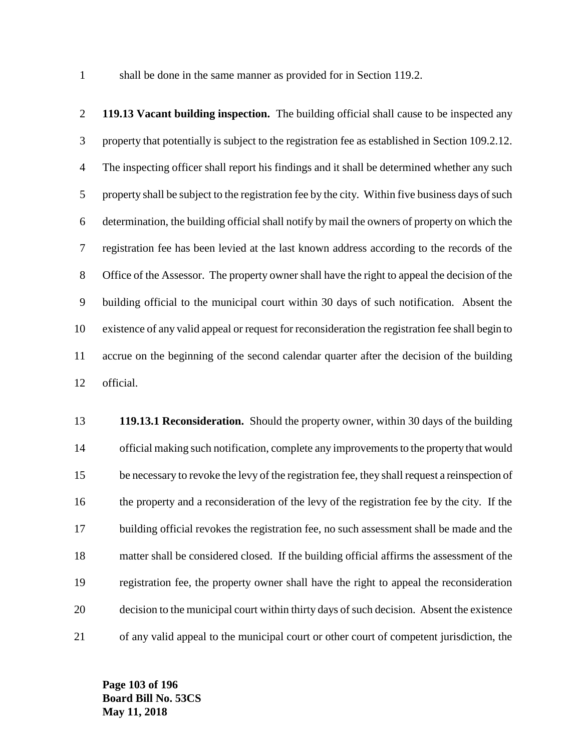1 shall be done in the same manner as provided for in Section 119.2.

 **119.13 Vacant building inspection.** The building official shall cause to be inspected any property that potentially is subject to the registration fee as established in Section 109.2.12. The inspecting officer shall report his findings and it shall be determined whether any such 5 property shall be subject to the registration fee by the city. Within five business days of such determination, the building official shall notify by mail the owners of property on which the registration fee has been levied at the last known address according to the records of the Office of the Assessor. The property owner shall have the right to appeal the decision of the building official to the municipal court within 30 days of such notification. Absent the existence of any valid appeal or request for reconsideration the registration fee shall begin to accrue on the beginning of the second calendar quarter after the decision of the building official.

 **119.13.1 Reconsideration.** Should the property owner, within 30 days of the building official making such notification, complete any improvements to the property that would be necessary to revoke the levy of the registration fee, they shall request a reinspection of the property and a reconsideration of the levy of the registration fee by the city. If the building official revokes the registration fee, no such assessment shall be made and the matter shall be considered closed. If the building official affirms the assessment of the registration fee, the property owner shall have the right to appeal the reconsideration decision to the municipal court within thirty days of such decision. Absent the existence of any valid appeal to the municipal court or other court of competent jurisdiction, the

**Page 103 of 196 Board Bill No. 53CS May 11, 2018**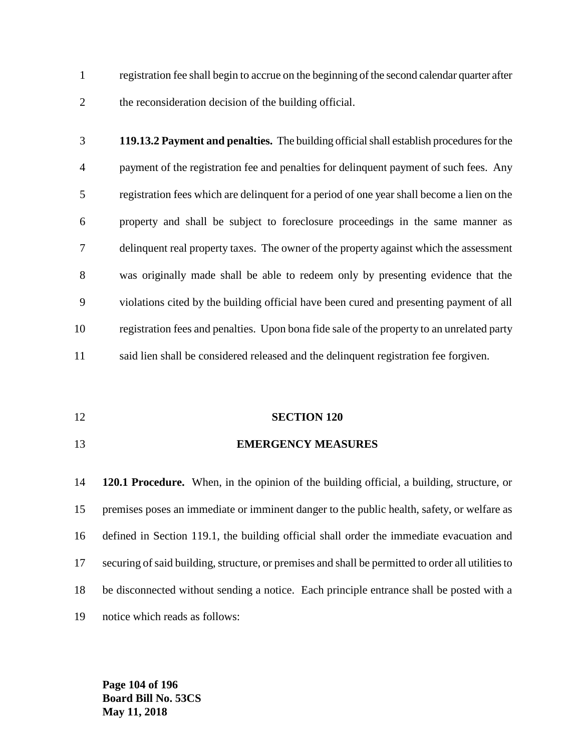registration fee shall begin to accrue on the beginning of the second calendar quarter after the reconsideration decision of the building official.

- **119.13.2 Payment and penalties.** The building official shall establish procedures for the payment of the registration fee and penalties for delinquent payment of such fees. Any registration fees which are delinquent for a period of one year shall become a lien on the property and shall be subject to foreclosure proceedings in the same manner as delinquent real property taxes. The owner of the property against which the assessment was originally made shall be able to redeem only by presenting evidence that the violations cited by the building official have been cured and presenting payment of all registration fees and penalties. Upon bona fide sale of the property to an unrelated party said lien shall be considered released and the delinquent registration fee forgiven.
- **SECTION 120**
- **EMERGENCY MEASURES**

 **120.1 Procedure.** When, in the opinion of the building official, a building, structure, or premises poses an immediate or imminent danger to the public health, safety, or welfare as defined in Section 119.1, the building official shall order the immediate evacuation and securing of said building, structure, or premises and shall be permitted to order all utilities to be disconnected without sending a notice. Each principle entrance shall be posted with a notice which reads as follows:

**Page 104 of 196 Board Bill No. 53CS May 11, 2018**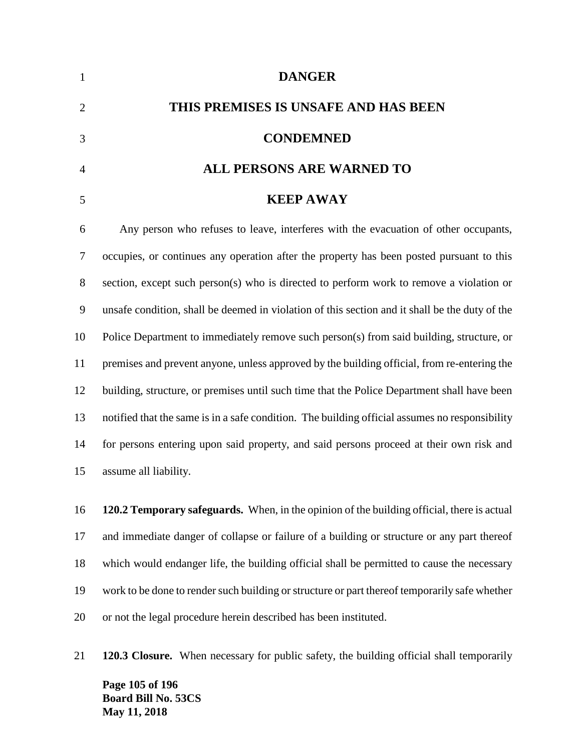| 1              | <b>DANGER</b>                                                                                  |
|----------------|------------------------------------------------------------------------------------------------|
| $\overline{2}$ | THIS PREMISES IS UNSAFE AND HAS BEEN                                                           |
| 3              | <b>CONDEMNED</b>                                                                               |
| $\overline{4}$ | <b>ALL PERSONS ARE WARNED TO</b>                                                               |
| 5              | <b>KEEP AWAY</b>                                                                               |
| 6              | Any person who refuses to leave, interferes with the evacuation of other occupants,            |
| 7              | occupies, or continues any operation after the property has been posted pursuant to this       |
| 8              | section, except such person(s) who is directed to perform work to remove a violation or        |
| 9              | unsafe condition, shall be deemed in violation of this section and it shall be the duty of the |
| 10             | Police Department to immediately remove such person(s) from said building, structure, or       |
| 11             | premises and prevent anyone, unless approved by the building official, from re-entering the    |

 notified that the same is in a safe condition. The building official assumes no responsibility for persons entering upon said property, and said persons proceed at their own risk and assume all liability.

building, structure, or premises until such time that the Police Department shall have been

 **120.2 Temporary safeguards.** When, in the opinion of the building official, there is actual and immediate danger of collapse or failure of a building or structure or any part thereof which would endanger life, the building official shall be permitted to cause the necessary work to be done to render such building or structure or part thereof temporarily safe whether or not the legal procedure herein described has been instituted.

**120.3 Closure.** When necessary for public safety, the building official shall temporarily

**Page 105 of 196 Board Bill No. 53CS May 11, 2018**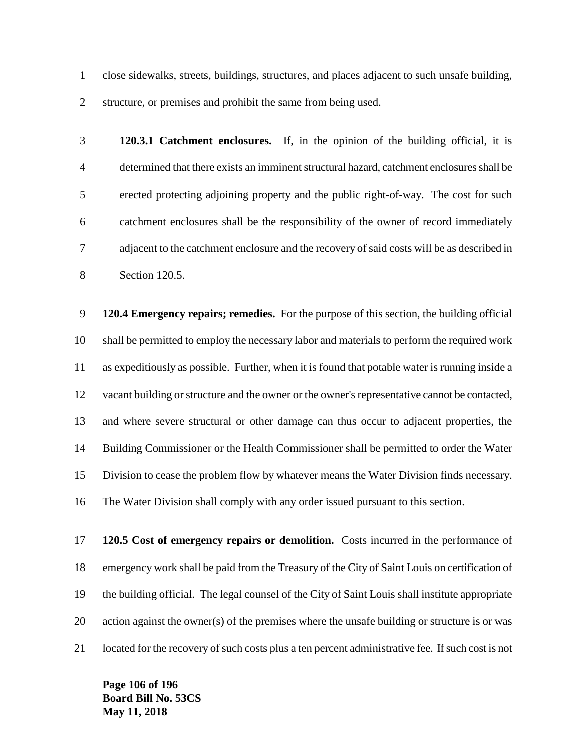close sidewalks, streets, buildings, structures, and places adjacent to such unsafe building, structure, or premises and prohibit the same from being used.

 **120.3.1 Catchment enclosures.** If, in the opinion of the building official, it is determined that there exists an imminent structural hazard, catchment enclosures shall be erected protecting adjoining property and the public right-of-way. The cost for such catchment enclosures shall be the responsibility of the owner of record immediately adjacent to the catchment enclosure and the recovery of said costs will be as described in Section 120.5.

 **120.4 Emergency repairs; remedies.** For the purpose of this section, the building official shall be permitted to employ the necessary labor and materials to perform the required work as expeditiously as possible. Further, when it is found that potable water is running inside a vacant building or structure and the owner or the owner's representative cannot be contacted, and where severe structural or other damage can thus occur to adjacent properties, the Building Commissioner or the Health Commissioner shall be permitted to order the Water Division to cease the problem flow by whatever means the Water Division finds necessary. The Water Division shall comply with any order issued pursuant to this section.

 **120.5 Cost of emergency repairs or demolition.** Costs incurred in the performance of emergency work shall be paid from the Treasury of the City of Saint Louis on certification of the building official. The legal counsel of the City of Saint Louis shall institute appropriate action against the owner(s) of the premises where the unsafe building or structure is or was located for the recovery of such costs plus a ten percent administrative fee. If such cost is not

**Page 106 of 196 Board Bill No. 53CS May 11, 2018**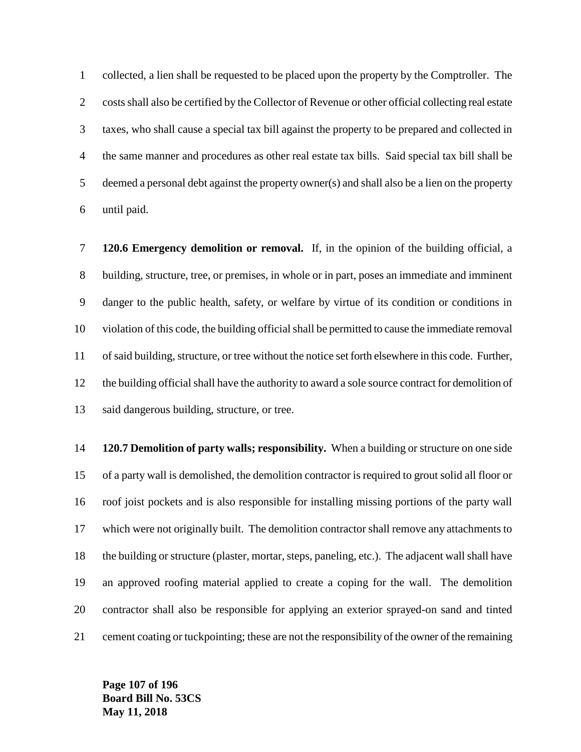collected, a lien shall be requested to be placed upon the property by the Comptroller. The costs shall also be certified by the Collector of Revenue or other official collecting real estate taxes, who shall cause a special tax bill against the property to be prepared and collected in the same manner and procedures as other real estate tax bills. Said special tax bill shall be deemed a personal debt against the property owner(s) and shall also be a lien on the property until paid.

 **120.6 Emergency demolition or removal.** If, in the opinion of the building official, a building, structure, tree, or premises, in whole or in part, poses an immediate and imminent danger to the public health, safety, or welfare by virtue of its condition or conditions in violation of this code, the building official shall be permitted to cause the immediate removal 11 of said building, structure, or tree without the notice set forth elsewhere in this code. Further, the building official shall have the authority to award a sole source contract for demolition of said dangerous building, structure, or tree.

 **120.7 Demolition of party walls; responsibility.** When a building or structure on one side of a party wall is demolished, the demolition contractor is required to grout solid all floor or roof joist pockets and is also responsible for installing missing portions of the party wall which were not originally built. The demolition contractor shall remove any attachments to the building or structure (plaster, mortar, steps, paneling, etc.). The adjacent wall shall have an approved roofing material applied to create a coping for the wall. The demolition contractor shall also be responsible for applying an exterior sprayed-on sand and tinted cement coating or tuckpointing; these are not the responsibility of the owner of the remaining

**Page 107 of 196 Board Bill No. 53CS May 11, 2018**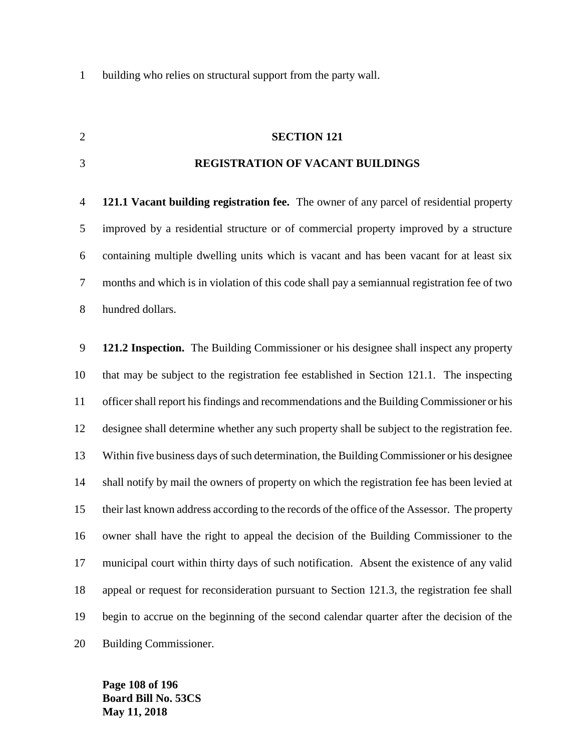building who relies on structural support from the party wall.

## **SECTION 121**

### **REGISTRATION OF VACANT BUILDINGS**

 **121.1 Vacant building registration fee.** The owner of any parcel of residential property improved by a residential structure or of commercial property improved by a structure containing multiple dwelling units which is vacant and has been vacant for at least six months and which is in violation of this code shall pay a semiannual registration fee of two hundred dollars.

 **121.2 Inspection.** The Building Commissioner or his designee shall inspect any property that may be subject to the registration fee established in Section 121.1. The inspecting officer shall report his findings and recommendations and the Building Commissioner or his designee shall determine whether any such property shall be subject to the registration fee. Within five business days of such determination, the Building Commissioner or his designee shall notify by mail the owners of property on which the registration fee has been levied at their last known address according to the records of the office of the Assessor. The property owner shall have the right to appeal the decision of the Building Commissioner to the municipal court within thirty days of such notification. Absent the existence of any valid appeal or request for reconsideration pursuant to Section 121.3, the registration fee shall begin to accrue on the beginning of the second calendar quarter after the decision of the Building Commissioner.

**Page 108 of 196 Board Bill No. 53CS May 11, 2018**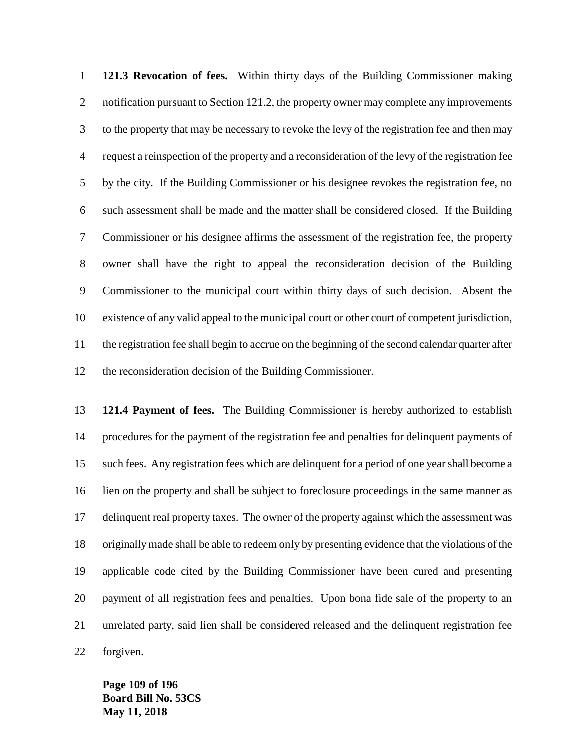**121.3 Revocation of fees.** Within thirty days of the Building Commissioner making 2 notification pursuant to Section 121.2, the property owner may complete any improvements to the property that may be necessary to revoke the levy of the registration fee and then may request a reinspection of the property and a reconsideration of the levy of the registration fee by the city. If the Building Commissioner or his designee revokes the registration fee, no such assessment shall be made and the matter shall be considered closed. If the Building Commissioner or his designee affirms the assessment of the registration fee, the property owner shall have the right to appeal the reconsideration decision of the Building Commissioner to the municipal court within thirty days of such decision. Absent the existence of any valid appeal to the municipal court or other court of competent jurisdiction, the registration fee shall begin to accrue on the beginning of the second calendar quarter after the reconsideration decision of the Building Commissioner.

 **121.4 Payment of fees.** The Building Commissioner is hereby authorized to establish procedures for the payment of the registration fee and penalties for delinquent payments of such fees. Any registration fees which are delinquent for a period of one year shall become a lien on the property and shall be subject to foreclosure proceedings in the same manner as delinquent real property taxes. The owner of the property against which the assessment was originally made shall be able to redeem only by presenting evidence that the violations of the applicable code cited by the Building Commissioner have been cured and presenting payment of all registration fees and penalties. Upon bona fide sale of the property to an unrelated party, said lien shall be considered released and the delinquent registration fee forgiven.

**Page 109 of 196 Board Bill No. 53CS May 11, 2018**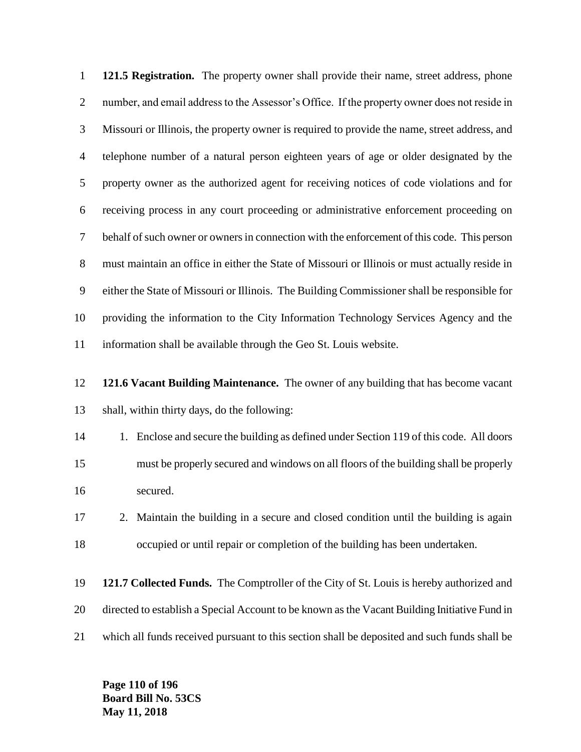**121.5 Registration.** The property owner shall provide their name, street address, phone number, and email address to the Assessor's Office. If the property owner does not reside in Missouri or Illinois, the property owner is required to provide the name, street address, and telephone number of a natural person eighteen years of age or older designated by the property owner as the authorized agent for receiving notices of code violations and for receiving process in any court proceeding or administrative enforcement proceeding on behalf of such owner or owners in connection with the enforcement of this code. This person must maintain an office in either the State of Missouri or Illinois or must actually reside in either the State of Missouri or Illinois. The Building Commissioner shall be responsible for providing the information to the City Information Technology Services Agency and the information shall be available through the Geo St. Louis website.

 **121.6 Vacant Building Maintenance.** The owner of any building that has become vacant shall, within thirty days, do the following:

14 1. Enclose and secure the building as defined under Section 119 of this code. All doors must be properly secured and windows on all floors of the building shall be properly secured.

 2. Maintain the building in a secure and closed condition until the building is again occupied or until repair or completion of the building has been undertaken.

 **121.7 Collected Funds.** The Comptroller of the City of St. Louis is hereby authorized and directed to establish a Special Account to be known as the Vacant Building Initiative Fund in which all funds received pursuant to this section shall be deposited and such funds shall be

**Page 110 of 196 Board Bill No. 53CS May 11, 2018**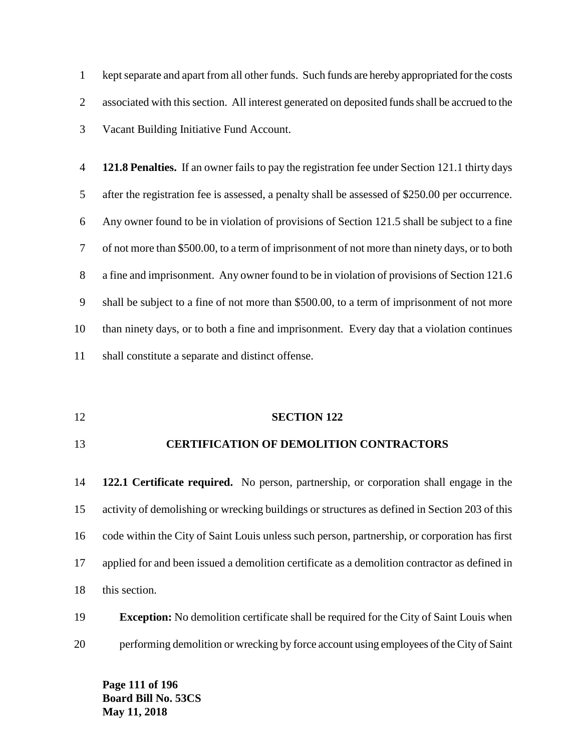kept separate and apart from all other funds. Such funds are hereby appropriated for the costs associated with this section. All interest generated on deposited funds shall be accrued to the Vacant Building Initiative Fund Account.

 **121.8 Penalties.** If an owner fails to pay the registration fee under Section 121.1 thirty days after the registration fee is assessed, a penalty shall be assessed of \$250.00 per occurrence. Any owner found to be in violation of provisions of Section 121.5 shall be subject to a fine of not more than \$500.00, to a term of imprisonment of not more than ninety days, or to both a fine and imprisonment. Any owner found to be in violation of provisions of Section 121.6 shall be subject to a fine of not more than \$500.00, to a term of imprisonment of not more than ninety days, or to both a fine and imprisonment. Every day that a violation continues shall constitute a separate and distinct offense.

#### **SECTION 122**

#### **CERTIFICATION OF DEMOLITION CONTRACTORS**

 **122.1 Certificate required.** No person, partnership, or corporation shall engage in the activity of demolishing or wrecking buildings or structures as defined in Section 203 of this code within the City of Saint Louis unless such person, partnership, or corporation has first applied for and been issued a demolition certificate as a demolition contractor as defined in this section.

### **Exception:** No demolition certificate shall be required for the City of Saint Louis when performing demolition or wrecking by force account using employees of the City of Saint

**Page 111 of 196 Board Bill No. 53CS May 11, 2018**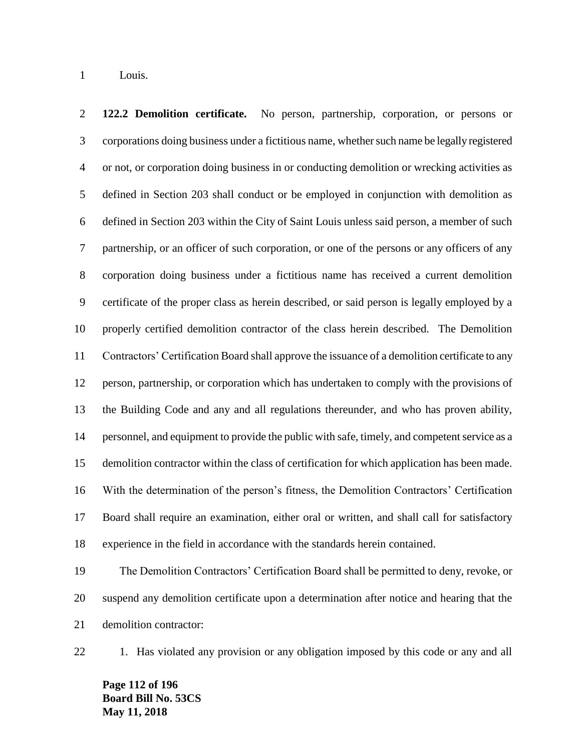Louis.

 **122.2 Demolition certificate.** No person, partnership, corporation, or persons or corporations doing business under a fictitious name, whether such name be legally registered or not, or corporation doing business in or conducting demolition or wrecking activities as defined in Section 203 shall conduct or be employed in conjunction with demolition as defined in Section 203 within the City of Saint Louis unless said person, a member of such partnership, or an officer of such corporation, or one of the persons or any officers of any corporation doing business under a fictitious name has received a current demolition certificate of the proper class as herein described, or said person is legally employed by a properly certified demolition contractor of the class herein described. The Demolition Contractors' Certification Board shall approve the issuance of a demolition certificate to any person, partnership, or corporation which has undertaken to comply with the provisions of the Building Code and any and all regulations thereunder, and who has proven ability, personnel, and equipment to provide the public with safe, timely, and competent service as a demolition contractor within the class of certification for which application has been made. With the determination of the person's fitness, the Demolition Contractors' Certification Board shall require an examination, either oral or written, and shall call for satisfactory experience in the field in accordance with the standards herein contained.

 The Demolition Contractors' Certification Board shall be permitted to deny, revoke, or suspend any demolition certificate upon a determination after notice and hearing that the demolition contractor:

22 1. Has violated any provision or any obligation imposed by this code or any and all

**Page 112 of 196 Board Bill No. 53CS May 11, 2018**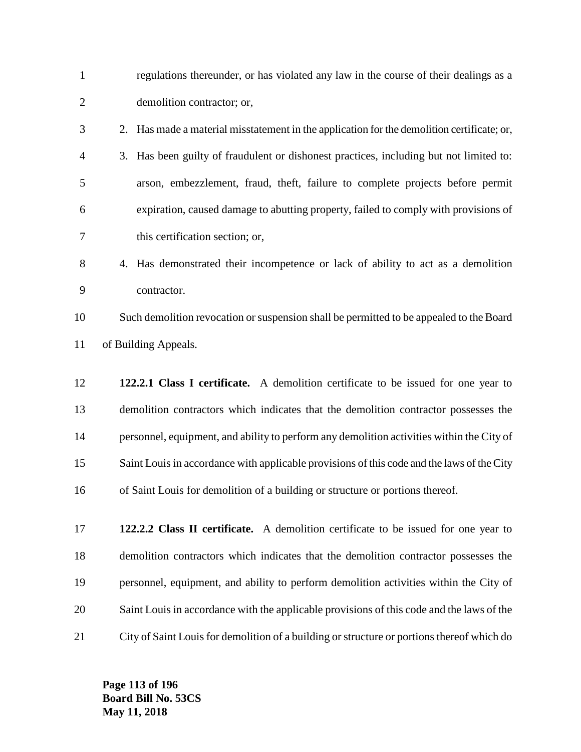| $\mathbf{1}$   | regulations thereunder, or has violated any law in the course of their dealings as a       |
|----------------|--------------------------------------------------------------------------------------------|
| $\overline{2}$ | demolition contractor; or,                                                                 |
| 3              | 2. Has made a material misstatement in the application for the demolition certificate; or, |
| 4              | 3. Has been guilty of fraudulent or dishonest practices, including but not limited to:     |
| 5              | arson, embezzlement, fraud, theft, failure to complete projects before permit              |
| 6              | expiration, caused damage to abutting property, failed to comply with provisions of        |
| 7              | this certification section; or,                                                            |
| 8              | 4. Has demonstrated their incompetence or lack of ability to act as a demolition           |
| 9              | contractor.                                                                                |
| 10             | Such demolition revocation or suspension shall be permitted to be appealed to the Board    |
| 11             | of Building Appeals.                                                                       |
| 12             | 122.2.1 Class I certificate. A demolition certificate to be issued for one year to         |
| 13             | demolition contractors which indicates that the demolition contractor possesses the        |
| 14             | personnel, equipment, and ability to perform any demolition activities within the City of  |
| 15             | Saint Louis in accordance with applicable provisions of this code and the laws of the City |
| 16             | of Saint Louis for demolition of a building or structure or portions thereof.              |
| 17             | 122.2.2 Class II certificate. A demolition certificate to be issued for one year to        |
| 18             | demolition contractors which indicates that the demolition contractor possesses the        |
| 19             | personnel, equipment, and ability to perform demolition activities within the City of      |
| 20             | Saint Louis in accordance with the applicable provisions of this code and the laws of the  |

City of Saint Louis for demolition of a building or structure or portions thereof which do

**Page 113 of 196 Board Bill No. 53CS May 11, 2018**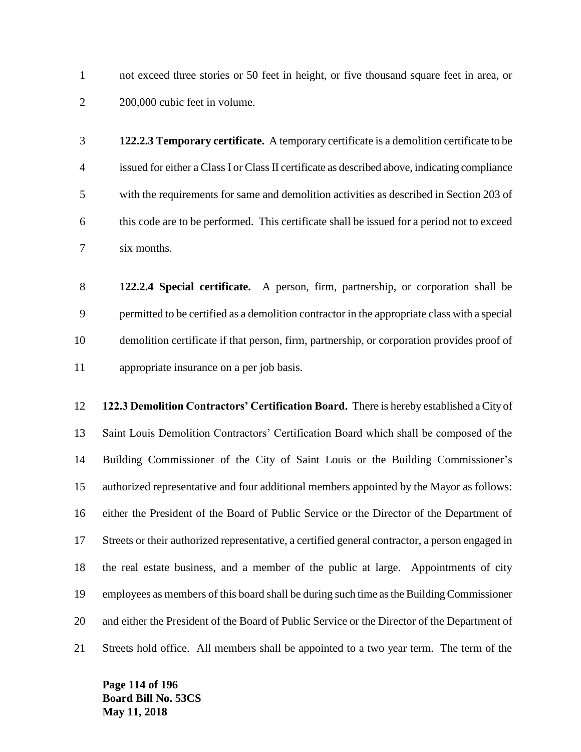not exceed three stories or 50 feet in height, or five thousand square feet in area, or 200,000 cubic feet in volume.

 **122.2.3 Temporary certificate.** A temporary certificate is a demolition certificate to be issued for either a Class I or Class II certificate as described above, indicating compliance with the requirements for same and demolition activities as described in Section 203 of this code are to be performed. This certificate shall be issued for a period not to exceed six months.

 **122.2.4 Special certificate.** A person, firm, partnership, or corporation shall be permitted to be certified as a demolition contractor in the appropriate class with a special demolition certificate if that person, firm, partnership, or corporation provides proof of appropriate insurance on a per job basis.

 **122.3 Demolition Contractors' Certification Board.** There is hereby established a City of Saint Louis Demolition Contractors' Certification Board which shall be composed of the Building Commissioner of the City of Saint Louis or the Building Commissioner's authorized representative and four additional members appointed by the Mayor as follows: either the President of the Board of Public Service or the Director of the Department of Streets or their authorized representative, a certified general contractor, a person engaged in the real estate business, and a member of the public at large. Appointments of city employees as members of this board shall be during such time as the Building Commissioner and either the President of the Board of Public Service or the Director of the Department of Streets hold office. All members shall be appointed to a two year term. The term of the

**Page 114 of 196 Board Bill No. 53CS May 11, 2018**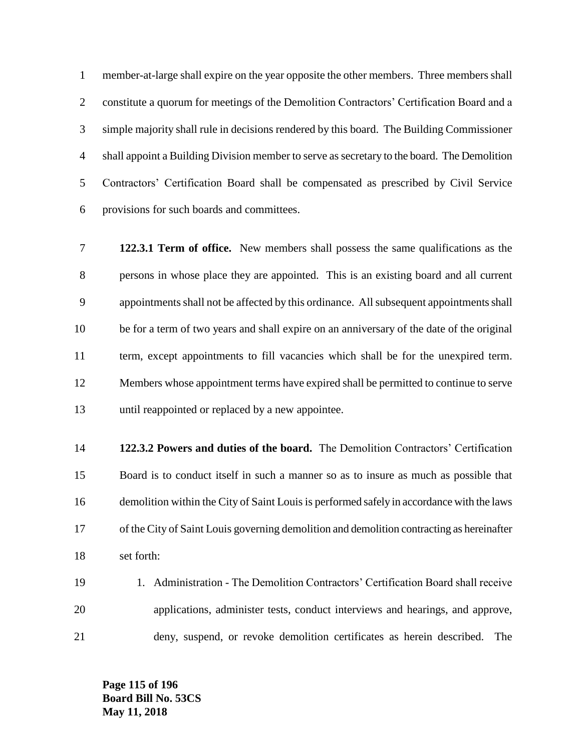member-at-large shall expire on the year opposite the other members. Three members shall constitute a quorum for meetings of the Demolition Contractors' Certification Board and a simple majority shall rule in decisions rendered by this board. The Building Commissioner shall appoint a Building Division member to serve as secretary to the board. The Demolition Contractors' Certification Board shall be compensated as prescribed by Civil Service provisions for such boards and committees.

 **122.3.1 Term of office.** New members shall possess the same qualifications as the persons in whose place they are appointed. This is an existing board and all current appointments shall not be affected by this ordinance. All subsequent appointments shall be for a term of two years and shall expire on an anniversary of the date of the original term, except appointments to fill vacancies which shall be for the unexpired term. Members whose appointment terms have expired shall be permitted to continue to serve until reappointed or replaced by a new appointee.

 **122.3.2 Powers and duties of the board.** The Demolition Contractors' Certification Board is to conduct itself in such a manner so as to insure as much as possible that demolition within the City of Saint Louis is performed safely in accordance with the laws of the City of Saint Louis governing demolition and demolition contracting as hereinafter set forth:

 1. Administration - The Demolition Contractors' Certification Board shall receive applications, administer tests, conduct interviews and hearings, and approve, deny, suspend, or revoke demolition certificates as herein described. The

**Page 115 of 196 Board Bill No. 53CS May 11, 2018**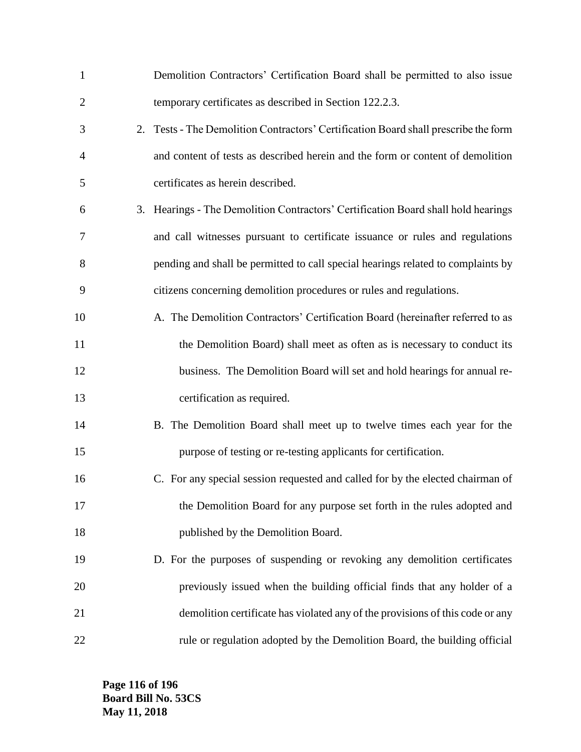| $\mathbf{1}$   | Demolition Contractors' Certification Board shall be permitted to also issue        |
|----------------|-------------------------------------------------------------------------------------|
| $\overline{2}$ | temporary certificates as described in Section 122.2.3.                             |
| 3              | 2. Tests - The Demolition Contractors' Certification Board shall prescribe the form |
| 4              | and content of tests as described herein and the form or content of demolition      |
| 5              | certificates as herein described.                                                   |
| 6              | 3. Hearings - The Demolition Contractors' Certification Board shall hold hearings   |
| 7              | and call witnesses pursuant to certificate issuance or rules and regulations        |
| 8              | pending and shall be permitted to call special hearings related to complaints by    |
| 9              | citizens concerning demolition procedures or rules and regulations.                 |
| 10             | A. The Demolition Contractors' Certification Board (hereinafter referred to as      |
| 11             | the Demolition Board) shall meet as often as is necessary to conduct its            |
| 12             | business. The Demolition Board will set and hold hearings for annual re-            |
| 13             | certification as required.                                                          |
| 14             | B. The Demolition Board shall meet up to twelve times each year for the             |
| 15             | purpose of testing or re-testing applicants for certification.                      |
| 16             | C. For any special session requested and called for by the elected chairman of      |
| 17             | the Demolition Board for any purpose set forth in the rules adopted and             |
| 18             | published by the Demolition Board.                                                  |
| 19             | D. For the purposes of suspending or revoking any demolition certificates           |
| 20             | previously issued when the building official finds that any holder of a             |
| 21             | demolition certificate has violated any of the provisions of this code or any       |
| 22             | rule or regulation adopted by the Demolition Board, the building official           |

**Page 116 of 196 Board Bill No. 53CS May 11, 2018**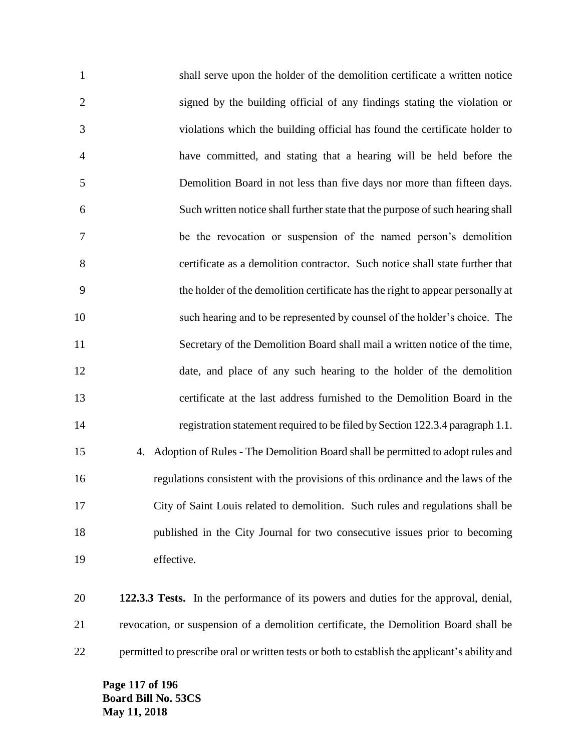shall serve upon the holder of the demolition certificate a written notice signed by the building official of any findings stating the violation or violations which the building official has found the certificate holder to have committed, and stating that a hearing will be held before the Demolition Board in not less than five days nor more than fifteen days. Such written notice shall further state that the purpose of such hearing shall be the revocation or suspension of the named person's demolition certificate as a demolition contractor. Such notice shall state further that the holder of the demolition certificate has the right to appear personally at such hearing and to be represented by counsel of the holder's choice. The Secretary of the Demolition Board shall mail a written notice of the time, date, and place of any such hearing to the holder of the demolition certificate at the last address furnished to the Demolition Board in the registration statement required to be filed by Section 122.3.4 paragraph 1.1. 4. Adoption of Rules - The Demolition Board shall be permitted to adopt rules and regulations consistent with the provisions of this ordinance and the laws of the City of Saint Louis related to demolition. Such rules and regulations shall be published in the City Journal for two consecutive issues prior to becoming effective.

 **122.3.3 Tests.** In the performance of its powers and duties for the approval, denial, revocation, or suspension of a demolition certificate, the Demolition Board shall be permitted to prescribe oral or written tests or both to establish the applicant's ability and

**Page 117 of 196 Board Bill No. 53CS May 11, 2018**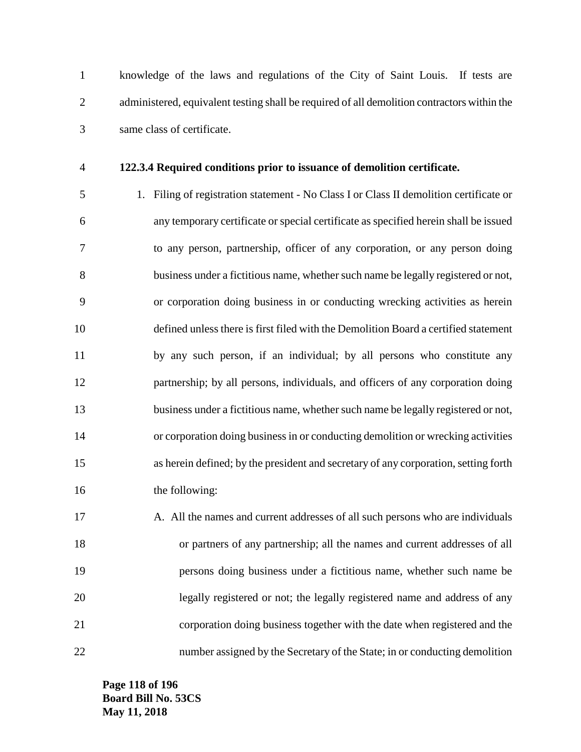knowledge of the laws and regulations of the City of Saint Louis. If tests are administered, equivalent testing shall be required of all demolition contractors within the same class of certificate.

#### **122.3.4 Required conditions prior to issuance of demolition certificate.**

 1. Filing of registration statement - No Class I or Class II demolition certificate or any temporary certificate or special certificate as specified herein shall be issued to any person, partnership, officer of any corporation, or any person doing business under a fictitious name, whether such name be legally registered or not, or corporation doing business in or conducting wrecking activities as herein defined unless there is first filed with the Demolition Board a certified statement by any such person, if an individual; by all persons who constitute any partnership; by all persons, individuals, and officers of any corporation doing business under a fictitious name, whether such name be legally registered or not, or corporation doing business in or conducting demolition or wrecking activities as herein defined; by the president and secretary of any corporation, setting forth 16 the following:

17 A. All the names and current addresses of all such persons who are individuals or partners of any partnership; all the names and current addresses of all persons doing business under a fictitious name, whether such name be legally registered or not; the legally registered name and address of any corporation doing business together with the date when registered and the number assigned by the Secretary of the State; in or conducting demolition

**Page 118 of 196 Board Bill No. 53CS May 11, 2018**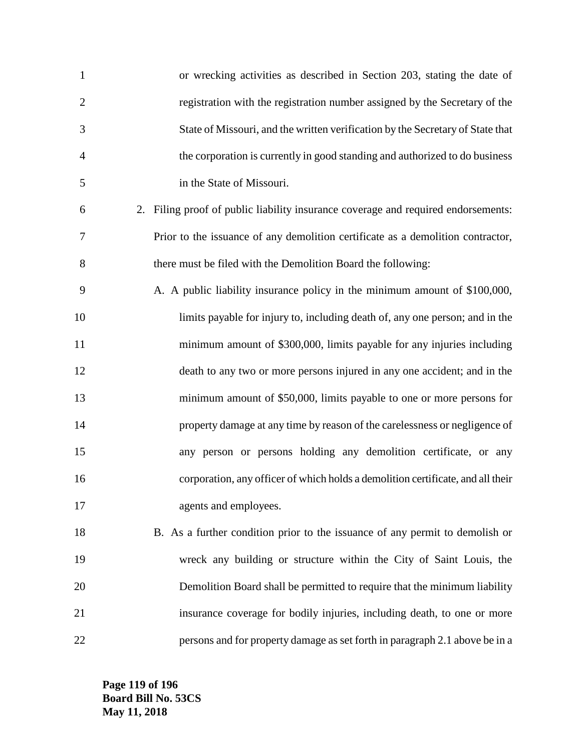| $\mathbf{1}$   | or wrecking activities as described in Section 203, stating the date of           |
|----------------|-----------------------------------------------------------------------------------|
| $\overline{2}$ | registration with the registration number assigned by the Secretary of the        |
| 3              | State of Missouri, and the written verification by the Secretary of State that    |
| 4              | the corporation is currently in good standing and authorized to do business       |
| 5              | in the State of Missouri.                                                         |
| 6              | 2. Filing proof of public liability insurance coverage and required endorsements: |
| 7              | Prior to the issuance of any demolition certificate as a demolition contractor,   |
| 8              | there must be filed with the Demolition Board the following:                      |
| 9              | A. A public liability insurance policy in the minimum amount of \$100,000,        |
| 10             | limits payable for injury to, including death of, any one person; and in the      |
| 11             | minimum amount of \$300,000, limits payable for any injuries including            |
| 12             | death to any two or more persons injured in any one accident; and in the          |
| 13             | minimum amount of \$50,000, limits payable to one or more persons for             |
| 14             | property damage at any time by reason of the carelessness or negligence of        |
| 15             | any person or persons holding any demolition certificate, or any                  |
| 16             | corporation, any officer of which holds a demolition certificate, and all their   |
| 17             | agents and employees.                                                             |
| 18             | B. As a further condition prior to the issuance of any permit to demolish or      |
| 19             | wreck any building or structure within the City of Saint Louis, the               |
| 20             | Demolition Board shall be permitted to require that the minimum liability         |
| 21             | insurance coverage for bodily injuries, including death, to one or more           |
| 22             | persons and for property damage as set forth in paragraph 2.1 above be in a       |

**Page 119 of 196 Board Bill No. 53CS May 11, 2018**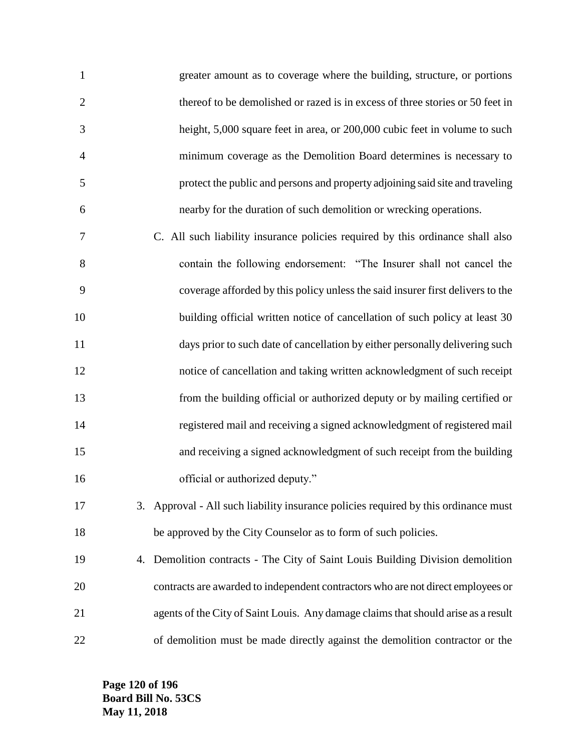| $\mathbf{1}$   | greater amount as to coverage where the building, structure, or portions      |
|----------------|-------------------------------------------------------------------------------|
| 2              | thereof to be demolished or razed is in excess of three stories or 50 feet in |
| 3              | height, 5,000 square feet in area, or 200,000 cubic feet in volume to such    |
| $\overline{4}$ | minimum coverage as the Demolition Board determines is necessary to           |
| -5             | protect the public and persons and property adjoining said site and traveling |
| 6              | nearby for the duration of such demolition or wrecking operations.            |
|                |                                                                               |

 C. All such liability insurance policies required by this ordinance shall also contain the following endorsement: "The Insurer shall not cancel the coverage afforded by this policy unless the said insurer first delivers to the 10 building official written notice of cancellation of such policy at least 30 days prior to such date of cancellation by either personally delivering such notice of cancellation and taking written acknowledgment of such receipt from the building official or authorized deputy or by mailing certified or registered mail and receiving a signed acknowledgment of registered mail and receiving a signed acknowledgment of such receipt from the building 16 official or authorized deputy."

 3. Approval - All such liability insurance policies required by this ordinance must be approved by the City Counselor as to form of such policies.

 4. Demolition contracts - The City of Saint Louis Building Division demolition contracts are awarded to independent contractors who are not direct employees or agents of the City of Saint Louis. Any damage claims that should arise as a result of demolition must be made directly against the demolition contractor or the

**Page 120 of 196 Board Bill No. 53CS May 11, 2018**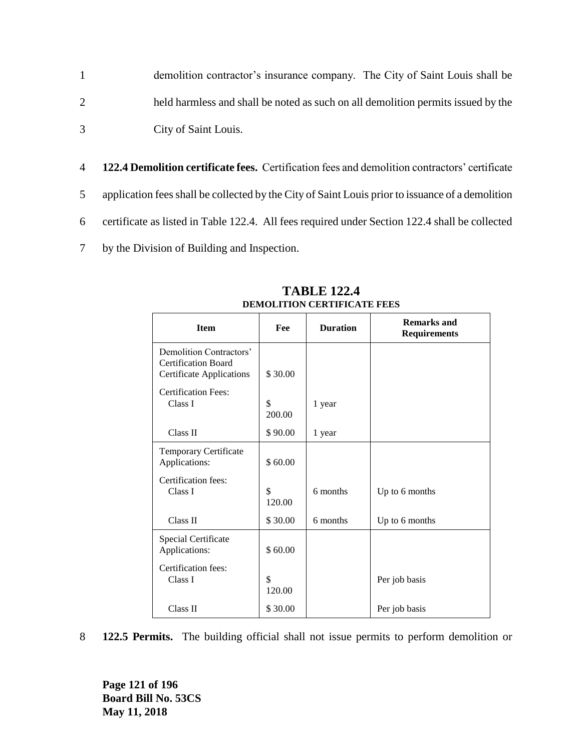- 1 demolition contractor's insurance company. The City of Saint Louis shall be 2 held harmless and shall be noted as such on all demolition permits issued by the 3 City of Saint Louis.
- 4 **122.4 Demolition certificate fees.** Certification fees and demolition contractors' certificate 5 application fees shall be collected by the City of Saint Louis prior to issuance of a demolition 6 certificate as listed in Table 122.4. All fees required under Section 122.4 shall be collected 7 by the Division of Building and Inspection.

| <b>Item</b>                                                                              | Fee          | <b>Duration</b> | <b>Remarks and</b><br><b>Requirements</b> |
|------------------------------------------------------------------------------------------|--------------|-----------------|-------------------------------------------|
| Demolition Contractors'<br><b>Certification Board</b><br><b>Certificate Applications</b> | \$30.00      |                 |                                           |
| <b>Certification Fees:</b><br>Class I                                                    | \$<br>200.00 | 1 year          |                                           |
| Class II                                                                                 | \$90.00      | 1 year          |                                           |
| Temporary Certificate<br>Applications:                                                   | \$60.00      |                 |                                           |
| Certification fees:<br>Class I                                                           | \$<br>120.00 | 6 months        | Up to 6 months                            |
| Class II                                                                                 | \$30.00      | 6 months        | Up to 6 months                            |
| Special Certificate<br>Applications:                                                     | \$60.00      |                 |                                           |
| Certification fees:<br>Class I                                                           | \$<br>120.00 |                 | Per job basis                             |
| Class II                                                                                 | \$30.00      |                 | Per job basis                             |

**TABLE 122.4 DEMOLITION CERTIFICATE FEES**

8 **122.5 Permits.** The building official shall not issue permits to perform demolition or

**Page 121 of 196 Board Bill No. 53CS May 11, 2018**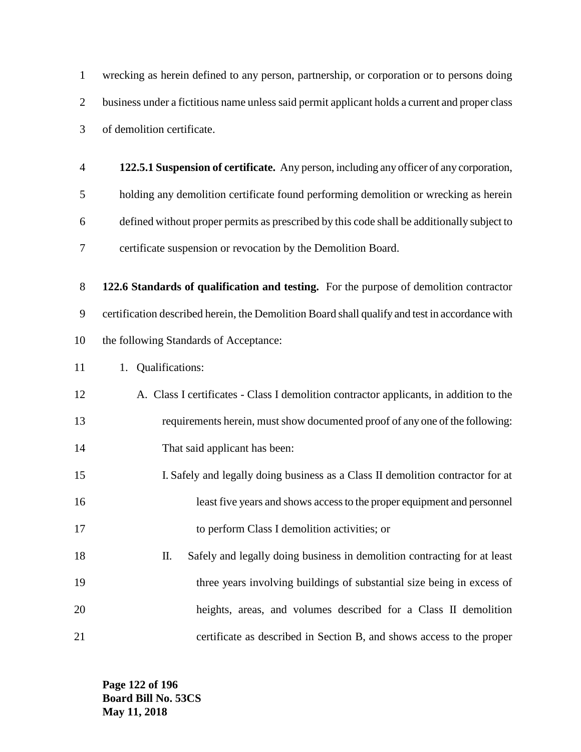wrecking as herein defined to any person, partnership, or corporation or to persons doing business under a fictitious name unless said permit applicant holds a current and proper class of demolition certificate.

 **122.5.1 Suspension of certificate.** Any person, including any officer of any corporation, holding any demolition certificate found performing demolition or wrecking as herein defined without proper permits as prescribed by this code shall be additionally subject to certificate suspension or revocation by the Demolition Board.

 **122.6 Standards of qualification and testing.** For the purpose of demolition contractor certification described herein, the Demolition Board shall qualify and test in accordance with the following Standards of Acceptance:

- 11 1. Qualifications:
- A. Class I certificates Class I demolition contractor applicants, in addition to the requirements herein, must show documented proof of any one of the following: That said applicant has been:
- I. Safely and legally doing business as a Class II demolition contractor for at least five years and shows access to the proper equipment and personnel to perform Class I demolition activities; or
- II. Safely and legally doing business in demolition contracting for at least 19 three years involving buildings of substantial size being in excess of heights, areas, and volumes described for a Class II demolition certificate as described in Section B, and shows access to the proper

**Page 122 of 196 Board Bill No. 53CS May 11, 2018**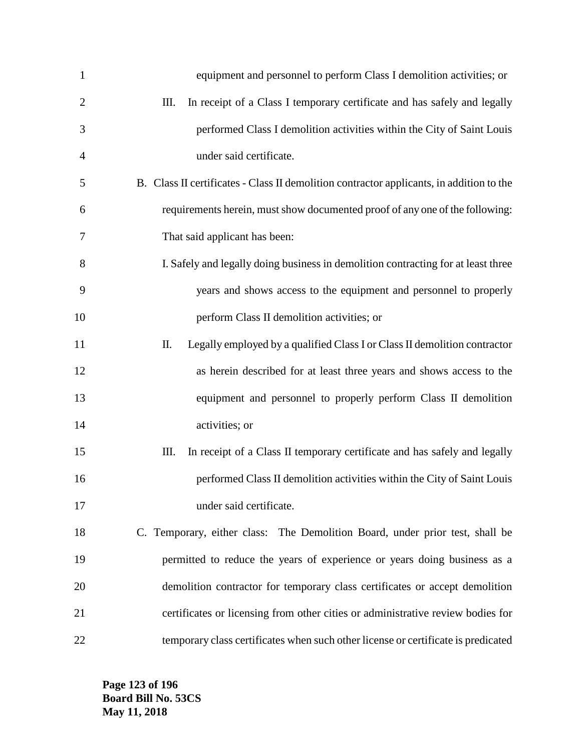| $\mathbf{1}$   | equipment and personnel to perform Class I demolition activities; or                     |
|----------------|------------------------------------------------------------------------------------------|
| $\overline{2}$ | Ш.<br>In receipt of a Class I temporary certificate and has safely and legally           |
| 3              | performed Class I demolition activities within the City of Saint Louis                   |
| 4              | under said certificate.                                                                  |
| 5              | B. Class II certificates - Class II demolition contractor applicants, in addition to the |
| 6              | requirements herein, must show documented proof of any one of the following:             |
| 7              | That said applicant has been:                                                            |
| 8              | I. Safely and legally doing business in demolition contracting for at least three        |
| 9              | years and shows access to the equipment and personnel to properly                        |
| 10             | perform Class II demolition activities; or                                               |
| 11             | Π.<br>Legally employed by a qualified Class I or Class II demolition contractor          |
| 12             | as herein described for at least three years and shows access to the                     |
| 13             | equipment and personnel to properly perform Class II demolition                          |
| 14             | activities; or                                                                           |
| 15             | In receipt of a Class II temporary certificate and has safely and legally<br>Ш.          |
| 16             | performed Class II demolition activities within the City of Saint Louis                  |
| 17             | under said certificate.                                                                  |
| 18             | C. Temporary, either class: The Demolition Board, under prior test, shall be             |
| 19             | permitted to reduce the years of experience or years doing business as a                 |
| 20             | demolition contractor for temporary class certificates or accept demolition              |
| 21             | certificates or licensing from other cities or administrative review bodies for          |
| 22             | temporary class certificates when such other license or certificate is predicated        |

**Page 123 of 196 Board Bill No. 53CS May 11, 2018**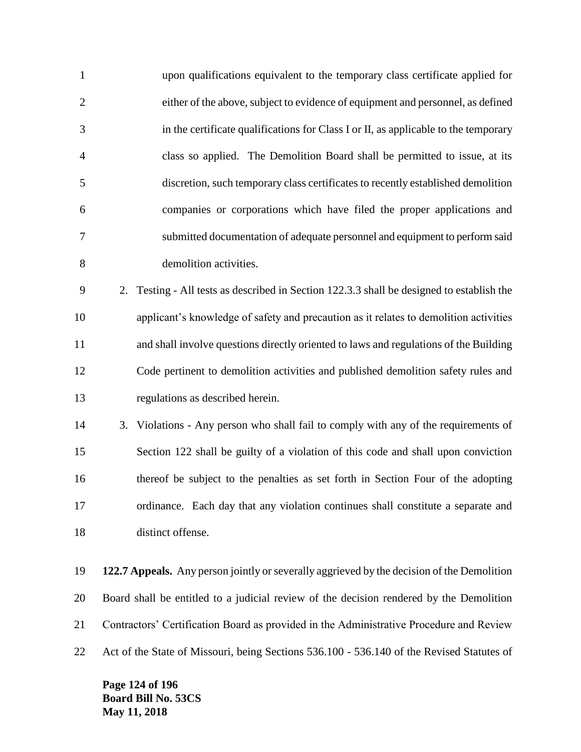| $\mathbf{1}$   |    | upon qualifications equivalent to the temporary class certificate applied for              |
|----------------|----|--------------------------------------------------------------------------------------------|
| $\overline{2}$ |    | either of the above, subject to evidence of equipment and personnel, as defined            |
| 3              |    | in the certificate qualifications for Class I or II, as applicable to the temporary        |
| 4              |    | class so applied. The Demolition Board shall be permitted to issue, at its                 |
| 5              |    | discretion, such temporary class certificates to recently established demolition           |
| 6              |    | companies or corporations which have filed the proper applications and                     |
| 7              |    | submitted documentation of adequate personnel and equipment to perform said                |
| 8              |    | demolition activities.                                                                     |
| 9              | 2. | Testing - All tests as described in Section 122.3.3 shall be designed to establish the     |
| 10             |    | applicant's knowledge of safety and precaution as it relates to demolition activities      |
| 11             |    | and shall involve questions directly oriented to laws and regulations of the Building      |
| 12             |    | Code pertinent to demolition activities and published demolition safety rules and          |
| 13             |    | regulations as described herein.                                                           |
| 14             |    | 3. Violations - Any person who shall fail to comply with any of the requirements of        |
| 15             |    | Section 122 shall be guilty of a violation of this code and shall upon conviction          |
| 16             |    | thereof be subject to the penalties as set forth in Section Four of the adopting           |
| 17             |    | ordinance. Each day that any violation continues shall constitute a separate and           |
| 18             |    | distinct offense.                                                                          |
| 19             |    | 122.7 Appeals. Any person jointly or severally aggrieved by the decision of the Demolition |

 Board shall be entitled to a judicial review of the decision rendered by the Demolition Contractors' Certification Board as provided in the Administrative Procedure and Review

Act of the State of Missouri, being Sections 536.100 - 536.140 of the Revised Statutes of

**Page 124 of 196 Board Bill No. 53CS May 11, 2018**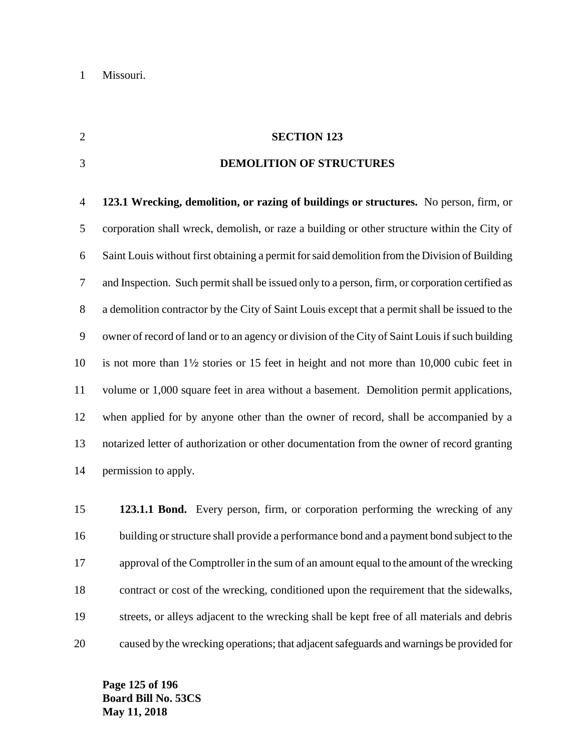#### **SECTION 123**

#### **DEMOLITION OF STRUCTURES**

 **123.1 Wrecking, demolition, or razing of buildings or structures.** No person, firm, or corporation shall wreck, demolish, or raze a building or other structure within the City of Saint Louis without first obtaining a permit for said demolition from the Division of Building and Inspection. Such permit shall be issued only to a person, firm, or corporation certified as a demolition contractor by the City of Saint Louis except that a permit shall be issued to the owner of record of land or to an agency or division of the City of Saint Louis if such building 10 is not more than  $1\frac{1}{2}$  stories or 15 feet in height and not more than 10,000 cubic feet in volume or 1,000 square feet in area without a basement. Demolition permit applications, when applied for by anyone other than the owner of record, shall be accompanied by a notarized letter of authorization or other documentation from the owner of record granting permission to apply.

 **123.1.1 Bond.** Every person, firm, or corporation performing the wrecking of any building or structure shall provide a performance bond and a payment bond subject to the approval of the Comptroller in the sum of an amount equal to the amount of the wrecking contract or cost of the wrecking, conditioned upon the requirement that the sidewalks, streets, or alleys adjacent to the wrecking shall be kept free of all materials and debris caused by the wrecking operations; that adjacent safeguards and warnings be provided for

**Page 125 of 196 Board Bill No. 53CS May 11, 2018**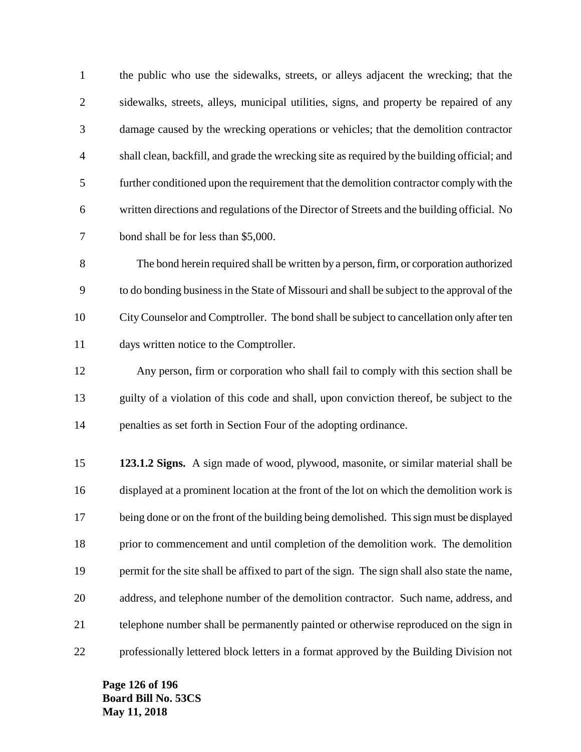| the public who use the sidewalks, streets, or alleys adjacent the wrecking; that the          |
|-----------------------------------------------------------------------------------------------|
| sidewalks, streets, alleys, municipal utilities, signs, and property be repaired of any       |
| damage caused by the wrecking operations or vehicles; that the demolition contractor          |
| shall clean, backfill, and grade the wrecking site as required by the building official; and  |
| further conditioned upon the requirement that the demolition contractor comply with the       |
| written directions and regulations of the Director of Streets and the building official. No   |
| bond shall be for less than \$5,000.                                                          |
| The bond herein required shall be written by a person, firm, or corporation authorized        |
| to do bonding business in the State of Missouri and shall be subject to the approval of the   |
| City Counselor and Comptroller. The bond shall be subject to cancellation only after ten      |
| days written notice to the Comptroller.                                                       |
| Any person, firm or corporation who shall fail to comply with this section shall be           |
| guilty of a violation of this code and shall, upon conviction thereof, be subject to the      |
| penalties as set forth in Section Four of the adopting ordinance.                             |
| 123.1.2 Signs. A sign made of wood, plywood, masonite, or similar material shall be           |
| displayed at a prominent location at the front of the lot on which the demolition work is     |
| being done or on the front of the building being demolished. This sign must be displayed      |
| prior to commencement and until completion of the demolition work. The demolition             |
| permit for the site shall be affixed to part of the sign. The sign shall also state the name, |
| address, and telephone number of the demolition contractor. Such name, address, and           |
| telephone number shall be permanently painted or otherwise reproduced on the sign in          |
| professionally lettered block letters in a format approved by the Building Division not       |
|                                                                                               |

**Page 126 of 196 Board Bill No. 53CS May 11, 2018**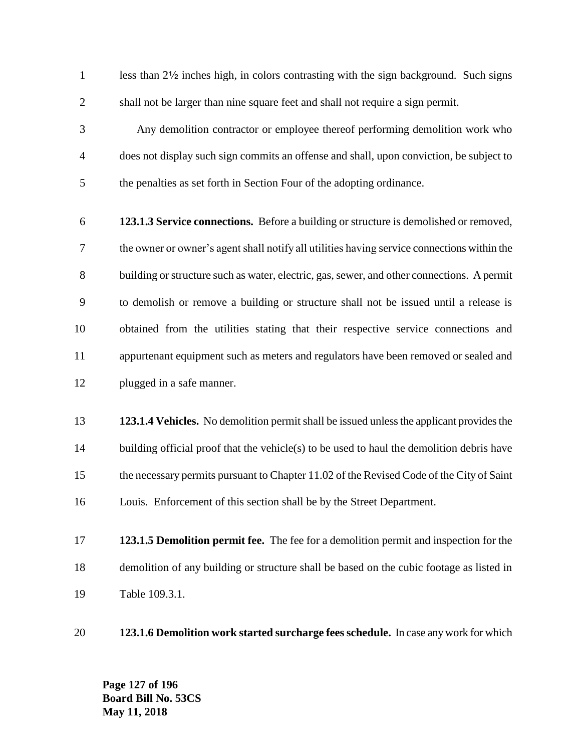1 less than 2<sup>1/2</sup> inches high, in colors contrasting with the sign background. Such signs shall not be larger than nine square feet and shall not require a sign permit.

 Any demolition contractor or employee thereof performing demolition work who does not display such sign commits an offense and shall, upon conviction, be subject to the penalties as set forth in Section Four of the adopting ordinance.

- **123.1.3 Service connections.** Before a building or structure is demolished or removed, the owner or owner's agent shall notify all utilities having service connections within the building or structure such as water, electric, gas, sewer, and other connections. A permit to demolish or remove a building or structure shall not be issued until a release is obtained from the utilities stating that their respective service connections and appurtenant equipment such as meters and regulators have been removed or sealed and plugged in a safe manner.
- **123.1.4 Vehicles.** No demolition permit shall be issued unless the applicant provides the 14 building official proof that the vehicle(s) to be used to haul the demolition debris have the necessary permits pursuant to Chapter 11.02 of the Revised Code of the City of Saint Louis. Enforcement of this section shall be by the Street Department.
- **123.1.5 Demolition permit fee.** The fee for a demolition permit and inspection for the demolition of any building or structure shall be based on the cubic footage as listed in Table 109.3.1.
- **123.1.6 Demolition work started surcharge fees schedule.** In case any work for which

**Page 127 of 196 Board Bill No. 53CS May 11, 2018**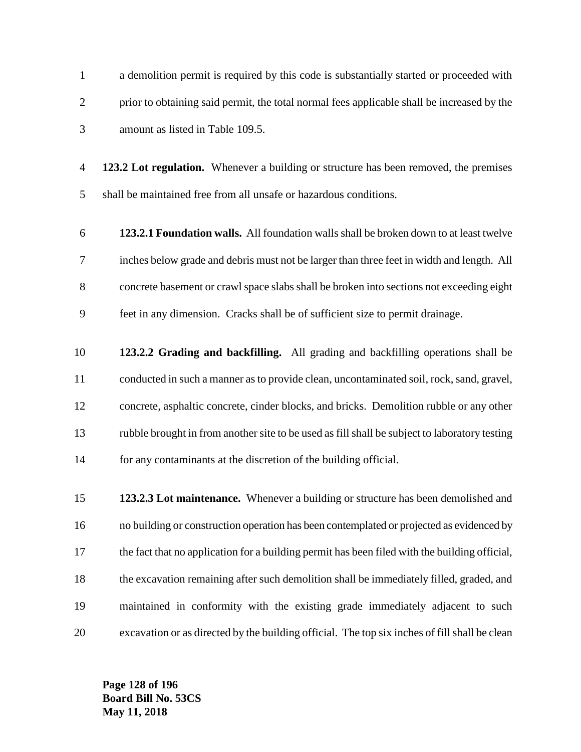a demolition permit is required by this code is substantially started or proceeded with prior to obtaining said permit, the total normal fees applicable shall be increased by the amount as listed in Table 109.5.

 **123.2 Lot regulation.** Whenever a building or structure has been removed, the premises shall be maintained free from all unsafe or hazardous conditions.

- **123.2.1 Foundation walls.** All foundation walls shall be broken down to at least twelve inches below grade and debris must not be larger than three feet in width and length. All concrete basement or crawl space slabs shall be broken into sections not exceeding eight feet in any dimension. Cracks shall be of sufficient size to permit drainage.
- **123.2.2 Grading and backfilling.** All grading and backfilling operations shall be conducted in such a manner as to provide clean, uncontaminated soil, rock, sand, gravel, concrete, asphaltic concrete, cinder blocks, and bricks. Demolition rubble or any other rubble brought in from another site to be used as fill shall be subject to laboratory testing for any contaminants at the discretion of the building official.
- **123.2.3 Lot maintenance.** Whenever a building or structure has been demolished and no building or construction operation has been contemplated or projected as evidenced by the fact that no application for a building permit has been filed with the building official, the excavation remaining after such demolition shall be immediately filled, graded, and maintained in conformity with the existing grade immediately adjacent to such excavation or as directed by the building official. The top six inches of fill shall be clean

**Page 128 of 196 Board Bill No. 53CS May 11, 2018**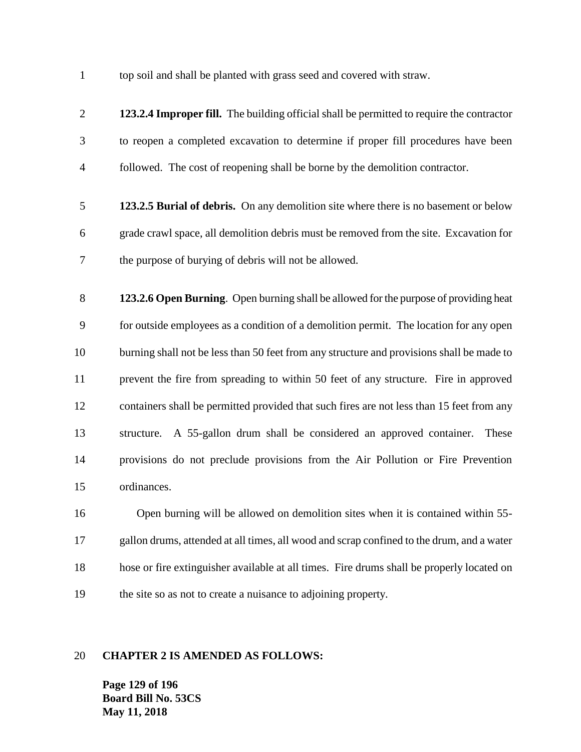top soil and shall be planted with grass seed and covered with straw.

 **123.2.4 Improper fill.** The building official shall be permitted to require the contractor to reopen a completed excavation to determine if proper fill procedures have been followed. The cost of reopening shall be borne by the demolition contractor. **123.2.5 Burial of debris.** On any demolition site where there is no basement or below grade crawl space, all demolition debris must be removed from the site. Excavation for the purpose of burying of debris will not be allowed. **123.2.6 Open Burning**. Open burning shall be allowed for the purpose of providing heat for outside employees as a condition of a demolition permit. The location for any open burning shall not be less than 50 feet from any structure and provisions shall be made to prevent the fire from spreading to within 50 feet of any structure. Fire in approved containers shall be permitted provided that such fires are not less than 15 feet from any structure. A 55-gallon drum shall be considered an approved container. These provisions do not preclude provisions from the Air Pollution or Fire Prevention ordinances. Open burning will be allowed on demolition sites when it is contained within 55- gallon drums, attended at all times, all wood and scrap confined to the drum, and a water hose or fire extinguisher available at all times. Fire drums shall be properly located on the site so as not to create a nuisance to adjoining property.

#### **CHAPTER 2 IS AMENDED AS FOLLOWS:**

**Page 129 of 196 Board Bill No. 53CS May 11, 2018**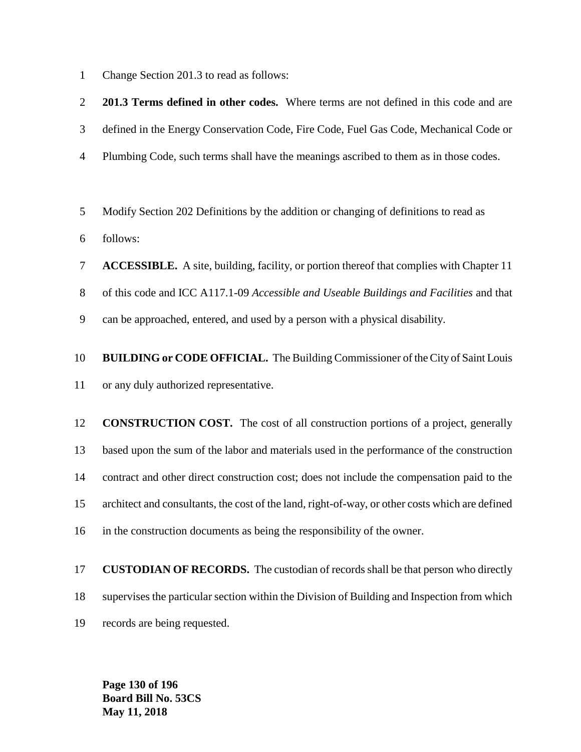Change Section 201.3 to read as follows:

 **201.3 Terms defined in other codes.** Where terms are not defined in this code and are defined in the Energy Conservation Code, Fire Code, Fuel Gas Code, Mechanical Code or Plumbing Code, such terms shall have the meanings ascribed to them as in those codes. Modify Section 202 Definitions by the addition or changing of definitions to read as follows: **ACCESSIBLE.** A site, building, facility, or portion thereof that complies with Chapter 11 of this code and ICC A117.1-09 *Accessible and Useable Buildings and Facilities* and that can be approached, entered, and used by a person with a physical disability. **BUILDING or CODE OFFICIAL.** The Building Commissioner of the City of Saint Louis or any duly authorized representative. **CONSTRUCTION COST.** The cost of all construction portions of a project, generally based upon the sum of the labor and materials used in the performance of the construction contract and other direct construction cost; does not include the compensation paid to the architect and consultants, the cost of the land, right-of-way, or other costs which are defined in the construction documents as being the responsibility of the owner.

 **CUSTODIAN OF RECORDS.** The custodian of records shall be that person who directly supervises the particular section within the Division of Building and Inspection from which records are being requested.

**Page 130 of 196 Board Bill No. 53CS May 11, 2018**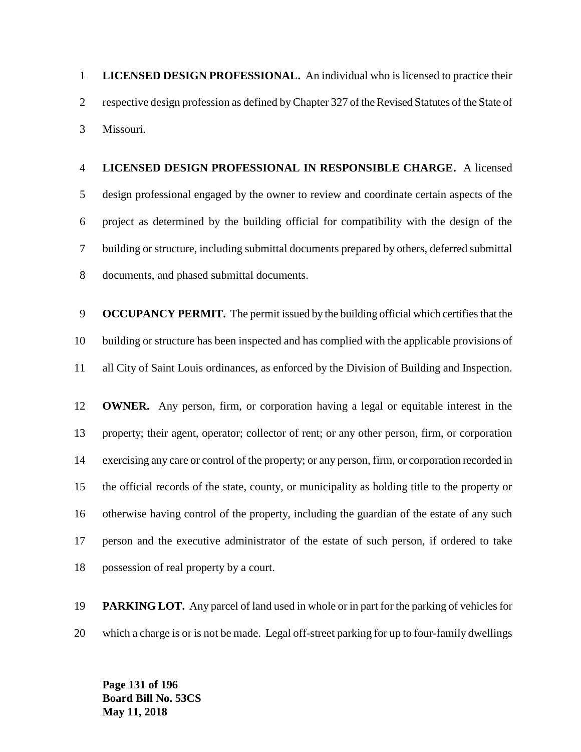**LICENSED DESIGN PROFESSIONAL.** An individual who is licensed to practice their respective design profession as defined by Chapter 327 of the Revised Statutes of the State of Missouri.

 **LICENSED DESIGN PROFESSIONAL IN RESPONSIBLE CHARGE.** A licensed design professional engaged by the owner to review and coordinate certain aspects of the project as determined by the building official for compatibility with the design of the building or structure, including submittal documents prepared by others, deferred submittal documents, and phased submittal documents.

 **OCCUPANCY PERMIT.** The permit issued by the building official which certifies that the building or structure has been inspected and has complied with the applicable provisions of all City of Saint Louis ordinances, as enforced by the Division of Building and Inspection.

 **OWNER.** Any person, firm, or corporation having a legal or equitable interest in the property; their agent, operator; collector of rent; or any other person, firm, or corporation exercising any care or control of the property; or any person, firm, or corporation recorded in the official records of the state, county, or municipality as holding title to the property or otherwise having control of the property, including the guardian of the estate of any such person and the executive administrator of the estate of such person, if ordered to take possession of real property by a court.

 **PARKING LOT.** Any parcel of land used in whole or in part for the parking of vehicles for which a charge is or is not be made. Legal off-street parking for up to four-family dwellings

**Page 131 of 196 Board Bill No. 53CS May 11, 2018**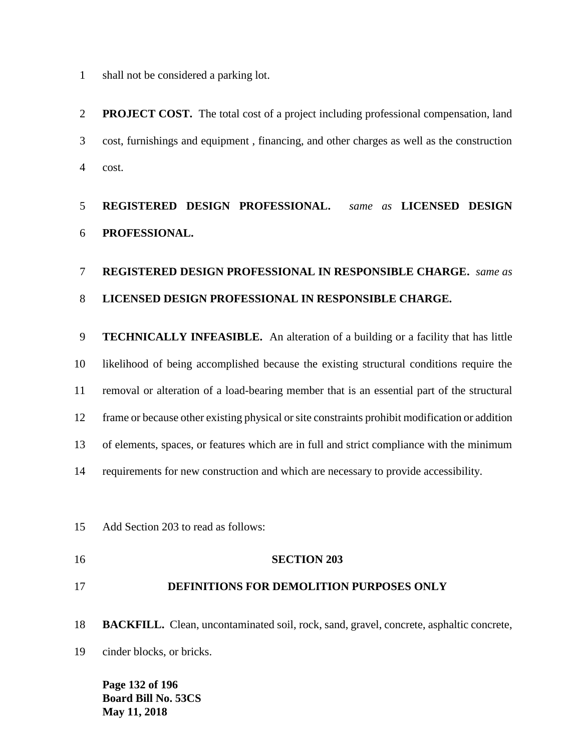shall not be considered a parking lot.

 **PROJECT COST.** The total cost of a project including professional compensation, land cost, furnishings and equipment , financing, and other charges as well as the construction cost.

## **REGISTERED DESIGN PROFESSIONAL.** *same as* **LICENSED DESIGN PROFESSIONAL.**

## **REGISTERED DESIGN PROFESSIONAL IN RESPONSIBLE CHARGE.** *same as*  **LICENSED DESIGN PROFESSIONAL IN RESPONSIBLE CHARGE.**

 **TECHNICALLY INFEASIBLE.** An alteration of a building or a facility that has little likelihood of being accomplished because the existing structural conditions require the removal or alteration of a load-bearing member that is an essential part of the structural frame or because other existing physical or site constraints prohibit modification or addition of elements, spaces, or features which are in full and strict compliance with the minimum requirements for new construction and which are necessary to provide accessibility.

Add Section 203 to read as follows:

### **SECTION 203**

#### **DEFINITIONS FOR DEMOLITION PURPOSES ONLY**

**BACKFILL.** Clean, uncontaminated soil, rock, sand, gravel, concrete, asphaltic concrete,

cinder blocks, or bricks.

**Page 132 of 196 Board Bill No. 53CS May 11, 2018**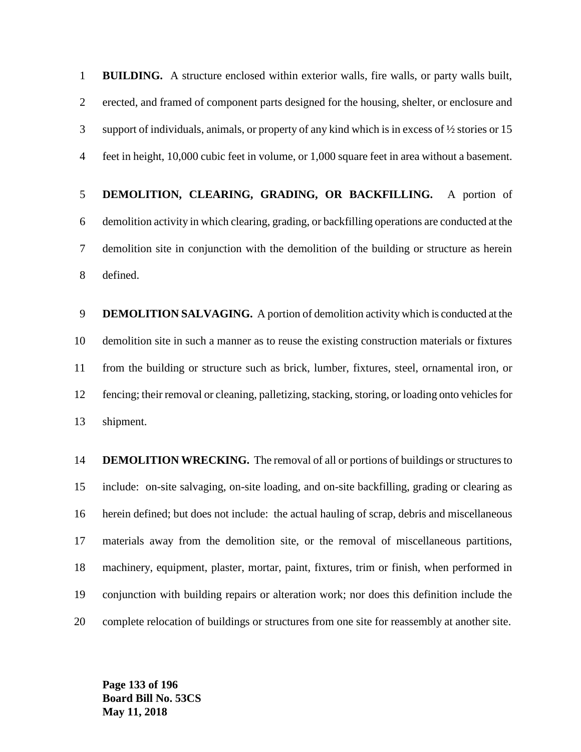**BUILDING.** A structure enclosed within exterior walls, fire walls, or party walls built, erected, and framed of component parts designed for the housing, shelter, or enclosure and support of individuals, animals, or property of any kind which is in excess of ½ stories or 15 feet in height, 10,000 cubic feet in volume, or 1,000 square feet in area without a basement.

 **DEMOLITION, CLEARING, GRADING, OR BACKFILLING.** A portion of demolition activity in which clearing, grading, or backfilling operations are conducted at the demolition site in conjunction with the demolition of the building or structure as herein defined.

 **DEMOLITION SALVAGING.** A portion of demolition activity which is conducted at the demolition site in such a manner as to reuse the existing construction materials or fixtures from the building or structure such as brick, lumber, fixtures, steel, ornamental iron, or fencing; their removal or cleaning, palletizing, stacking, storing, or loading onto vehicles for shipment.

 **DEMOLITION WRECKING.** The removal of all or portions of buildings or structures to include: on-site salvaging, on-site loading, and on-site backfilling, grading or clearing as herein defined; but does not include: the actual hauling of scrap, debris and miscellaneous materials away from the demolition site, or the removal of miscellaneous partitions, machinery, equipment, plaster, mortar, paint, fixtures, trim or finish, when performed in conjunction with building repairs or alteration work; nor does this definition include the complete relocation of buildings or structures from one site for reassembly at another site.

**Page 133 of 196 Board Bill No. 53CS May 11, 2018**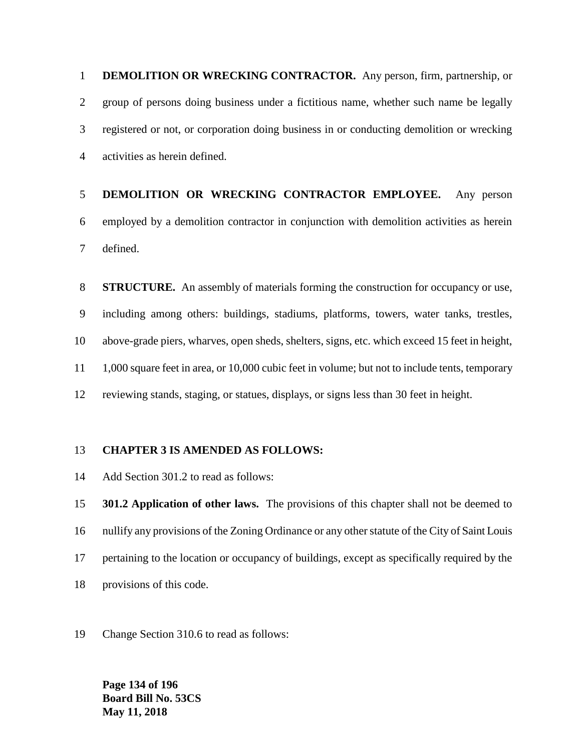**DEMOLITION OR WRECKING CONTRACTOR.** Any person, firm, partnership, or group of persons doing business under a fictitious name, whether such name be legally registered or not, or corporation doing business in or conducting demolition or wrecking activities as herein defined.

# **DEMOLITION OR WRECKING CONTRACTOR EMPLOYEE.** Any person employed by a demolition contractor in conjunction with demolition activities as herein defined.

 **STRUCTURE.** An assembly of materials forming the construction for occupancy or use, including among others: buildings, stadiums, platforms, towers, water tanks, trestles, above-grade piers, wharves, open sheds, shelters, signs, etc. which exceed 15 feet in height, 1,000 square feet in area, or 10,000 cubic feet in volume; but not to include tents, temporary reviewing stands, staging, or statues, displays, or signs less than 30 feet in height.

#### **CHAPTER 3 IS AMENDED AS FOLLOWS:**

Add Section 301.2 to read as follows:

 **301.2 Application of other laws.** The provisions of this chapter shall not be deemed to nullify any provisions of the Zoning Ordinance or any other statute of the City of Saint Louis pertaining to the location or occupancy of buildings, except as specifically required by the provisions of this code.

Change Section 310.6 to read as follows:

**Page 134 of 196 Board Bill No. 53CS May 11, 2018**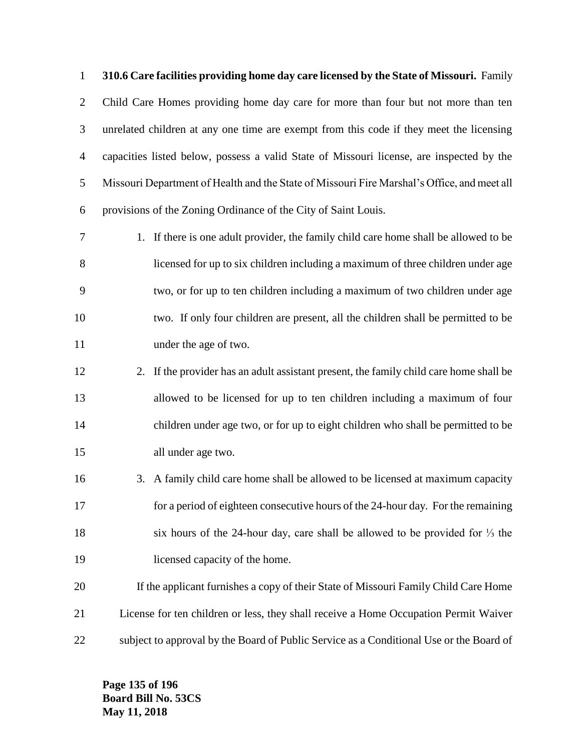**310.6 Care facilities providing home day care licensed by the State of Missouri.** Family Child Care Homes providing home day care for more than four but not more than ten unrelated children at any one time are exempt from this code if they meet the licensing capacities listed below, possess a valid State of Missouri license, are inspected by the Missouri Department of Health and the State of Missouri Fire Marshal's Office, and meet all provisions of the Zoning Ordinance of the City of Saint Louis.

- 1. If there is one adult provider, the family child care home shall be allowed to be licensed for up to six children including a maximum of three children under age two, or for up to ten children including a maximum of two children under age two. If only four children are present, all the children shall be permitted to be under the age of two.
- 2. If the provider has an adult assistant present, the family child care home shall be allowed to be licensed for up to ten children including a maximum of four children under age two, or for up to eight children who shall be permitted to be all under age two.
- 3. A family child care home shall be allowed to be licensed at maximum capacity for a period of eighteen consecutive hours of the 24-hour day. For the remaining six hours of the 24-hour day, care shall be allowed to be provided for ⅓ the licensed capacity of the home.
- If the applicant furnishes a copy of their State of Missouri Family Child Care Home License for ten children or less, they shall receive a Home Occupation Permit Waiver 22 subject to approval by the Board of Public Service as a Conditional Use or the Board of

**Page 135 of 196 Board Bill No. 53CS May 11, 2018**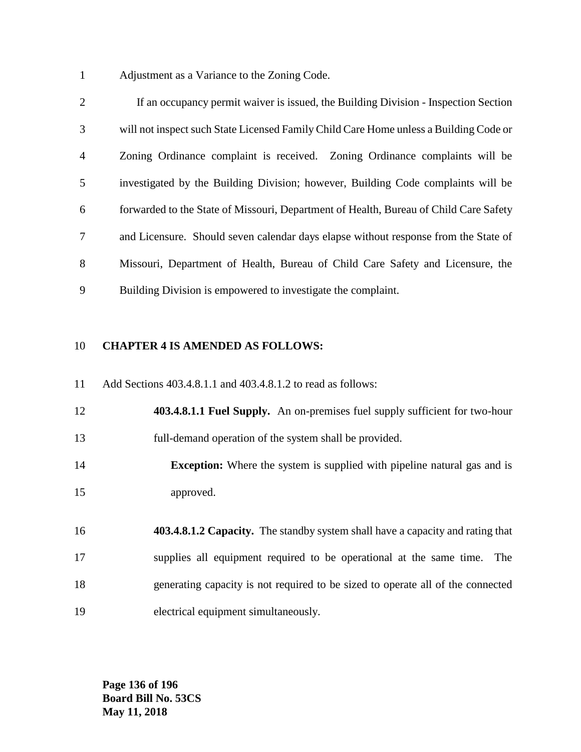Adjustment as a Variance to the Zoning Code.

 If an occupancy permit waiver is issued, the Building Division - Inspection Section will not inspect such State Licensed Family Child Care Home unless a Building Code or Zoning Ordinance complaint is received. Zoning Ordinance complaints will be investigated by the Building Division; however, Building Code complaints will be forwarded to the State of Missouri, Department of Health, Bureau of Child Care Safety and Licensure. Should seven calendar days elapse without response from the State of Missouri, Department of Health, Bureau of Child Care Safety and Licensure, the Building Division is empowered to investigate the complaint.

#### **CHAPTER 4 IS AMENDED AS FOLLOWS:**

Add Sections 403.4.8.1.1 and 403.4.8.1.2 to read as follows:

 **403.4.8.1.1 Fuel Supply.** An on-premises fuel supply sufficient for two-hour full-demand operation of the system shall be provided.

 **Exception:** Where the system is supplied with pipeline natural gas and is approved.

 **403.4.8.1.2 Capacity.** The standby system shall have a capacity and rating that supplies all equipment required to be operational at the same time. The generating capacity is not required to be sized to operate all of the connected electrical equipment simultaneously.

**Page 136 of 196 Board Bill No. 53CS May 11, 2018**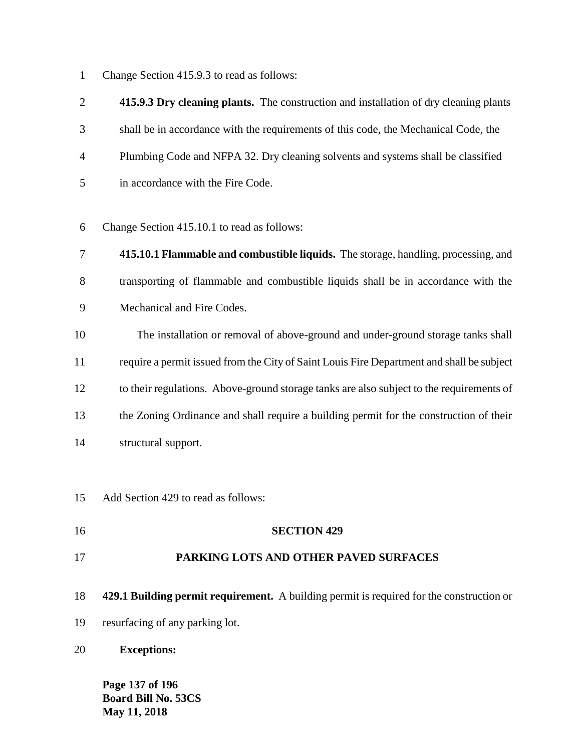Change Section 415.9.3 to read as follows:

 **415.9.3 Dry cleaning plants.** The construction and installation of dry cleaning plants shall be in accordance with the requirements of this code, the Mechanical Code, the Plumbing Code and NFPA 32. Dry cleaning solvents and systems shall be classified in accordance with the Fire Code.

Change Section 415.10.1 to read as follows:

- **415.10.1 Flammable and combustible liquids.** The storage, handling, processing, and transporting of flammable and combustible liquids shall be in accordance with the Mechanical and Fire Codes.
- The installation or removal of above-ground and under-ground storage tanks shall require a permit issued from the City of Saint Louis Fire Department and shall be subject to their regulations. Above-ground storage tanks are also subject to the requirements of the Zoning Ordinance and shall require a building permit for the construction of their structural support.
- Add Section 429 to read as follows:
- **SECTION 429**

#### **PARKING LOTS AND OTHER PAVED SURFACES**

- **429.1 Building permit requirement.** A building permit is required for the construction or
- resurfacing of any parking lot.
- **Exceptions:**

**Page 137 of 196 Board Bill No. 53CS May 11, 2018**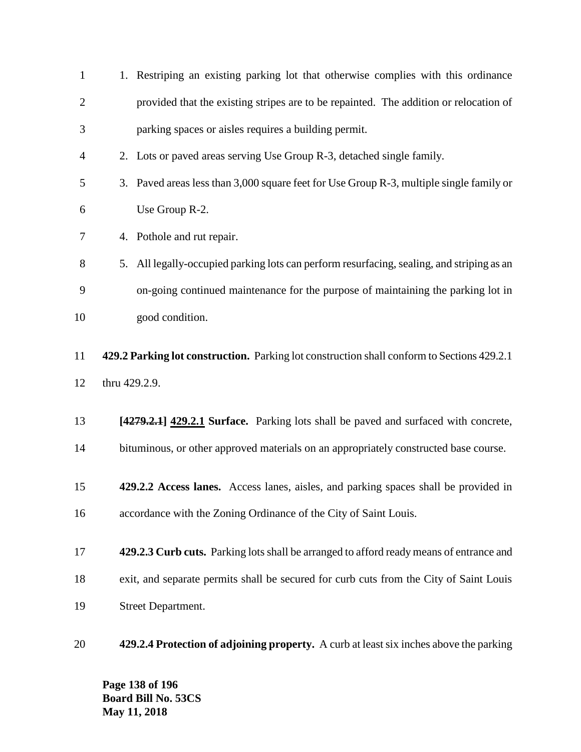| $\mathbf{1}$   |    | 1. Restriping an existing parking lot that otherwise complies with this ordinance          |
|----------------|----|--------------------------------------------------------------------------------------------|
| $\overline{2}$ |    | provided that the existing stripes are to be repainted. The addition or relocation of      |
| 3              |    | parking spaces or aisles requires a building permit.                                       |
| $\overline{4}$ |    | 2. Lots or paved areas serving Use Group R-3, detached single family.                      |
| 5              |    | 3. Paved areas less than 3,000 square feet for Use Group R-3, multiple single family or    |
| 6              |    | Use Group R-2.                                                                             |
| 7              |    | 4. Pothole and rut repair.                                                                 |
| 8              | 5. | All legally-occupied parking lots can perform resurfacing, sealing, and striping as an     |
| 9              |    | on-going continued maintenance for the purpose of maintaining the parking lot in           |
| 10             |    | good condition.                                                                            |
| 11             |    | 429.2 Parking lot construction. Parking lot construction shall conform to Sections 429.2.1 |
| 12             |    | thru 429.2.9.                                                                              |
| 13             |    | [4279.2.1] 429.2.1 Surface. Parking lots shall be paved and surfaced with concrete,        |
| 14             |    | bituminous, or other approved materials on an appropriately constructed base course.       |
| 15             |    | 429.2.2 Access lanes. Access lanes, aisles, and parking spaces shall be provided in        |
| 16             |    | accordance with the Zoning Ordinance of the City of Saint Louis.                           |
| 17             |    | 429.2.3 Curb cuts. Parking lots shall be arranged to afford ready means of entrance and    |
| 18             |    | exit, and separate permits shall be secured for curb cuts from the City of Saint Louis     |
| 19             |    | <b>Street Department.</b>                                                                  |
| 20             |    | 429.2.4 Protection of adjoining property. A curb at least six inches above the parking     |

**Page 138 of 196 Board Bill No. 53CS May 11, 2018**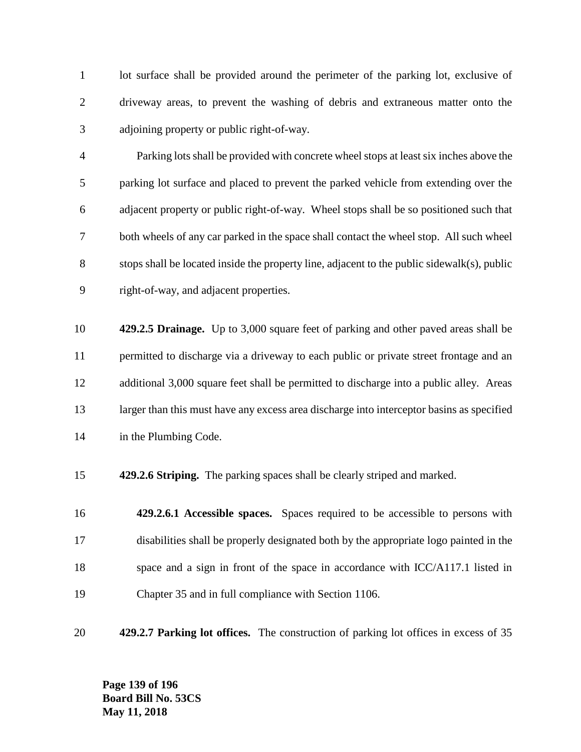1 lot surface shall be provided around the perimeter of the parking lot, exclusive of driveway areas, to prevent the washing of debris and extraneous matter onto the adjoining property or public right-of-way.

 Parking lots shall be provided with concrete wheel stops at least six inches above the parking lot surface and placed to prevent the parked vehicle from extending over the adjacent property or public right-of-way. Wheel stops shall be so positioned such that both wheels of any car parked in the space shall contact the wheel stop. All such wheel stops shall be located inside the property line, adjacent to the public sidewalk(s), public right-of-way, and adjacent properties.

 **429.2.5 Drainage.** Up to 3,000 square feet of parking and other paved areas shall be permitted to discharge via a driveway to each public or private street frontage and an additional 3,000 square feet shall be permitted to discharge into a public alley. Areas 13 larger than this must have any excess area discharge into interceptor basins as specified in the Plumbing Code.

**429.2.6 Striping.** The parking spaces shall be clearly striped and marked.

 **429.2.6.1 Accessible spaces.** Spaces required to be accessible to persons with disabilities shall be properly designated both by the appropriate logo painted in the 18 space and a sign in front of the space in accordance with ICC/A117.1 listed in Chapter 35 and in full compliance with Section 1106.

**429.2.7 Parking lot offices.** The construction of parking lot offices in excess of 35

**Page 139 of 196 Board Bill No. 53CS May 11, 2018**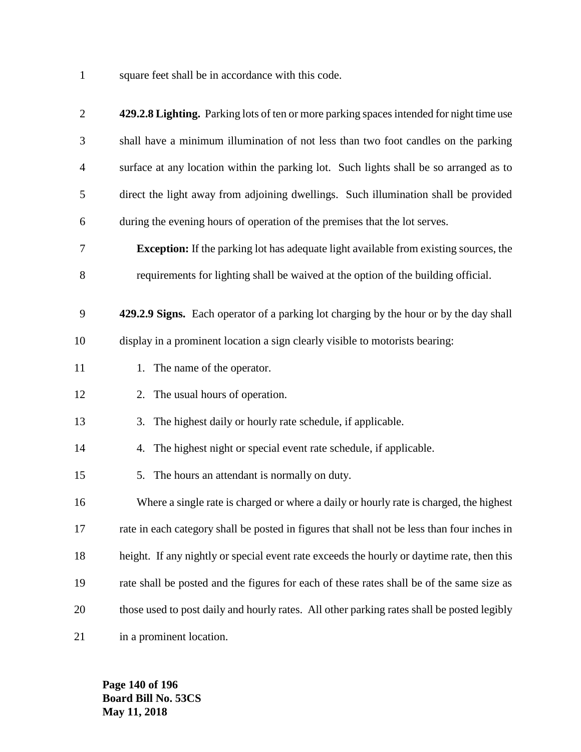square feet shall be in accordance with this code.

| $\overline{2}$ | 429.2.8 Lighting. Parking lots of ten or more parking spaces intended for night time use     |
|----------------|----------------------------------------------------------------------------------------------|
| 3              | shall have a minimum illumination of not less than two foot candles on the parking           |
| $\overline{4}$ | surface at any location within the parking lot. Such lights shall be so arranged as to       |
| 5              | direct the light away from adjoining dwellings. Such illumination shall be provided          |
| 6              | during the evening hours of operation of the premises that the lot serves.                   |
| $\tau$         | <b>Exception:</b> If the parking lot has adequate light available from existing sources, the |
| $8\,$          | requirements for lighting shall be waived at the option of the building official.            |
| 9              | 429.2.9 Signs. Each operator of a parking lot charging by the hour or by the day shall       |
| 10             | display in a prominent location a sign clearly visible to motorists bearing:                 |
| 11             | 1. The name of the operator.                                                                 |
| 12             | 2. The usual hours of operation.                                                             |
| 13             | The highest daily or hourly rate schedule, if applicable.<br>3.                              |
| 14             | 4. The highest night or special event rate schedule, if applicable.                          |
| 15             | The hours an attendant is normally on duty.<br>5.                                            |
| 16             | Where a single rate is charged or where a daily or hourly rate is charged, the highest       |
| 17             | rate in each category shall be posted in figures that shall not be less than four inches in  |
| 18             | height. If any nightly or special event rate exceeds the hourly or daytime rate, then this   |
| 19             | rate shall be posted and the figures for each of these rates shall be of the same size as    |
| 20             | those used to post daily and hourly rates. All other parking rates shall be posted legibly   |
| 21             | in a prominent location.                                                                     |

**Page 140 of 196 Board Bill No. 53CS May 11, 2018**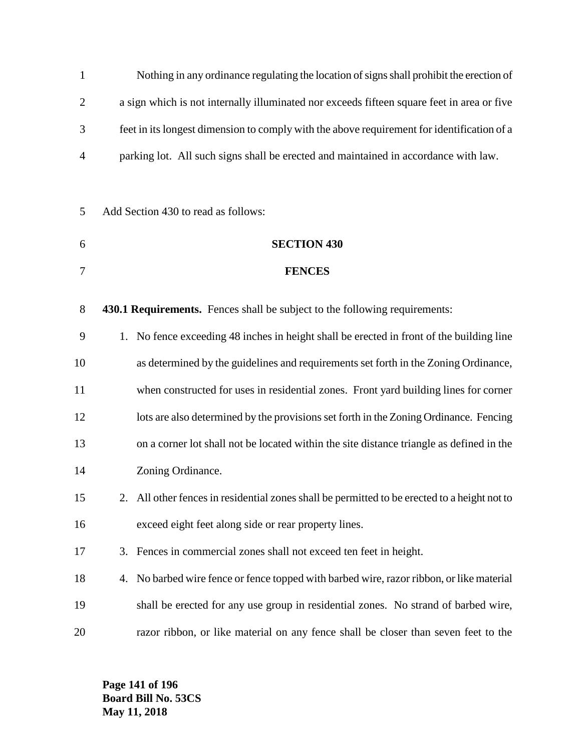| $\mathbf{1}$   | Nothing in any ordinance regulating the location of signs shall prohibit the erection of   |                                                                                              |  |  |  |
|----------------|--------------------------------------------------------------------------------------------|----------------------------------------------------------------------------------------------|--|--|--|
| $\overline{2}$ | a sign which is not internally illuminated nor exceeds fifteen square feet in area or five |                                                                                              |  |  |  |
| 3              | feet in its longest dimension to comply with the above requirement for identification of a |                                                                                              |  |  |  |
| $\overline{4}$ |                                                                                            | parking lot. All such signs shall be erected and maintained in accordance with law.          |  |  |  |
|                |                                                                                            |                                                                                              |  |  |  |
| 5              |                                                                                            | Add Section 430 to read as follows:                                                          |  |  |  |
| 6              |                                                                                            | <b>SECTION 430</b>                                                                           |  |  |  |
| 7              |                                                                                            | <b>FENCES</b>                                                                                |  |  |  |
| 8              |                                                                                            | 430.1 Requirements. Fences shall be subject to the following requirements:                   |  |  |  |
| 9              | 1.                                                                                         | No fence exceeding 48 inches in height shall be erected in front of the building line        |  |  |  |
| 10             |                                                                                            | as determined by the guidelines and requirements set forth in the Zoning Ordinance,          |  |  |  |
| 11             |                                                                                            | when constructed for uses in residential zones. Front yard building lines for corner         |  |  |  |
| 12             |                                                                                            | lots are also determined by the provisions set forth in the Zoning Ordinance. Fencing        |  |  |  |
| 13             | on a corner lot shall not be located within the site distance triangle as defined in the   |                                                                                              |  |  |  |
| 14             |                                                                                            | Zoning Ordinance.                                                                            |  |  |  |
| 15             |                                                                                            | 2. All other fences in residential zones shall be permitted to be erected to a height not to |  |  |  |
| 16             |                                                                                            | exceed eight feet along side or rear property lines.                                         |  |  |  |
| 17             |                                                                                            | 3. Fences in commercial zones shall not exceed ten feet in height.                           |  |  |  |
| 18             | 4.                                                                                         | No barbed wire fence or fence topped with barbed wire, razor ribbon, or like material        |  |  |  |
| 19             |                                                                                            | shall be erected for any use group in residential zones. No strand of barbed wire,           |  |  |  |
| 20             |                                                                                            | razor ribbon, or like material on any fence shall be closer than seven feet to the           |  |  |  |

**Page 141 of 196 Board Bill No. 53CS May 11, 2018**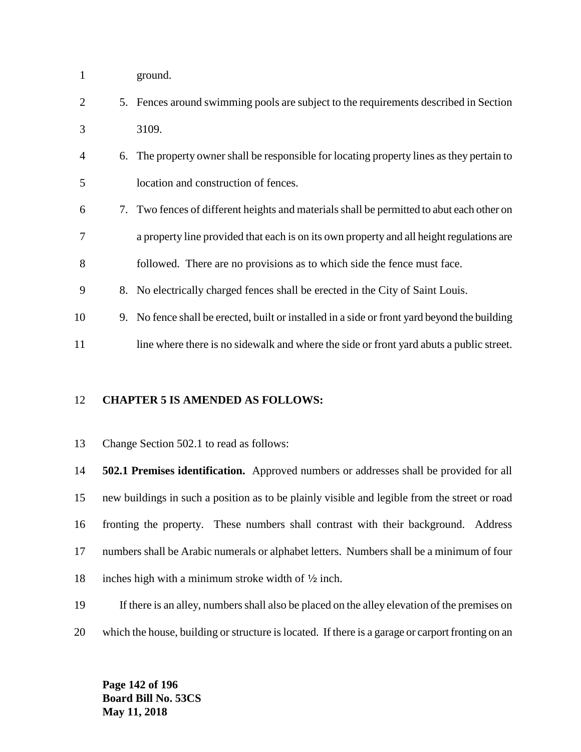- ground.
- 5. Fences around swimming pools are subject to the requirements described in Section 3109.
- 6. The property owner shall be responsible for locating property lines as they pertain to location and construction of fences.
- 7. Two fences of different heights and materials shall be permitted to abut each other on a property line provided that each is on its own property and all height regulations are followed. There are no provisions as to which side the fence must face.
- 8. No electrically charged fences shall be erected in the City of Saint Louis.
- 9. No fence shall be erected, built or installed in a side or front yard beyond the building
- 11 line where there is no sidewalk and where the side or front yard abuts a public street.

#### **CHAPTER 5 IS AMENDED AS FOLLOWS:**

Change Section 502.1 to read as follows:

 **502.1 Premises identification.** Approved numbers or addresses shall be provided for all new buildings in such a position as to be plainly visible and legible from the street or road fronting the property. These numbers shall contrast with their background. Address numbers shall be Arabic numerals or alphabet letters. Numbers shall be a minimum of four 18 inches high with a minimum stroke width of  $\frac{1}{2}$  inch.

- If there is an alley, numbers shall also be placed on the alley elevation of the premises on
- which the house, building or structure is located. If there is a garage or carport fronting on an

**Page 142 of 196 Board Bill No. 53CS May 11, 2018**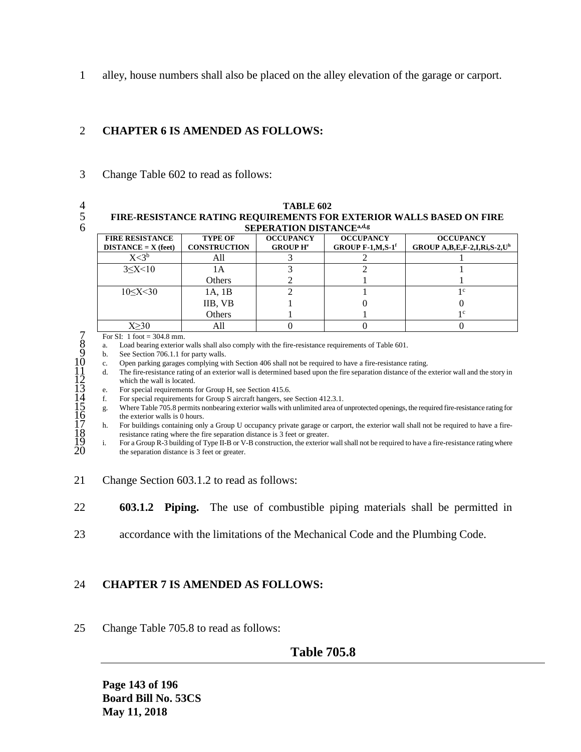1 alley, house numbers shall also be placed on the alley elevation of the garage or carport.

#### 2 **CHAPTER 6 IS AMENDED AS FOLLOWS:**

3 Change Table 602 to read as follows:

- 
- 

#### 4 **TABLE 602** 5 **FIRE-RESISTANCE RATING REQUIREMENTS FOR EXTERIOR WALLS BASED ON FIRE SEPERATION DISTANCEa,d,g** 6

| 911 LIVATIVA DI9TARCE                           |                                       |                                                |                                                      |                                                   |  |  |
|-------------------------------------------------|---------------------------------------|------------------------------------------------|------------------------------------------------------|---------------------------------------------------|--|--|
| <b>FIRE RESISTANCE</b><br>$DISTANCE = X (feet)$ | <b>TYPE OF</b><br><b>CONSTRUCTION</b> | <b>OCCUPANCY</b><br><b>GROUP H<sup>e</sup></b> | <b>OCCUPANCY</b><br>GROUP $F-1, M, S-1$ <sup>f</sup> | <b>OCCUPANCY</b><br>GROUP $A,B,E,F-2,I,Ri,S-2,Uh$ |  |  |
| X <sub>3<sup>b</sup></sub>                      | All                                   |                                                |                                                      |                                                   |  |  |
| $3 \le X \le 10$                                | lА                                    |                                                |                                                      |                                                   |  |  |
|                                                 | Others                                |                                                |                                                      |                                                   |  |  |
| 10 < X < 30                                     | 1A, 1B                                |                                                |                                                      |                                                   |  |  |
|                                                 | IIB, VB                               |                                                |                                                      |                                                   |  |  |
|                                                 | Others                                |                                                |                                                      | l c                                               |  |  |
| V>20                                            | All                                   |                                                |                                                      |                                                   |  |  |

8 a. Load bearing exterior walls shall also comply with the fire-resistance requirements of Table 601.

b. See Section 706.1.1 for party walls.

10 c. Open parking garages complying with Section 406 shall not be required to have a fire-resistance rating.

11 d. The fire-resistance rating of an exterior wall is determined based upon the fire separation distance of the exterior wall and the story in which the wall is located.

e. For special requirements for Group H, see Section 415.6.<br>f. For special requirements for Group S aircraft hangers, see

For special requirements for Group S aircraft hangers, see Section 412.3.1.

7 For SI: 1 foot = 304.8 mm.<br>
8 a. Load bearing exterior<br>
9 b. See Section 706.1.1 for Containstance Section 706.1.1 for Copen parking garages<br>
11 c. Open parking garages<br>
11 c. For special requirement<br>
14 f. For special 15 g. Where Table 705.8 permits nonbearing exterior walls with unlimited area of unprotected openings, the required fire-resistance rating for the exterior walls is 0 hours.

17 h. For buildings containing only a Group U occupancy private garage or carport, the exterior wall shall not be required to have a fire-18 resistance rating where the fire separation distance is 3 feet or greater.<br>
18 For a Group R-3 building of Type II-B or V-B construction, the exterior

For a Group R-3 building of Type II-B or V-B construction, the exterior wall shall not be required to have a fire-resistance rating where the separation distance is 3 feet or greater.

- 21 Change Section 603.1.2 to read as follows:
- 22 **603.1.2 Piping.** The use of combustible piping materials shall be permitted in
- 23 accordance with the limitations of the Mechanical Code and the Plumbing Code.

#### 24 **CHAPTER 7 IS AMENDED AS FOLLOWS:**

25 Change Table 705.8 to read as follows:

### **Table 705.8**

**Page 143 of 196 Board Bill No. 53CS May 11, 2018**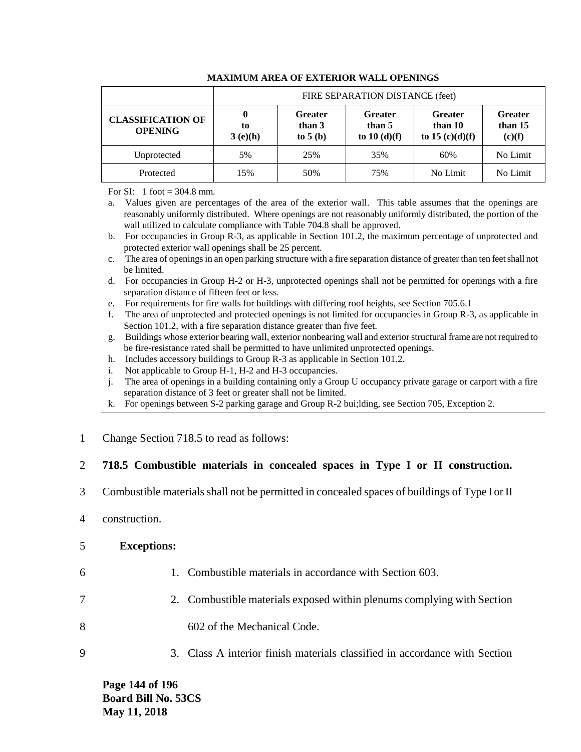|                                            | FIRE SEPARATION DISTANCE (feet) |                                       |                                           |                                                |                                     |
|--------------------------------------------|---------------------------------|---------------------------------------|-------------------------------------------|------------------------------------------------|-------------------------------------|
| <b>CLASSIFICATION OF</b><br><b>OPENING</b> | $\bf{0}$<br>to<br>3(e)(h)       | <b>Greater</b><br>than 3<br>to $5(b)$ | <b>Greater</b><br>than 5<br>to $10(d)(f)$ | <b>Greater</b><br>than 10<br>to 15 $(c)(d)(f)$ | <b>Greater</b><br>than 15<br>(c)(f) |
| Unprotected                                | 5%                              | 25%                                   | 35%                                       | 60%                                            | No Limit                            |
| Protected                                  | 15%                             | 50%                                   | 75%                                       | No Limit                                       | No Limit                            |

#### **MAXIMUM AREA OF EXTERIOR WALL OPENINGS**

For SI: 1 foot  $=$  304.8 mm.

a. Values given are percentages of the area of the exterior wall. This table assumes that the openings are reasonably uniformly distributed. Where openings are not reasonably uniformly distributed, the portion of the wall utilized to calculate compliance with Table 704.8 shall be approved.

- b. For occupancies in Group R-3, as applicable in Section 101.2, the maximum percentage of unprotected and protected exterior wall openings shall be 25 percent.
- c. The area of openings in an open parking structure with a fire separation distance of greater than ten feet shall not be limited.
- d. For occupancies in Group H-2 or H-3, unprotected openings shall not be permitted for openings with a fire separation distance of fifteen feet or less.
- e. For requirements for fire walls for buildings with differing roof heights, see Section 705.6.1
- f. The area of unprotected and protected openings is not limited for occupancies in Group R-3, as applicable in Section 101.2, with a fire separation distance greater than five feet.
- g. Buildings whose exterior bearing wall, exterior nonbearing wall and exterior structural frame are not required to be fire-resistance rated shall be permitted to have unlimited unprotected openings.
- h. Includes accessory buildings to Group R-3 as applicable in Section 101.2.
- i. Not applicable to Group H-1, H-2 and H-3 occupancies.
- j. The area of openings in a building containing only a Group U occupancy private garage or carport with a fire separation distance of 3 feet or greater shall not be limited.
- k. For openings between S-2 parking garage and Group R-2 bui;lding, see Section 705, Exception 2.
- 1 Change Section 718.5 to read as follows:

#### 2 **718.5 Combustible materials in concealed spaces in Type I or II construction.**

- 3 Combustible materials shall not be permitted in concealed spaces of buildings of Type I or II
- 4 construction.

#### 5 **Exceptions:**

- 
- 6 1. Combustible materials in accordance with Section 603.
- 7 2. Combustible materials exposed within plenums complying with Section
- 8 602 of the Mechanical Code.
- 9 3. Class A interior finish materials classified in accordance with Section

**Page 144 of 196 Board Bill No. 53CS May 11, 2018**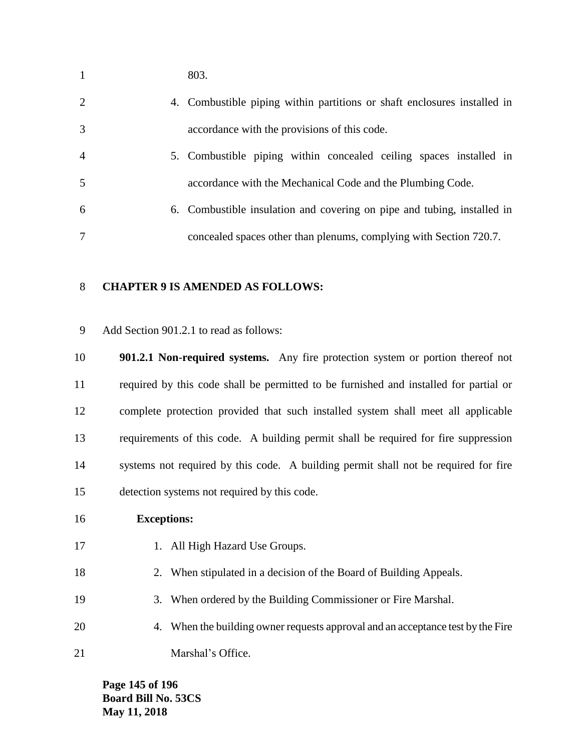| $\mathbf{1}$   | 803.                                                                     |
|----------------|--------------------------------------------------------------------------|
| 2              | 4. Combustible piping within partitions or shaft enclosures installed in |
| 3              | accordance with the provisions of this code.                             |
| $\overline{4}$ | 5. Combustible piping within concealed ceiling spaces installed in       |
| 5              | accordance with the Mechanical Code and the Plumbing Code.               |
| 6              | 6. Combustible insulation and covering on pipe and tubing, installed in  |
| 7              | concealed spaces other than plenums, complying with Section 720.7.       |

### **CHAPTER 9 IS AMENDED AS FOLLOWS:**

Add Section 901.2.1 to read as follows:

 **901.2.1 Non-required systems.** Any fire protection system or portion thereof not required by this code shall be permitted to be furnished and installed for partial or complete protection provided that such installed system shall meet all applicable requirements of this code. A building permit shall be required for fire suppression systems not required by this code. A building permit shall not be required for fire detection systems not required by this code.

### **Exceptions:**

- 17 1. All High Hazard Use Groups.
- 2. When stipulated in a decision of the Board of Building Appeals.
- 3. When ordered by the Building Commissioner or Fire Marshal.
- 4. When the building owner requests approval and an acceptance test by the Fire 21 Marshal's Office.

**Page 145 of 196 Board Bill No. 53CS May 11, 2018**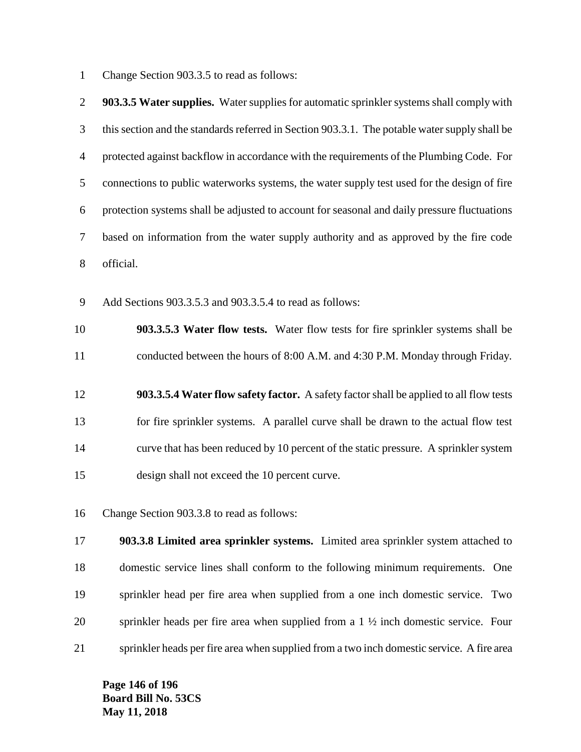Change Section 903.3.5 to read as follows:

| $\overline{2}$ | 903.3.5 Water supplies. Water supplies for automatic sprinkler systems shall comply with       |
|----------------|------------------------------------------------------------------------------------------------|
| 3              | this section and the standards referred in Section 903.3.1. The potable water supply shall be  |
| 4              | protected against backflow in accordance with the requirements of the Plumbing Code. For       |
| 5              | connections to public waterworks systems, the water supply test used for the design of fire    |
| 6              | protection systems shall be adjusted to account for seasonal and daily pressure fluctuations   |
| 7              | based on information from the water supply authority and as approved by the fire code          |
| 8              | official.                                                                                      |
| 9              | Add Sections 903.3.5.3 and 903.3.5.4 to read as follows:                                       |
| 10             | 903.3.5.3 Water flow tests. Water flow tests for fire sprinkler systems shall be               |
| 11             | conducted between the hours of 8:00 A.M. and 4:30 P.M. Monday through Friday.                  |
| 12             | 903.3.5.4 Water flow safety factor. A safety factor shall be applied to all flow tests         |
| 13             | for fire sprinkler systems. A parallel curve shall be drawn to the actual flow test            |
| 14             | curve that has been reduced by 10 percent of the static pressure. A sprinkler system           |
| 15             | design shall not exceed the 10 percent curve.                                                  |
| 16             | Change Section 903.3.8 to read as follows:                                                     |
| 17             | 903.3.8 Limited area sprinkler systems. Limited area sprinkler system attached to              |
| 18             | domestic service lines shall conform to the following minimum requirements. One                |
| 19             | sprinkler head per fire area when supplied from a one inch domestic service. Two               |
| 20             | sprinkler heads per fire area when supplied from a $1 \frac{1}{2}$ inch domestic service. Four |
| 21             | sprinkler heads per fire area when supplied from a two inch domestic service. A fire area      |

**Page 146 of 196 Board Bill No. 53CS May 11, 2018**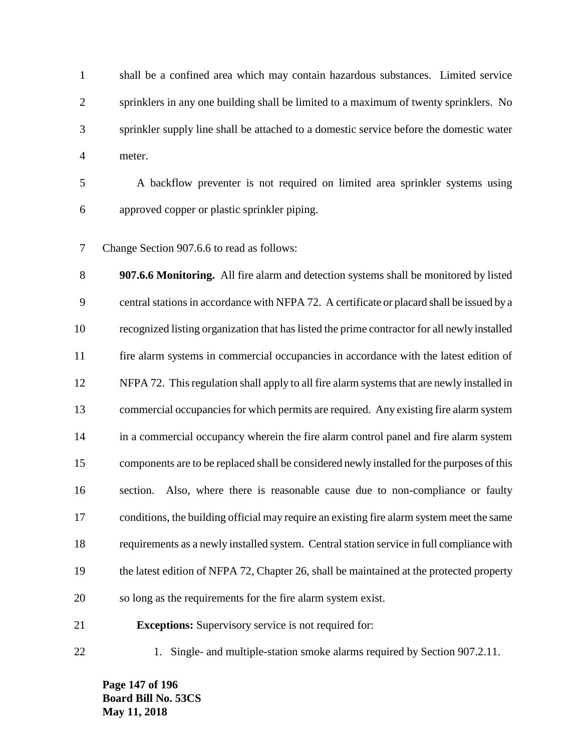shall be a confined area which may contain hazardous substances. Limited service sprinklers in any one building shall be limited to a maximum of twenty sprinklers. No sprinkler supply line shall be attached to a domestic service before the domestic water meter.

 A backflow preventer is not required on limited area sprinkler systems using approved copper or plastic sprinkler piping.

Change Section 907.6.6 to read as follows:

 **907.6.6 Monitoring.** All fire alarm and detection systems shall be monitored by listed central stations in accordance with NFPA 72. A certificate or placard shall be issued by a recognized listing organization that has listed the prime contractor for all newly installed fire alarm systems in commercial occupancies in accordance with the latest edition of NFPA 72. This regulation shall apply to all fire alarm systems that are newly installed in commercial occupancies for which permits are required. Any existing fire alarm system in a commercial occupancy wherein the fire alarm control panel and fire alarm system components are to be replaced shall be considered newly installed for the purposes of this section. Also, where there is reasonable cause due to non-compliance or faulty conditions, the building official may require an existing fire alarm system meet the same requirements as a newly installed system. Central station service in full compliance with the latest edition of NFPA 72, Chapter 26, shall be maintained at the protected property so long as the requirements for the fire alarm system exist.

1. Single- and multiple-station smoke alarms required by Section 907.2.11.

**Page 147 of 196 Board Bill No. 53CS May 11, 2018**

**Exceptions:** Supervisory service is not required for: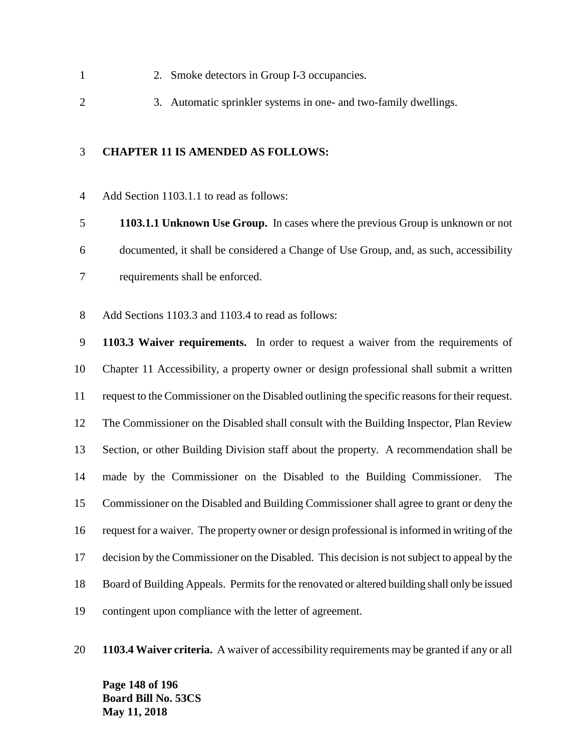- 2. Smoke detectors in Group I-3 occupancies.
- 3. Automatic sprinkler systems in one- and two-family dwellings.

### **CHAPTER 11 IS AMENDED AS FOLLOWS:**

Add Section 1103.1.1 to read as follows:

 **1103.1.1 Unknown Use Group.** In cases where the previous Group is unknown or not documented, it shall be considered a Change of Use Group, and, as such, accessibility requirements shall be enforced.

Add Sections 1103.3 and 1103.4 to read as follows:

 **1103.3 Waiver requirements.** In order to request a waiver from the requirements of Chapter 11 Accessibility, a property owner or design professional shall submit a written request to the Commissioner on the Disabled outlining the specific reasons for their request. The Commissioner on the Disabled shall consult with the Building Inspector, Plan Review Section, or other Building Division staff about the property. A recommendation shall be made by the Commissioner on the Disabled to the Building Commissioner. The Commissioner on the Disabled and Building Commissioner shall agree to grant or deny the request for a waiver. The property owner or design professional is informed in writing of the decision by the Commissioner on the Disabled. This decision is not subject to appeal by the Board of Building Appeals. Permits for the renovated or altered building shall only be issued contingent upon compliance with the letter of agreement.

**1103.4 Waiver criteria.** A waiver of accessibility requirements may be granted if any or all

**Page 148 of 196 Board Bill No. 53CS May 11, 2018**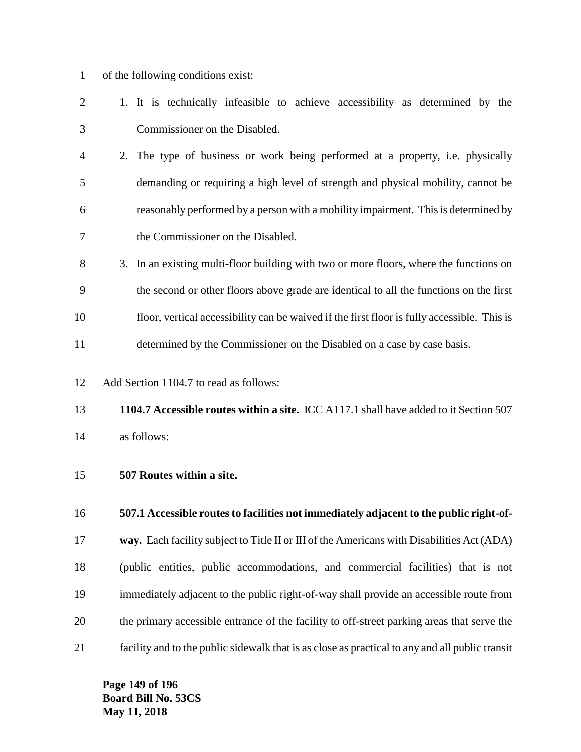- of the following conditions exist:
- 1. It is technically infeasible to achieve accessibility as determined by the Commissioner on the Disabled.
- 2. The type of business or work being performed at a property, i.e. physically demanding or requiring a high level of strength and physical mobility, cannot be reasonably performed by a person with a mobility impairment. This is determined by the Commissioner on the Disabled.
- 3. In an existing multi-floor building with two or more floors, where the functions on the second or other floors above grade are identical to all the functions on the first floor, vertical accessibility can be waived if the first floor is fully accessible. This is determined by the Commissioner on the Disabled on a case by case basis.
- Add Section 1104.7 to read as follows:
- **1104.7 Accessible routes within a site.** ICC A117.1 shall have added to it Section 507 as follows:
- **507 Routes within a site.**
- **507.1 Accessible routes to facilities not immediately adjacent to the public right-of-**
- **way.** Each facility subject to Title II or III of the Americans with Disabilities Act (ADA)
- (public entities, public accommodations, and commercial facilities) that is not immediately adjacent to the public right-of-way shall provide an accessible route from the primary accessible entrance of the facility to off-street parking areas that serve the
- facility and to the public sidewalk that is as close as practical to any and all public transit

**Page 149 of 196 Board Bill No. 53CS May 11, 2018**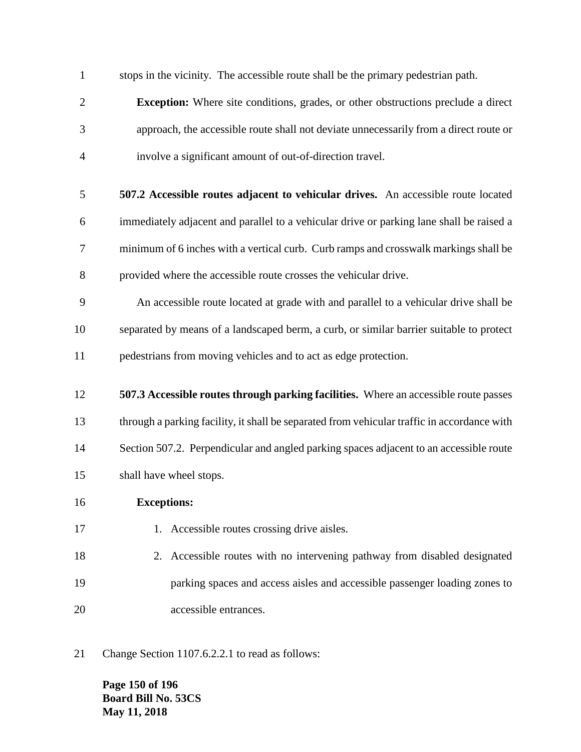stops in the vicinity. The accessible route shall be the primary pedestrian path.

- **Exception:** Where site conditions, grades, or other obstructions preclude a direct approach, the accessible route shall not deviate unnecessarily from a direct route or involve a significant amount of out-of-direction travel.
- **507.2 Accessible routes adjacent to vehicular drives.** An accessible route located immediately adjacent and parallel to a vehicular drive or parking lane shall be raised a minimum of 6 inches with a vertical curb. Curb ramps and crosswalk markings shall be provided where the accessible route crosses the vehicular drive.
- An accessible route located at grade with and parallel to a vehicular drive shall be separated by means of a landscaped berm, a curb, or similar barrier suitable to protect pedestrians from moving vehicles and to act as edge protection.
- **507.3 Accessible routes through parking facilities.** Where an accessible route passes through a parking facility, it shall be separated from vehicular traffic in accordance with 14 Section 507.2. Perpendicular and angled parking spaces adjacent to an accessible route shall have wheel stops.
- **Exceptions:**
- 17 1. Accessible routes crossing drive aisles.
- 2. Accessible routes with no intervening pathway from disabled designated parking spaces and access aisles and accessible passenger loading zones to accessible entrances.
- Change Section 1107.6.2.2.1 to read as follows:

**Page 150 of 196 Board Bill No. 53CS May 11, 2018**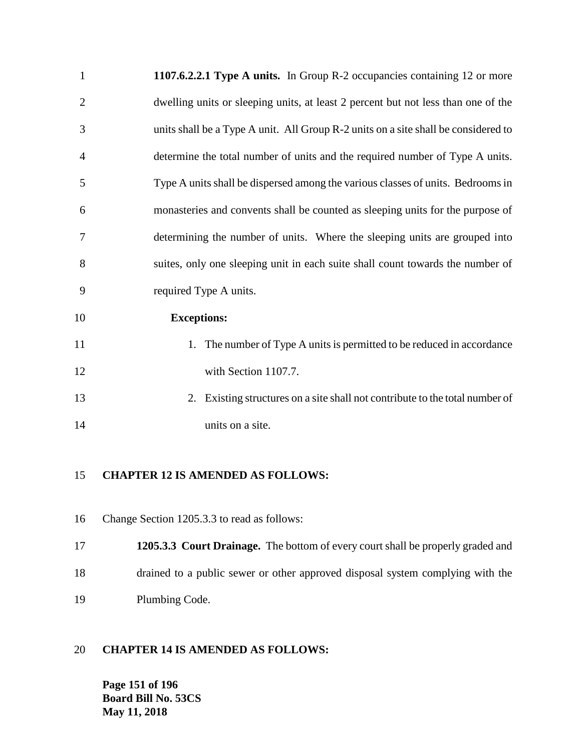| $\mathbf{1}$   | 1107.6.2.2.1 Type A units. In Group R-2 occupancies containing 12 or more          |
|----------------|------------------------------------------------------------------------------------|
| $\overline{2}$ | dwelling units or sleeping units, at least 2 percent but not less than one of the  |
| 3              | units shall be a Type A unit. All Group R-2 units on a site shall be considered to |
| $\overline{4}$ | determine the total number of units and the required number of Type A units.       |
| 5              | Type A units shall be dispersed among the various classes of units. Bedrooms in    |
| 6              | monasteries and convents shall be counted as sleeping units for the purpose of     |
| 7              | determining the number of units. Where the sleeping units are grouped into         |
| 8              | suites, only one sleeping unit in each suite shall count towards the number of     |
| 9              | required Type A units.                                                             |
| 10             | <b>Exceptions:</b>                                                                 |
| 11             | 1. The number of Type A units is permitted to be reduced in accordance             |
| 12             | with Section 1107.7.                                                               |
| 13             | Existing structures on a site shall not contribute to the total number of<br>2.    |
|                |                                                                                    |

14 units on a site.

### **CHAPTER 12 IS AMENDED AS FOLLOWS:**

- Change Section 1205.3.3 to read as follows:
- **1205.3.3 Court Drainage.** The bottom of every court shall be properly graded and drained to a public sewer or other approved disposal system complying with the Plumbing Code.

### **CHAPTER 14 IS AMENDED AS FOLLOWS:**

**Page 151 of 196 Board Bill No. 53CS May 11, 2018**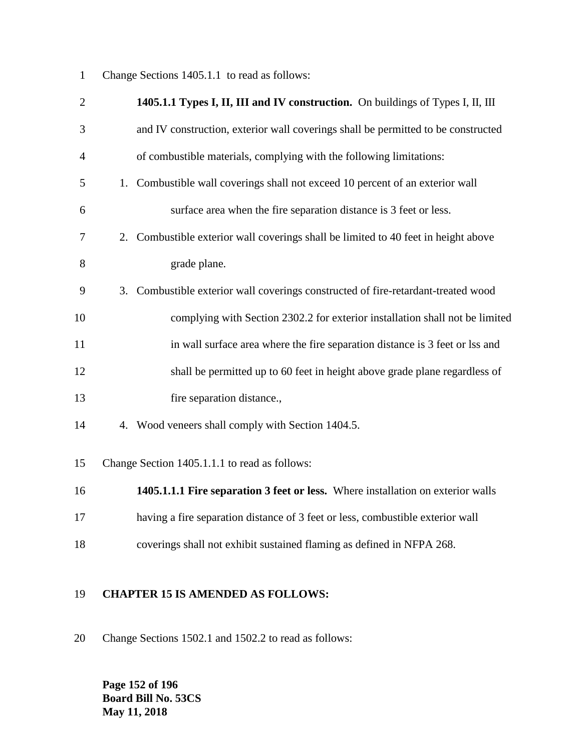Change Sections 1405.1.1 to read as follows:

| $\overline{2}$ | 1405.1.1 Types I, II, III and IV construction. On buildings of Types I, II, III      |
|----------------|--------------------------------------------------------------------------------------|
| 3              | and IV construction, exterior wall coverings shall be permitted to be constructed    |
| 4              | of combustible materials, complying with the following limitations:                  |
| 5              | Combustible wall coverings shall not exceed 10 percent of an exterior wall<br>1.     |
| 6              | surface area when the fire separation distance is 3 feet or less.                    |
| 7              | 2. Combustible exterior wall coverings shall be limited to 40 feet in height above   |
| 8              | grade plane.                                                                         |
| 9              | Combustible exterior wall coverings constructed of fire-retardant-treated wood<br>3. |
| 10             | complying with Section 2302.2 for exterior installation shall not be limited         |
| 11             | in wall surface area where the fire separation distance is 3 feet or lss and         |
| 12             | shall be permitted up to 60 feet in height above grade plane regardless of           |
| 13             | fire separation distance.,                                                           |
| 14             | 4. Wood veneers shall comply with Section 1404.5.                                    |
| 15             | Change Section 1405.1.1.1 to read as follows:                                        |
| 16             | 1405.1.1.1 Fire separation 3 feet or less. Where installation on exterior walls      |
| 17             | having a fire separation distance of 3 feet or less, combustible exterior wall       |
| 18             | coverings shall not exhibit sustained flaming as defined in NFPA 268.                |
|                |                                                                                      |

### **CHAPTER 15 IS AMENDED AS FOLLOWS:**

Change Sections 1502.1 and 1502.2 to read as follows:

**Page 152 of 196 Board Bill No. 53CS May 11, 2018**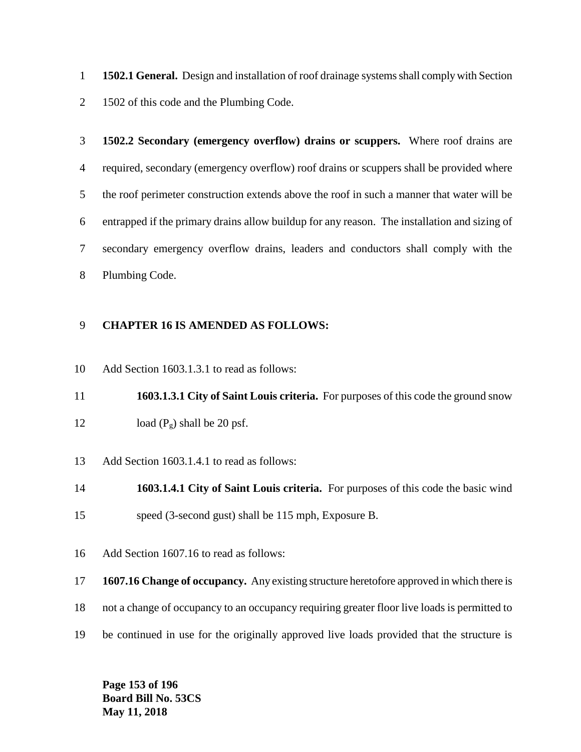**1502.1 General.** Design and installation of roof drainage systems shall comply with Section 1502 of this code and the Plumbing Code.

 **1502.2 Secondary (emergency overflow) drains or scuppers.** Where roof drains are required, secondary (emergency overflow) roof drains or scuppers shall be provided where the roof perimeter construction extends above the roof in such a manner that water will be entrapped if the primary drains allow buildup for any reason. The installation and sizing of secondary emergency overflow drains, leaders and conductors shall comply with the Plumbing Code.

### **CHAPTER 16 IS AMENDED AS FOLLOWS:**

Add Section 1603.1.3.1 to read as follows:

 **1603.1.3.1 City of Saint Louis criteria.** For purposes of this code the ground snow 12 load  $(P_g)$  shall be 20 psf.

Add Section 1603.1.4.1 to read as follows:

 **1603.1.4.1 City of Saint Louis criteria.** For purposes of this code the basic wind speed (3-second gust) shall be 115 mph, Exposure B.

Add Section 1607.16 to read as follows:

**1607.16 Change of occupancy.** Any existing structure heretofore approved in which there is

not a change of occupancy to an occupancy requiring greater floor live loads is permitted to

be continued in use for the originally approved live loads provided that the structure is

**Page 153 of 196 Board Bill No. 53CS May 11, 2018**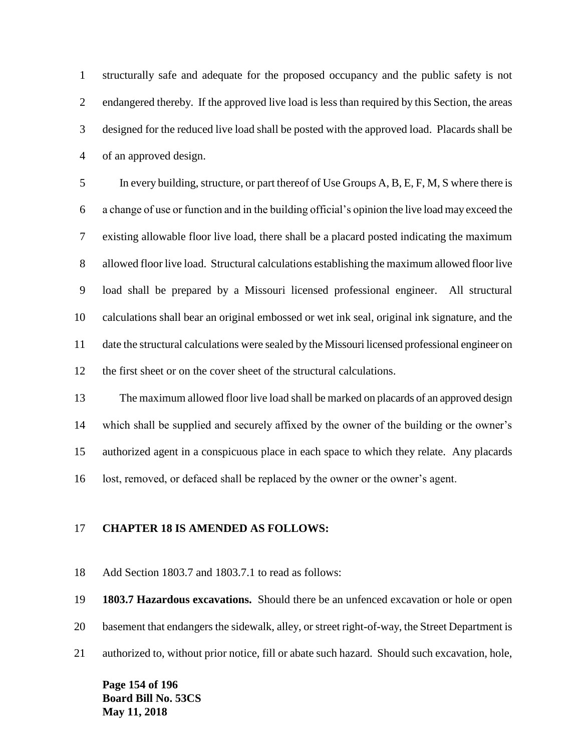structurally safe and adequate for the proposed occupancy and the public safety is not endangered thereby. If the approved live load is less than required by this Section, the areas designed for the reduced live load shall be posted with the approved load. Placards shall be of an approved design.

 In every building, structure, or part thereof of Use Groups A, B, E, F, M, S where there is a change of use or function and in the building official's opinion the live load may exceed the existing allowable floor live load, there shall be a placard posted indicating the maximum allowed floor live load. Structural calculations establishing the maximum allowed floor live load shall be prepared by a Missouri licensed professional engineer. All structural calculations shall bear an original embossed or wet ink seal, original ink signature, and the date the structural calculations were sealed by the Missouri licensed professional engineer on the first sheet or on the cover sheet of the structural calculations.

 The maximum allowed floor live load shall be marked on placards of an approved design which shall be supplied and securely affixed by the owner of the building or the owner's authorized agent in a conspicuous place in each space to which they relate. Any placards lost, removed, or defaced shall be replaced by the owner or the owner's agent.

### **CHAPTER 18 IS AMENDED AS FOLLOWS:**

Add Section 1803.7 and 1803.7.1 to read as follows:

**1803.7 Hazardous excavations.** Should there be an unfenced excavation or hole or open

basement that endangers the sidewalk, alley, or street right-of-way, the Street Department is

authorized to, without prior notice, fill or abate such hazard. Should such excavation, hole,

**Page 154 of 196 Board Bill No. 53CS May 11, 2018**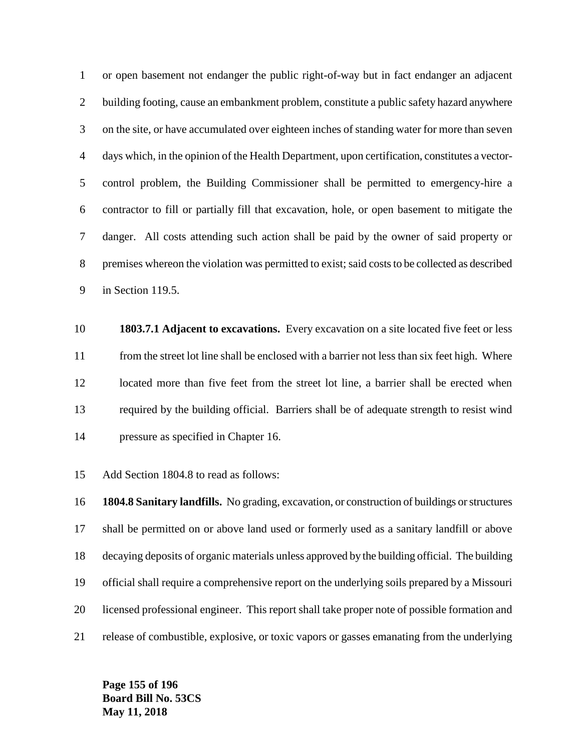or open basement not endanger the public right-of-way but in fact endanger an adjacent building footing, cause an embankment problem, constitute a public safety hazard anywhere on the site, or have accumulated over eighteen inches of standing water for more than seven days which, in the opinion of the Health Department, upon certification, constitutes a vector- control problem, the Building Commissioner shall be permitted to emergency-hire a contractor to fill or partially fill that excavation, hole, or open basement to mitigate the danger. All costs attending such action shall be paid by the owner of said property or premises whereon the violation was permitted to exist; said costs to be collected as described in Section 119.5.

 **1803.7.1 Adjacent to excavations.** Every excavation on a site located five feet or less from the street lot line shall be enclosed with a barrier not less than six feet high. Where located more than five feet from the street lot line, a barrier shall be erected when required by the building official. Barriers shall be of adequate strength to resist wind pressure as specified in Chapter 16.

Add Section 1804.8 to read as follows:

 **1804.8 Sanitary landfills.** No grading, excavation, or construction of buildings or structures shall be permitted on or above land used or formerly used as a sanitary landfill or above decaying deposits of organic materials unless approved by the building official. The building official shall require a comprehensive report on the underlying soils prepared by a Missouri licensed professional engineer. This report shall take proper note of possible formation and release of combustible, explosive, or toxic vapors or gasses emanating from the underlying

**Page 155 of 196 Board Bill No. 53CS May 11, 2018**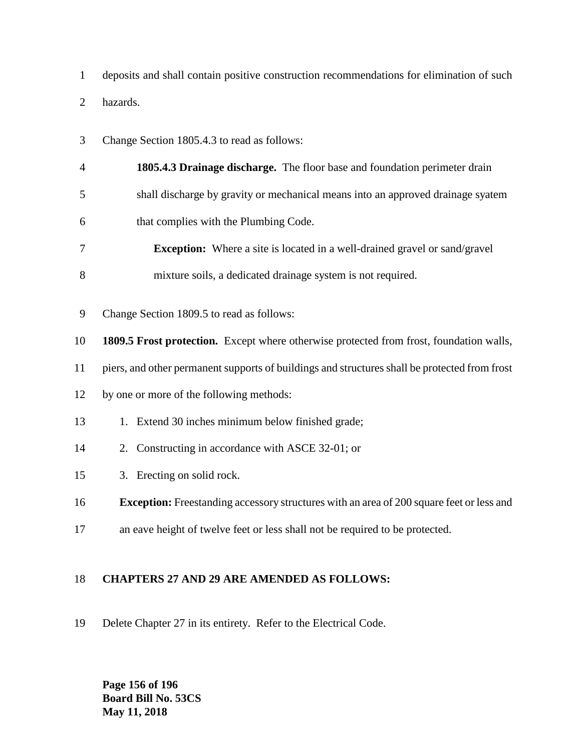deposits and shall contain positive construction recommendations for elimination of such hazards.

- Change Section 1805.4.3 to read as follows:
- **1805.4.3 Drainage discharge.** The floor base and foundation perimeter drain shall discharge by gravity or mechanical means into an approved drainage syatem
- that complies with the Plumbing Code.
- **Exception:** Where a site is located in a well-drained gravel or sand/gravel
- mixture soils, a dedicated drainage system is not required.
- Change Section 1809.5 to read as follows:
- **1809.5 Frost protection.** Except where otherwise protected from frost, foundation walls,
- piers, and other permanent supports of buildings and structures shall be protected from frost
- by one or more of the following methods:
- 1. Extend 30 inches minimum below finished grade;
- 2. Constructing in accordance with ASCE 32-01; or
- 3. Erecting on solid rock.
- **Exception:** Freestanding accessory structures with an area of 200 square feet or less and
- an eave height of twelve feet or less shall not be required to be protected.

### **CHAPTERS 27 AND 29 ARE AMENDED AS FOLLOWS:**

Delete Chapter 27 in its entirety. Refer to the Electrical Code.

**Page 156 of 196 Board Bill No. 53CS May 11, 2018**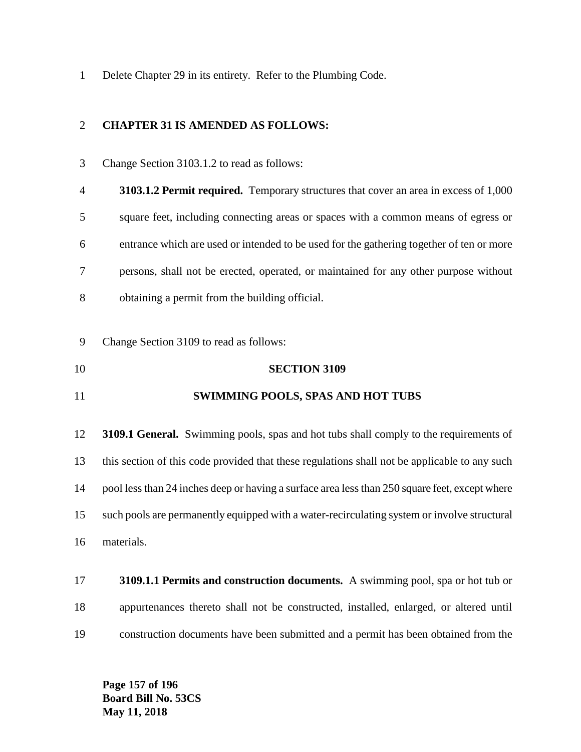Delete Chapter 29 in its entirety. Refer to the Plumbing Code.

### **CHAPTER 31 IS AMENDED AS FOLLOWS:**

- Change Section 3103.1.2 to read as follows: **3103.1.2 Permit required.** Temporary structures that cover an area in excess of 1,000 square feet, including connecting areas or spaces with a common means of egress or entrance which are used or intended to be used for the gathering together of ten or more persons, shall not be erected, operated, or maintained for any other purpose without obtaining a permit from the building official. Change Section 3109 to read as follows: **SECTION 3109 SWIMMING POOLS, SPAS AND HOT TUBS 3109.1 General.** Swimming pools, spas and hot tubs shall comply to the requirements of this section of this code provided that these regulations shall not be applicable to any such pool less than 24 inches deep or having a surface area less than 250 square feet, except where such pools are permanently equipped with a water-recirculating system or involve structural
- **3109.1.1 Permits and construction documents.** A swimming pool, spa or hot tub or appurtenances thereto shall not be constructed, installed, enlarged, or altered until construction documents have been submitted and a permit has been obtained from the

**Page 157 of 196 Board Bill No. 53CS May 11, 2018**

materials.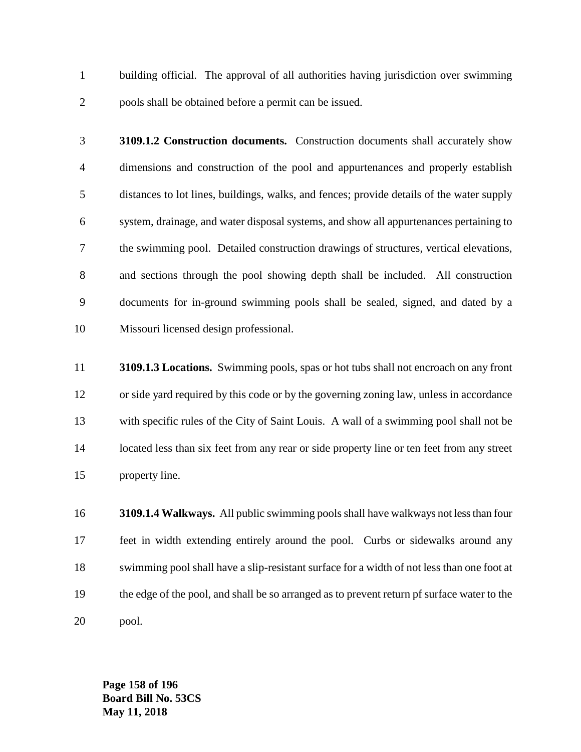building official. The approval of all authorities having jurisdiction over swimming pools shall be obtained before a permit can be issued.

- **3109.1.2 Construction documents.** Construction documents shall accurately show dimensions and construction of the pool and appurtenances and properly establish distances to lot lines, buildings, walks, and fences; provide details of the water supply system, drainage, and water disposal systems, and show all appurtenances pertaining to the swimming pool. Detailed construction drawings of structures, vertical elevations, and sections through the pool showing depth shall be included. All construction documents for in-ground swimming pools shall be sealed, signed, and dated by a Missouri licensed design professional.
- **3109.1.3 Locations.** Swimming pools, spas or hot tubs shall not encroach on any front or side yard required by this code or by the governing zoning law, unless in accordance with specific rules of the City of Saint Louis. A wall of a swimming pool shall not be 14 located less than six feet from any rear or side property line or ten feet from any street property line.
- **3109.1.4 Walkways.** All public swimming pools shall have walkways not less than four feet in width extending entirely around the pool. Curbs or sidewalks around any swimming pool shall have a slip-resistant surface for a width of not less than one foot at the edge of the pool, and shall be so arranged as to prevent return pf surface water to the pool.

**Page 158 of 196 Board Bill No. 53CS May 11, 2018**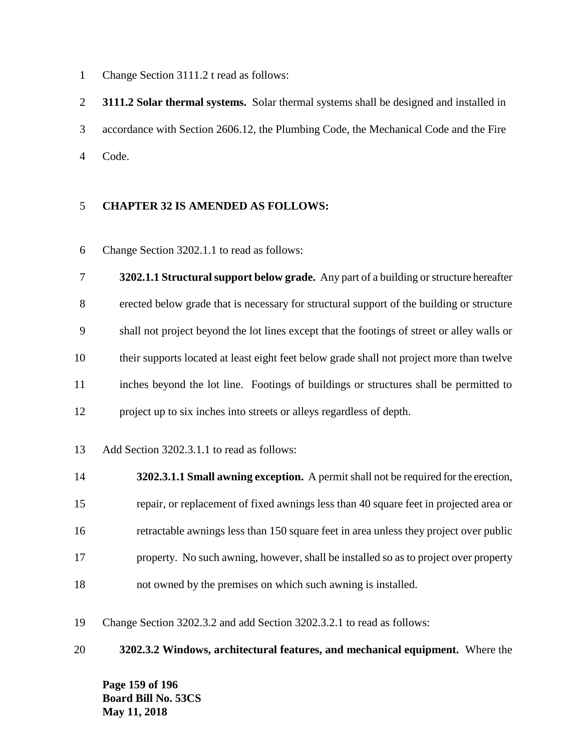Change Section 3111.2 t read as follows:

 **3111.2 Solar thermal systems.** Solar thermal systems shall be designed and installed in accordance with Section 2606.12, the Plumbing Code, the Mechanical Code and the Fire Code.

### **CHAPTER 32 IS AMENDED AS FOLLOWS:**

Change Section 3202.1.1 to read as follows:

 **3202.1.1 Structural support below grade.** Any part of a building or structure hereafter erected below grade that is necessary for structural support of the building or structure shall not project beyond the lot lines except that the footings of street or alley walls or their supports located at least eight feet below grade shall not project more than twelve inches beyond the lot line. Footings of buildings or structures shall be permitted to project up to six inches into streets or alleys regardless of depth.

- Add Section 3202.3.1.1 to read as follows:
- **3202.3.1.1 Small awning exception.** A permit shall not be required for the erection, repair, or replacement of fixed awnings less than 40 square feet in projected area or retractable awnings less than 150 square feet in area unless they project over public property. No such awning, however, shall be installed so as to project over property not owned by the premises on which such awning is installed.

Change Section 3202.3.2 and add Section 3202.3.2.1 to read as follows:

**3202.3.2 Windows, architectural features, and mechanical equipment.** Where the

**Page 159 of 196 Board Bill No. 53CS May 11, 2018**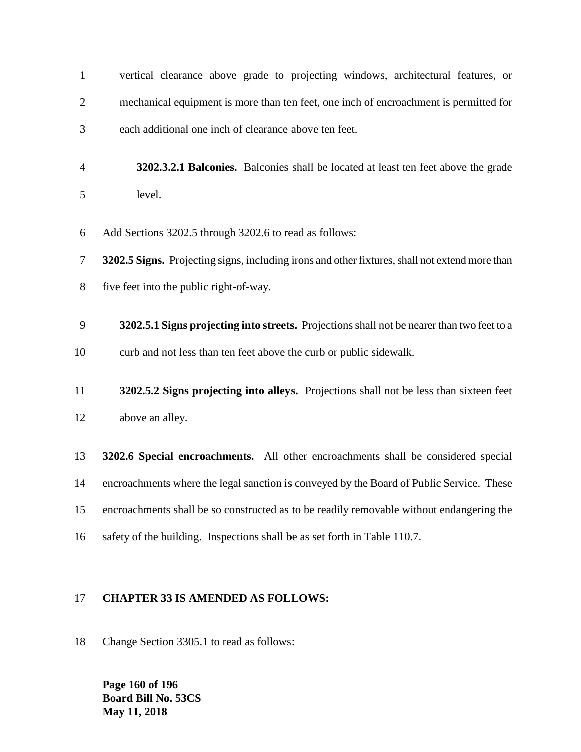| $\mathbf{1}$   | vertical clearance above grade to projecting windows, architectural features, or               |
|----------------|------------------------------------------------------------------------------------------------|
| $\overline{c}$ | mechanical equipment is more than ten feet, one inch of encroachment is permitted for          |
| 3              | each additional one inch of clearance above ten feet.                                          |
| $\overline{4}$ | 3202.3.2.1 Balconies. Balconies shall be located at least ten feet above the grade             |
| 5              | level.                                                                                         |
| 6              | Add Sections 3202.5 through 3202.6 to read as follows:                                         |
| 7              | 3202.5 Signs. Projecting signs, including irons and other fixtures, shall not extend more than |
| 8              | five feet into the public right-of-way.                                                        |
| 9              | 3202.5.1 Signs projecting into streets. Projections shall not be nearer than two feet to a     |
| 10             | curb and not less than ten feet above the curb or public sidewalk.                             |
| 11             | 3202.5.2 Signs projecting into alleys. Projections shall not be less than sixteen feet         |
| 12             | above an alley.                                                                                |
| 13             | 3202.6 Special encroachments. All other encroachments shall be considered special              |
| 14             | encroachments where the legal sanction is conveyed by the Board of Public Service. These       |
| 15             | encroachments shall be so constructed as to be readily removable without endangering the       |
| 16             | safety of the building. Inspections shall be as set forth in Table 110.7.                      |
|                |                                                                                                |

### **CHAPTER 33 IS AMENDED AS FOLLOWS:**

Change Section 3305.1 to read as follows:

**Page 160 of 196 Board Bill No. 53CS May 11, 2018**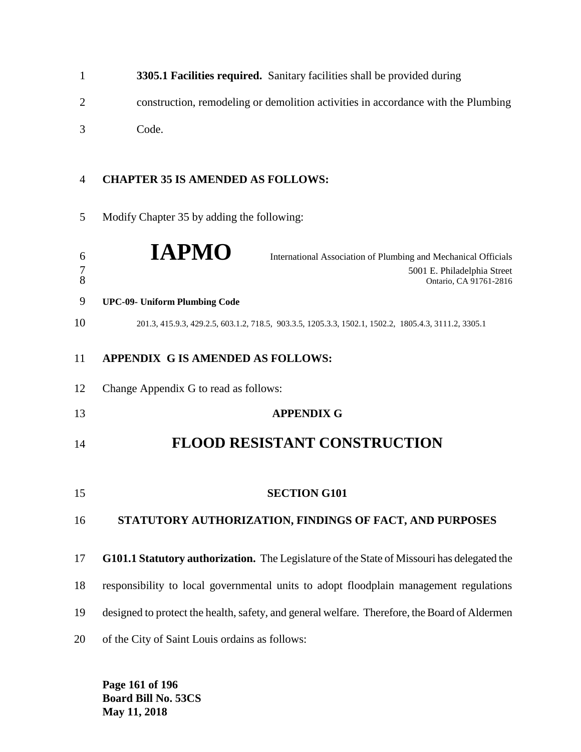|   | 3305.1 Facilities required. Sanitary facilities shall be provided during          |
|---|-----------------------------------------------------------------------------------|
|   | construction, remodeling or demolition activities in accordance with the Plumbing |
| 3 | Code.                                                                             |

### **CHAPTER 35 IS AMENDED AS FOLLOWS:**

Modify Chapter 35 by adding the following:

| 6<br>$\overline{7}$<br>8 | <b>IAPMO</b><br>International Association of Plumbing and Mechanical Officials<br>5001 E. Philadelphia Street<br>Ontario, CA 91761-2816 |
|--------------------------|-----------------------------------------------------------------------------------------------------------------------------------------|
| 9                        | <b>UPC-09- Uniform Plumbing Code</b>                                                                                                    |
| 10                       | 201.3, 415.9.3, 429.2.5, 603.1.2, 718.5, 903.3.5, 1205.3.3, 1502.1, 1502.2, 1805.4.3, 3111.2, 3305.1                                    |
| 11                       | APPENDIX G IS AMENDED AS FOLLOWS:                                                                                                       |
| 12                       | Change Appendix G to read as follows:                                                                                                   |
| 13                       | <b>APPENDIX G</b>                                                                                                                       |
| 14                       | <b>FLOOD RESISTANT CONSTRUCTION</b>                                                                                                     |
| 15                       | <b>SECTION G101</b>                                                                                                                     |
| 16                       | STATUTORY AUTHORIZATION, FINDINGS OF FACT, AND PURPOSES                                                                                 |
| 17                       | G101.1 Statutory authorization. The Legislature of the State of Missouri has delegated the                                              |
| 18                       | responsibility to local governmental units to adopt floodplain management regulations                                                   |
| 19                       | designed to protect the health, safety, and general welfare. Therefore, the Board of Aldermen                                           |
| 20                       | of the City of Saint Louis ordains as follows:                                                                                          |

**Page 161 of 196 Board Bill No. 53CS May 11, 2018**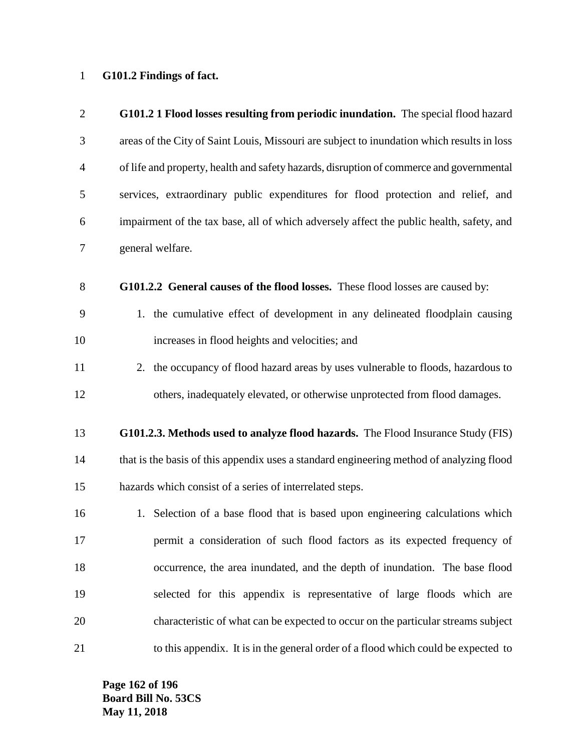### **G101.2 Findings of fact.**

| $\overline{2}$ | G101.2 1 Flood losses resulting from periodic inundation. The special flood hazard         |
|----------------|--------------------------------------------------------------------------------------------|
| 3              | areas of the City of Saint Louis, Missouri are subject to inundation which results in loss |
| $\overline{4}$ | of life and property, health and safety hazards, disruption of commerce and governmental   |
| 5              | services, extraordinary public expenditures for flood protection and relief, and           |
| 6              | impairment of the tax base, all of which adversely affect the public health, safety, and   |
| $\tau$         | general welfare.                                                                           |
| $8\phantom{1}$ | G101.2.2 General causes of the flood losses. These flood losses are caused by:             |
| 9              | 1. the cumulative effect of development in any delineated floodplain causing               |
| 10             | increases in flood heights and velocities; and                                             |
| 11             | 2. the occupancy of flood hazard areas by uses vulnerable to floods, hazardous to          |
| 12             | others, inadequately elevated, or otherwise unprotected from flood damages.                |
| 13             | G101.2.3. Methods used to analyze flood hazards. The Flood Insurance Study (FIS)           |
| 14             | that is the basis of this appendix uses a standard engineering method of analyzing flood   |
| 15             | hazards which consist of a series of interrelated steps.                                   |
| 16             | 1. Selection of a base flood that is based upon engineering calculations which             |
| 17             | permit a consideration of such flood factors as its expected frequency of                  |
| 18             | occurrence, the area inundated, and the depth of inundation. The base flood                |
| 19             | selected for this appendix is representative of large floods which are                     |
| 20             | characteristic of what can be expected to occur on the particular streams subject          |
| 21             | to this appendix. It is in the general order of a flood which could be expected to         |

**Page 162 of 196 Board Bill No. 53CS May 11, 2018**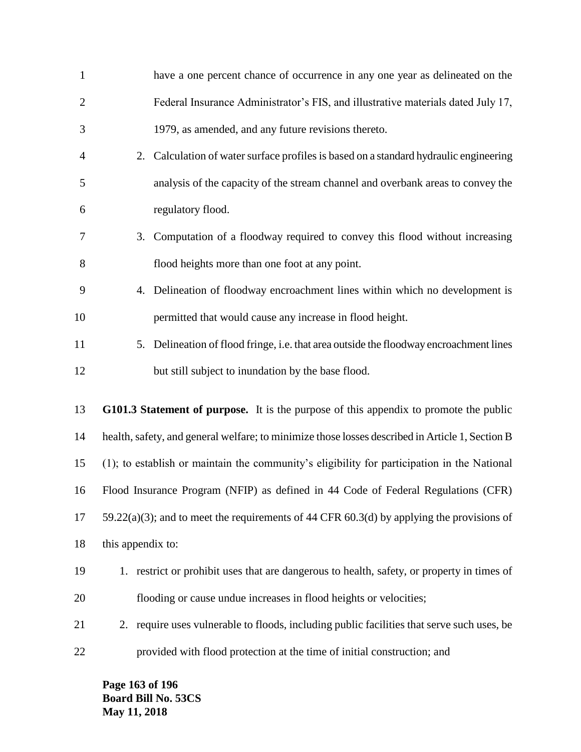| $\mathbf{1}$   | have a one percent chance of occurrence in any one year as delineated on the                    |
|----------------|-------------------------------------------------------------------------------------------------|
| $\overline{2}$ | Federal Insurance Administrator's FIS, and illustrative materials dated July 17,                |
| 3              | 1979, as amended, and any future revisions thereto.                                             |
| 4              | 2. Calculation of water surface profiles is based on a standard hydraulic engineering           |
| 5              | analysis of the capacity of the stream channel and overbank areas to convey the                 |
| 6              | regulatory flood.                                                                               |
| 7              | 3. Computation of a floodway required to convey this flood without increasing                   |
| 8              | flood heights more than one foot at any point.                                                  |
| 9              | 4. Delineation of floodway encroachment lines within which no development is                    |
| 10             | permitted that would cause any increase in flood height.                                        |
| 11             | 5. Delineation of flood fringe, i.e. that area outside the floodway encroachment lines          |
| 12             | but still subject to inundation by the base flood.                                              |
| 13             | G101.3 Statement of purpose. It is the purpose of this appendix to promote the public           |
| 14             | health, safety, and general welfare; to minimize those losses described in Article 1, Section B |
| 15             | (1); to establish or maintain the community's eligibility for participation in the National     |
| 16             | Flood Insurance Program (NFIP) as defined in 44 Code of Federal Regulations (CFR)               |
| 17             | 59.22(a)(3); and to meet the requirements of 44 CFR 60.3(d) by applying the provisions of       |
| 18             | this appendix to:                                                                               |
| 19             | 1. restrict or prohibit uses that are dangerous to health, safety, or property in times of      |
| 20             | flooding or cause undue increases in flood heights or velocities;                               |
| 21             | 2. require uses vulnerable to floods, including public facilities that serve such uses, be      |
| 22             | provided with flood protection at the time of initial construction; and                         |

**Page 163 of 196 Board Bill No. 53CS May 11, 2018**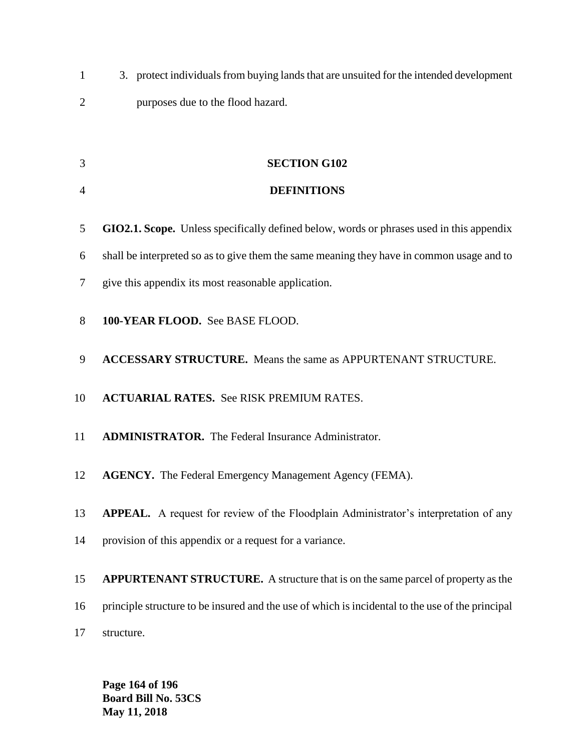3. protect individuals from buying lands that are unsuited for the intended development purposes due to the flood hazard.

**SECTION G102**

| $\overline{4}$ | <b>DEFINITIONS</b>                                                                               |
|----------------|--------------------------------------------------------------------------------------------------|
| 5              | GIO2.1. Scope. Unless specifically defined below, words or phrases used in this appendix         |
| 6              | shall be interpreted so as to give them the same meaning they have in common usage and to        |
| 7              | give this appendix its most reasonable application.                                              |
| 8              | 100-YEAR FLOOD. See BASE FLOOD.                                                                  |
| 9              | <b>ACCESSARY STRUCTURE.</b> Means the same as APPURTENANT STRUCTURE.                             |
| 10             | <b>ACTUARIAL RATES.</b> See RISK PREMIUM RATES.                                                  |
| 11             | <b>ADMINISTRATOR.</b> The Federal Insurance Administrator.                                       |
| 12             | <b>AGENCY.</b> The Federal Emergency Management Agency (FEMA).                                   |
| 13             | APPEAL. A request for review of the Floodplain Administrator's interpretation of any             |
| 14             | provision of this appendix or a request for a variance.                                          |
| 15             | <b>APPURTENANT STRUCTURE.</b> A structure that is on the same parcel of property as the          |
| 16             | principle structure to be insured and the use of which is incidental to the use of the principal |
| 17             | structure.                                                                                       |

**Page 164 of 196 Board Bill No. 53CS May 11, 2018**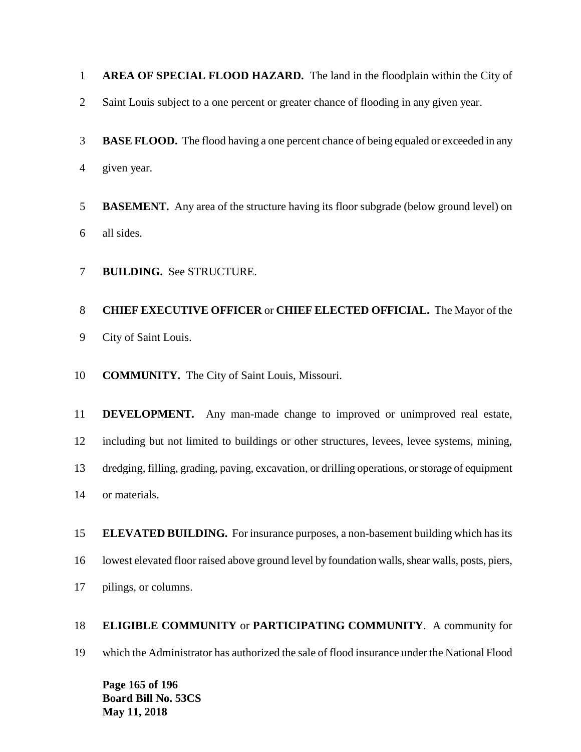**AREA OF SPECIAL FLOOD HAZARD.** The land in the floodplain within the City of

- Saint Louis subject to a one percent or greater chance of flooding in any given year.
- **BASE FLOOD.** The flood having a one percent chance of being equaled or exceeded in any given year.
- **BASEMENT.** Any area of the structure having its floor subgrade (below ground level) on all sides.
- **BUILDING.** See STRUCTURE.

## **CHIEF EXECUTIVE OFFICER** or **CHIEF ELECTED OFFICIAL.** The Mayor of the City of Saint Louis.

**COMMUNITY.** The City of Saint Louis, Missouri.

 **DEVELOPMENT.** Any man-made change to improved or unimproved real estate, including but not limited to buildings or other structures, levees, levee systems, mining, dredging, filling, grading, paving, excavation, or drilling operations, or storage of equipment or materials.

 **ELEVATED BUILDING.** For insurance purposes, a non-basement building which has its lowest elevated floor raised above ground level by foundation walls, shear walls, posts, piers, pilings, or columns.

# **ELIGIBLE COMMUNITY** or **PARTICIPATING COMMUNITY**. A community for which the Administrator has authorized the sale of flood insurance under the National Flood

**Page 165 of 196 Board Bill No. 53CS May 11, 2018**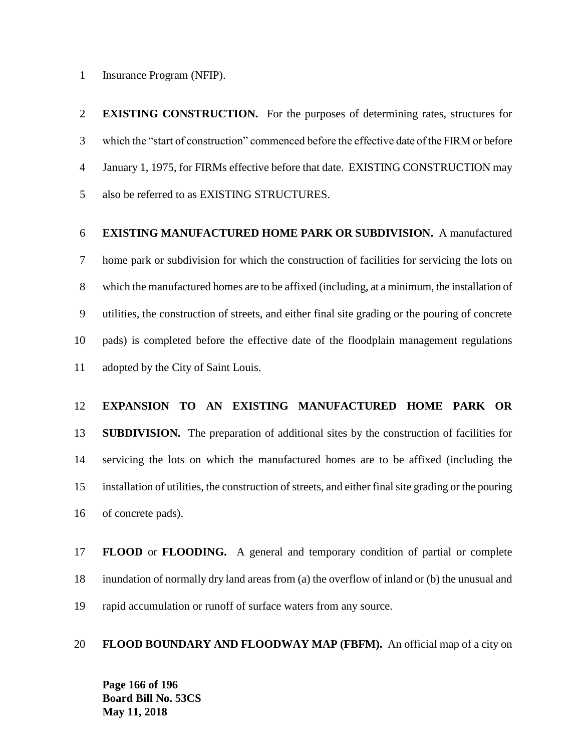Insurance Program (NFIP).

 **EXISTING CONSTRUCTION.** For the purposes of determining rates, structures for which the "start of construction" commenced before the effective date of the FIRM or before January 1, 1975, for FIRMs effective before that date. EXISTING CONSTRUCTION may also be referred to as EXISTING STRUCTURES.

### **EXISTING MANUFACTURED HOME PARK OR SUBDIVISION.** A manufactured

 home park or subdivision for which the construction of facilities for servicing the lots on which the manufactured homes are to be affixed (including, at a minimum, the installation of utilities, the construction of streets, and either final site grading or the pouring of concrete pads) is completed before the effective date of the floodplain management regulations adopted by the City of Saint Louis.

### **EXPANSION TO AN EXISTING MANUFACTURED HOME PARK OR**

 **SUBDIVISION.** The preparation of additional sites by the construction of facilities for servicing the lots on which the manufactured homes are to be affixed (including the installation of utilities, the construction of streets, and either final site grading or the pouring of concrete pads).

 **FLOOD** or **FLOODING.** A general and temporary condition of partial or complete inundation of normally dry land areas from (a) the overflow of inland or (b) the unusual and rapid accumulation or runoff of surface waters from any source.

### **FLOOD BOUNDARY AND FLOODWAY MAP (FBFM).** An official map of a city on

**Page 166 of 196 Board Bill No. 53CS May 11, 2018**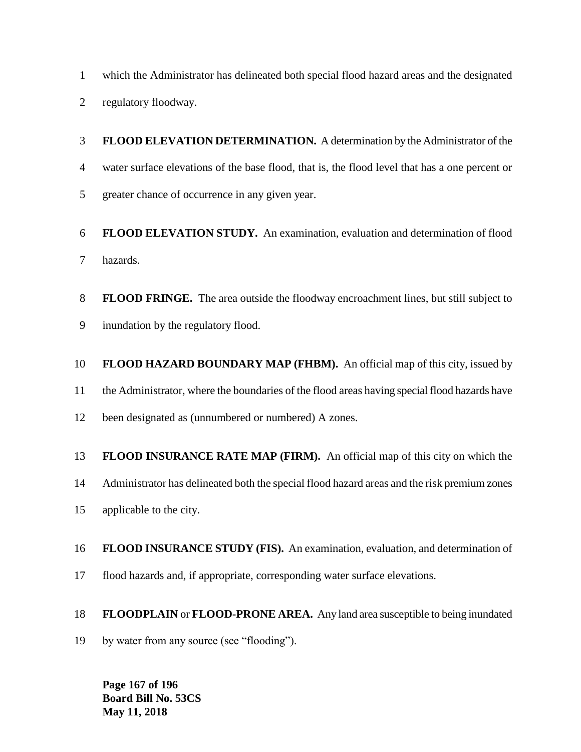which the Administrator has delineated both special flood hazard areas and the designated

regulatory floodway.

 **FLOOD ELEVATION DETERMINATION.** A determination by the Administrator of the water surface elevations of the base flood, that is, the flood level that has a one percent or greater chance of occurrence in any given year.

 **FLOOD ELEVATION STUDY.** An examination, evaluation and determination of flood hazards.

 **FLOOD FRINGE.** The area outside the floodway encroachment lines, but still subject to inundation by the regulatory flood.

**FLOOD HAZARD BOUNDARY MAP (FHBM).** An official map of this city, issued by

the Administrator, where the boundaries of the flood areas having special flood hazards have

12 been designated as (unnumbered or numbered) A zones.

**FLOOD INSURANCE RATE MAP (FIRM).** An official map of this city on which the

Administrator has delineated both the special flood hazard areas and the risk premium zones

applicable to the city.

 **FLOOD INSURANCE STUDY (FIS).** An examination, evaluation, and determination of flood hazards and, if appropriate, corresponding water surface elevations.

**FLOODPLAIN** or **FLOOD-PRONE AREA.** Any land area susceptible to being inundated

by water from any source (see "flooding").

**Page 167 of 196 Board Bill No. 53CS May 11, 2018**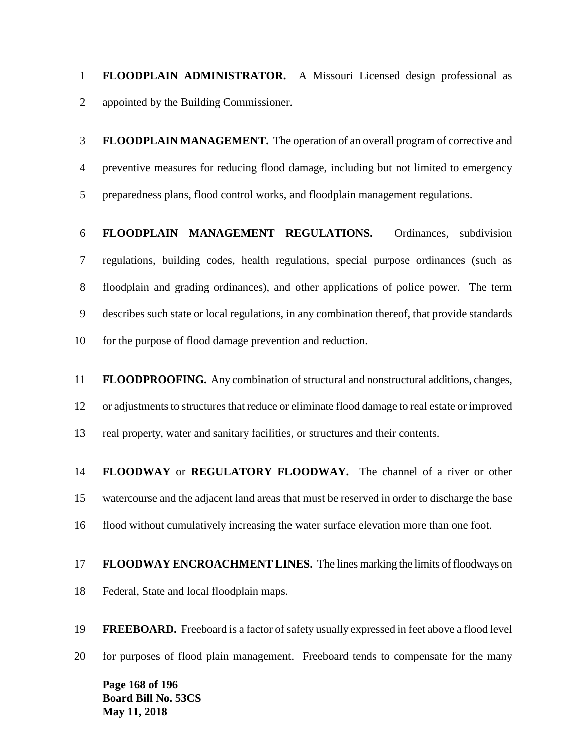**FLOODPLAIN ADMINISTRATOR.** A Missouri Licensed design professional as appointed by the Building Commissioner.

 **FLOODPLAIN MANAGEMENT.** The operation of an overall program of corrective and preventive measures for reducing flood damage, including but not limited to emergency preparedness plans, flood control works, and floodplain management regulations.

 **FLOODPLAIN MANAGEMENT REGULATIONS.** Ordinances, subdivision regulations, building codes, health regulations, special purpose ordinances (such as floodplain and grading ordinances), and other applications of police power. The term describes such state or local regulations, in any combination thereof, that provide standards for the purpose of flood damage prevention and reduction.

 **FLOODPROOFING.** Any combination of structural and nonstructural additions, changes, or adjustments to structures that reduce or eliminate flood damage to real estate or improved real property, water and sanitary facilities, or structures and their contents.

 **FLOODWAY** or **REGULATORY FLOODWAY.** The channel of a river or other watercourse and the adjacent land areas that must be reserved in order to discharge the base flood without cumulatively increasing the water surface elevation more than one foot.

 **FLOODWAY ENCROACHMENT LINES.** The lines marking the limits of floodways on Federal, State and local floodplain maps.

 **FREEBOARD.** Freeboard is a factor of safety usually expressed in feet above a flood level for purposes of flood plain management. Freeboard tends to compensate for the many

**Page 168 of 196 Board Bill No. 53CS May 11, 2018**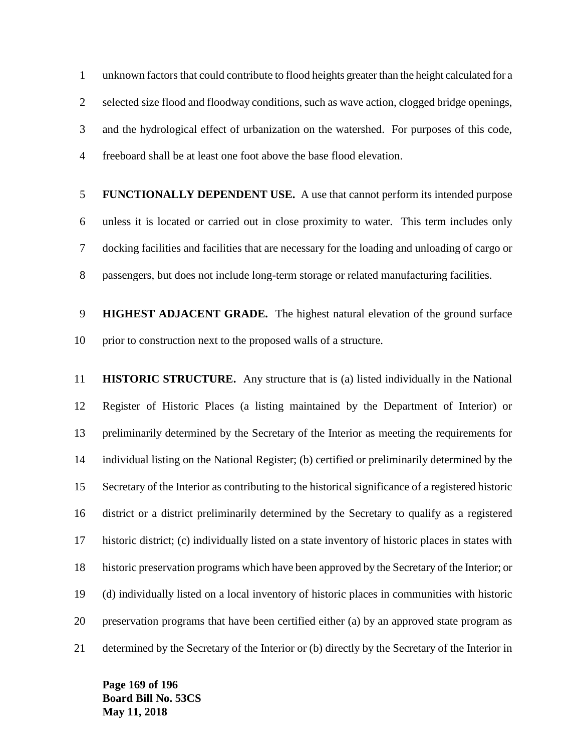unknown factors that could contribute to flood heights greater than the height calculated for a selected size flood and floodway conditions, such as wave action, clogged bridge openings, and the hydrological effect of urbanization on the watershed. For purposes of this code, freeboard shall be at least one foot above the base flood elevation.

 **FUNCTIONALLY DEPENDENT USE.** A use that cannot perform its intended purpose unless it is located or carried out in close proximity to water. This term includes only docking facilities and facilities that are necessary for the loading and unloading of cargo or passengers, but does not include long-term storage or related manufacturing facilities.

 **HIGHEST ADJACENT GRADE.** The highest natural elevation of the ground surface prior to construction next to the proposed walls of a structure.

 **HISTORIC STRUCTURE.** Any structure that is (a) listed individually in the National Register of Historic Places (a listing maintained by the Department of Interior) or preliminarily determined by the Secretary of the Interior as meeting the requirements for individual listing on the National Register; (b) certified or preliminarily determined by the Secretary of the Interior as contributing to the historical significance of a registered historic district or a district preliminarily determined by the Secretary to qualify as a registered historic district; (c) individually listed on a state inventory of historic places in states with historic preservation programs which have been approved by the Secretary of the Interior; or (d) individually listed on a local inventory of historic places in communities with historic preservation programs that have been certified either (a) by an approved state program as determined by the Secretary of the Interior or (b) directly by the Secretary of the Interior in

**Page 169 of 196 Board Bill No. 53CS May 11, 2018**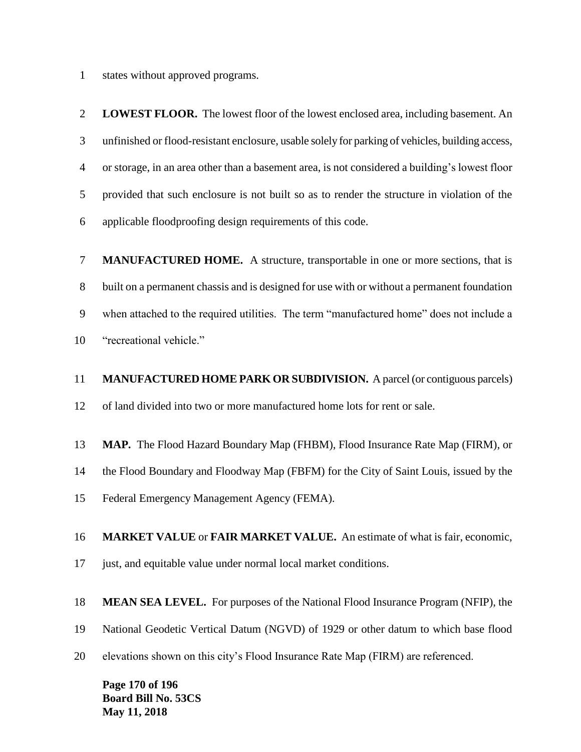states without approved programs.

 **LOWEST FLOOR.** The lowest floor of the lowest enclosed area, including basement. An unfinished or flood-resistant enclosure, usable solely for parking of vehicles, building access, or storage, in an area other than a basement area, is not considered a building's lowest floor provided that such enclosure is not built so as to render the structure in violation of the applicable floodproofing design requirements of this code.

 **MANUFACTURED HOME.** A structure, transportable in one or more sections, that is built on a permanent chassis and is designed for use with or without a permanent foundation when attached to the required utilities. The term "manufactured home" does not include a "recreational vehicle."

 **MANUFACTURED HOME PARK OR SUBDIVISION.** A parcel (or contiguous parcels) of land divided into two or more manufactured home lots for rent or sale.

**MAP.** The Flood Hazard Boundary Map (FHBM), Flood Insurance Rate Map (FIRM), or

the Flood Boundary and Floodway Map (FBFM) for the City of Saint Louis, issued by the

Federal Emergency Management Agency (FEMA).

**MARKET VALUE** or **FAIR MARKET VALUE.** An estimate of what is fair, economic,

just, and equitable value under normal local market conditions.

**MEAN SEA LEVEL.** For purposes of the National Flood Insurance Program (NFIP), the

National Geodetic Vertical Datum (NGVD) of 1929 or other datum to which base flood

elevations shown on this city's Flood Insurance Rate Map (FIRM) are referenced.

**Page 170 of 196 Board Bill No. 53CS May 11, 2018**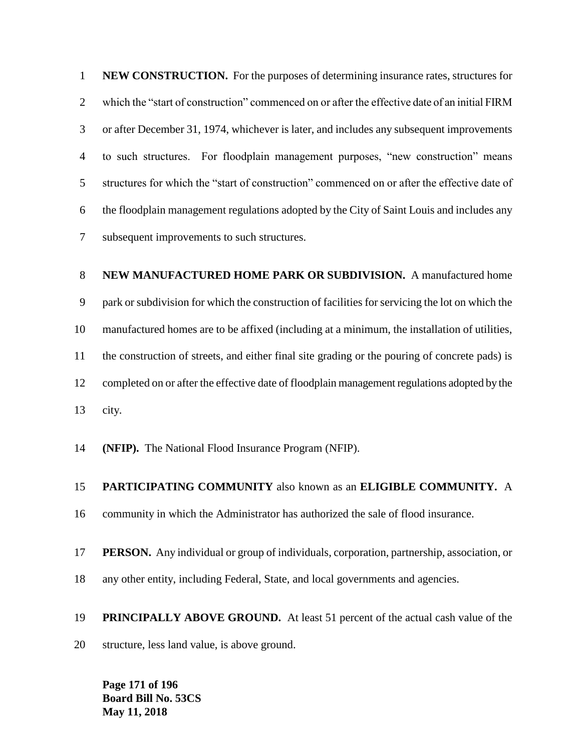**NEW CONSTRUCTION.** For the purposes of determining insurance rates, structures for which the "start of construction" commenced on or after the effective date of an initial FIRM or after December 31, 1974, whichever is later, and includes any subsequent improvements to such structures. For floodplain management purposes, "new construction" means structures for which the "start of construction" commenced on or after the effective date of the floodplain management regulations adopted by the City of Saint Louis and includes any subsequent improvements to such structures.

# **NEW MANUFACTURED HOME PARK OR SUBDIVISION.** A manufactured home park or subdivision for which the construction of facilities for servicing the lot on which the manufactured homes are to be affixed (including at a minimum, the installation of utilities, the construction of streets, and either final site grading or the pouring of concrete pads) is completed on or after the effective date of floodplain management regulations adopted by the city.

**(NFIP).** The National Flood Insurance Program (NFIP).

### **PARTICIPATING COMMUNITY** also known as an **ELIGIBLE COMMUNITY.** A

community in which the Administrator has authorized the sale of flood insurance.

### **PERSON.** Any individual or group of individuals, corporation, partnership, association, or

any other entity, including Federal, State, and local governments and agencies.

### **PRINCIPALLY ABOVE GROUND.** At least 51 percent of the actual cash value of the

structure, less land value, is above ground.

**Page 171 of 196 Board Bill No. 53CS May 11, 2018**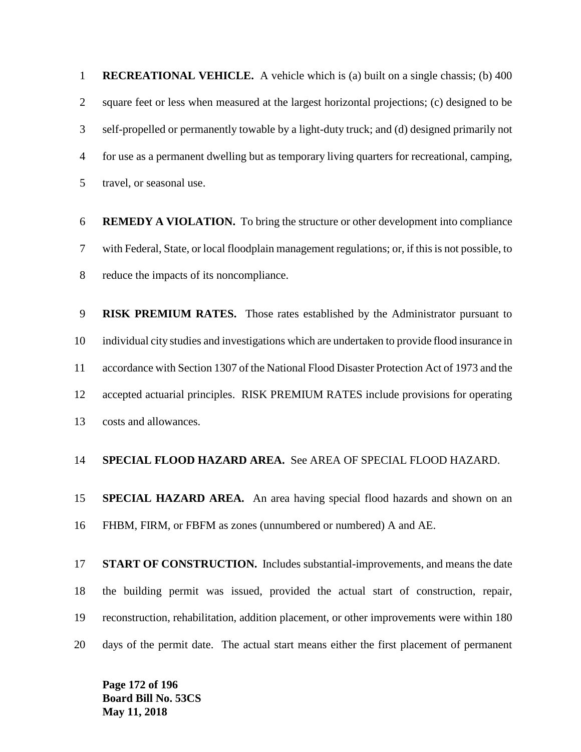**RECREATIONAL VEHICLE.** A vehicle which is (a) built on a single chassis; (b) 400 square feet or less when measured at the largest horizontal projections; (c) designed to be self-propelled or permanently towable by a light-duty truck; and (d) designed primarily not for use as a permanent dwelling but as temporary living quarters for recreational, camping, travel, or seasonal use.

 **REMEDY A VIOLATION.** To bring the structure or other development into compliance with Federal, State, or local floodplain management regulations; or, if this is not possible, to reduce the impacts of its noncompliance.

 **RISK PREMIUM RATES.** Those rates established by the Administrator pursuant to individual city studies and investigations which are undertaken to provide flood insurance in accordance with Section 1307 of the National Flood Disaster Protection Act of 1973 and the accepted actuarial principles. RISK PREMIUM RATES include provisions for operating costs and allowances.

### **SPECIAL FLOOD HAZARD AREA.** See AREA OF SPECIAL FLOOD HAZARD.

 **SPECIAL HAZARD AREA.** An area having special flood hazards and shown on an FHBM, FIRM, or FBFM as zones (unnumbered or numbered) A and AE.

 **START OF CONSTRUCTION.** Includes substantial-improvements, and means the date the building permit was issued, provided the actual start of construction, repair, reconstruction, rehabilitation, addition placement, or other improvements were within 180 days of the permit date. The actual start means either the first placement of permanent

**Page 172 of 196 Board Bill No. 53CS May 11, 2018**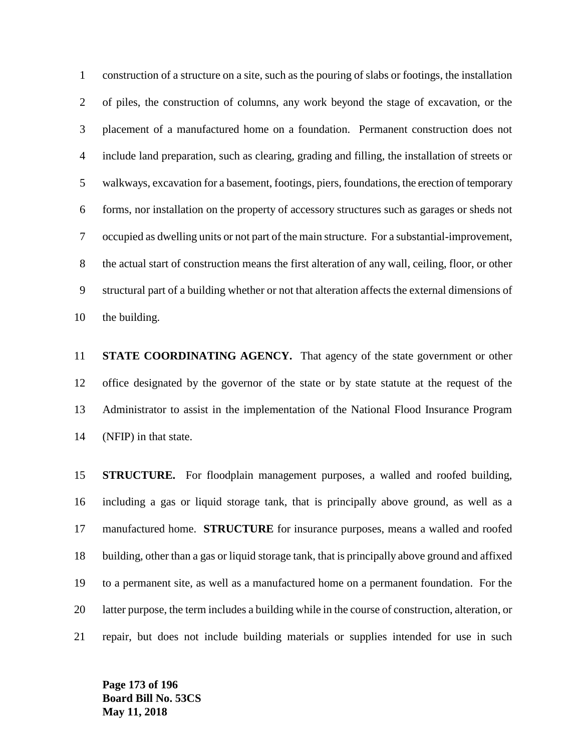construction of a structure on a site, such as the pouring of slabs or footings, the installation of piles, the construction of columns, any work beyond the stage of excavation, or the placement of a manufactured home on a foundation. Permanent construction does not include land preparation, such as clearing, grading and filling, the installation of streets or walkways, excavation for a basement, footings, piers, foundations, the erection of temporary forms, nor installation on the property of accessory structures such as garages or sheds not occupied as dwelling units or not part of the main structure. For a substantial-improvement, the actual start of construction means the first alteration of any wall, ceiling, floor, or other structural part of a building whether or not that alteration affects the external dimensions of the building.

 **STATE COORDINATING AGENCY.** That agency of the state government or other office designated by the governor of the state or by state statute at the request of the Administrator to assist in the implementation of the National Flood Insurance Program (NFIP) in that state.

 **STRUCTURE.** For floodplain management purposes, a walled and roofed building, including a gas or liquid storage tank, that is principally above ground, as well as a manufactured home. **STRUCTURE** for insurance purposes, means a walled and roofed building, other than a gas or liquid storage tank, that is principally above ground and affixed to a permanent site, as well as a manufactured home on a permanent foundation. For the latter purpose, the term includes a building while in the course of construction, alteration, or repair, but does not include building materials or supplies intended for use in such

**Page 173 of 196 Board Bill No. 53CS May 11, 2018**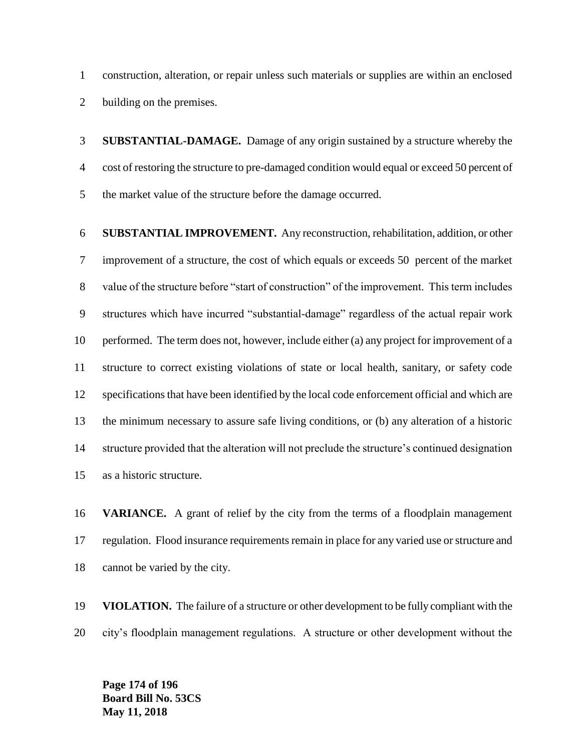construction, alteration, or repair unless such materials or supplies are within an enclosed building on the premises.

 **SUBSTANTIAL-DAMAGE.** Damage of any origin sustained by a structure whereby the cost of restoring the structure to pre-damaged condition would equal or exceed 50 percent of the market value of the structure before the damage occurred.

 **SUBSTANTIAL IMPROVEMENT.** Any reconstruction, rehabilitation, addition, or other improvement of a structure, the cost of which equals or exceeds 50 percent of the market value of the structure before "start of construction" of the improvement. This term includes structures which have incurred "substantial-damage" regardless of the actual repair work performed. The term does not, however, include either (a) any project for improvement of a structure to correct existing violations of state or local health, sanitary, or safety code specifications that have been identified by the local code enforcement official and which are the minimum necessary to assure safe living conditions, or (b) any alteration of a historic structure provided that the alteration will not preclude the structure's continued designation as a historic structure.

 **VARIANCE.** A grant of relief by the city from the terms of a floodplain management regulation. Flood insurance requirements remain in place for any varied use or structure and cannot be varied by the city.

 **VIOLATION.** The failure of a structure or other development to be fully compliant with the city's floodplain management regulations. A structure or other development without the

**Page 174 of 196 Board Bill No. 53CS May 11, 2018**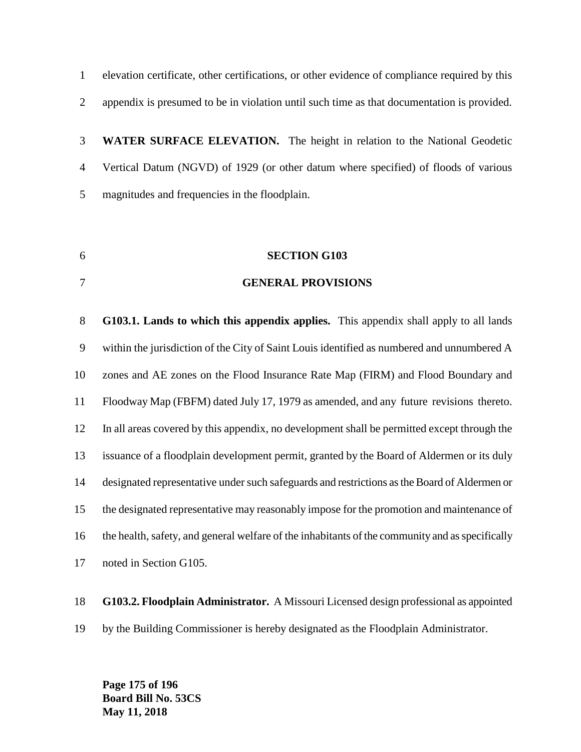elevation certificate, other certifications, or other evidence of compliance required by this appendix is presumed to be in violation until such time as that documentation is provided.

 **WATER SURFACE ELEVATION.** The height in relation to the National Geodetic Vertical Datum (NGVD) of 1929 (or other datum where specified) of floods of various magnitudes and frequencies in the floodplain.

- **SECTION G103**
- **GENERAL PROVISIONS**

 **G103.1. Lands to which this appendix applies.** This appendix shall apply to all lands within the jurisdiction of the City of Saint Louis identified as numbered and unnumbered A zones and AE zones on the Flood Insurance Rate Map (FIRM) and Flood Boundary and Floodway Map (FBFM) dated July 17, 1979 as amended, and any future revisions thereto. In all areas covered by this appendix, no development shall be permitted except through the issuance of a floodplain development permit, granted by the Board of Aldermen or its duly designated representative under such safeguards and restrictions as the Board of Aldermen or the designated representative may reasonably impose for the promotion and maintenance of the health, safety, and general welfare of the inhabitants of the community and as specifically noted in Section G105.

**G103.2. Floodplain Administrator.** A Missouri Licensed design professional as appointed

by the Building Commissioner is hereby designated as the Floodplain Administrator.

**Page 175 of 196 Board Bill No. 53CS May 11, 2018**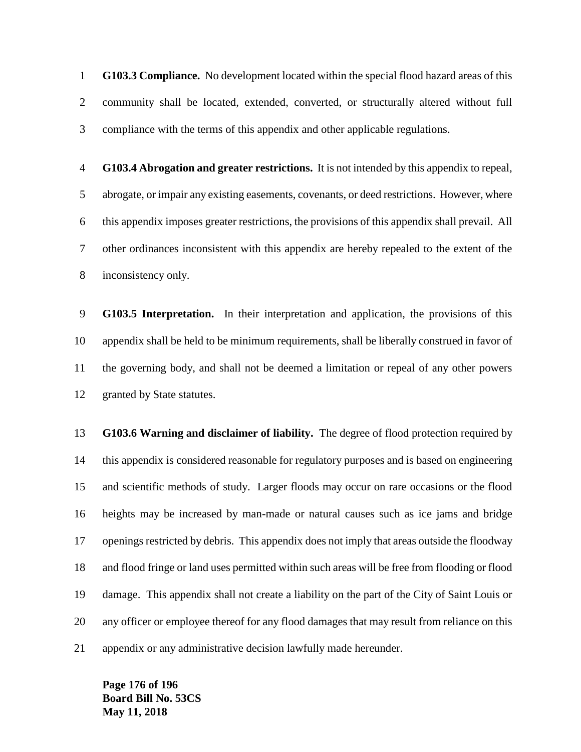**G103.3 Compliance.** No development located within the special flood hazard areas of this community shall be located, extended, converted, or structurally altered without full compliance with the terms of this appendix and other applicable regulations.

 **G103.4 Abrogation and greater restrictions.** It is not intended by this appendix to repeal, abrogate, or impair any existing easements, covenants, or deed restrictions. However, where this appendix imposes greater restrictions, the provisions of this appendix shall prevail. All other ordinances inconsistent with this appendix are hereby repealed to the extent of the inconsistency only.

 **G103.5 Interpretation.** In their interpretation and application, the provisions of this appendix shall be held to be minimum requirements, shall be liberally construed in favor of the governing body, and shall not be deemed a limitation or repeal of any other powers granted by State statutes.

 **G103.6 Warning and disclaimer of liability.** The degree of flood protection required by this appendix is considered reasonable for regulatory purposes and is based on engineering and scientific methods of study. Larger floods may occur on rare occasions or the flood heights may be increased by man-made or natural causes such as ice jams and bridge openings restricted by debris. This appendix does not imply that areas outside the floodway and flood fringe or land uses permitted within such areas will be free from flooding or flood damage. This appendix shall not create a liability on the part of the City of Saint Louis or any officer or employee thereof for any flood damages that may result from reliance on this appendix or any administrative decision lawfully made hereunder.

**Page 176 of 196 Board Bill No. 53CS May 11, 2018**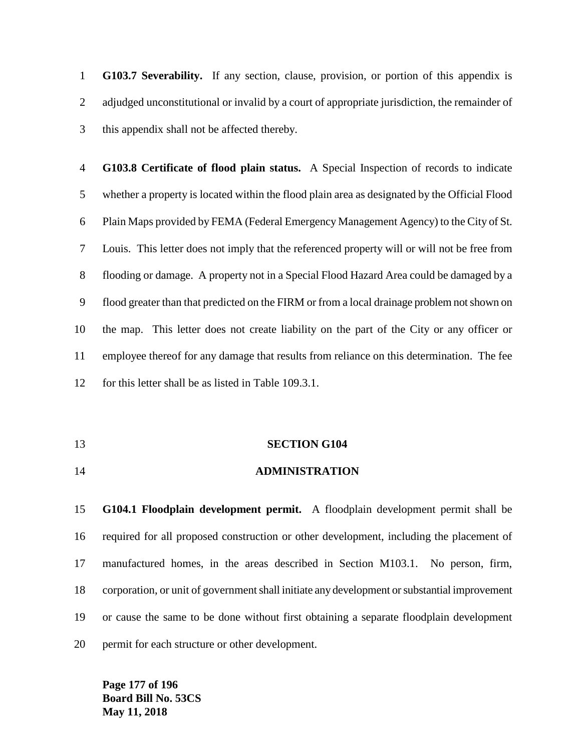**G103.7 Severability.** If any section, clause, provision, or portion of this appendix is adjudged unconstitutional or invalid by a court of appropriate jurisdiction, the remainder of this appendix shall not be affected thereby.

 **G103.8 Certificate of flood plain status.** A Special Inspection of records to indicate whether a property is located within the flood plain area as designated by the Official Flood Plain Maps provided by FEMA (Federal Emergency Management Agency) to the City of St. Louis. This letter does not imply that the referenced property will or will not be free from flooding or damage. A property not in a Special Flood Hazard Area could be damaged by a flood greater than that predicted on the FIRM or from a local drainage problem not shown on the map. This letter does not create liability on the part of the City or any officer or employee thereof for any damage that results from reliance on this determination. The fee for this letter shall be as listed in Table 109.3.1.

#### **SECTION G104**

**ADMINISTRATION**

 **G104.1 Floodplain development permit.** A floodplain development permit shall be required for all proposed construction or other development, including the placement of manufactured homes, in the areas described in Section M103.1. No person, firm, corporation, or unit of government shall initiate any development or substantial improvement or cause the same to be done without first obtaining a separate floodplain development permit for each structure or other development.

**Page 177 of 196 Board Bill No. 53CS May 11, 2018**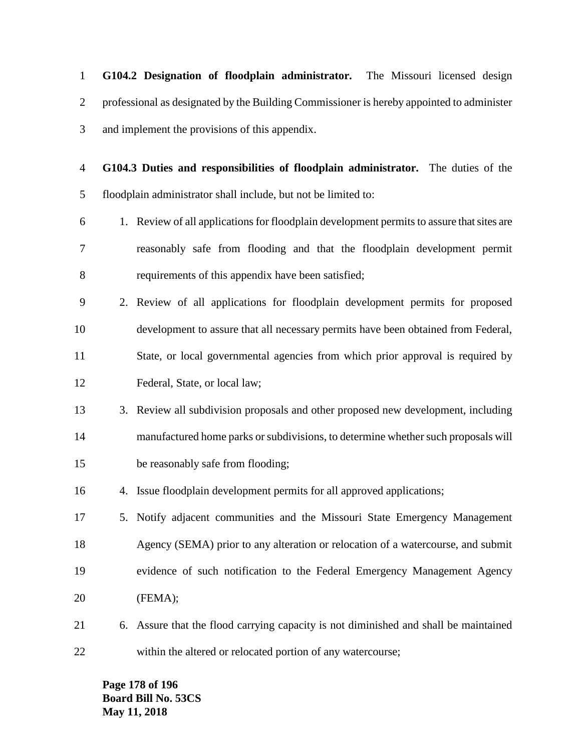**G104.2 Designation of floodplain administrator.** The Missouri licensed design professional as designated by the Building Commissioner is hereby appointed to administer and implement the provisions of this appendix.

 **G104.3 Duties and responsibilities of floodplain administrator.** The duties of the floodplain administrator shall include, but not be limited to:

- 1. Review of all applications for floodplain development permits to assure that sites are reasonably safe from flooding and that the floodplain development permit requirements of this appendix have been satisfied;
- 2. Review of all applications for floodplain development permits for proposed development to assure that all necessary permits have been obtained from Federal, State, or local governmental agencies from which prior approval is required by Federal, State, or local law;
- 3. Review all subdivision proposals and other proposed new development, including manufactured home parks or subdivisions, to determine whether such proposals will be reasonably safe from flooding;
- 4. Issue floodplain development permits for all approved applications;
- 5. Notify adjacent communities and the Missouri State Emergency Management Agency (SEMA) prior to any alteration or relocation of a watercourse, and submit evidence of such notification to the Federal Emergency Management Agency (FEMA);
- 6. Assure that the flood carrying capacity is not diminished and shall be maintained within the altered or relocated portion of any watercourse;

**Page 178 of 196 Board Bill No. 53CS May 11, 2018**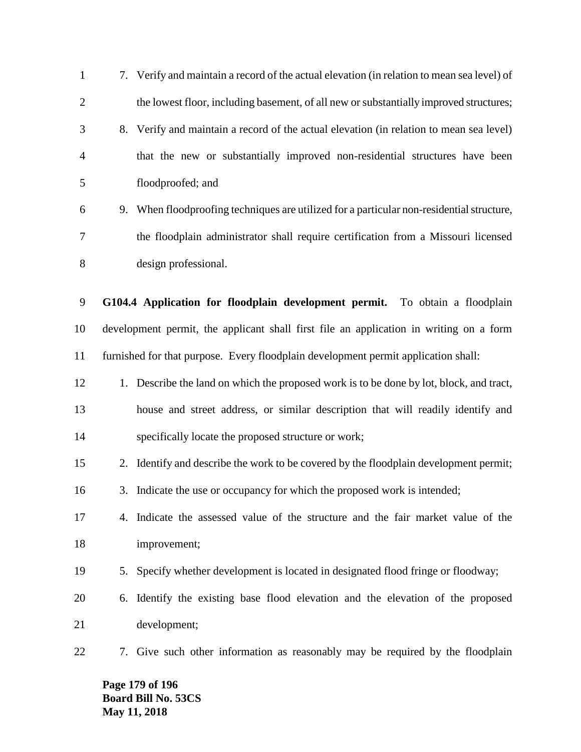7. Verify and maintain a record of the actual elevation (in relation to mean sea level) of 2 the lowest floor, including basement, of all new or substantially improved structures; 8. Verify and maintain a record of the actual elevation (in relation to mean sea level) that the new or substantially improved non-residential structures have been floodproofed; and 9. When floodproofing techniques are utilized for a particular non-residential structure, the floodplain administrator shall require certification from a Missouri licensed design professional. **G104.4 Application for floodplain development permit.** To obtain a floodplain development permit, the applicant shall first file an application in writing on a form furnished for that purpose. Every floodplain development permit application shall: 12 1. Describe the land on which the proposed work is to be done by lot, block, and tract, house and street address, or similar description that will readily identify and specifically locate the proposed structure or work; 2. Identify and describe the work to be covered by the floodplain development permit; 3. Indicate the use or occupancy for which the proposed work is intended; 4. Indicate the assessed value of the structure and the fair market value of the improvement; 5. Specify whether development is located in designated flood fringe or floodway; 6. Identify the existing base flood elevation and the elevation of the proposed development; 7. Give such other information as reasonably may be required by the floodplain

**Page 179 of 196 Board Bill No. 53CS May 11, 2018**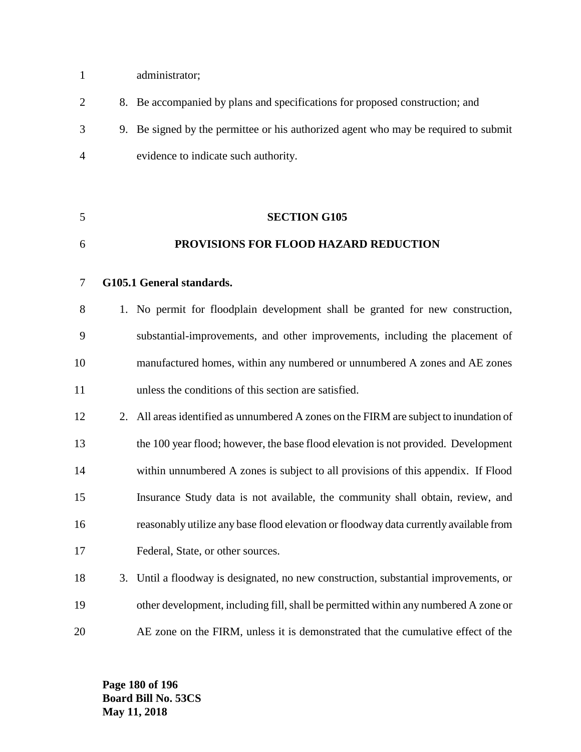- administrator;
- 8. Be accompanied by plans and specifications for proposed construction; and 9. Be signed by the permittee or his authorized agent who may be required to submit evidence to indicate such authority.
- **PROVISIONS FOR FLOOD HAZARD REDUCTION G105.1 General standards.** 1. No permit for floodplain development shall be granted for new construction,

**SECTION G105**

- substantial-improvements, and other improvements, including the placement of manufactured homes, within any numbered or unnumbered A zones and AE zones unless the conditions of this section are satisfied.
- 12 2. All areas identified as unnumbered A zones on the FIRM are subject to inundation of the 100 year flood; however, the base flood elevation is not provided. Development within unnumbered A zones is subject to all provisions of this appendix. If Flood Insurance Study data is not available, the community shall obtain, review, and reasonably utilize any base flood elevation or floodway data currently available from Federal, State, or other sources.
- 3. Until a floodway is designated, no new construction, substantial improvements, or other development, including fill, shall be permitted within any numbered A zone or AE zone on the FIRM, unless it is demonstrated that the cumulative effect of the

**Page 180 of 196 Board Bill No. 53CS May 11, 2018**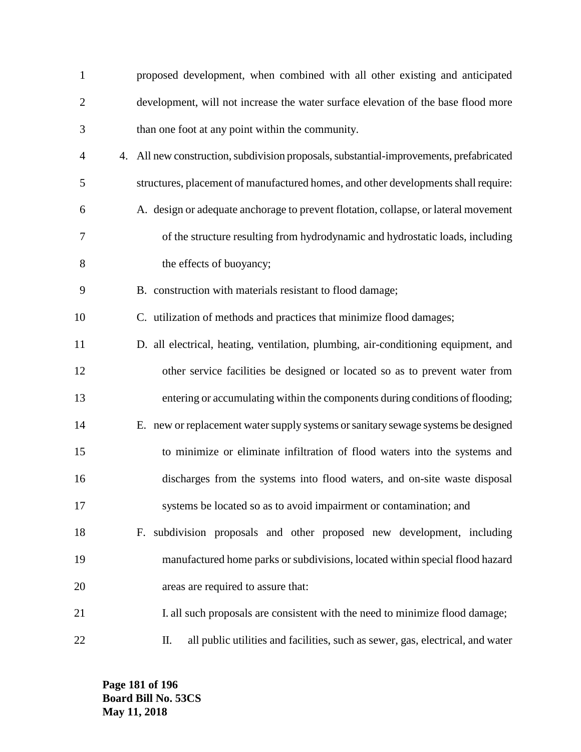| $\mathbf{1}$   | proposed development, when combined with all other existing and anticipated             |
|----------------|-----------------------------------------------------------------------------------------|
| $\overline{2}$ | development, will not increase the water surface elevation of the base flood more       |
| 3              | than one foot at any point within the community.                                        |
| 4              | 4. All new construction, subdivision proposals, substantial-improvements, prefabricated |
| 5              | structures, placement of manufactured homes, and other developments shall require:      |
| 6              | A. design or adequate anchorage to prevent flotation, collapse, or lateral movement     |
| 7              | of the structure resulting from hydrodynamic and hydrostatic loads, including           |
| 8              | the effects of buoyancy;                                                                |
| 9              | B. construction with materials resistant to flood damage;                               |
| 10             | C. utilization of methods and practices that minimize flood damages;                    |
| 11             | D. all electrical, heating, ventilation, plumbing, air-conditioning equipment, and      |
| 12             | other service facilities be designed or located so as to prevent water from             |
| 13             | entering or accumulating within the components during conditions of flooding;           |
| 14             | E. new or replacement water supply systems or sanitary sewage systems be designed       |
| 15             | to minimize or eliminate infiltration of flood waters into the systems and              |
| 16             | discharges from the systems into flood waters, and on-site waste disposal               |
| 17             | systems be located so as to avoid impairment or contamination; and                      |
| 18             | F. subdivision proposals and other proposed new development, including                  |
| 19             | manufactured home parks or subdivisions, located within special flood hazard            |
| 20             | areas are required to assure that:                                                      |
| 21             | I. all such proposals are consistent with the need to minimize flood damage;            |
| 22             | all public utilities and facilities, such as sewer, gas, electrical, and water<br>П.    |

**Page 181 of 196 Board Bill No. 53CS May 11, 2018**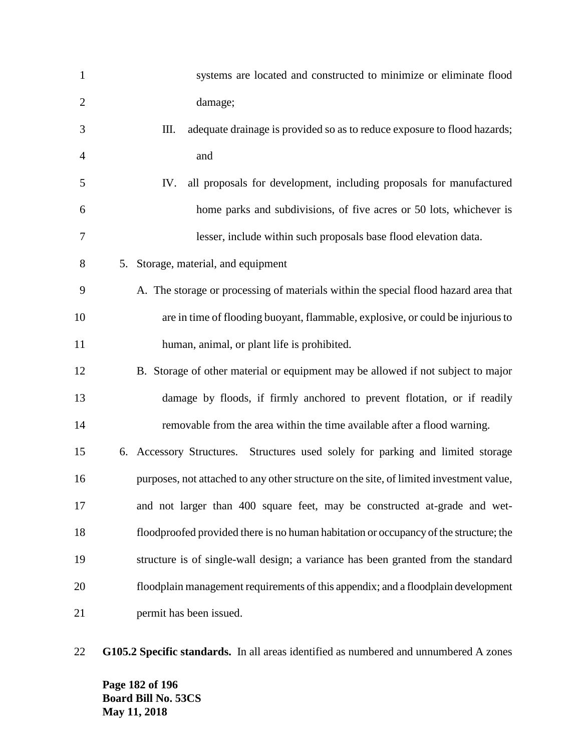| $\mathbf{1}$   | systems are located and constructed to minimize or eliminate flood                      |
|----------------|-----------------------------------------------------------------------------------------|
| $\mathfrak{2}$ | damage;                                                                                 |
| 3              | Ш.<br>adequate drainage is provided so as to reduce exposure to flood hazards;          |
| 4              | and                                                                                     |
| 5              | all proposals for development, including proposals for manufactured<br>IV.              |
| 6              | home parks and subdivisions, of five acres or 50 lots, whichever is                     |
| 7              | lesser, include within such proposals base flood elevation data.                        |
| 8              | 5. Storage, material, and equipment                                                     |
| 9              | A. The storage or processing of materials within the special flood hazard area that     |
| 10             | are in time of flooding buoyant, flammable, explosive, or could be injurious to         |
| 11             | human, animal, or plant life is prohibited.                                             |
| 12             | B. Storage of other material or equipment may be allowed if not subject to major        |
| 13             | damage by floods, if firmly anchored to prevent flotation, or if readily                |
| 14             | removable from the area within the time available after a flood warning.                |
| 15             | 6. Accessory Structures. Structures used solely for parking and limited storage         |
| 16             | purposes, not attached to any other structure on the site, of limited investment value, |
| 17             | and not larger than 400 square feet, may be constructed at-grade and wet-               |
| 18             | floodproofed provided there is no human habitation or occupancy of the structure; the   |
| 19             | structure is of single-wall design; a variance has been granted from the standard       |
| 20             | floodplain management requirements of this appendix; and a floodplain development       |
| 21             | permit has been issued.                                                                 |

**G105.2 Specific standards.** In all areas identified as numbered and unnumbered A zones

**Page 182 of 196 Board Bill No. 53CS May 11, 2018**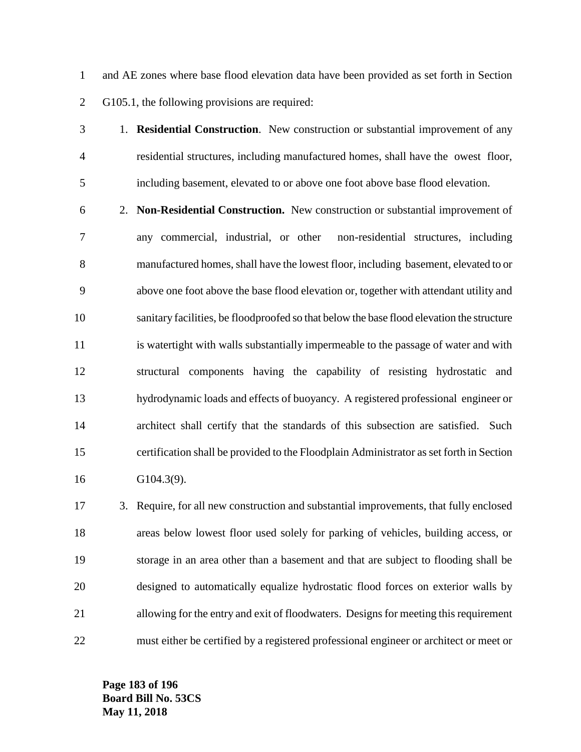and AE zones where base flood elevation data have been provided as set forth in Section G105.1, the following provisions are required:

 1. **Residential Construction**. New construction or substantial improvement of any residential structures, including manufactured homes, shall have the owest floor, including basement, elevated to or above one foot above base flood elevation.

 2. **Non-Residential Construction.** New construction or substantial improvement of any commercial, industrial, or other non-residential structures, including manufactured homes, shall have the lowest floor, including basement, elevated to or above one foot above the base flood elevation or, together with attendant utility and sanitary facilities, be floodproofed so that below the base flood elevation the structure is watertight with walls substantially impermeable to the passage of water and with structural components having the capability of resisting hydrostatic and hydrodynamic loads and effects of buoyancy. A registered professional engineer or architect shall certify that the standards of this subsection are satisfied. Such certification shall be provided to the Floodplain Administrator as set forth in Section G104.3(9).

 3. Require, for all new construction and substantial improvements, that fully enclosed areas below lowest floor used solely for parking of vehicles, building access, or storage in an area other than a basement and that are subject to flooding shall be designed to automatically equalize hydrostatic flood forces on exterior walls by allowing for the entry and exit of floodwaters. Designs for meeting this requirement must either be certified by a registered professional engineer or architect or meet or

**Page 183 of 196 Board Bill No. 53CS May 11, 2018**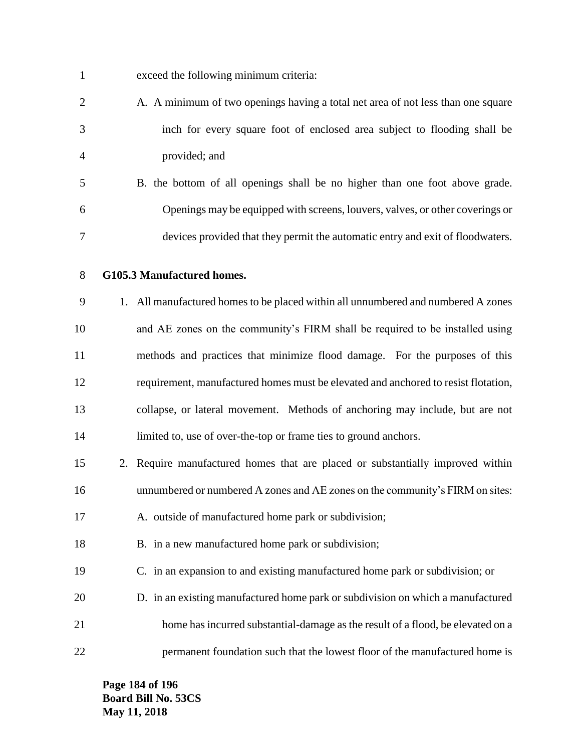| $\mathbf{1}$   | exceed the following minimum criteria:                                             |
|----------------|------------------------------------------------------------------------------------|
| $\overline{2}$ | A. A minimum of two openings having a total net area of not less than one square   |
| 3              | inch for every square foot of enclosed area subject to flooding shall be           |
| 4              | provided; and                                                                      |
| 5              | B. the bottom of all openings shall be no higher than one foot above grade.        |
| 6              | Openings may be equipped with screens, louvers, valves, or other coverings or      |
| 7              | devices provided that they permit the automatic entry and exit of floodwaters.     |
| 8              | G105.3 Manufactured homes.                                                         |
| 9              | 1. All manufactured homes to be placed within all unnumbered and numbered A zones  |
| 10             | and AE zones on the community's FIRM shall be required to be installed using       |
| 11             | methods and practices that minimize flood damage. For the purposes of this         |
| 12             | requirement, manufactured homes must be elevated and anchored to resist flotation, |
| 13             | collapse, or lateral movement. Methods of anchoring may include, but are not       |
| 14             | limited to, use of over-the-top or frame ties to ground anchors.                   |
| 15             | 2. Require manufactured homes that are placed or substantially improved within     |
| 16             | unnumbered or numbered A zones and AE zones on the community's FIRM on sites:      |
| 17             | A. outside of manufactured home park or subdivision;                               |
| 18             | B. in a new manufactured home park or subdivision;                                 |
| 19             | C. in an expansion to and existing manufactured home park or subdivision; or       |
| 20             | D. in an existing manufactured home park or subdivision on which a manufactured    |
| 21             | home has incurred substantial-damage as the result of a flood, be elevated on a    |
| 22             | permanent foundation such that the lowest floor of the manufactured home is        |

**Page 184 of 196 Board Bill No. 53CS May 11, 2018**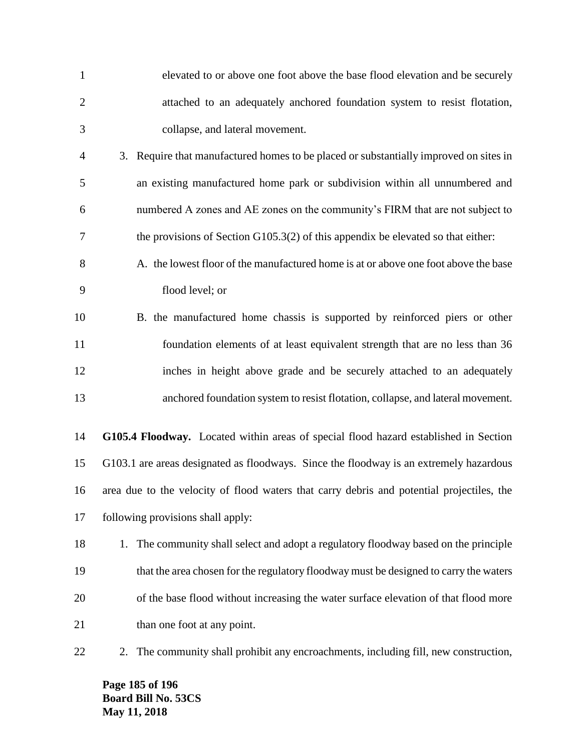| $\mathbf{1}$   | elevated to or above one foot above the base flood elevation and be securely              |
|----------------|-------------------------------------------------------------------------------------------|
| $\overline{2}$ | attached to an adequately anchored foundation system to resist flotation,                 |
| 3              | collapse, and lateral movement.                                                           |
| $\overline{4}$ | 3. Require that manufactured homes to be placed or substantially improved on sites in     |
| 5              | an existing manufactured home park or subdivision within all unnumbered and               |
| 6              | numbered A zones and AE zones on the community's FIRM that are not subject to             |
| $\tau$         | the provisions of Section $G105.3(2)$ of this appendix be elevated so that either:        |
| 8              | A. the lowest floor of the manufactured home is at or above one foot above the base       |
| 9              | flood level; or                                                                           |
| 10             | B. the manufactured home chassis is supported by reinforced piers or other                |
| 11             | foundation elements of at least equivalent strength that are no less than 36              |
| 12             | inches in height above grade and be securely attached to an adequately                    |
| 13             | anchored foundation system to resist flotation, collapse, and lateral movement.           |
| 14             | G105.4 Floodway. Located within areas of special flood hazard established in Section      |
| 15             | G103.1 are areas designated as floodways. Since the floodway is an extremely hazardous    |
| 16             | area due to the velocity of flood waters that carry debris and potential projectiles, the |
| 17             | following provisions shall apply:                                                         |
| 18             | The community shall select and adopt a regulatory floodway based on the principle<br>1.   |
| 19             | that the area chosen for the regulatory floodway must be designed to carry the waters     |
| 20             | of the base flood without increasing the water surface elevation of that flood more       |
| 21             | than one foot at any point.                                                               |
| 22             | The community shall prohibit any encroachments, including fill, new construction,<br>2.   |

**Page 185 of 196 Board Bill No. 53CS May 11, 2018**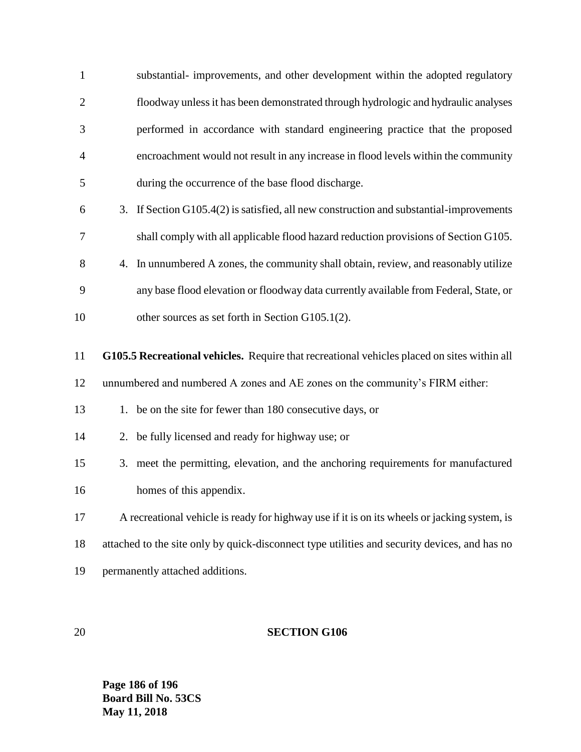| $\mathbf{1}$   | substantial- improvements, and other development within the adopted regulatory                |
|----------------|-----------------------------------------------------------------------------------------------|
| $\overline{2}$ | floodway unless it has been demonstrated through hydrologic and hydraulic analyses            |
| 3              | performed in accordance with standard engineering practice that the proposed                  |
| 4              | encroachment would not result in any increase in flood levels within the community            |
| 5              | during the occurrence of the base flood discharge.                                            |
| 6              | 3. If Section G105.4(2) is satisfied, all new construction and substantial-improvements       |
| 7              | shall comply with all applicable flood hazard reduction provisions of Section G105.           |
| 8              | In unnumbered A zones, the community shall obtain, review, and reasonably utilize<br>4.       |
| 9              | any base flood elevation or floodway data currently available from Federal, State, or         |
| 10             | other sources as set forth in Section G105.1(2).                                              |
| 11             | G105.5 Recreational vehicles. Require that recreational vehicles placed on sites within all   |
| 12             | unnumbered and numbered A zones and AE zones on the community's FIRM either:                  |
| 13             | be on the site for fewer than 180 consecutive days, or<br>1.                                  |
| 14             | 2. be fully licensed and ready for highway use; or                                            |
| 15             | 3. meet the permitting, elevation, and the anchoring requirements for manufactured            |
| 16             | homes of this appendix.                                                                       |
| 17             | A recreational vehicle is ready for highway use if it is on its wheels or jacking system, is  |
| 18             | attached to the site only by quick-disconnect type utilities and security devices, and has no |
|                |                                                                                               |

permanently attached additions.

## **SECTION G106**

**Page 186 of 196 Board Bill No. 53CS May 11, 2018**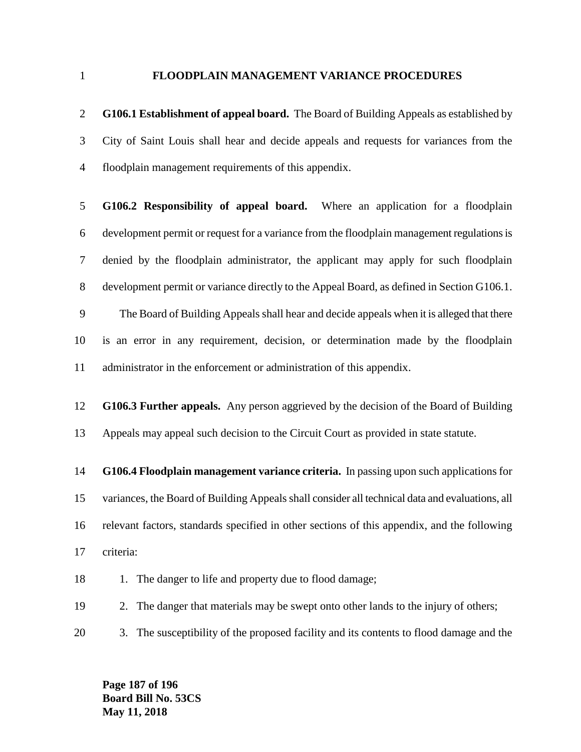#### **FLOODPLAIN MANAGEMENT VARIANCE PROCEDURES**

 **G106.1 Establishment of appeal board.** The Board of Building Appeals as established by City of Saint Louis shall hear and decide appeals and requests for variances from the floodplain management requirements of this appendix.

 **G106.2 Responsibility of appeal board.** Where an application for a floodplain development permit or request for a variance from the floodplain management regulations is denied by the floodplain administrator, the applicant may apply for such floodplain development permit or variance directly to the Appeal Board, as defined in Section G106.1. The Board of Building Appeals shall hear and decide appeals when it is alleged that there

 is an error in any requirement, decision, or determination made by the floodplain administrator in the enforcement or administration of this appendix.

 **G106.3 Further appeals.** Any person aggrieved by the decision of the Board of Building Appeals may appeal such decision to the Circuit Court as provided in state statute.

 **G106.4 Floodplain management variance criteria.** In passing upon such applications for variances, the Board of Building Appeals shall consider all technical data and evaluations, all relevant factors, standards specified in other sections of this appendix, and the following criteria:

18 1. The danger to life and property due to flood damage;

2. The danger that materials may be swept onto other lands to the injury of others;

3. The susceptibility of the proposed facility and its contents to flood damage and the

**Page 187 of 196 Board Bill No. 53CS May 11, 2018**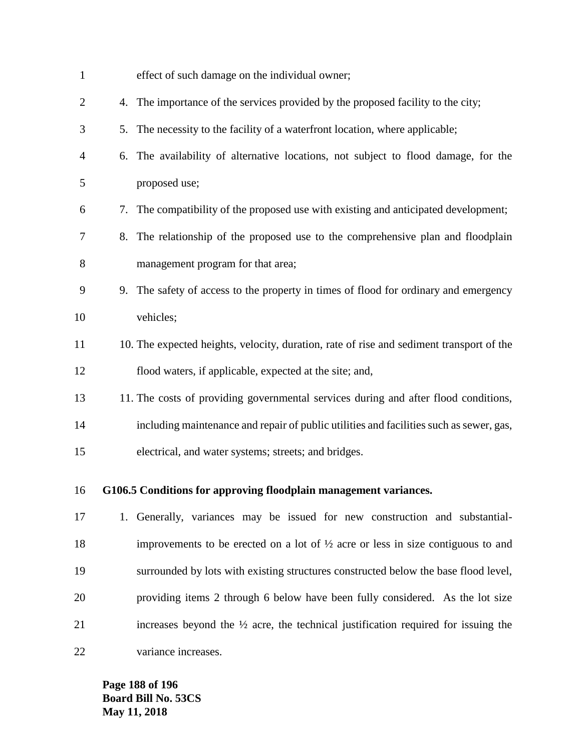| $\mathbf{1}$   |    | effect of such damage on the individual owner;                                                |
|----------------|----|-----------------------------------------------------------------------------------------------|
| $\overline{2}$ |    | 4. The importance of the services provided by the proposed facility to the city;              |
| 3              | 5. | The necessity to the facility of a waterfront location, where applicable;                     |
| $\overline{4}$ |    | 6. The availability of alternative locations, not subject to flood damage, for the            |
| 5              |    | proposed use;                                                                                 |
| 6              | 7. | The compatibility of the proposed use with existing and anticipated development;              |
| 7              |    | 8. The relationship of the proposed use to the comprehensive plan and floodplain              |
| 8              |    | management program for that area;                                                             |
| 9              |    | 9. The safety of access to the property in times of flood for ordinary and emergency          |
| 10             |    | vehicles;                                                                                     |
| 11             |    | 10. The expected heights, velocity, duration, rate of rise and sediment transport of the      |
| 12             |    | flood waters, if applicable, expected at the site; and,                                       |
| 13             |    | 11. The costs of providing governmental services during and after flood conditions,           |
| 14             |    | including maintenance and repair of public utilities and facilities such as sewer, gas,       |
| 15             |    | electrical, and water systems; streets; and bridges.                                          |
| 16             |    | G106.5 Conditions for approving floodplain management variances.                              |
| 17             |    | 1. Generally, variances may be issued for new construction and substantial-                   |
| 18             |    | improvements to be erected on a lot of $\frac{1}{2}$ acre or less in size contiguous to and   |
| 19             |    | surrounded by lots with existing structures constructed below the base flood level,           |
| 20             |    | providing items 2 through 6 below have been fully considered. As the lot size                 |
| 21             |    | increases beyond the $\frac{1}{2}$ acre, the technical justification required for issuing the |
| 22             |    | variance increases.                                                                           |

**Page 188 of 196 Board Bill No. 53CS May 11, 2018**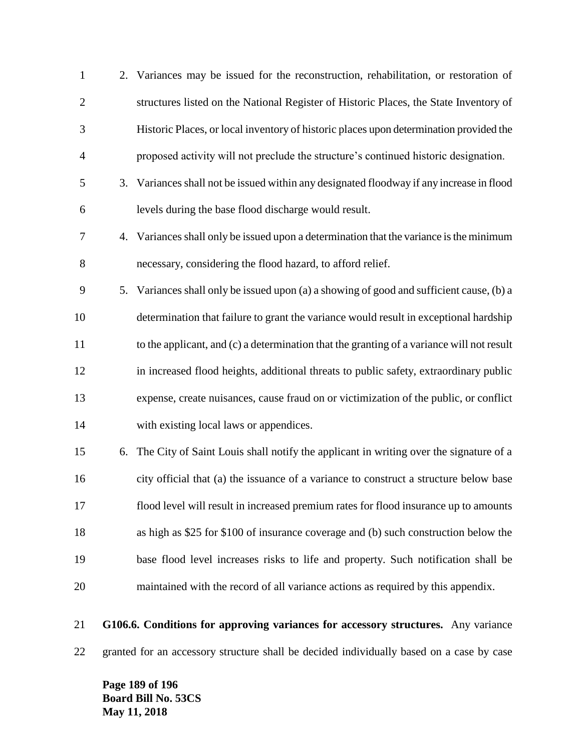| $\mathbf{1}$   |    | 2. Variances may be issued for the reconstruction, rehabilitation, or restoration of      |
|----------------|----|-------------------------------------------------------------------------------------------|
| $\overline{2}$ |    | structures listed on the National Register of Historic Places, the State Inventory of     |
| 3              |    | Historic Places, or local inventory of historic places upon determination provided the    |
| $\overline{4}$ |    | proposed activity will not preclude the structure's continued historic designation.       |
| 5              | 3. | Variances shall not be issued within any designated floodway if any increase in flood     |
| 6              |    | levels during the base flood discharge would result.                                      |
| 7              |    | 4. Variances shall only be issued upon a determination that the variance is the minimum   |
| 8              |    | necessary, considering the flood hazard, to afford relief.                                |
| 9              |    | 5. Variances shall only be issued upon (a) a showing of good and sufficient cause, (b) a  |
| 10             |    | determination that failure to grant the variance would result in exceptional hardship     |
| 11             |    | to the applicant, and (c) a determination that the granting of a variance will not result |
| 12             |    | in increased flood heights, additional threats to public safety, extraordinary public     |
| 13             |    | expense, create nuisances, cause fraud on or victimization of the public, or conflict     |
| 14             |    | with existing local laws or appendices.                                                   |
| 15             | 6. | The City of Saint Louis shall notify the applicant in writing over the signature of a     |
| 16             |    | city official that (a) the issuance of a variance to construct a structure below base     |
| 17             |    | flood level will result in increased premium rates for flood insurance up to amounts      |
| 18             |    | as high as \$25 for \$100 of insurance coverage and (b) such construction below the       |
| 19             |    | base flood level increases risks to life and property. Such notification shall be         |
| 20             |    | maintained with the record of all variance actions as required by this appendix.          |
|                |    |                                                                                           |

 **G106.6. Conditions for approving variances for accessory structures.** Any variance granted for an accessory structure shall be decided individually based on a case by case

**Page 189 of 196 Board Bill No. 53CS May 11, 2018**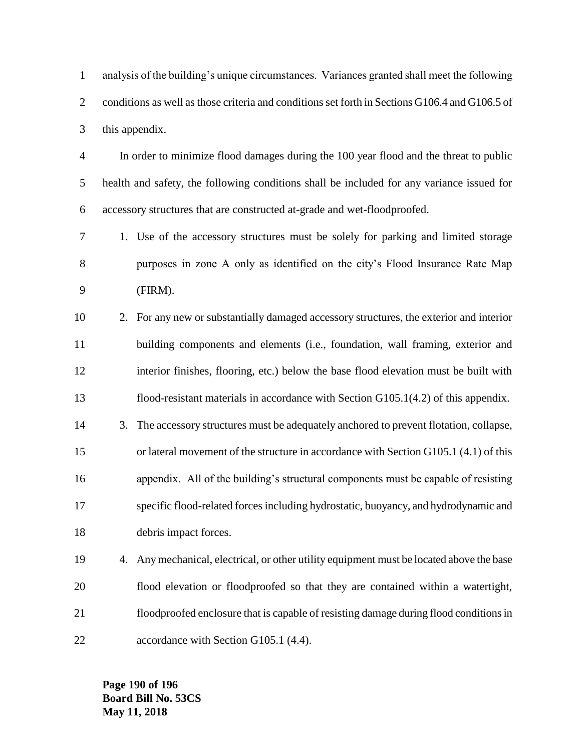analysis of the building's unique circumstances. Variances granted shall meet the following conditions as well as those criteria and conditions set forth in Sections G106.4 and G106.5 of this appendix.

 In order to minimize flood damages during the 100 year flood and the threat to public health and safety, the following conditions shall be included for any variance issued for accessory structures that are constructed at-grade and wet-floodproofed.

 1. Use of the accessory structures must be solely for parking and limited storage purposes in zone A only as identified on the city's Flood Insurance Rate Map (FIRM).

 2. For any new or substantially damaged accessory structures, the exterior and interior building components and elements (i.e., foundation, wall framing, exterior and interior finishes, flooring, etc.) below the base flood elevation must be built with flood-resistant materials in accordance with Section G105.1(4.2) of this appendix.

- 3. The accessory structures must be adequately anchored to prevent flotation, collapse, or lateral movement of the structure in accordance with Section G105.1 (4.1) of this appendix. All of the building's structural components must be capable of resisting specific flood-related forces including hydrostatic, buoyancy, and hydrodynamic and debris impact forces.
- 4. Any mechanical, electrical, or other utility equipment must be located above the base flood elevation or floodproofed so that they are contained within a watertight, floodproofed enclosure that is capable of resisting damage during flood conditions in 22 accordance with Section G105.1 (4.4).

**Page 190 of 196 Board Bill No. 53CS May 11, 2018**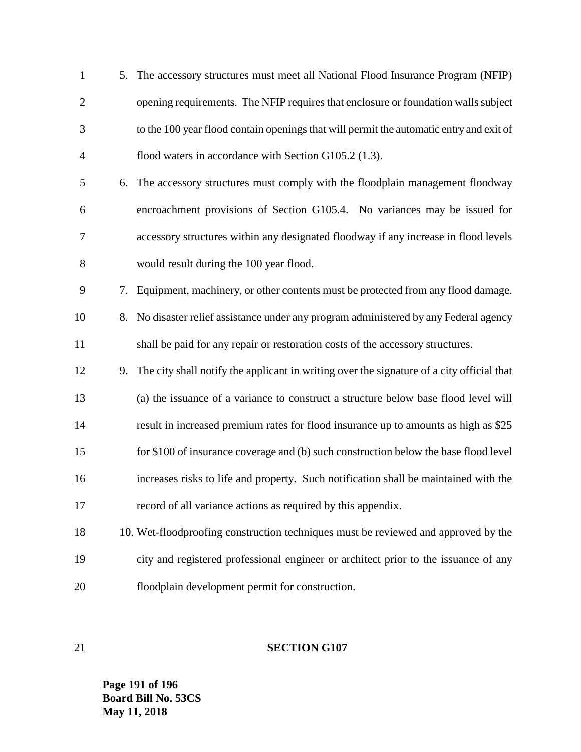| $\mathbf{1}$   |    | 5. The accessory structures must meet all National Flood Insurance Program (NFIP)            |
|----------------|----|----------------------------------------------------------------------------------------------|
| $\overline{2}$ |    | opening requirements. The NFIP requires that enclosure or foundation walls subject           |
| 3              |    | to the 100 year flood contain openings that will permit the automatic entry and exit of      |
| $\overline{4}$ |    | flood waters in accordance with Section G105.2 (1.3).                                        |
| 5              |    | 6. The accessory structures must comply with the floodplain management floodway              |
| 6              |    | encroachment provisions of Section G105.4. No variances may be issued for                    |
| 7              |    | accessory structures within any designated floodway if any increase in flood levels          |
| $8\,$          |    | would result during the 100 year flood.                                                      |
| 9              | 7. | Equipment, machinery, or other contents must be protected from any flood damage.             |
| 10             | 8. | No disaster relief assistance under any program administered by any Federal agency           |
| 11             |    | shall be paid for any repair or restoration costs of the accessory structures.               |
| 12             |    | 9. The city shall notify the applicant in writing over the signature of a city official that |
| 13             |    | (a) the issuance of a variance to construct a structure below base flood level will          |
| 14             |    | result in increased premium rates for flood insurance up to amounts as high as \$25          |
| 15             |    | for \$100 of insurance coverage and (b) such construction below the base flood level         |
| 16             |    | increases risks to life and property. Such notification shall be maintained with the         |
| 17             |    | record of all variance actions as required by this appendix.                                 |
| 18             |    | 10. Wet-floodproofing construction techniques must be reviewed and approved by the           |
| 19             |    | city and registered professional engineer or architect prior to the issuance of any          |
| 20             |    | floodplain development permit for construction.                                              |

# **SECTION G107**

**Page 191 of 196 Board Bill No. 53CS May 11, 2018**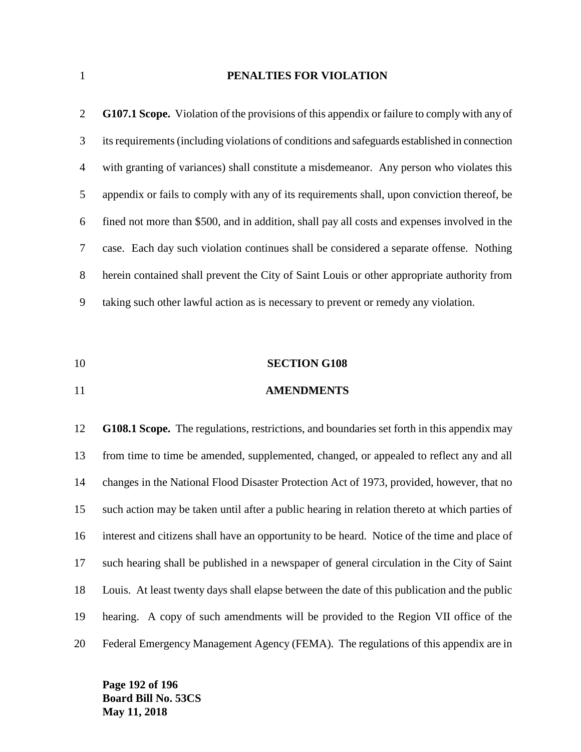### **PENALTIES FOR VIOLATION**

| 2              | <b>G107.1 Scope.</b> Violation of the provisions of this appendix or failure to comply with any of |
|----------------|----------------------------------------------------------------------------------------------------|
| 3              | its requirements (including violations of conditions and safeguards established in connection      |
| $\overline{4}$ | with granting of variances) shall constitute a misdemeanor. Any person who violates this           |
| 5              | appendix or fails to comply with any of its requirements shall, upon conviction thereof, be        |
| 6              | fined not more than \$500, and in addition, shall pay all costs and expenses involved in the       |
| 7              | case. Each day such violation continues shall be considered a separate offense. Nothing            |
| 8              | herein contained shall prevent the City of Saint Louis or other appropriate authority from         |
| 9              | taking such other lawful action as is necessary to prevent or remedy any violation.                |

- **SECTION G108**
- **AMENDMENTS**

 **G108.1 Scope.** The regulations, restrictions, and boundaries set forth in this appendix may from time to time be amended, supplemented, changed, or appealed to reflect any and all changes in the National Flood Disaster Protection Act of 1973, provided, however, that no such action may be taken until after a public hearing in relation thereto at which parties of interest and citizens shall have an opportunity to be heard. Notice of the time and place of such hearing shall be published in a newspaper of general circulation in the City of Saint Louis. At least twenty days shall elapse between the date of this publication and the public hearing. A copy of such amendments will be provided to the Region VII office of the Federal Emergency Management Agency (FEMA). The regulations of this appendix are in

**Page 192 of 196 Board Bill No. 53CS May 11, 2018**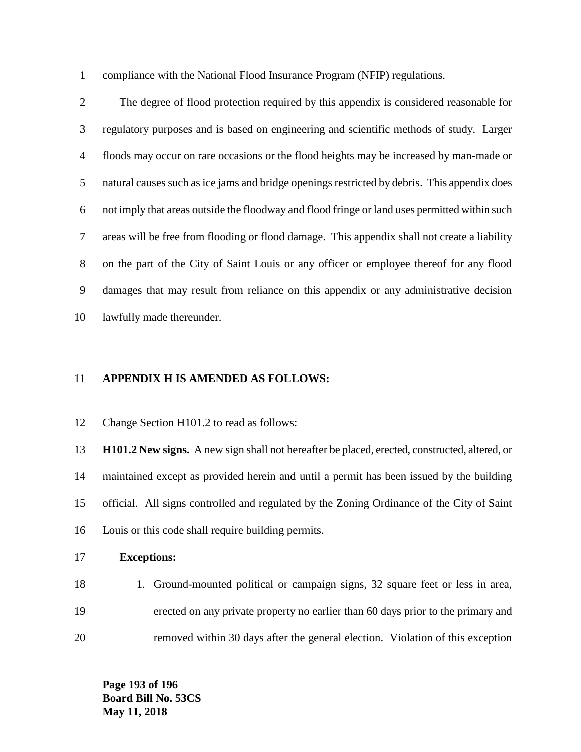compliance with the National Flood Insurance Program (NFIP) regulations.

 The degree of flood protection required by this appendix is considered reasonable for regulatory purposes and is based on engineering and scientific methods of study. Larger floods may occur on rare occasions or the flood heights may be increased by man-made or natural causes such as ice jams and bridge openings restricted by debris. This appendix does not imply that areas outside the floodway and flood fringe or land uses permitted within such areas will be free from flooding or flood damage. This appendix shall not create a liability on the part of the City of Saint Louis or any officer or employee thereof for any flood damages that may result from reliance on this appendix or any administrative decision lawfully made thereunder.

#### **APPENDIX H IS AMENDED AS FOLLOWS:**

Change Section H101.2 to read as follows:

 **H101.2 New signs.** A new sign shall not hereafter be placed, erected, constructed, altered, or maintained except as provided herein and until a permit has been issued by the building official. All signs controlled and regulated by the Zoning Ordinance of the City of Saint Louis or this code shall require building permits.

#### **Exceptions:**

18 18 1. Ground-mounted political or campaign signs, 32 square feet or less in area, erected on any private property no earlier than 60 days prior to the primary and removed within 30 days after the general election. Violation of this exception

**Page 193 of 196 Board Bill No. 53CS May 11, 2018**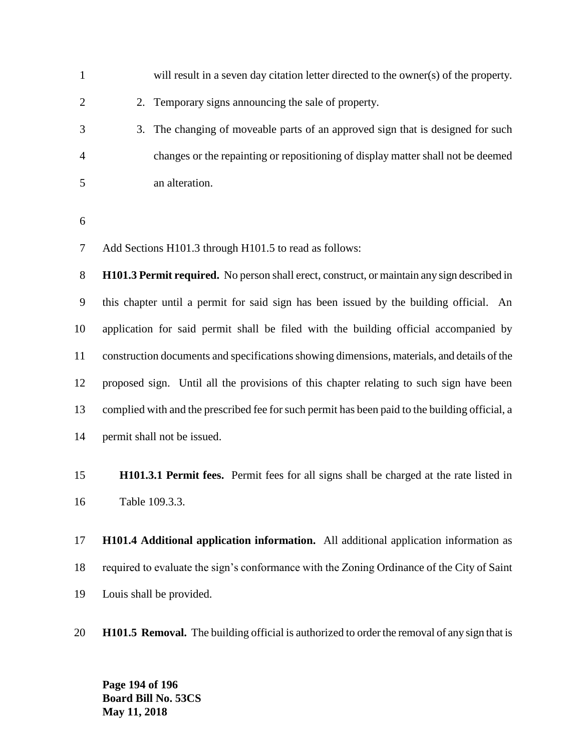| 1              | will result in a seven day citation letter directed to the owner(s) of the property.               |
|----------------|----------------------------------------------------------------------------------------------------|
| 2              | 2. Temporary signs announcing the sale of property.                                                |
| 3              | 3. The changing of moveable parts of an approved sign that is designed for such                    |
| $\overline{4}$ | changes or the repainting or repositioning of display matter shall not be deemed                   |
| 5              | an alteration.                                                                                     |
|                |                                                                                                    |
| 6              |                                                                                                    |
| 7              | Add Sections H101.3 through H101.5 to read as follows:                                             |
| 8              | <b>H101.3 Permit required.</b> No person shall erect, construct, or maintain any sign described in |
| 9              | this chapter until a permit for said sign has been issued by the building official. An             |
| 10             | application for said permit shall be filed with the building official accompanied by               |

 **H101.3.1 Permit fees.** Permit fees for all signs shall be charged at the rate listed in Table 109.3.3.

construction documents and specifications showing dimensions, materials, and details of the

proposed sign. Until all the provisions of this chapter relating to such sign have been

complied with and the prescribed fee for such permit has been paid to the building official, a

 **H101.4 Additional application information.** All additional application information as required to evaluate the sign's conformance with the Zoning Ordinance of the City of Saint Louis shall be provided.

**H101.5 Removal.** The building official is authorized to order the removal of any sign that is

**Page 194 of 196 Board Bill No. 53CS May 11, 2018**

permit shall not be issued.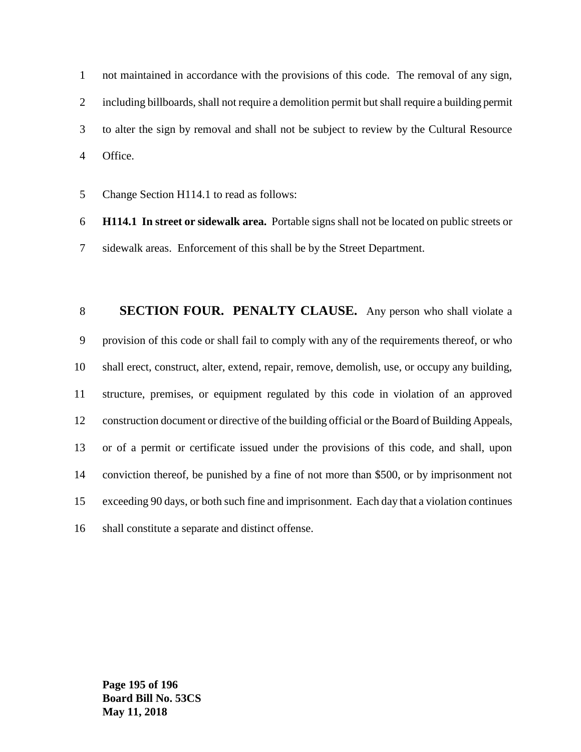not maintained in accordance with the provisions of this code. The removal of any sign, including billboards, shall not require a demolition permit but shall require a building permit to alter the sign by removal and shall not be subject to review by the Cultural Resource Office.

Change Section H114.1 to read as follows:

 **H114.1 In street or sidewalk area.** Portable signs shall not be located on public streets or sidewalk areas. Enforcement of this shall be by the Street Department.

 **SECTION FOUR. PENALTY CLAUSE.** Any person who shall violate a provision of this code or shall fail to comply with any of the requirements thereof, or who shall erect, construct, alter, extend, repair, remove, demolish, use, or occupy any building, structure, premises, or equipment regulated by this code in violation of an approved construction document or directive of the building official or the Board of Building Appeals, or of a permit or certificate issued under the provisions of this code, and shall, upon conviction thereof, be punished by a fine of not more than \$500, or by imprisonment not exceeding 90 days, or both such fine and imprisonment. Each day that a violation continues shall constitute a separate and distinct offense.

**Page 195 of 196 Board Bill No. 53CS May 11, 2018**